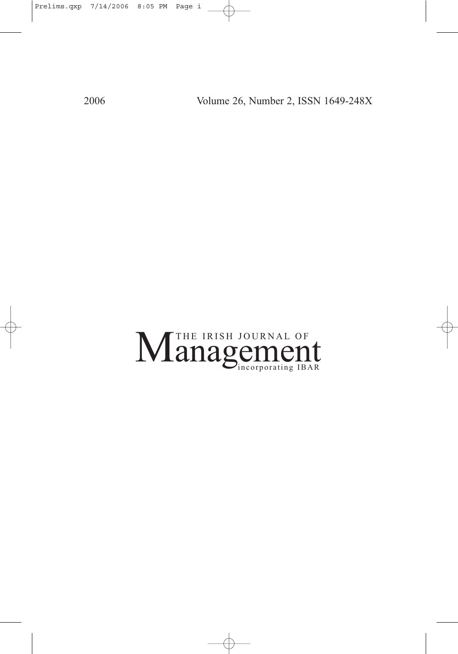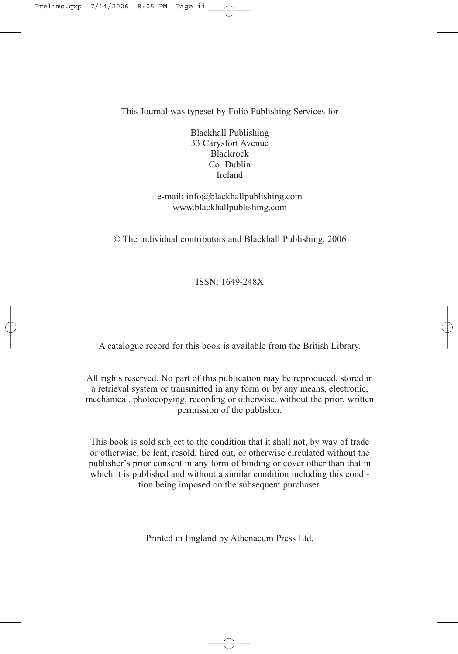This Journal was typeset by Folio Publishing Services for

Blackhall Publishing 33 Carysfort Avenue Blackrock Co. Dublin Ireland

e-mail: info@blackhallpublishing.com www.blackhallpublishing.com

© The individual contributors and Blackhall Publishing, 2006

ISSN: 1649-248X

A catalogue record for this book is available from the British Library.

All rights reserved. No part of this publication may be reproduced, stored in a retrieval system or transmitted in any form or by any means, electronic, mechanical, photocopying, recording or otherwise, without the prior, written permission of the publisher.

This book is sold subject to the condition that it shall not, by way of trade or otherwise, be lent, resold, hired out, or otherwise circulated without the publisher's prior consent in any form of binding or cover other than that in which it is published and without a similar condition including this condition being imposed on the subsequent purchaser.

Printed in England by Athenaeum Press Ltd.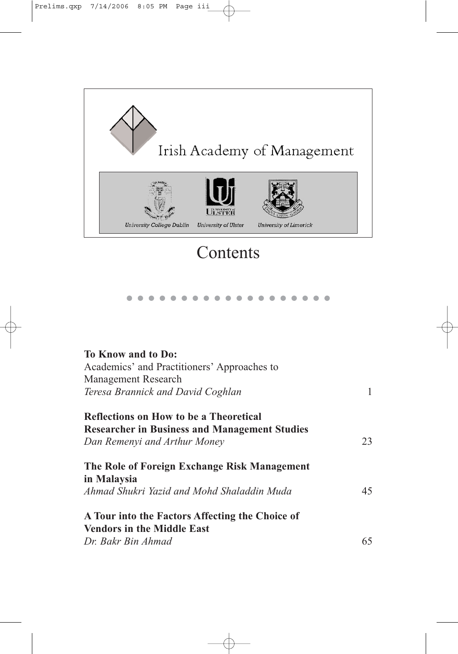

| To Know and to Do:                                   |    |
|------------------------------------------------------|----|
| Academics' and Practitioners' Approaches to          |    |
| <b>Management Research</b>                           |    |
| Teresa Brannick and David Coghlan                    | 1  |
| Reflections on How to be a Theoretical               |    |
| <b>Researcher in Business and Management Studies</b> |    |
| Dan Remenyi and Arthur Money                         | 23 |
| The Role of Foreign Exchange Risk Management         |    |
| in Malaysia                                          |    |
| Ahmad Shukri Yazid and Mohd Shaladdin Muda           | 45 |
| A Tour into the Factors Affecting the Choice of      |    |
| <b>Vendors in the Middle East</b>                    |    |
| Dr. Bakr Bin Ahmad                                   | 65 |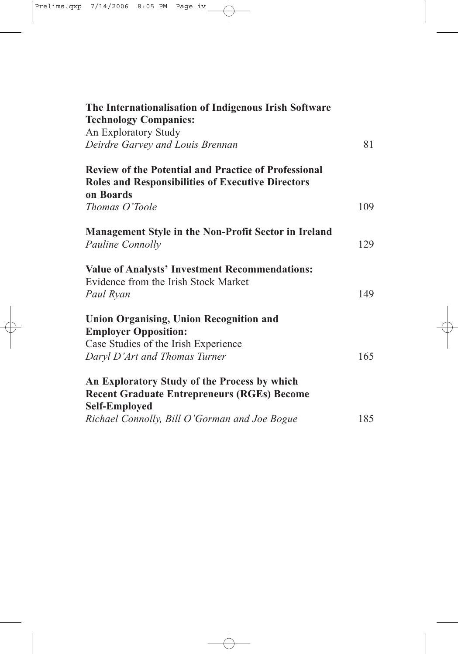| The Internationalisation of Indigenous Irish Software                                                                                |     |
|--------------------------------------------------------------------------------------------------------------------------------------|-----|
| <b>Technology Companies:</b>                                                                                                         |     |
| An Exploratory Study                                                                                                                 |     |
| Deirdre Garvey and Louis Brennan                                                                                                     | 81  |
| <b>Review of the Potential and Practice of Professional</b><br><b>Roles and Responsibilities of Executive Directors</b><br>on Boards |     |
| Thomas O'Toole                                                                                                                       | 109 |
| Management Style in the Non-Profit Sector in Ireland                                                                                 |     |
| Pauline Connolly                                                                                                                     | 129 |
| <b>Value of Analysts' Investment Recommendations:</b><br>Evidence from the Irish Stock Market                                        |     |
| Paul Ryan                                                                                                                            | 149 |
| <b>Union Organising, Union Recognition and</b><br><b>Employer Opposition:</b>                                                        |     |
| Case Studies of the Irish Experience                                                                                                 |     |
| Daryl D'Art and Thomas Turner                                                                                                        | 165 |
| An Exploratory Study of the Process by which                                                                                         |     |
| <b>Recent Graduate Entrepreneurs (RGEs) Become</b>                                                                                   |     |
| <b>Self-Employed</b>                                                                                                                 |     |
| Richael Connolly, Bill O'Gorman and Joe Bogue                                                                                        | 185 |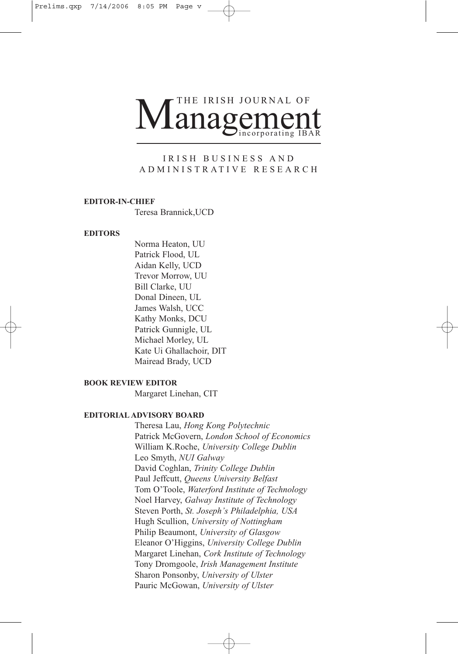# Management THE IRISH JOURNAL OF

#### IRISH BUSINESS AND ADMINISTRATIVE RESEARCH

#### **EDITOR-IN-CHIEF**

Teresa Brannick,UCD

#### **EDITORS**

Norma Heaton, UU Patrick Flood, UL Aidan Kelly, UCD Trevor Morrow, UU Bill Clarke, UU Donal Dineen, UL James Walsh, UCC Kathy Monks, DCU Patrick Gunnigle, UL Michael Morley, UL Kate Ui Ghallachoir, DIT Mairead Brady, UCD

#### **BOOK REVIEW EDITOR**

Margaret Linehan, CIT

#### **EDITORIAL ADVISORY BOARD**

Theresa Lau, *Hong Kong Polytechnic* Patrick McGovern, *London School of Economics* William K.Roche, *University College Dublin* Leo Smyth, *NUI Galway* David Coghlan, *Trinity College Dublin* Paul Jeffcutt, *Queens University Belfast* Tom O'Toole, *Waterford Institute of Technology* Noel Harvey, *Galway Institute of Technology* Steven Porth, *St. Joseph's Philadelphia, USA* Hugh Scullion, *University of Nottingham* Philip Beaumont, *University of Glasgow* Eleanor O'Higgins, *University College Dublin* Margaret Linehan, *Cork Institute of Technology* Tony Dromgoole, *Irish Management Institute* Sharon Ponsonby, *University of Ulster* Pauric McGowan, *University of Ulster*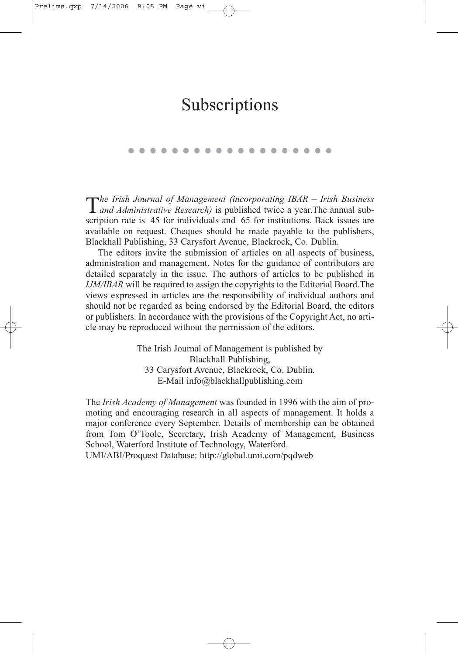# Subscriptions

T*he Irish Journal of Management (incorporating IBAR – Irish Business and Administrative Research)* is published twice a year.The annual subscription rate is 45 for individuals and 65 for institutions. Back issues are available on request. Cheques should be made payable to the publishers, Blackhall Publishing, 33 Carysfort Avenue, Blackrock, Co. Dublin.

The editors invite the submission of articles on all aspects of business, administration and management. Notes for the guidance of contributors are detailed separately in the issue. The authors of articles to be published in *IJM/IBAR* will be required to assign the copyrights to the Editorial Board.The views expressed in articles are the responsibility of individual authors and should not be regarded as being endorsed by the Editorial Board, the editors or publishers. In accordance with the provisions of the Copyright Act, no article may be reproduced without the permission of the editors.

> The Irish Journal of Management is published by Blackhall Publishing, 33 Carysfort Avenue, Blackrock, Co. Dublin. E-Mail info@blackhallpublishing.com

The *Irish Academy of Management* was founded in 1996 with the aim of promoting and encouraging research in all aspects of management. It holds a major conference every September. Details of membership can be obtained from Tom O'Toole, Secretary, Irish Academy of Management, Business School, Waterford Institute of Technology, Waterford.

UMI/ABI/Proquest Database: http://global.umi.com/pqdweb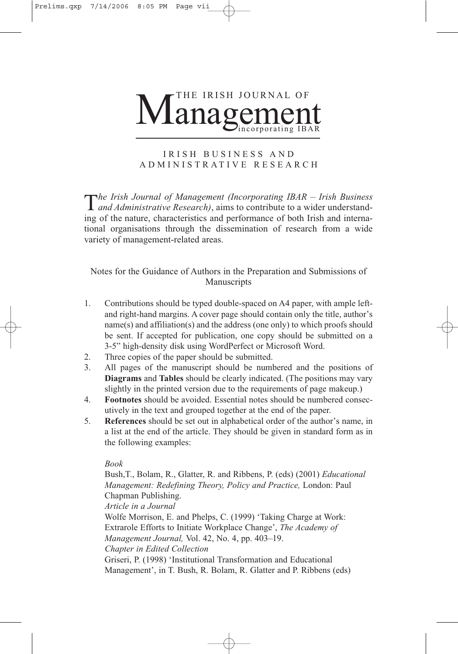

## IRISH BUSINESS AND ADMINISTRATIVE RESEARCH

T*he Irish Journal of Management (Incorporating IBAR – Irish Business and Administrative Research)*, aims to contribute to a wider understanding of the nature, characteristics and performance of both Irish and international organisations through the dissemination of research from a wide variety of management-related areas.

Notes for the Guidance of Authors in the Preparation and Submissions of Manuscripts

- 1. Contributions should be typed double-spaced on A4 paper, with ample leftand right-hand margins. A cover page should contain only the title, author's name(s) and affiliation(s) and the address (one only) to which proofs should be sent. If accepted for publication, one copy should be submitted on a 3-5" high-density disk using WordPerfect or Microsoft Word.
- 2. Three copies of the paper should be submitted.
- 3. All pages of the manuscript should be numbered and the positions of **Diagrams** and **Tables** should be clearly indicated. (The positions may vary slightly in the printed version due to the requirements of page makeup.)
- 4. **Footnotes** should be avoided. Essential notes should be numbered consecutively in the text and grouped together at the end of the paper.
- 5. **References** should be set out in alphabetical order of the author's name, in a list at the end of the article. They should be given in standard form as in the following examples:

#### *Book*

Bush,T., Bolam, R., Glatter, R. and Ribbens, P. (eds) (2001) *Educational Management: Redefining Theory, Policy and Practice,* London: Paul Chapman Publishing.

*Article in a Journal* 

Wolfe Morrison, E. and Phelps, C. (1999) 'Taking Charge at Work: Extrarole Efforts to Initiate Workplace Change', *The Academy of Management Journal,* Vol. 42, No. 4, pp. 403*–*19. *Chapter in Edited Collection* 

Griseri, P. (1998) 'Institutional Transformation and Educational Management', in T. Bush, R. Bolam, R. Glatter and P. Ribbens (eds)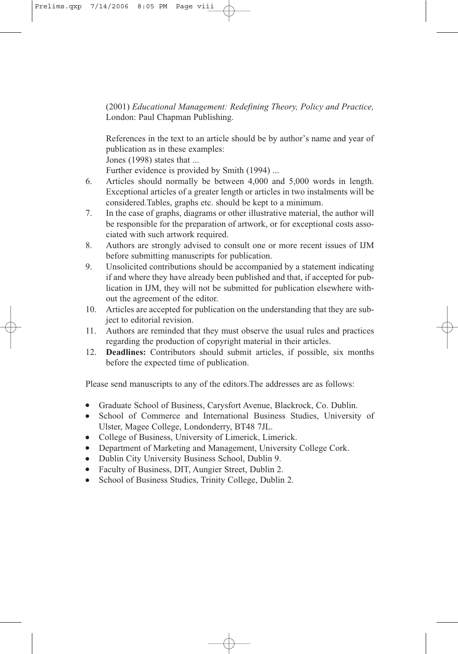(2001) *Educational Management: Redefining Theory, Policy and Practice,* London: Paul Chapman Publishing.

References in the text to an article should be by author's name and year of publication as in these examples:

Jones (1998) states that ...

Further evidence is provided by Smith (1994) ...

- 6. Articles should normally be between 4,000 and 5,000 words in length. Exceptional articles of a greater length or articles in two instalments will be considered.Tables, graphs etc. should be kept to a minimum.
- 7. In the case of graphs, diagrams or other illustrative material, the author will be responsible for the preparation of artwork, or for exceptional costs associated with such artwork required.
- 8. Authors are strongly advised to consult one or more recent issues of IJM before submitting manuscripts for publication.
- 9. Unsolicited contributions should be accompanied by a statement indicating if and where they have already been published and that, if accepted for publication in IJM, they will not be submitted for publication elsewhere without the agreement of the editor.
- 10. Articles are accepted for publication on the understanding that they are subject to editorial revision.
- 11. Authors are reminded that they must observe the usual rules and practices regarding the production of copyright material in their articles.
- 12. **Deadlines:** Contributors should submit articles, if possible, six months before the expected time of publication.

Please send manuscripts to any of the editors.The addresses are as follows:

- Graduate School of Business, Carysfort Avenue, Blackrock, Co. Dublin.
- School of Commerce and International Business Studies, University of Ulster, Magee College, Londonderry, BT48 7JL.
- College of Business, University of Limerick, Limerick.
- Department of Marketing and Management, University College Cork.
- Dublin City University Business School, Dublin 9.
- Faculty of Business, DIT, Aungier Street, Dublin 2.
- School of Business Studies, Trinity College, Dublin 2.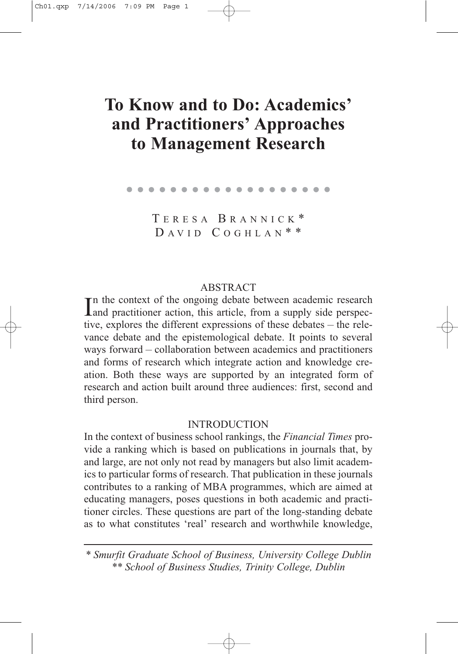# **To Know and to Do: Academics' and Practitioners' Approaches to Management Research**

|  |  |  |  |  | . |  |  |  |  |
|--|--|--|--|--|---|--|--|--|--|

T ERESA B RANNICK \*  $DAVID COGHLAN$ \*\*

## **ABSTRACT**

In the context of the ongoing debate between academic research<br>and practitioner action, this article, from a supply side perspec-**The context of the ongoing debate between academic research** tive, explores the different expressions of these debates – the relevance debate and the epistemological debate. It points to several ways forward – collaboration between academics and practitioners and forms of research which integrate action and knowledge creation. Both these ways are supported by an integrated form of research and action built around three audiences: first, second and third person.

### INTRODUCTION

In the context of business school rankings, the *Financial Times* provide a ranking which is based on publications in journals that, by and large, are not only not read by managers but also limit academics to particular forms of research. That publication in these journals contributes to a ranking of MBA programmes, which are aimed at educating managers, poses questions in both academic and practitioner circles. These questions are part of the long-standing debate as to what constitutes 'real' research and worthwhile knowledge,

*<sup>\*</sup> Smurfit Graduate School of Business, University College Dublin \*\* School of Business Studies, Trinity College, Dublin*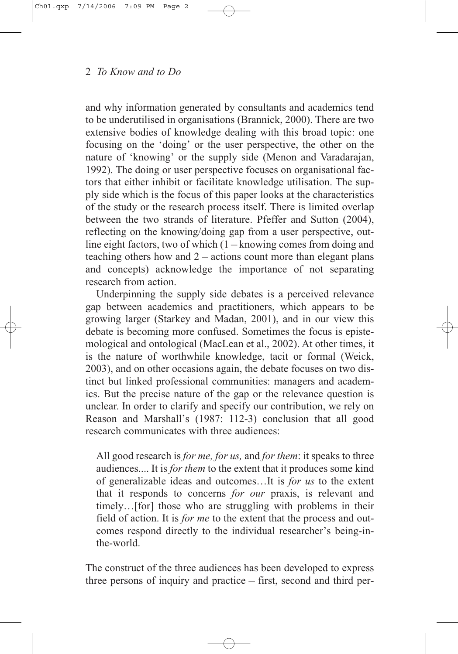and why information generated by consultants and academics tend to be underutilised in organisations (Brannick, 2000). There are two extensive bodies of knowledge dealing with this broad topic: one focusing on the 'doing' or the user perspective, the other on the nature of 'knowing' or the supply side (Menon and Varadarajan, 1992). The doing or user perspective focuses on organisational factors that either inhibit or facilitate knowledge utilisation. The supply side which is the focus of this paper looks at the characteristics of the study or the research process itself. There is limited overlap between the two strands of literature. Pfeffer and Sutton (2004), reflecting on the knowing/doing gap from a user perspective, outline eight factors, two of which  $(1 -$ knowing comes from doing and teaching others how and  $2 -$  actions count more than elegant plans and concepts) acknowledge the importance of not separating research from action.

Underpinning the supply side debates is a perceived relevance gap between academics and practitioners, which appears to be growing larger (Starkey and Madan, 2001), and in our view this debate is becoming more confused. Sometimes the focus is epistemological and ontological (MacLean et al., 2002). At other times, it is the nature of worthwhile knowledge, tacit or formal (Weick, 2003), and on other occasions again, the debate focuses on two distinct but linked professional communities: managers and academics. But the precise nature of the gap or the relevance question is unclear. In order to clarify and specify our contribution, we rely on Reason and Marshall's (1987: 112-3) conclusion that all good research communicates with three audiences:

All good research is *for me, for us,* and *for them*: it speaks to three audiences.... It is *for them* to the extent that it produces some kind of generalizable ideas and outcomes…It is *for us* to the extent that it responds to concerns *for our* praxis, is relevant and timely…[for] those who are struggling with problems in their field of action. It is *for me* to the extent that the process and outcomes respond directly to the individual researcher's being-inthe-world.

The construct of the three audiences has been developed to express three persons of inquiry and practice – first, second and third per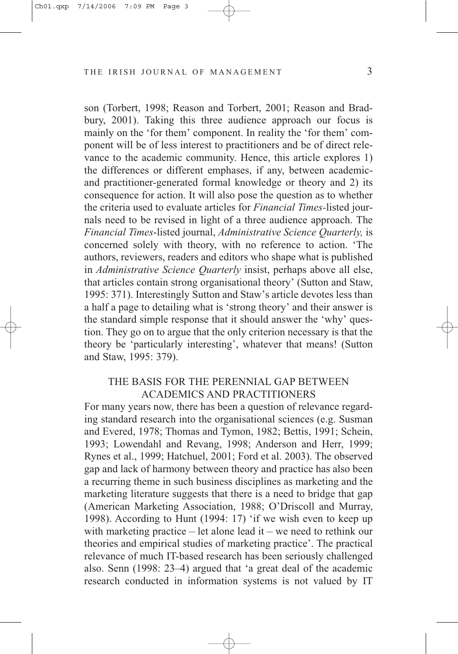son (Torbert, 1998; Reason and Torbert, 2001; Reason and Bradbury, 2001). Taking this three audience approach our focus is mainly on the 'for them' component. In reality the 'for them' component will be of less interest to practitioners and be of direct relevance to the academic community. Hence, this article explores 1) the differences or different emphases, if any, between academicand practitioner-generated formal knowledge or theory and 2) its consequence for action. It will also pose the question as to whether the criteria used to evaluate articles for *Financial Times-*listed journals need to be revised in light of a three audience approach. The *Financial Times*-listed journal, *Administrative Science Quarterly,* is concerned solely with theory, with no reference to action. 'The authors, reviewers, readers and editors who shape what is published in *Administrative Science Quarterly* insist, perhaps above all else, that articles contain strong organisational theory' (Sutton and Staw, 1995: 371). Interestingly Sutton and Staw's article devotes less than a half a page to detailing what is 'strong theory' and their answer is the standard simple response that it should answer the 'why' question. They go on to argue that the only criterion necessary is that the theory be 'particularly interesting', whatever that means! (Sutton and Staw, 1995: 379).

# THE BASIS FOR THE PERENNIAL GAP BETWEEN ACADEMICS AND PRACTITIONERS

For many years now, there has been a question of relevance regarding standard research into the organisational sciences (e.g. Susman and Evered, 1978; Thomas and Tymon, 1982; Bettis, 1991; Schein, 1993; Lowendahl and Revang, 1998; Anderson and Herr, 1999; Rynes et al., 1999; Hatchuel, 2001; Ford et al. 2003). The observed gap and lack of harmony between theory and practice has also been a recurring theme in such business disciplines as marketing and the marketing literature suggests that there is a need to bridge that gap (American Marketing Association, 1988; O'Driscoll and Murray, 1998). According to Hunt (1994: 17) 'if we wish even to keep up with marketing practice – let alone lead it – we need to rethink our theories and empirical studies of marketing practice'. The practical relevance of much IT-based research has been seriously challenged also. Senn (1998: 23–4) argued that 'a great deal of the academic research conducted in information systems is not valued by IT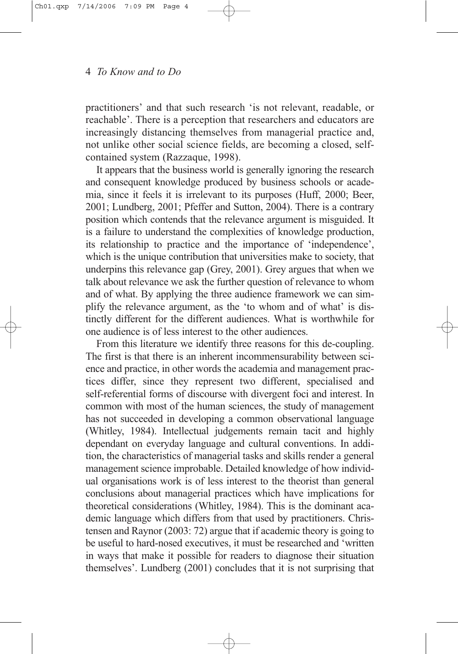practitioners' and that such research 'is not relevant, readable, or reachable'. There is a perception that researchers and educators are increasingly distancing themselves from managerial practice and, not unlike other social science fields, are becoming a closed, selfcontained system (Razzaque, 1998).

It appears that the business world is generally ignoring the research and consequent knowledge produced by business schools or academia, since it feels it is irrelevant to its purposes (Huff, 2000; Beer, 2001; Lundberg, 2001; Pfeffer and Sutton, 2004). There is a contrary position which contends that the relevance argument is misguided. It is a failure to understand the complexities of knowledge production, its relationship to practice and the importance of 'independence', which is the unique contribution that universities make to society, that underpins this relevance gap (Grey, 2001). Grey argues that when we talk about relevance we ask the further question of relevance to whom and of what. By applying the three audience framework we can simplify the relevance argument, as the 'to whom and of what' is distinctly different for the different audiences. What is worthwhile for one audience is of less interest to the other audiences.

From this literature we identify three reasons for this de-coupling. The first is that there is an inherent incommensurability between science and practice, in other words the academia and management practices differ, since they represent two different, specialised and self-referential forms of discourse with divergent foci and interest. In common with most of the human sciences, the study of management has not succeeded in developing a common observational language (Whitley, 1984). Intellectual judgements remain tacit and highly dependant on everyday language and cultural conventions. In addition, the characteristics of managerial tasks and skills render a general management science improbable. Detailed knowledge of how individual organisations work is of less interest to the theorist than general conclusions about managerial practices which have implications for theoretical considerations (Whitley, 1984). This is the dominant academic language which differs from that used by practitioners. Christensen and Raynor (2003: 72) argue that if academic theory is going to be useful to hard-nosed executives, it must be researched and 'written in ways that make it possible for readers to diagnose their situation themselves'. Lundberg (2001) concludes that it is not surprising that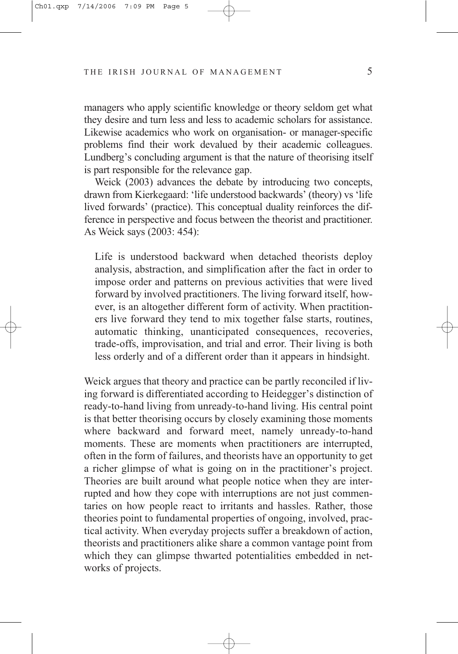managers who apply scientific knowledge or theory seldom get what they desire and turn less and less to academic scholars for assistance. Likewise academics who work on organisation- or manager-specific problems find their work devalued by their academic colleagues. Lundberg's concluding argument is that the nature of theorising itself is part responsible for the relevance gap.

Weick (2003) advances the debate by introducing two concepts, drawn from Kierkegaard: 'life understood backwards' (theory) vs 'life lived forwards' (practice). This conceptual duality reinforces the difference in perspective and focus between the theorist and practitioner. As Weick says (2003: 454):

Life is understood backward when detached theorists deploy analysis, abstraction, and simplification after the fact in order to impose order and patterns on previous activities that were lived forward by involved practitioners. The living forward itself, however, is an altogether different form of activity. When practitioners live forward they tend to mix together false starts, routines, automatic thinking, unanticipated consequences, recoveries, trade-offs, improvisation, and trial and error. Their living is both less orderly and of a different order than it appears in hindsight.

Weick argues that theory and practice can be partly reconciled if living forward is differentiated according to Heidegger's distinction of ready-to-hand living from unready-to-hand living. His central point is that better theorising occurs by closely examining those moments where backward and forward meet, namely unready-to-hand moments. These are moments when practitioners are interrupted, often in the form of failures, and theorists have an opportunity to get a richer glimpse of what is going on in the practitioner's project. Theories are built around what people notice when they are interrupted and how they cope with interruptions are not just commentaries on how people react to irritants and hassles. Rather, those theories point to fundamental properties of ongoing, involved, practical activity. When everyday projects suffer a breakdown of action, theorists and practitioners alike share a common vantage point from which they can glimpse thwarted potentialities embedded in networks of projects.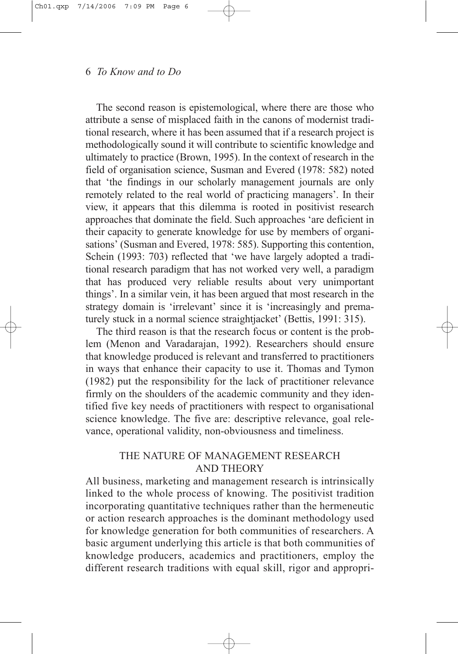The second reason is epistemological, where there are those who attribute a sense of misplaced faith in the canons of modernist traditional research, where it has been assumed that if a research project is methodologically sound it will contribute to scientific knowledge and ultimately to practice (Brown, 1995). In the context of research in the field of organisation science, Susman and Evered (1978: 582) noted that 'the findings in our scholarly management journals are only remotely related to the real world of practicing managers'. In their view, it appears that this dilemma is rooted in positivist research approaches that dominate the field. Such approaches 'are deficient in their capacity to generate knowledge for use by members of organisations' (Susman and Evered, 1978: 585). Supporting this contention, Schein (1993: 703) reflected that 'we have largely adopted a traditional research paradigm that has not worked very well, a paradigm that has produced very reliable results about very unimportant things'. In a similar vein, it has been argued that most research in the strategy domain is 'irrelevant' since it is 'increasingly and prematurely stuck in a normal science straightjacket' (Bettis, 1991: 315).

The third reason is that the research focus or content is the problem (Menon and Varadarajan, 1992). Researchers should ensure that knowledge produced is relevant and transferred to practitioners in ways that enhance their capacity to use it. Thomas and Tymon (1982) put the responsibility for the lack of practitioner relevance firmly on the shoulders of the academic community and they identified five key needs of practitioners with respect to organisational science knowledge. The five are: descriptive relevance, goal relevance, operational validity, non-obviousness and timeliness.

# THE NATURE OF MANAGEMENT RESEARCH AND THEORY

All business, marketing and management research is intrinsically linked to the whole process of knowing. The positivist tradition incorporating quantitative techniques rather than the hermeneutic or action research approaches is the dominant methodology used for knowledge generation for both communities of researchers. A basic argument underlying this article is that both communities of knowledge producers, academics and practitioners, employ the different research traditions with equal skill, rigor and appropri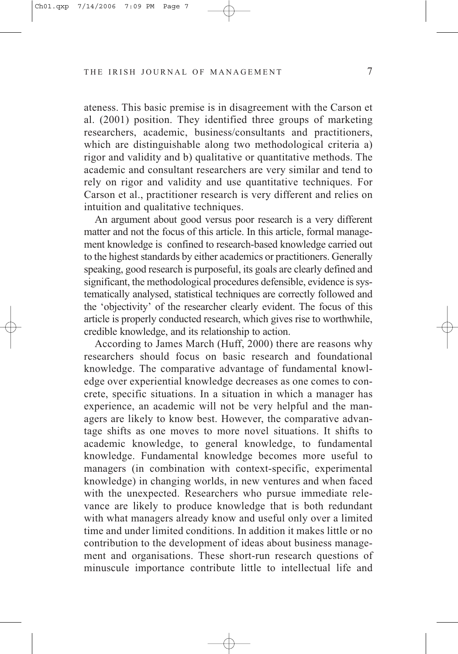ateness. This basic premise is in disagreement with the Carson et al. (2001) position. They identified three groups of marketing researchers, academic, business/consultants and practitioners, which are distinguishable along two methodological criteria a) rigor and validity and b) qualitative or quantitative methods. The academic and consultant researchers are very similar and tend to rely on rigor and validity and use quantitative techniques. For Carson et al., practitioner research is very different and relies on intuition and qualitative techniques.

An argument about good versus poor research is a very different matter and not the focus of this article. In this article, formal management knowledge is confined to research-based knowledge carried out to the highest standards by either academics or practitioners. Generally speaking, good research is purposeful, its goals are clearly defined and significant, the methodological procedures defensible, evidence is systematically analysed, statistical techniques are correctly followed and the 'objectivity' of the researcher clearly evident. The focus of this article is properly conducted research, which gives rise to worthwhile, credible knowledge, and its relationship to action.

According to James March (Huff, 2000) there are reasons why researchers should focus on basic research and foundational knowledge. The comparative advantage of fundamental knowledge over experiential knowledge decreases as one comes to concrete, specific situations. In a situation in which a manager has experience, an academic will not be very helpful and the managers are likely to know best. However, the comparative advantage shifts as one moves to more novel situations. It shifts to academic knowledge, to general knowledge, to fundamental knowledge. Fundamental knowledge becomes more useful to managers (in combination with context-specific, experimental knowledge) in changing worlds, in new ventures and when faced with the unexpected. Researchers who pursue immediate relevance are likely to produce knowledge that is both redundant with what managers already know and useful only over a limited time and under limited conditions. In addition it makes little or no contribution to the development of ideas about business management and organisations. These short-run research questions of minuscule importance contribute little to intellectual life and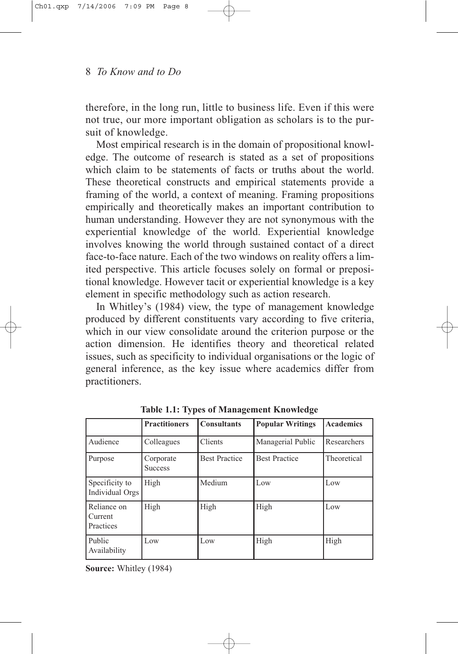therefore, in the long run, little to business life. Even if this were not true, our more important obligation as scholars is to the pursuit of knowledge.

Most empirical research is in the domain of propositional knowledge. The outcome of research is stated as a set of propositions which claim to be statements of facts or truths about the world. These theoretical constructs and empirical statements provide a framing of the world, a context of meaning. Framing propositions empirically and theoretically makes an important contribution to human understanding. However they are not synonymous with the experiential knowledge of the world. Experiential knowledge involves knowing the world through sustained contact of a direct face-to-face nature. Each of the two windows on reality offers a limited perspective. This article focuses solely on formal or prepositional knowledge. However tacit or experiential knowledge is a key element in specific methodology such as action research.

In Whitley's (1984) view, the type of management knowledge produced by different constituents vary according to five criteria, which in our view consolidate around the criterion purpose or the action dimension. He identifies theory and theoretical related issues, such as specificity to individual organisations or the logic of general inference, as the key issue where academics differ from practitioners.

|                                     | <b>Practitioners</b>        | <b>Consultants</b>   | <b>Popular Writings</b> | <b>Academics</b> |
|-------------------------------------|-----------------------------|----------------------|-------------------------|------------------|
| Audience                            | Colleagues                  | Clients              | Managerial Public       | Researchers      |
| Purpose                             | Corporate<br><b>Success</b> | <b>Best Practice</b> | <b>Best Practice</b>    | Theoretical      |
| Specificity to<br>Individual Orgs   | High                        | Medium               | Low                     | Low              |
| Reliance on<br>Current<br>Practices | High                        | High                 | High                    | Low              |
| Public<br>Availability              | Low                         | Low                  | High                    | High             |

**Table 1.1: Types of Management Knowledge**

**Source:** Whitley (1984)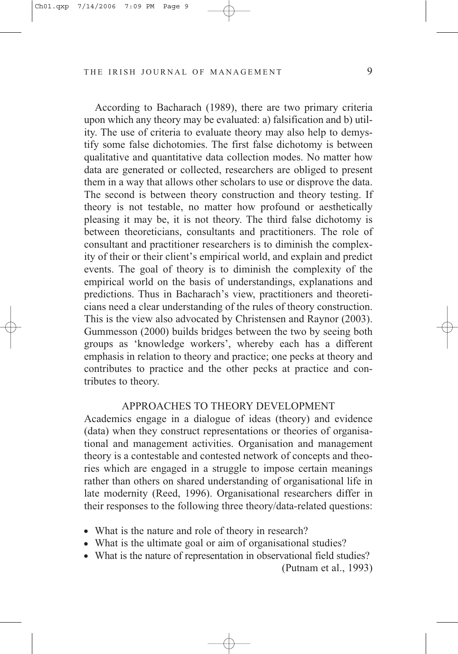According to Bacharach (1989), there are two primary criteria upon which any theory may be evaluated: a) falsification and b) utility. The use of criteria to evaluate theory may also help to demystify some false dichotomies. The first false dichotomy is between qualitative and quantitative data collection modes. No matter how data are generated or collected, researchers are obliged to present them in a way that allows other scholars to use or disprove the data. The second is between theory construction and theory testing. If theory is not testable, no matter how profound or aesthetically pleasing it may be, it is not theory. The third false dichotomy is between theoreticians, consultants and practitioners. The role of consultant and practitioner researchers is to diminish the complexity of their or their client's empirical world, and explain and predict events. The goal of theory is to diminish the complexity of the empirical world on the basis of understandings, explanations and predictions. Thus in Bacharach's view, practitioners and theoreticians need a clear understanding of the rules of theory construction. This is the view also advocated by Christensen and Raynor (2003). Gummesson (2000) builds bridges between the two by seeing both groups as 'knowledge workers', whereby each has a different emphasis in relation to theory and practice; one pecks at theory and contributes to practice and the other pecks at practice and contributes to theory.

#### APPROACHES TO THEORY DEVELOPMENT

Academics engage in a dialogue of ideas (theory) and evidence (data) when they construct representations or theories of organisational and management activities. Organisation and management theory is a contestable and contested network of concepts and theories which are engaged in a struggle to impose certain meanings rather than others on shared understanding of organisational life in late modernity (Reed, 1996). Organisational researchers differ in their responses to the following three theory/data-related questions:

- What is the nature and role of theory in research?
- What is the ultimate goal or aim of organisational studies?
- What is the nature of representation in observational field studies?

<sup>(</sup>Putnam et al., 1993)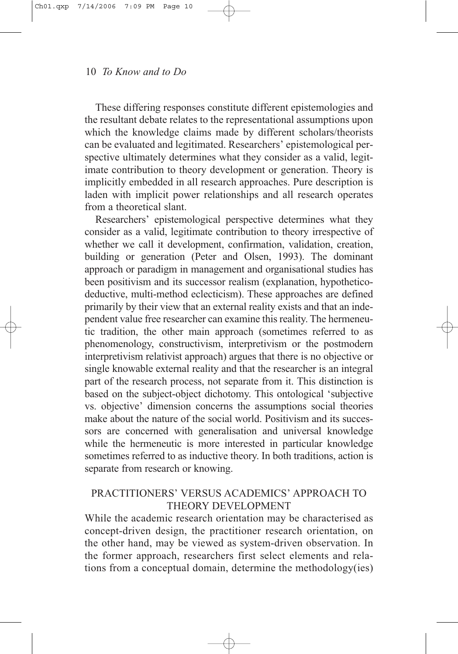These differing responses constitute different epistemologies and the resultant debate relates to the representational assumptions upon which the knowledge claims made by different scholars/theorists can be evaluated and legitimated. Researchers' epistemological perspective ultimately determines what they consider as a valid, legitimate contribution to theory development or generation. Theory is implicitly embedded in all research approaches. Pure description is laden with implicit power relationships and all research operates from a theoretical slant.

Researchers' epistemological perspective determines what they consider as a valid, legitimate contribution to theory irrespective of whether we call it development, confirmation, validation, creation, building or generation (Peter and Olsen, 1993). The dominant approach or paradigm in management and organisational studies has been positivism and its successor realism (explanation, hypotheticodeductive, multi-method eclecticism). These approaches are defined primarily by their view that an external reality exists and that an independent value free researcher can examine this reality. The hermeneutic tradition, the other main approach (sometimes referred to as phenomenology, constructivism, interpretivism or the postmodern interpretivism relativist approach) argues that there is no objective or single knowable external reality and that the researcher is an integral part of the research process, not separate from it. This distinction is based on the subject-object dichotomy. This ontological 'subjective vs. objective' dimension concerns the assumptions social theories make about the nature of the social world. Positivism and its successors are concerned with generalisation and universal knowledge while the hermeneutic is more interested in particular knowledge sometimes referred to as inductive theory. In both traditions, action is separate from research or knowing.

# PRACTITIONERS' VERSUS ACADEMICS' APPROACH TO THEORY DEVELOPMENT

While the academic research orientation may be characterised as concept-driven design, the practitioner research orientation, on the other hand, may be viewed as system-driven observation. In the former approach, researchers first select elements and relations from a conceptual domain, determine the methodology(ies)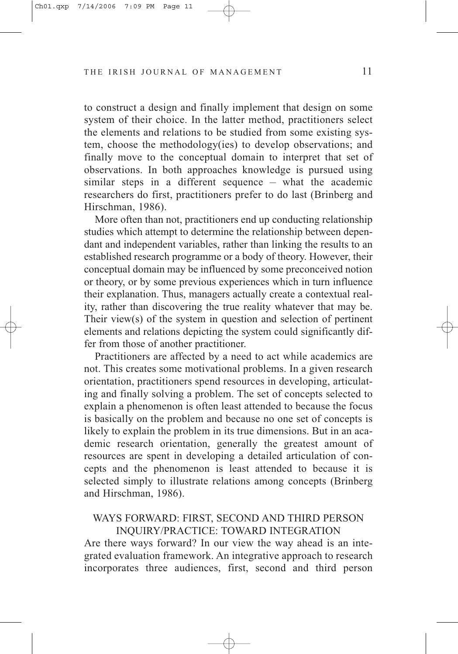to construct a design and finally implement that design on some system of their choice. In the latter method, practitioners select the elements and relations to be studied from some existing system, choose the methodology(ies) to develop observations; and finally move to the conceptual domain to interpret that set of observations. In both approaches knowledge is pursued using similar steps in a different sequence – what the academic researchers do first, practitioners prefer to do last (Brinberg and Hirschman, 1986).

More often than not, practitioners end up conducting relationship studies which attempt to determine the relationship between dependant and independent variables, rather than linking the results to an established research programme or a body of theory. However, their conceptual domain may be influenced by some preconceived notion or theory, or by some previous experiences which in turn influence their explanation. Thus, managers actually create a contextual reality, rather than discovering the true reality whatever that may be. Their view(s) of the system in question and selection of pertinent elements and relations depicting the system could significantly differ from those of another practitioner.

Practitioners are affected by a need to act while academics are not. This creates some motivational problems. In a given research orientation, practitioners spend resources in developing, articulating and finally solving a problem. The set of concepts selected to explain a phenomenon is often least attended to because the focus is basically on the problem and because no one set of concepts is likely to explain the problem in its true dimensions. But in an academic research orientation, generally the greatest amount of resources are spent in developing a detailed articulation of concepts and the phenomenon is least attended to because it is selected simply to illustrate relations among concepts (Brinberg and Hirschman, 1986).

# WAYS FORWARD: FIRST, SECOND AND THIRD PERSON INQUIRY/PRACTICE: TOWARD INTEGRATION

Are there ways forward? In our view the way ahead is an integrated evaluation framework. An integrative approach to research incorporates three audiences, first, second and third person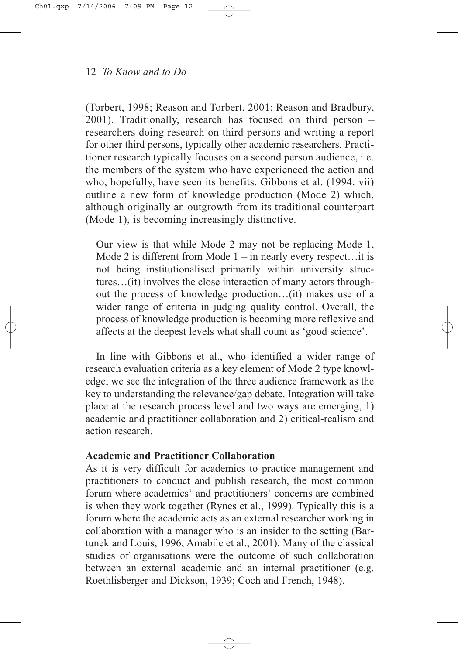(Torbert, 1998; Reason and Torbert, 2001; Reason and Bradbury, 2001). Traditionally, research has focused on third person – researchers doing research on third persons and writing a report for other third persons, typically other academic researchers. Practitioner research typically focuses on a second person audience, i.e. the members of the system who have experienced the action and who, hopefully, have seen its benefits. Gibbons et al. (1994: vii) outline a new form of knowledge production (Mode 2) which, although originally an outgrowth from its traditional counterpart (Mode 1), is becoming increasingly distinctive.

Our view is that while Mode 2 may not be replacing Mode 1, Mode 2 is different from Mode  $1 -$  in nearly every respect... it is not being institutionalised primarily within university structures…(it) involves the close interaction of many actors throughout the process of knowledge production…(it) makes use of a wider range of criteria in judging quality control. Overall, the process of knowledge production is becoming more reflexive and affects at the deepest levels what shall count as 'good science'.

In line with Gibbons et al., who identified a wider range of research evaluation criteria as a key element of Mode 2 type knowledge, we see the integration of the three audience framework as the key to understanding the relevance/gap debate. Integration will take place at the research process level and two ways are emerging, 1) academic and practitioner collaboration and 2) critical-realism and action research.

# **Academic and Practitioner Collaboration**

As it is very difficult for academics to practice management and practitioners to conduct and publish research, the most common forum where academics' and practitioners' concerns are combined is when they work together (Rynes et al., 1999). Typically this is a forum where the academic acts as an external researcher working in collaboration with a manager who is an insider to the setting (Bartunek and Louis, 1996; Amabile et al., 2001). Many of the classical studies of organisations were the outcome of such collaboration between an external academic and an internal practitioner (e.g. Roethlisberger and Dickson, 1939; Coch and French, 1948).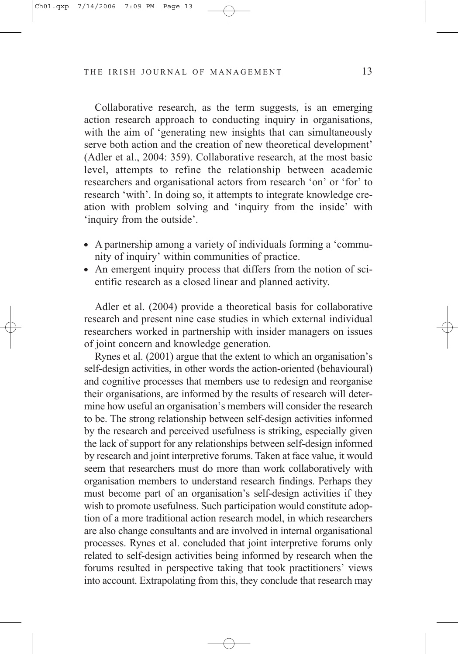Collaborative research, as the term suggests, is an emerging action research approach to conducting inquiry in organisations, with the aim of 'generating new insights that can simultaneously serve both action and the creation of new theoretical development' (Adler et al., 2004: 359). Collaborative research, at the most basic level, attempts to refine the relationship between academic researchers and organisational actors from research 'on' or 'for' to research 'with'. In doing so, it attempts to integrate knowledge creation with problem solving and 'inquiry from the inside' with 'inquiry from the outside'.

- A partnership among a variety of individuals forming a 'community of inquiry' within communities of practice.
- An emergent inquiry process that differs from the notion of scientific research as a closed linear and planned activity.

Adler et al. (2004) provide a theoretical basis for collaborative research and present nine case studies in which external individual researchers worked in partnership with insider managers on issues of joint concern and knowledge generation.

Rynes et al. (2001) argue that the extent to which an organisation's self-design activities, in other words the action-oriented (behavioural) and cognitive processes that members use to redesign and reorganise their organisations, are informed by the results of research will determine how useful an organisation's members will consider the research to be. The strong relationship between self-design activities informed by the research and perceived usefulness is striking, especially given the lack of support for any relationships between self-design informed by research and joint interpretive forums. Taken at face value, it would seem that researchers must do more than work collaboratively with organisation members to understand research findings. Perhaps they must become part of an organisation's self-design activities if they wish to promote usefulness. Such participation would constitute adoption of a more traditional action research model, in which researchers are also change consultants and are involved in internal organisational processes. Rynes et al. concluded that joint interpretive forums only related to self-design activities being informed by research when the forums resulted in perspective taking that took practitioners' views into account. Extrapolating from this, they conclude that research may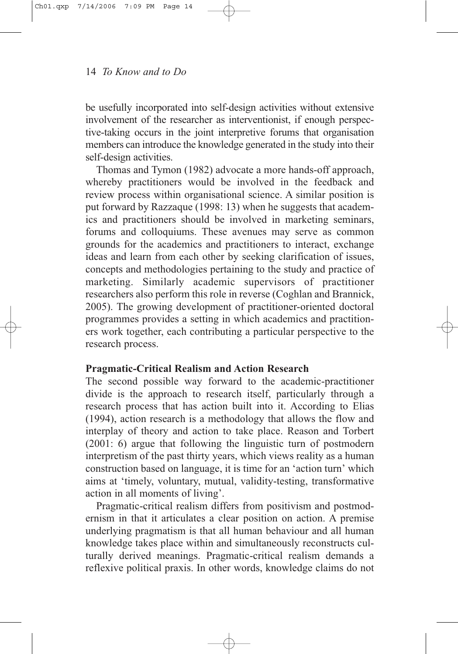be usefully incorporated into self-design activities without extensive involvement of the researcher as interventionist, if enough perspective-taking occurs in the joint interpretive forums that organisation members can introduce the knowledge generated in the study into their self-design activities.

Thomas and Tymon (1982) advocate a more hands-off approach, whereby practitioners would be involved in the feedback and review process within organisational science. A similar position is put forward by Razzaque (1998: 13) when he suggests that academics and practitioners should be involved in marketing seminars, forums and colloquiums. These avenues may serve as common grounds for the academics and practitioners to interact, exchange ideas and learn from each other by seeking clarification of issues, concepts and methodologies pertaining to the study and practice of marketing. Similarly academic supervisors of practitioner researchers also perform this role in reverse (Coghlan and Brannick, 2005). The growing development of practitioner-oriented doctoral programmes provides a setting in which academics and practitioners work together, each contributing a particular perspective to the research process.

# **Pragmatic-Critical Realism and Action Research**

The second possible way forward to the academic-practitioner divide is the approach to research itself, particularly through a research process that has action built into it. According to Elias (1994), action research is a methodology that allows the flow and interplay of theory and action to take place. Reason and Torbert (2001: 6) argue that following the linguistic turn of postmodern interpretism of the past thirty years, which views reality as a human construction based on language, it is time for an 'action turn' which aims at 'timely, voluntary, mutual, validity-testing, transformative action in all moments of living'.

Pragmatic-critical realism differs from positivism and postmodernism in that it articulates a clear position on action. A premise underlying pragmatism is that all human behaviour and all human knowledge takes place within and simultaneously reconstructs culturally derived meanings. Pragmatic-critical realism demands a reflexive political praxis. In other words, knowledge claims do not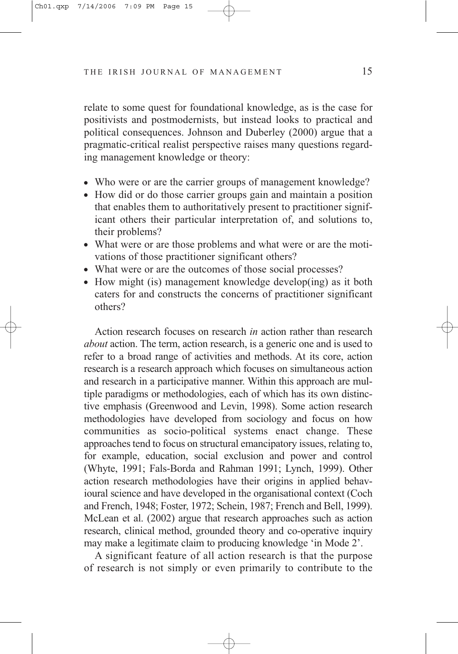relate to some quest for foundational knowledge, as is the case for positivists and postmodernists, but instead looks to practical and political consequences. Johnson and Duberley (2000) argue that a pragmatic-critical realist perspective raises many questions regarding management knowledge or theory:

- Who were or are the carrier groups of management knowledge?
- How did or do those carrier groups gain and maintain a position that enables them to authoritatively present to practitioner significant others their particular interpretation of, and solutions to, their problems?
- What were or are those problems and what were or are the motivations of those practitioner significant others?
- What were or are the outcomes of those social processes?
- $\bullet$  How might (is) management knowledge develop(ing) as it both caters for and constructs the concerns of practitioner significant others?

Action research focuses on research *in* action rather than research *about* action. The term, action research, is a generic one and is used to refer to a broad range of activities and methods. At its core, action research is a research approach which focuses on simultaneous action and research in a participative manner. Within this approach are multiple paradigms or methodologies, each of which has its own distinctive emphasis (Greenwood and Levin, 1998). Some action research methodologies have developed from sociology and focus on how communities as socio-political systems enact change. These approaches tend to focus on structural emancipatory issues, relating to, for example, education, social exclusion and power and control (Whyte, 1991; Fals-Borda and Rahman 1991; Lynch, 1999). Other action research methodologies have their origins in applied behavioural science and have developed in the organisational context (Coch and French, 1948; Foster, 1972; Schein, 1987; French and Bell, 1999). McLean et al. (2002) argue that research approaches such as action research, clinical method, grounded theory and co-operative inquiry may make a legitimate claim to producing knowledge 'in Mode 2'.

A significant feature of all action research is that the purpose of research is not simply or even primarily to contribute to the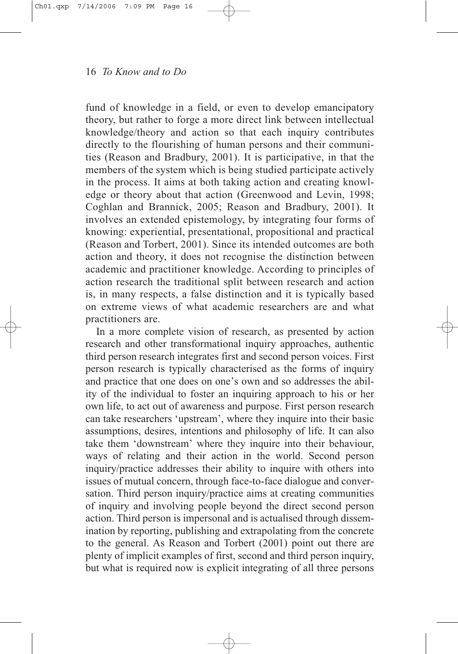fund of knowledge in a field, or even to develop emancipatory theory, but rather to forge a more direct link between intellectual knowledge/theory and action so that each inquiry contributes directly to the flourishing of human persons and their communities (Reason and Bradbury, 2001). It is participative, in that the members of the system which is being studied participate actively in the process. It aims at both taking action and creating knowledge or theory about that action (Greenwood and Levin, 1998; Coghlan and Brannick, 2005; Reason and Bradbury, 2001). It involves an extended epistemology, by integrating four forms of knowing: experiential, presentational, propositional and practical (Reason and Torbert, 2001). Since its intended outcomes are both action and theory, it does not recognise the distinction between academic and practitioner knowledge. According to principles of action research the traditional split between research and action is, in many respects, a false distinction and it is typically based on extreme views of what academic researchers are and what practitioners are.

In a more complete vision of research, as presented by action research and other transformational inquiry approaches, authentic third person research integrates first and second person voices. First person research is typically characterised as the forms of inquiry and practice that one does on one's own and so addresses the ability of the individual to foster an inquiring approach to his or her own life, to act out of awareness and purpose. First person research can take researchers 'upstream', where they inquire into their basic assumptions, desires, intentions and philosophy of life. It can also take them 'downstream' where they inquire into their behaviour, ways of relating and their action in the world. Second person inquiry/practice addresses their ability to inquire with others into issues of mutual concern, through face-to-face dialogue and conversation. Third person inquiry/practice aims at creating communities of inquiry and involving people beyond the direct second person action. Third person is impersonal and is actualised through dissemination by reporting, publishing and extrapolating from the concrete to the general. As Reason and Torbert (2001) point out there are plenty of implicit examples of first, second and third person inquiry, but what is required now is explicit integrating of all three persons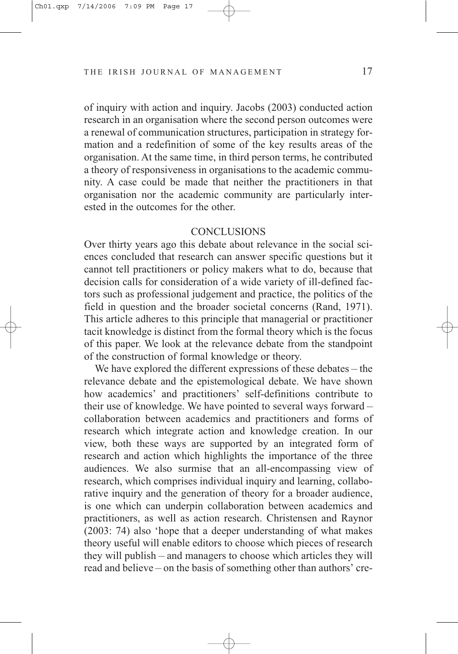of inquiry with action and inquiry. Jacobs (2003) conducted action research in an organisation where the second person outcomes were a renewal of communication structures, participation in strategy formation and a redefinition of some of the key results areas of the organisation. At the same time, in third person terms, he contributed a theory of responsiveness in organisations to the academic community. A case could be made that neither the practitioners in that organisation nor the academic community are particularly interested in the outcomes for the other.

# **CONCLUSIONS**

Over thirty years ago this debate about relevance in the social sciences concluded that research can answer specific questions but it cannot tell practitioners or policy makers what to do, because that decision calls for consideration of a wide variety of ill-defined factors such as professional judgement and practice, the politics of the field in question and the broader societal concerns (Rand, 1971). This article adheres to this principle that managerial or practitioner tacit knowledge is distinct from the formal theory which is the focus of this paper. We look at the relevance debate from the standpoint of the construction of formal knowledge or theory.

We have explored the different expressions of these debates – the relevance debate and the epistemological debate. We have shown how academics' and practitioners' self-definitions contribute to their use of knowledge. We have pointed to several ways forward – collaboration between academics and practitioners and forms of research which integrate action and knowledge creation. In our view, both these ways are supported by an integrated form of research and action which highlights the importance of the three audiences. We also surmise that an all-encompassing view of research, which comprises individual inquiry and learning, collaborative inquiry and the generation of theory for a broader audience, is one which can underpin collaboration between academics and practitioners, as well as action research. Christensen and Raynor (2003: 74) also 'hope that a deeper understanding of what makes theory useful will enable editors to choose which pieces of research they will publish – and managers to choose which articles they will read and believe – on the basis of something other than authors' cre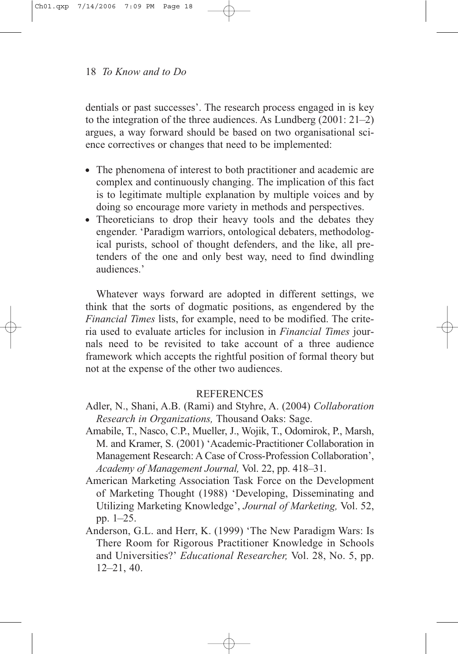dentials or past successes'. The research process engaged in is key to the integration of the three audiences. As Lundberg (2001: 21–2) argues, a way forward should be based on two organisational science correctives or changes that need to be implemented:

- The phenomena of interest to both practitioner and academic are complex and continuously changing. The implication of this fact is to legitimate multiple explanation by multiple voices and by doing so encourage more variety in methods and perspectives.
- Theoreticians to drop their heavy tools and the debates they engender. 'Paradigm warriors, ontological debaters, methodological purists, school of thought defenders, and the like, all pretenders of the one and only best way, need to find dwindling audiences.'

Whatever ways forward are adopted in different settings, we think that the sorts of dogmatic positions, as engendered by the *Financial Times* lists, for example, need to be modified. The criteria used to evaluate articles for inclusion in *Financial Times* journals need to be revisited to take account of a three audience framework which accepts the rightful position of formal theory but not at the expense of the other two audiences.

# **REFERENCES**

- Adler, N., Shani, A.B. (Rami) and Styhre, A. (2004) *Collaboration Research in Organizations,* Thousand Oaks: Sage.
- Amabile, T., Nasco, C.P., Mueller, J., Wojik, T., Odomirok, P., Marsh, M. and Kramer, S. (2001) 'Academic-Practitioner Collaboration in Management Research: A Case of Cross-Profession Collaboration', *Academy of Management Journal,* Vol. 22, pp. 418–31.
- American Marketing Association Task Force on the Development of Marketing Thought (1988) 'Developing, Disseminating and Utilizing Marketing Knowledge', *Journal of Marketing,* Vol. 52, pp. 1–25.
- Anderson, G.L. and Herr, K. (1999) 'The New Paradigm Wars: Is There Room for Rigorous Practitioner Knowledge in Schools and Universities?' *Educational Researcher,* Vol. 28, No. 5, pp. 12–21, 40.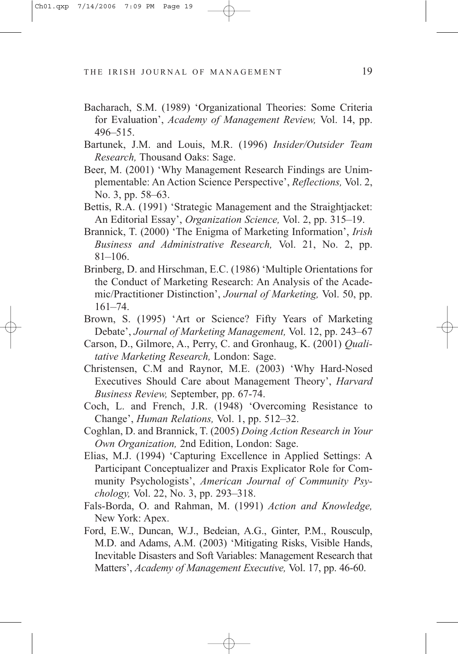- Bacharach, S.M. (1989) 'Organizational Theories: Some Criteria for Evaluation', *Academy of Management Review,* Vol. 14, pp. 496–515.
- Bartunek, J.M. and Louis, M.R. (1996) *Insider/Outsider Team Research,* Thousand Oaks: Sage.
- Beer, M. (2001) 'Why Management Research Findings are Unimplementable: An Action Science Perspective', *Reflections,* Vol. 2, No. 3, pp. 58–63.
- Bettis, R.A. (1991) 'Strategic Management and the Straightjacket: An Editorial Essay', *Organization Science,* Vol. 2, pp. 315–19.
- Brannick, T. (2000) 'The Enigma of Marketing Information', *Irish Business and Administrative Research,* Vol. 21, No. 2, pp. 81–106.
- Brinberg, D. and Hirschman, E.C. (1986) 'Multiple Orientations for the Conduct of Marketing Research: An Analysis of the Academic/Practitioner Distinction', *Journal of Marketing,* Vol. 50, pp. 161–74.
- Brown, S. (1995) 'Art or Science? Fifty Years of Marketing Debate', *Journal of Marketing Management,* Vol. 12, pp. 243–67
- Carson, D., Gilmore, A., Perry, C. and Gronhaug, K. (2001) *Qualitative Marketing Research,* London: Sage.
- Christensen, C.M and Raynor, M.E. (2003) 'Why Hard-Nosed Executives Should Care about Management Theory', *Harvard Business Review,* September, pp. 67-74.
- Coch, L. and French, J.R. (1948) 'Overcoming Resistance to Change', *Human Relations,* Vol. 1, pp. 512–32.
- Coghlan, D. and Brannick, T. (2005) *Doing Action Research in Your Own Organization,* 2nd Edition, London: Sage.
- Elias, M.J. (1994) 'Capturing Excellence in Applied Settings: A Participant Conceptualizer and Praxis Explicator Role for Community Psychologists', *American Journal of Community Psychology,* Vol. 22, No. 3, pp. 293–318.
- Fals-Borda, O. and Rahman, M. (1991) *Action and Knowledge,* New York: Apex.
- Ford, E.W., Duncan, W.J., Bedeian, A.G., Ginter, P.M., Rousculp, M.D. and Adams, A.M. (2003) 'Mitigating Risks, Visible Hands, Inevitable Disasters and Soft Variables: Management Research that Matters', *Academy of Management Executive,* Vol. 17, pp. 46-60.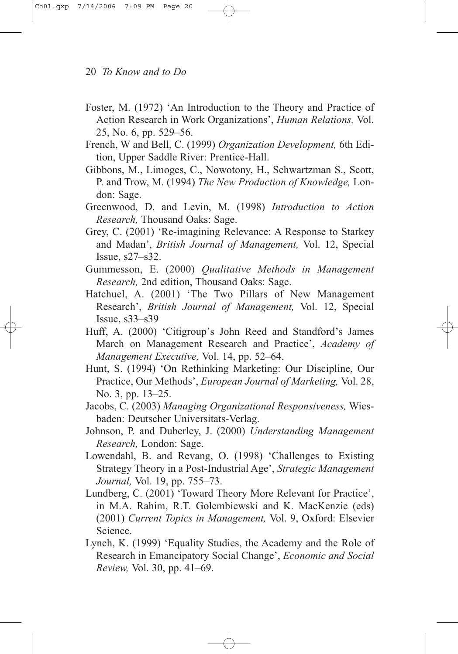- Foster, M. (1972) 'An Introduction to the Theory and Practice of Action Research in Work Organizations', *Human Relations,* Vol. 25, No. 6, pp. 529–56.
- French, W and Bell, C. (1999) *Organization Development,* 6th Edition, Upper Saddle River: Prentice-Hall.
- Gibbons, M., Limoges, C., Nowotony, H., Schwartzman S., Scott, P. and Trow, M. (1994) *The New Production of Knowledge,* London: Sage.
- Greenwood, D. and Levin, M. (1998) *Introduction to Action Research,* Thousand Oaks: Sage.
- Grey, C. (2001) 'Re-imagining Relevance: A Response to Starkey and Madan', *British Journal of Management,* Vol. 12, Special Issue, s27–s32.
- Gummesson, E. (2000) *Qualitative Methods in Management Research,* 2nd edition, Thousand Oaks: Sage.
- Hatchuel, A. (2001) 'The Two Pillars of New Management Research', *British Journal of Management,* Vol. 12, Special Issue, s33–s39
- Huff, A. (2000) 'Citigroup's John Reed and Standford's James March on Management Research and Practice', *Academy of Management Executive,* Vol. 14, pp. 52–64.
- Hunt, S. (1994) 'On Rethinking Marketing: Our Discipline, Our Practice, Our Methods', *European Journal of Marketing,* Vol. 28, No. 3, pp. 13–25.
- Jacobs, C. (2003) *Managing Organizational Responsiveness,* Wiesbaden: Deutscher Universitats-Verlag.
- Johnson, P. and Duberley, J. (2000) *Understanding Management Research,* London: Sage.
- Lowendahl, B. and Revang, O. (1998) 'Challenges to Existing Strategy Theory in a Post-Industrial Age', *Strategic Management Journal,* Vol. 19, pp. 755–73.
- Lundberg, C. (2001) 'Toward Theory More Relevant for Practice', in M.A. Rahim, R.T. Golembiewski and K. MacKenzie (eds) (2001) *Current Topics in Management,* Vol. 9, Oxford: Elsevier Science.
- Lynch, K. (1999) 'Equality Studies, the Academy and the Role of Research in Emancipatory Social Change', *Economic and Social Review,* Vol. 30, pp. 41–69.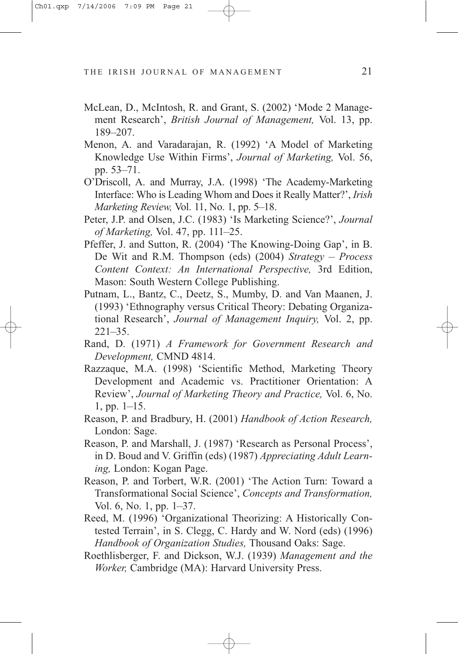- McLean, D., McIntosh, R. and Grant, S. (2002) 'Mode 2 Management Research', *British Journal of Management,* Vol. 13, pp. 189–207.
- Menon, A. and Varadarajan, R. (1992) 'A Model of Marketing Knowledge Use Within Firms', *Journal of Marketing,* Vol. 56, pp. 53–71.
- O'Driscoll, A. and Murray, J.A. (1998) 'The Academy-Marketing Interface: Who is Leading Whom and Does it Really Matter?', *Irish Marketing Review,* Vol. 11, No. 1, pp. 5–18.
- Peter, J.P. and Olsen, J.C. (1983) 'Is Marketing Science?', *Journal of Marketing,* Vol. 47, pp. 111–25.
- Pfeffer, J. and Sutton, R. (2004) 'The Knowing-Doing Gap', in B. De Wit and R.M. Thompson (eds) (2004) *Strategy – Process Content Context: An International Perspective,* 3rd Edition, Mason: South Western College Publishing.
- Putnam, L., Bantz, C., Deetz, S., Mumby, D. and Van Maanen, J. (1993) 'Ethnography versus Critical Theory: Debating Organizational Research', *Journal of Management Inquiry,* Vol. 2, pp. 221–35.
- Rand, D. (1971) *A Framework for Government Research and Development,* CMND 4814.
- Razzaque, M.A. (1998) 'Scientific Method, Marketing Theory Development and Academic vs. Practitioner Orientation: A Review', *Journal of Marketing Theory and Practice,* Vol. 6, No. 1, pp. 1–15.
- Reason, P. and Bradbury, H. (2001) *Handbook of Action Research,* London: Sage.
- Reason, P. and Marshall, J. (1987) 'Research as Personal Process', in D. Boud and V. Griffin (eds) (1987) *Appreciating Adult Learning,* London: Kogan Page.
- Reason, P. and Torbert, W.R. (2001) 'The Action Turn: Toward a Transformational Social Science', *Concepts and Transformation,* Vol. 6, No. 1, pp. 1–37.
- Reed, M. (1996) 'Organizational Theorizing: A Historically Contested Terrain', in S. Clegg, C. Hardy and W. Nord (eds) (1996) *Handbook of Organization Studies,* Thousand Oaks: Sage.
- Roethlisberger, F. and Dickson, W.J. (1939) *Management and the Worker,* Cambridge (MA): Harvard University Press.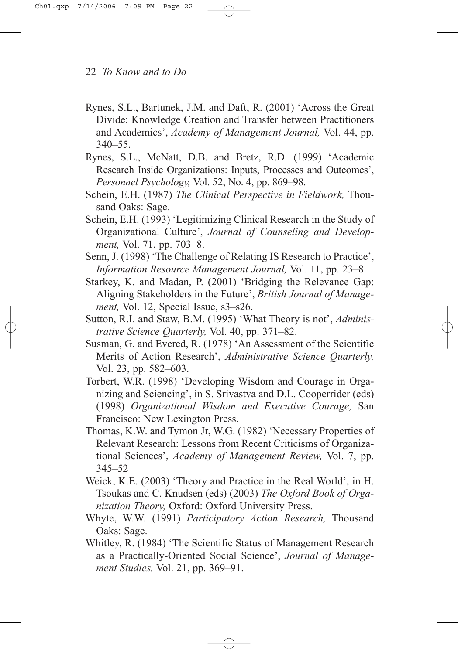- Rynes, S.L., Bartunek, J.M. and Daft, R. (2001) 'Across the Great Divide: Knowledge Creation and Transfer between Practitioners and Academics', *Academy of Management Journal,* Vol. 44, pp. 340–55.
- Rynes, S.L., McNatt, D.B. and Bretz, R.D. (1999) 'Academic Research Inside Organizations: Inputs, Processes and Outcomes', *Personnel Psychology,* Vol. 52, No. 4, pp. 869–98.
- Schein, E.H. (1987) *The Clinical Perspective in Fieldwork,* Thousand Oaks: Sage.
- Schein, E.H. (1993) 'Legitimizing Clinical Research in the Study of Organizational Culture', *Journal of Counseling and Development,* Vol. 71, pp. 703–8.
- Senn, J. (1998) 'The Challenge of Relating IS Research to Practice', *Information Resource Management Journal,* Vol. 11, pp. 23–8.
- Starkey, K. and Madan, P. (2001) 'Bridging the Relevance Gap: Aligning Stakeholders in the Future', *British Journal of Management, Vol. 12, Special Issue, s3–s26.*
- Sutton, R.I. and Staw, B.M. (1995) 'What Theory is not', *Administrative Science Quarterly,* Vol. 40, pp. 371–82.
- Susman, G. and Evered, R. (1978) 'An Assessment of the Scientific Merits of Action Research', *Administrative Science Quarterly,* Vol. 23, pp. 582–603.
- Torbert, W.R. (1998) 'Developing Wisdom and Courage in Organizing and Sciencing', in S. Srivastva and D.L. Cooperrider (eds) (1998) *Organizational Wisdom and Executive Courage,* San Francisco: New Lexington Press.
- Thomas, K.W. and Tymon Jr, W.G. (1982) 'Necessary Properties of Relevant Research: Lessons from Recent Criticisms of Organizational Sciences', *Academy of Management Review,* Vol. 7, pp. 345–52
- Weick, K.E. (2003) 'Theory and Practice in the Real World', in H. Tsoukas and C. Knudsen (eds) (2003) *The Oxford Book of Organization Theory,* Oxford: Oxford University Press.
- Whyte, W.W. (1991) *Participatory Action Research,* Thousand Oaks: Sage.
- Whitley, R. (1984) 'The Scientific Status of Management Research as a Practically-Oriented Social Science', *Journal of Management Studies,* Vol. 21, pp. 369–91.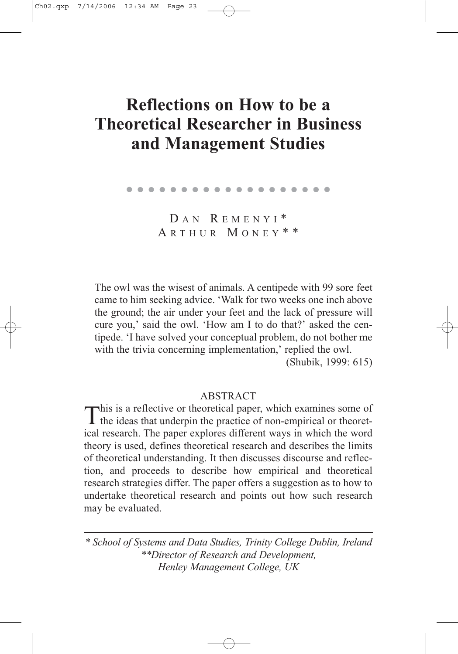# **Reflections on How to be a Theoretical Researcher in Business and Management Studies**

| . |
|---|
|   |
|   |

DAN REMENYI\* A RTHUR M ONEY \* \*

The owl was the wisest of animals. A centipede with 99 sore feet came to him seeking advice. 'Walk for two weeks one inch above the ground; the air under your feet and the lack of pressure will cure you,' said the owl. 'How am I to do that?' asked the centipede. 'I have solved your conceptual problem, do not bother me with the trivia concerning implementation,' replied the owl.

(Shubik, 1999: 615)

### **ABSTRACT**

This is a reflective or theoretical paper, which examines some of the ideas that underpin the practice of non-empirical or theoretical research. The paper explores different ways in which the word theory is used, defines theoretical research and describes the limits of theoretical understanding. It then discusses discourse and reflection, and proceeds to describe how empirical and theoretical research strategies differ. The paper offers a suggestion as to how to undertake theoretical research and points out how such research may be evaluated.

*\* School of Systems and Data Studies, Trinity College Dublin, Ireland \*\*Director of Research and Development, Henley Management College, UK*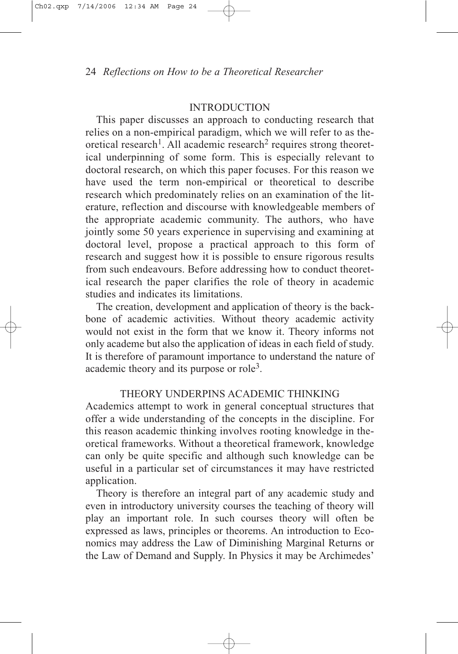# INTRODUCTION

This paper discusses an approach to conducting research that relies on a non-empirical paradigm, which we will refer to as theoretical research<sup>1</sup>. All academic research<sup>2</sup> requires strong theoretical underpinning of some form. This is especially relevant to doctoral research, on which this paper focuses. For this reason we have used the term non-empirical or theoretical to describe research which predominately relies on an examination of the literature, reflection and discourse with knowledgeable members of the appropriate academic community. The authors, who have jointly some 50 years experience in supervising and examining at doctoral level, propose a practical approach to this form of research and suggest how it is possible to ensure rigorous results from such endeavours. Before addressing how to conduct theoretical research the paper clarifies the role of theory in academic studies and indicates its limitations.

The creation, development and application of theory is the backbone of academic activities. Without theory academic activity would not exist in the form that we know it. Theory informs not only academe but also the application of ideas in each field of study. It is therefore of paramount importance to understand the nature of academic theory and its purpose or role3.

# THEORY UNDERPINS ACADEMIC THINKING

Academics attempt to work in general conceptual structures that offer a wide understanding of the concepts in the discipline. For this reason academic thinking involves rooting knowledge in theoretical frameworks. Without a theoretical framework, knowledge can only be quite specific and although such knowledge can be useful in a particular set of circumstances it may have restricted application.

Theory is therefore an integral part of any academic study and even in introductory university courses the teaching of theory will play an important role. In such courses theory will often be expressed as laws, principles or theorems. An introduction to Economics may address the Law of Diminishing Marginal Returns or the Law of Demand and Supply. In Physics it may be Archimedes'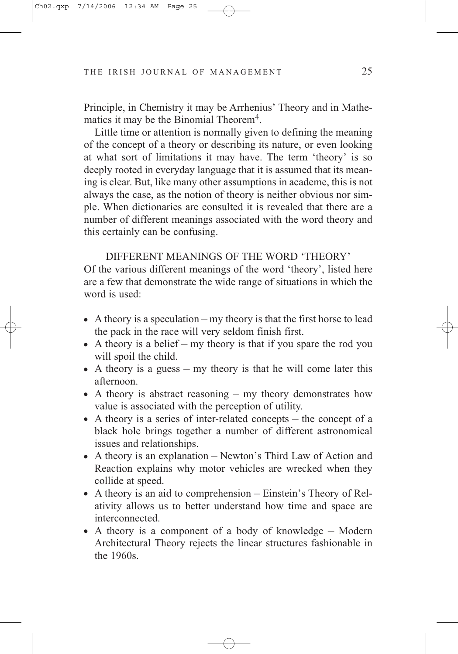Principle, in Chemistry it may be Arrhenius' Theory and in Mathematics it may be the Binomial Theorem<sup>4</sup>.

Little time or attention is normally given to defining the meaning of the concept of a theory or describing its nature, or even looking at what sort of limitations it may have. The term 'theory' is so deeply rooted in everyday language that it is assumed that its meaning is clear. But, like many other assumptions in academe, this is not always the case, as the notion of theory is neither obvious nor simple. When dictionaries are consulted it is revealed that there are a number of different meanings associated with the word theory and this certainly can be confusing.

## DIFFERENT MEANINGS OF THE WORD 'THEORY'

Of the various different meanings of the word 'theory', listed here are a few that demonstrate the wide range of situations in which the word is used:

- $\bullet$  A theory is a speculation my theory is that the first horse to lead the pack in the race will very seldom finish first.
- $\bullet$  A theory is a belief my theory is that if you spare the rod you will spoil the child.
- $\bullet$  A theory is a guess my theory is that he will come later this afternoon.
- A theory is abstract reasoning my theory demonstrates how value is associated with the perception of utility.
- $\bullet$  A theory is a series of inter-related concepts the concept of a black hole brings together a number of different astronomical issues and relationships.
- $\bullet$  A theory is an explanation Newton's Third Law of Action and Reaction explains why motor vehicles are wrecked when they collide at speed.
- $\bullet$  A theory is an aid to comprehension Einstein's Theory of Relativity allows us to better understand how time and space are interconnected.
- $\bullet$  A theory is a component of a body of knowledge Modern Architectural Theory rejects the linear structures fashionable in the 1960s.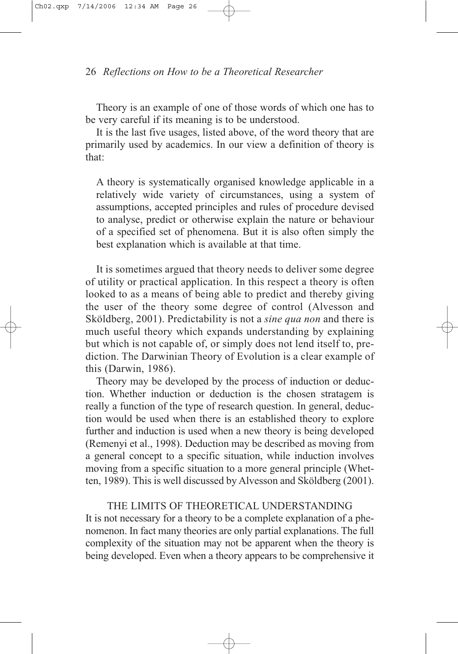Theory is an example of one of those words of which one has to be very careful if its meaning is to be understood.

It is the last five usages, listed above, of the word theory that are primarily used by academics. In our view a definition of theory is that:

A theory is systematically organised knowledge applicable in a relatively wide variety of circumstances, using a system of assumptions, accepted principles and rules of procedure devised to analyse, predict or otherwise explain the nature or behaviour of a specified set of phenomena. But it is also often simply the best explanation which is available at that time.

It is sometimes argued that theory needs to deliver some degree of utility or practical application. In this respect a theory is often looked to as a means of being able to predict and thereby giving the user of the theory some degree of control (Alvesson and Sköldberg, 2001). Predictability is not a *sine qua non* and there is much useful theory which expands understanding by explaining but which is not capable of, or simply does not lend itself to, prediction. The Darwinian Theory of Evolution is a clear example of this (Darwin, 1986).

Theory may be developed by the process of induction or deduction. Whether induction or deduction is the chosen stratagem is really a function of the type of research question. In general, deduction would be used when there is an established theory to explore further and induction is used when a new theory is being developed (Remenyi et al., 1998). Deduction may be described as moving from a general concept to a specific situation, while induction involves moving from a specific situation to a more general principle (Whetten, 1989). This is well discussed by Alvesson and Sköldberg (2001).

THE LIMITS OF THEORETICAL UNDERSTANDING

It is not necessary for a theory to be a complete explanation of a phenomenon. In fact many theories are only partial explanations. The full complexity of the situation may not be apparent when the theory is being developed. Even when a theory appears to be comprehensive it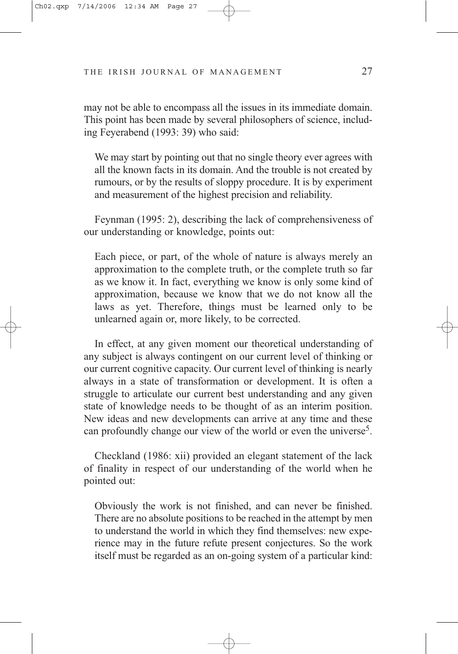may not be able to encompass all the issues in its immediate domain. This point has been made by several philosophers of science, including Feyerabend (1993: 39) who said:

We may start by pointing out that no single theory ever agrees with all the known facts in its domain. And the trouble is not created by rumours, or by the results of sloppy procedure. It is by experiment and measurement of the highest precision and reliability.

Feynman (1995: 2), describing the lack of comprehensiveness of our understanding or knowledge, points out:

Each piece, or part, of the whole of nature is always merely an approximation to the complete truth, or the complete truth so far as we know it. In fact, everything we know is only some kind of approximation, because we know that we do not know all the laws as yet. Therefore, things must be learned only to be unlearned again or, more likely, to be corrected.

In effect, at any given moment our theoretical understanding of any subject is always contingent on our current level of thinking or our current cognitive capacity. Our current level of thinking is nearly always in a state of transformation or development. It is often a struggle to articulate our current best understanding and any given state of knowledge needs to be thought of as an interim position. New ideas and new developments can arrive at any time and these can profoundly change our view of the world or even the universe<sup>5</sup>.

Checkland (1986: xii) provided an elegant statement of the lack of finality in respect of our understanding of the world when he pointed out:

Obviously the work is not finished, and can never be finished. There are no absolute positions to be reached in the attempt by men to understand the world in which they find themselves: new experience may in the future refute present conjectures. So the work itself must be regarded as an on-going system of a particular kind: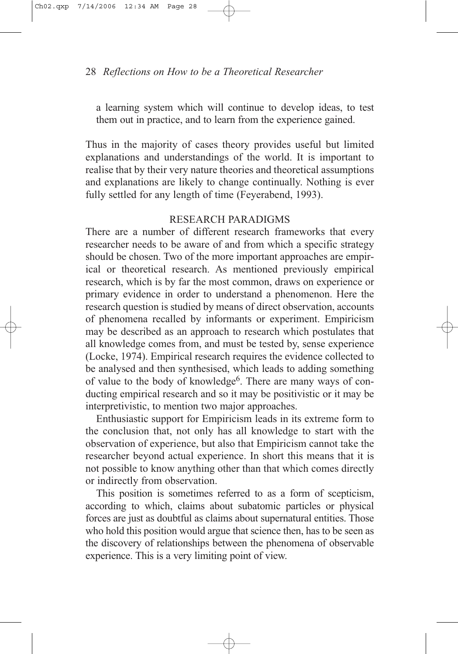a learning system which will continue to develop ideas, to test them out in practice, and to learn from the experience gained.

Thus in the majority of cases theory provides useful but limited explanations and understandings of the world. It is important to realise that by their very nature theories and theoretical assumptions and explanations are likely to change continually. Nothing is ever fully settled for any length of time (Feyerabend, 1993).

# RESEARCH PARADIGMS

There are a number of different research frameworks that every researcher needs to be aware of and from which a specific strategy should be chosen. Two of the more important approaches are empirical or theoretical research. As mentioned previously empirical research, which is by far the most common, draws on experience or primary evidence in order to understand a phenomenon. Here the research question is studied by means of direct observation, accounts of phenomena recalled by informants or experiment. Empiricism may be described as an approach to research which postulates that all knowledge comes from, and must be tested by, sense experience (Locke, 1974). Empirical research requires the evidence collected to be analysed and then synthesised, which leads to adding something of value to the body of knowledge<sup>6</sup>. There are many ways of conducting empirical research and so it may be positivistic or it may be interpretivistic, to mention two major approaches.

Enthusiastic support for Empiricism leads in its extreme form to the conclusion that, not only has all knowledge to start with the observation of experience, but also that Empiricism cannot take the researcher beyond actual experience. In short this means that it is not possible to know anything other than that which comes directly or indirectly from observation.

This position is sometimes referred to as a form of scepticism, according to which, claims about subatomic particles or physical forces are just as doubtful as claims about supernatural entities. Those who hold this position would argue that science then, has to be seen as the discovery of relationships between the phenomena of observable experience. This is a very limiting point of view.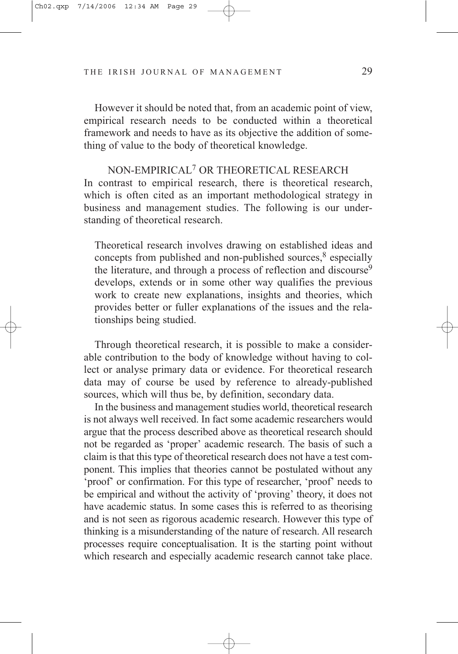However it should be noted that, from an academic point of view, empirical research needs to be conducted within a theoretical framework and needs to have as its objective the addition of something of value to the body of theoretical knowledge.

NON-EMPIRICAL7 OR THEORETICAL RESEARCH In contrast to empirical research, there is theoretical research, which is often cited as an important methodological strategy in business and management studies. The following is our understanding of theoretical research.

Theoretical research involves drawing on established ideas and concepts from published and non-published sources, $8$  especially the literature, and through a process of reflection and discourse<sup>9</sup> develops, extends or in some other way qualifies the previous work to create new explanations, insights and theories, which provides better or fuller explanations of the issues and the relationships being studied.

Through theoretical research, it is possible to make a considerable contribution to the body of knowledge without having to collect or analyse primary data or evidence. For theoretical research data may of course be used by reference to already-published sources, which will thus be, by definition, secondary data.

In the business and management studies world, theoretical research is not always well received. In fact some academic researchers would argue that the process described above as theoretical research should not be regarded as 'proper' academic research. The basis of such a claim is that this type of theoretical research does not have a test component. This implies that theories cannot be postulated without any 'proof' or confirmation. For this type of researcher, 'proof' needs to be empirical and without the activity of 'proving' theory, it does not have academic status. In some cases this is referred to as theorising and is not seen as rigorous academic research. However this type of thinking is a misunderstanding of the nature of research. All research processes require conceptualisation. It is the starting point without which research and especially academic research cannot take place.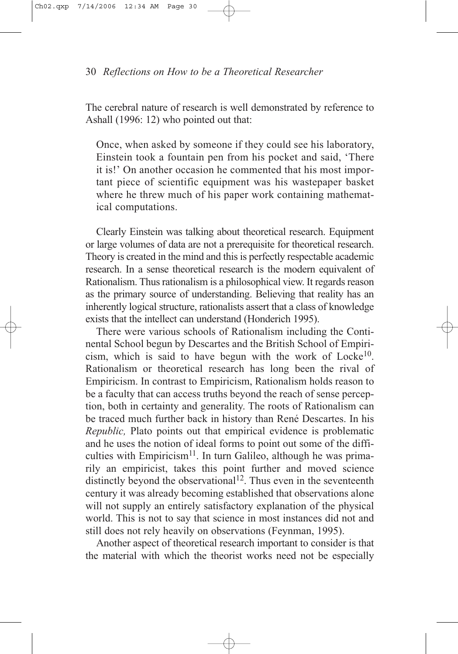The cerebral nature of research is well demonstrated by reference to Ashall (1996: 12) who pointed out that:

Once, when asked by someone if they could see his laboratory, Einstein took a fountain pen from his pocket and said, 'There it is!' On another occasion he commented that his most important piece of scientific equipment was his wastepaper basket where he threw much of his paper work containing mathematical computations.

Clearly Einstein was talking about theoretical research. Equipment or large volumes of data are not a prerequisite for theoretical research. Theory is created in the mind and this is perfectly respectable academic research. In a sense theoretical research is the modern equivalent of Rationalism. Thus rationalism is a philosophical view. It regards reason as the primary source of understanding. Believing that reality has an inherently logical structure, rationalists assert that a class of knowledge exists that the intellect can understand (Honderich 1995).

There were various schools of Rationalism including the Continental School begun by Descartes and the British School of Empiricism, which is said to have begun with the work of  $Locke<sup>10</sup>$ . Rationalism or theoretical research has long been the rival of Empiricism. In contrast to Empiricism, Rationalism holds reason to be a faculty that can access truths beyond the reach of sense perception, both in certainty and generality. The roots of Rationalism can be traced much further back in history than René Descartes. In his *Republic,* Plato points out that empirical evidence is problematic and he uses the notion of ideal forms to point out some of the difficulties with Empiricism<sup>11</sup>. In turn Galileo, although he was primarily an empiricist, takes this point further and moved science distinctly beyond the observational<sup>12</sup>. Thus even in the seventeenth century it was already becoming established that observations alone will not supply an entirely satisfactory explanation of the physical world. This is not to say that science in most instances did not and still does not rely heavily on observations (Feynman, 1995).

Another aspect of theoretical research important to consider is that the material with which the theorist works need not be especially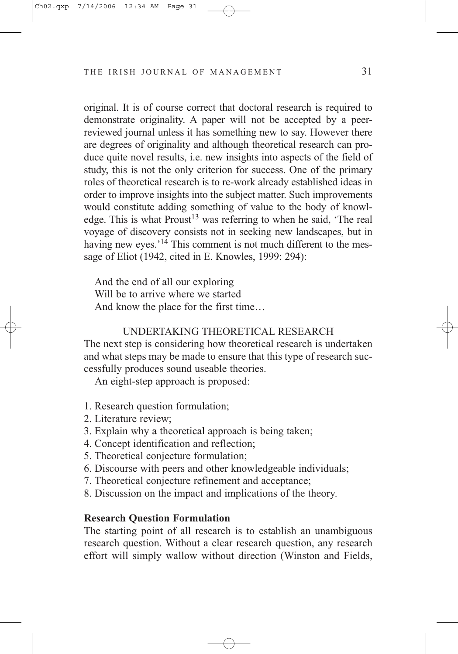original. It is of course correct that doctoral research is required to demonstrate originality. A paper will not be accepted by a peerreviewed journal unless it has something new to say. However there are degrees of originality and although theoretical research can produce quite novel results, i.e. new insights into aspects of the field of study, this is not the only criterion for success. One of the primary roles of theoretical research is to re-work already established ideas in order to improve insights into the subject matter. Such improvements would constitute adding something of value to the body of knowledge. This is what  $Proust<sup>13</sup>$  was referring to when he said, 'The real voyage of discovery consists not in seeking new landscapes, but in having new eyes.<sup>'14</sup> This comment is not much different to the message of Eliot (1942, cited in E. Knowles, 1999: 294):

And the end of all our exploring Will be to arrive where we started And know the place for the first time…

#### UNDERTAKING THEORETICAL RESEARCH

The next step is considering how theoretical research is undertaken and what steps may be made to ensure that this type of research successfully produces sound useable theories.

An eight-step approach is proposed:

- 1. Research question formulation;
- 2. Literature review;
- 3. Explain why a theoretical approach is being taken;
- 4. Concept identification and reflection;
- 5. Theoretical conjecture formulation;
- 6. Discourse with peers and other knowledgeable individuals;
- 7. Theoretical conjecture refinement and acceptance;
- 8. Discussion on the impact and implications of the theory.

#### **Research Question Formulation**

The starting point of all research is to establish an unambiguous research question. Without a clear research question, any research effort will simply wallow without direction (Winston and Fields,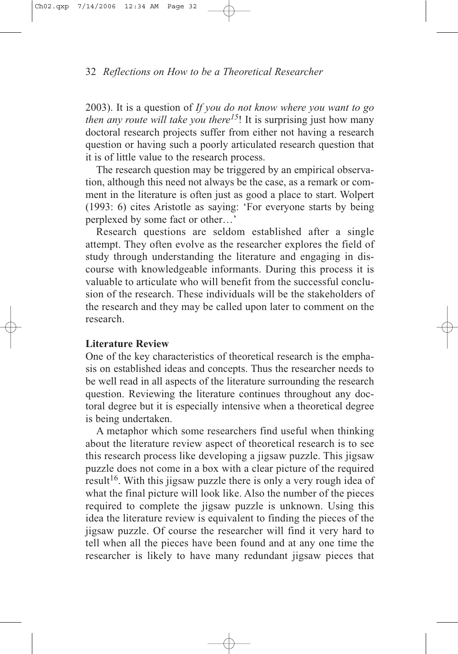2003). It is a question of *If you do not know where you want to go then any route will take you there15*! It is surprising just how many doctoral research projects suffer from either not having a research question or having such a poorly articulated research question that it is of little value to the research process.

The research question may be triggered by an empirical observation, although this need not always be the case, as a remark or comment in the literature is often just as good a place to start. Wolpert (1993: 6) cites Aristotle as saying: 'For everyone starts by being perplexed by some fact or other…'

Research questions are seldom established after a single attempt. They often evolve as the researcher explores the field of study through understanding the literature and engaging in discourse with knowledgeable informants. During this process it is valuable to articulate who will benefit from the successful conclusion of the research. These individuals will be the stakeholders of the research and they may be called upon later to comment on the research.

## **Literature Review**

One of the key characteristics of theoretical research is the emphasis on established ideas and concepts. Thus the researcher needs to be well read in all aspects of the literature surrounding the research question. Reviewing the literature continues throughout any doctoral degree but it is especially intensive when a theoretical degree is being undertaken.

A metaphor which some researchers find useful when thinking about the literature review aspect of theoretical research is to see this research process like developing a jigsaw puzzle. This jigsaw puzzle does not come in a box with a clear picture of the required result<sup>16</sup>. With this jigsaw puzzle there is only a very rough idea of what the final picture will look like. Also the number of the pieces required to complete the jigsaw puzzle is unknown. Using this idea the literature review is equivalent to finding the pieces of the jigsaw puzzle. Of course the researcher will find it very hard to tell when all the pieces have been found and at any one time the researcher is likely to have many redundant jigsaw pieces that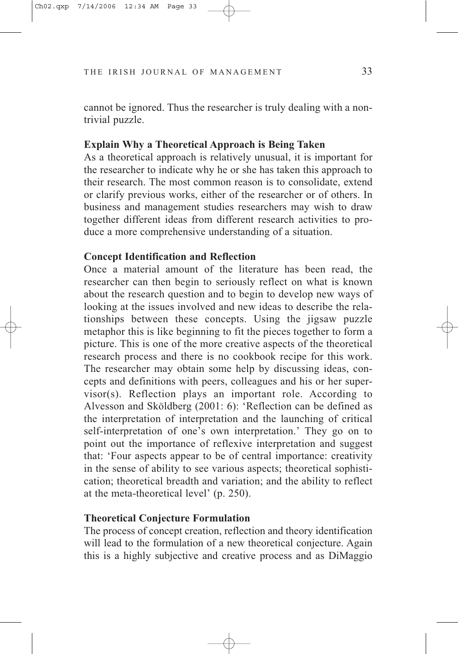cannot be ignored. Thus the researcher is truly dealing with a nontrivial puzzle.

## **Explain Why a Theoretical Approach is Being Taken**

As a theoretical approach is relatively unusual, it is important for the researcher to indicate why he or she has taken this approach to their research. The most common reason is to consolidate, extend or clarify previous works, either of the researcher or of others. In business and management studies researchers may wish to draw together different ideas from different research activities to produce a more comprehensive understanding of a situation.

# **Concept Identification and Reflection**

Once a material amount of the literature has been read, the researcher can then begin to seriously reflect on what is known about the research question and to begin to develop new ways of looking at the issues involved and new ideas to describe the relationships between these concepts. Using the jigsaw puzzle metaphor this is like beginning to fit the pieces together to form a picture. This is one of the more creative aspects of the theoretical research process and there is no cookbook recipe for this work. The researcher may obtain some help by discussing ideas, concepts and definitions with peers, colleagues and his or her supervisor(s). Reflection plays an important role. According to Alvesson and Sköldberg (2001: 6): 'Reflection can be defined as the interpretation of interpretation and the launching of critical self-interpretation of one's own interpretation.' They go on to point out the importance of reflexive interpretation and suggest that: 'Four aspects appear to be of central importance: creativity in the sense of ability to see various aspects; theoretical sophistication; theoretical breadth and variation; and the ability to reflect at the meta-theoretical level' (p. 250).

## **Theoretical Conjecture Formulation**

The process of concept creation, reflection and theory identification will lead to the formulation of a new theoretical conjecture. Again this is a highly subjective and creative process and as DiMaggio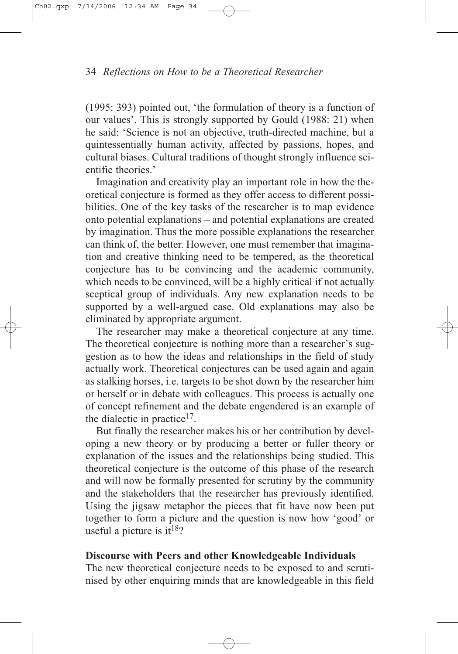(1995: 393) pointed out, 'the formulation of theory is a function of our values'. This is strongly supported by Gould (1988: 21) when he said: 'Science is not an objective, truth-directed machine, but a quintessentially human activity, affected by passions, hopes, and cultural biases. Cultural traditions of thought strongly influence scientific theories.'

Imagination and creativity play an important role in how the theoretical conjecture is formed as they offer access to different possibilities. One of the key tasks of the researcher is to map evidence onto potential explanations – and potential explanations are created by imagination. Thus the more possible explanations the researcher can think of, the better. However, one must remember that imagination and creative thinking need to be tempered, as the theoretical conjecture has to be convincing and the academic community, which needs to be convinced, will be a highly critical if not actually sceptical group of individuals. Any new explanation needs to be supported by a well-argued case. Old explanations may also be eliminated by appropriate argument.

The researcher may make a theoretical conjecture at any time. The theoretical conjecture is nothing more than a researcher's suggestion as to how the ideas and relationships in the field of study actually work. Theoretical conjectures can be used again and again as stalking horses, i.e. targets to be shot down by the researcher him or herself or in debate with colleagues. This process is actually one of concept refinement and the debate engendered is an example of the dialectic in practice<sup>17</sup>.

But finally the researcher makes his or her contribution by developing a new theory or by producing a better or fuller theory or explanation of the issues and the relationships being studied. This theoretical conjecture is the outcome of this phase of the research and will now be formally presented for scrutiny by the community and the stakeholders that the researcher has previously identified. Using the jigsaw metaphor the pieces that fit have now been put together to form a picture and the question is now how 'good' or useful a picture is it<sup>18</sup>?

## **Discourse with Peers and other Knowledgeable Individuals**

The new theoretical conjecture needs to be exposed to and scrutinised by other enquiring minds that are knowledgeable in this field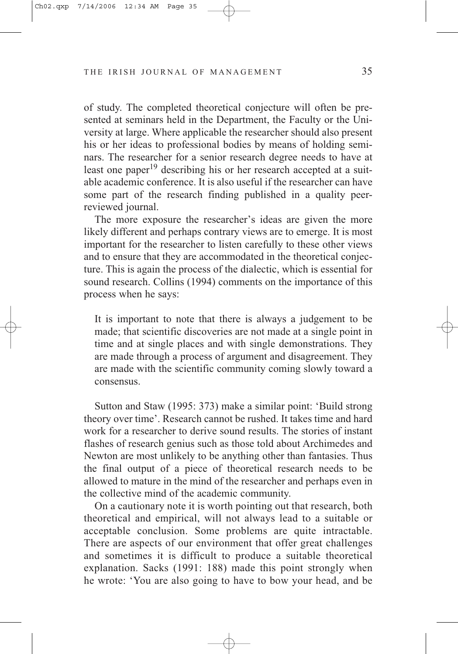of study. The completed theoretical conjecture will often be presented at seminars held in the Department, the Faculty or the University at large. Where applicable the researcher should also present his or her ideas to professional bodies by means of holding seminars. The researcher for a senior research degree needs to have at least one paper<sup>19</sup> describing his or her research accepted at a suitable academic conference. It is also useful if the researcher can have some part of the research finding published in a quality peerreviewed journal.

The more exposure the researcher's ideas are given the more likely different and perhaps contrary views are to emerge. It is most important for the researcher to listen carefully to these other views and to ensure that they are accommodated in the theoretical conjecture. This is again the process of the dialectic, which is essential for sound research. Collins (1994) comments on the importance of this process when he says:

It is important to note that there is always a judgement to be made; that scientific discoveries are not made at a single point in time and at single places and with single demonstrations. They are made through a process of argument and disagreement. They are made with the scientific community coming slowly toward a consensus.

Sutton and Staw (1995: 373) make a similar point: 'Build strong theory over time'. Research cannot be rushed. It takes time and hard work for a researcher to derive sound results. The stories of instant flashes of research genius such as those told about Archimedes and Newton are most unlikely to be anything other than fantasies. Thus the final output of a piece of theoretical research needs to be allowed to mature in the mind of the researcher and perhaps even in the collective mind of the academic community.

On a cautionary note it is worth pointing out that research, both theoretical and empirical, will not always lead to a suitable or acceptable conclusion. Some problems are quite intractable. There are aspects of our environment that offer great challenges and sometimes it is difficult to produce a suitable theoretical explanation. Sacks (1991: 188) made this point strongly when he wrote: 'You are also going to have to bow your head, and be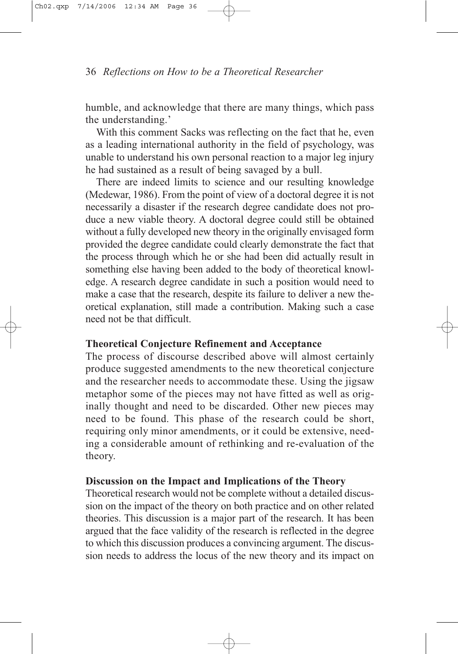humble, and acknowledge that there are many things, which pass the understanding.'

With this comment Sacks was reflecting on the fact that he, even as a leading international authority in the field of psychology, was unable to understand his own personal reaction to a major leg injury he had sustained as a result of being savaged by a bull.

There are indeed limits to science and our resulting knowledge (Medewar, 1986). From the point of view of a doctoral degree it is not necessarily a disaster if the research degree candidate does not produce a new viable theory. A doctoral degree could still be obtained without a fully developed new theory in the originally envisaged form provided the degree candidate could clearly demonstrate the fact that the process through which he or she had been did actually result in something else having been added to the body of theoretical knowledge. A research degree candidate in such a position would need to make a case that the research, despite its failure to deliver a new theoretical explanation, still made a contribution. Making such a case need not be that difficult.

# **Theoretical Conjecture Refinement and Acceptance**

The process of discourse described above will almost certainly produce suggested amendments to the new theoretical conjecture and the researcher needs to accommodate these. Using the jigsaw metaphor some of the pieces may not have fitted as well as originally thought and need to be discarded. Other new pieces may need to be found. This phase of the research could be short, requiring only minor amendments, or it could be extensive, needing a considerable amount of rethinking and re-evaluation of the theory.

# **Discussion on the Impact and Implications of the Theory**

Theoretical research would not be complete without a detailed discussion on the impact of the theory on both practice and on other related theories. This discussion is a major part of the research. It has been argued that the face validity of the research is reflected in the degree to which this discussion produces a convincing argument. The discussion needs to address the locus of the new theory and its impact on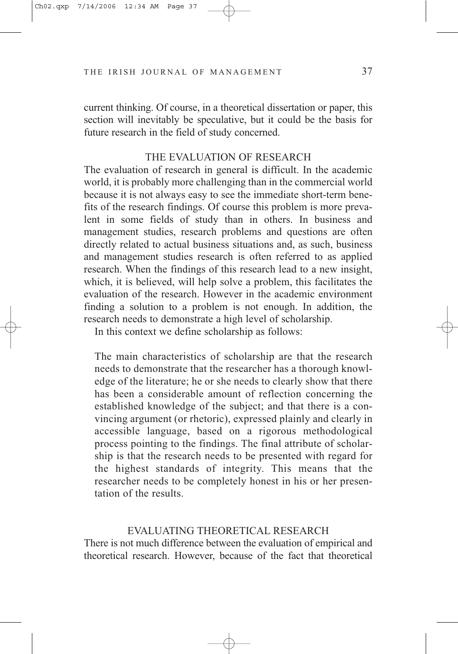current thinking. Of course, in a theoretical dissertation or paper, this section will inevitably be speculative, but it could be the basis for future research in the field of study concerned.

#### THE EVALUATION OF RESEARCH

The evaluation of research in general is difficult. In the academic world, it is probably more challenging than in the commercial world because it is not always easy to see the immediate short-term benefits of the research findings. Of course this problem is more prevalent in some fields of study than in others. In business and management studies, research problems and questions are often directly related to actual business situations and, as such, business and management studies research is often referred to as applied research. When the findings of this research lead to a new insight, which, it is believed, will help solve a problem, this facilitates the evaluation of the research. However in the academic environment finding a solution to a problem is not enough. In addition, the research needs to demonstrate a high level of scholarship.

In this context we define scholarship as follows:

The main characteristics of scholarship are that the research needs to demonstrate that the researcher has a thorough knowledge of the literature; he or she needs to clearly show that there has been a considerable amount of reflection concerning the established knowledge of the subject; and that there is a convincing argument (or rhetoric), expressed plainly and clearly in accessible language, based on a rigorous methodological process pointing to the findings. The final attribute of scholarship is that the research needs to be presented with regard for the highest standards of integrity. This means that the researcher needs to be completely honest in his or her presentation of the results.

#### EVALUATING THEORETICAL RESEARCH

There is not much difference between the evaluation of empirical and theoretical research. However, because of the fact that theoretical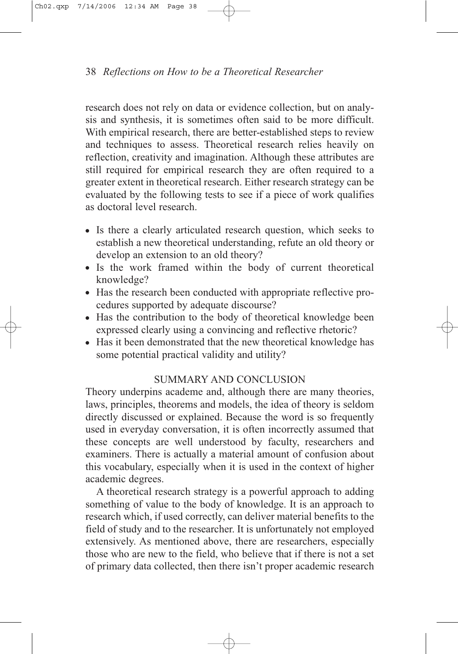research does not rely on data or evidence collection, but on analysis and synthesis, it is sometimes often said to be more difficult. With empirical research, there are better-established steps to review and techniques to assess. Theoretical research relies heavily on reflection, creativity and imagination. Although these attributes are still required for empirical research they are often required to a greater extent in theoretical research. Either research strategy can be evaluated by the following tests to see if a piece of work qualifies as doctoral level research.

- <sup>O</sup> Is there a clearly articulated research question, which seeks to establish a new theoretical understanding, refute an old theory or develop an extension to an old theory?
- Is the work framed within the body of current theoretical knowledge?
- Has the research been conducted with appropriate reflective procedures supported by adequate discourse?
- Has the contribution to the body of theoretical knowledge been expressed clearly using a convincing and reflective rhetoric?
- Has it been demonstrated that the new theoretical knowledge has some potential practical validity and utility?

# SUMMARY AND CONCLUSION

Theory underpins academe and, although there are many theories, laws, principles, theorems and models, the idea of theory is seldom directly discussed or explained. Because the word is so frequently used in everyday conversation, it is often incorrectly assumed that these concepts are well understood by faculty, researchers and examiners. There is actually a material amount of confusion about this vocabulary, especially when it is used in the context of higher academic degrees.

A theoretical research strategy is a powerful approach to adding something of value to the body of knowledge. It is an approach to research which, if used correctly, can deliver material benefits to the field of study and to the researcher. It is unfortunately not employed extensively. As mentioned above, there are researchers, especially those who are new to the field, who believe that if there is not a set of primary data collected, then there isn't proper academic research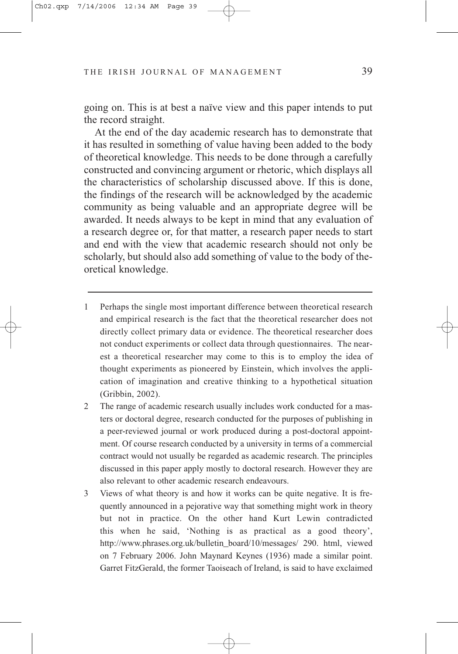going on. This is at best a naïve view and this paper intends to put the record straight.

At the end of the day academic research has to demonstrate that it has resulted in something of value having been added to the body of theoretical knowledge. This needs to be done through a carefully constructed and convincing argument or rhetoric, which displays all the characteristics of scholarship discussed above. If this is done, the findings of the research will be acknowledged by the academic community as being valuable and an appropriate degree will be awarded. It needs always to be kept in mind that any evaluation of a research degree or, for that matter, a research paper needs to start and end with the view that academic research should not only be scholarly, but should also add something of value to the body of theoretical knowledge.

- 1 Perhaps the single most important difference between theoretical research and empirical research is the fact that the theoretical researcher does not directly collect primary data or evidence. The theoretical researcher does not conduct experiments or collect data through questionnaires. The nearest a theoretical researcher may come to this is to employ the idea of thought experiments as pioneered by Einstein, which involves the application of imagination and creative thinking to a hypothetical situation (Gribbin, 2002).
- 2 The range of academic research usually includes work conducted for a masters or doctoral degree, research conducted for the purposes of publishing in a peer-reviewed journal or work produced during a post-doctoral appointment. Of course research conducted by a university in terms of a commercial contract would not usually be regarded as academic research. The principles discussed in this paper apply mostly to doctoral research. However they are also relevant to other academic research endeavours.
- 3 Views of what theory is and how it works can be quite negative. It is frequently announced in a pejorative way that something might work in theory but not in practice. On the other hand Kurt Lewin contradicted this when he said, 'Nothing is as practical as a good theory', http://www.phrases.org.uk/bulletin\_board/10/messages/ 290. html, viewed on 7 February 2006. John Maynard Keynes (1936) made a similar point. Garret FitzGerald, the former Taoiseach of Ireland, is said to have exclaimed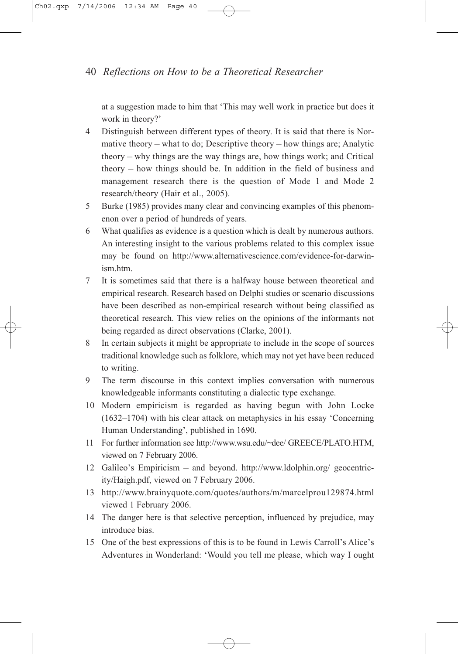at a suggestion made to him that 'This may well work in practice but does it work in theory?'

- 4 Distinguish between different types of theory. It is said that there is Normative theory – what to do; Descriptive theory – how things are; Analytic theory – why things are the way things are, how things work; and Critical theory – how things should be. In addition in the field of business and management research there is the question of Mode 1 and Mode 2 research/theory (Hair et al., 2005).
- 5 Burke (1985) provides many clear and convincing examples of this phenomenon over a period of hundreds of years.
- 6 What qualifies as evidence is a question which is dealt by numerous authors. An interesting insight to the various problems related to this complex issue may be found on http://www.alternativescience.com/evidence-for-darwinism.htm.
- 7 It is sometimes said that there is a halfway house between theoretical and empirical research. Research based on Delphi studies or scenario discussions have been described as non-empirical research without being classified as theoretical research. This view relies on the opinions of the informants not being regarded as direct observations (Clarke, 2001).
- 8 In certain subjects it might be appropriate to include in the scope of sources traditional knowledge such as folklore, which may not yet have been reduced to writing.
- 9 The term discourse in this context implies conversation with numerous knowledgeable informants constituting a dialectic type exchange.
- 10 Modern empiricism is regarded as having begun with John Locke (1632–1704) with his clear attack on metaphysics in his essay 'Concerning Human Understanding', published in 1690.
- 11 For further information see http://www.wsu.edu/~dee/ GREECE/PLATO.HTM, viewed on 7 February 2006.
- 12 Galileo's Empiricism and beyond. http://www.ldolphin.org/ geocentricity/Haigh.pdf, viewed on 7 February 2006.
- 13 http://www.brainyquote.com/quotes/authors/m/marcelprou129874.html viewed 1 February 2006.
- 14 The danger here is that selective perception, influenced by prejudice, may introduce bias.
- 15 One of the best expressions of this is to be found in Lewis Carroll's Alice's Adventures in Wonderland: 'Would you tell me please, which way I ought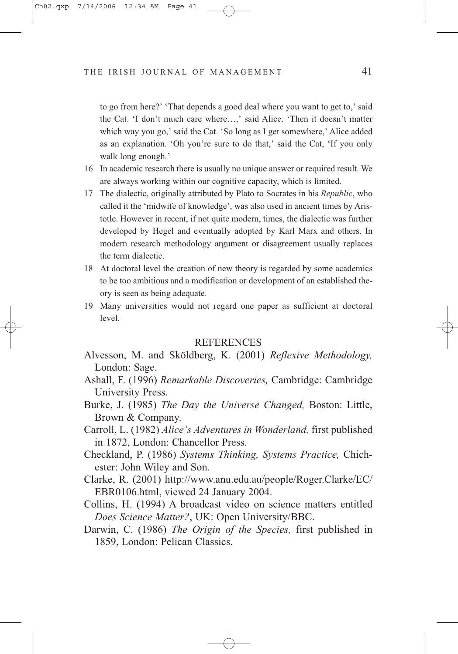to go from here?' 'That depends a good deal where you want to get to,' said the Cat. 'I don't much care where…,' said Alice. 'Then it doesn't matter which way you go,' said the Cat. 'So long as I get somewhere,' Alice added as an explanation. 'Oh you're sure to do that,' said the Cat, 'If you only walk long enough.'

- 16 In academic research there is usually no unique answer or required result. We are always working within our cognitive capacity, which is limited.
- 17 The dialectic, originally attributed by Plato to Socrates in his *Republic*, who called it the 'midwife of knowledge', was also used in ancient times by Aristotle. However in recent, if not quite modern, times, the dialectic was further developed by Hegel and eventually adopted by Karl Marx and others. In modern research methodology argument or disagreement usually replaces the term dialectic.
- 18 At doctoral level the creation of new theory is regarded by some academics to be too ambitious and a modification or development of an established theory is seen as being adequate.
- 19 Many universities would not regard one paper as sufficient at doctoral level.

#### **REFERENCES**

- Alvesson, M. and Sköldberg, K. (2001) *Reflexive Methodology,* London: Sage.
- Ashall, F. (1996) *Remarkable Discoveries,* Cambridge: Cambridge University Press.
- Burke, J. (1985) *The Day the Universe Changed,* Boston: Little, Brown & Company.
- Carroll, L. (1982) *Alice's Adventures in Wonderland,* first published in 1872, London: Chancellor Press.
- Checkland, P. (1986) *Systems Thinking, Systems Practice,* Chichester: John Wiley and Son.
- Clarke, R. (2001) http://www.anu.edu.au/people/Roger.Clarke/EC/ EBR0106.html, viewed 24 January 2004.
- Collins, H. (1994) A broadcast video on science matters entitled *Does Science Matter?*, UK: Open University/BBC.
- Darwin, C. (1986) *The Origin of the Species,* first published in 1859, London: Pelican Classics.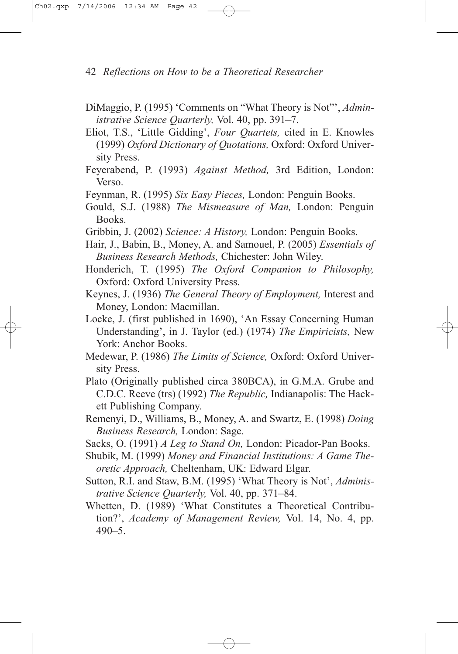- DiMaggio, P. (1995) 'Comments on "What Theory is Not"', *Administrative Science Quarterly,* Vol. 40, pp. 391–7.
- Eliot, T.S., 'Little Gidding', *Four Quartets,* cited in E. Knowles (1999) *Oxford Dictionary of Quotations,* Oxford: Oxford University Press.
- Feyerabend, P. (1993) *Against Method,* 3rd Edition, London: Verso.
- Feynman, R. (1995) *Six Easy Pieces,* London: Penguin Books.
- Gould, S.J. (1988) *The Mismeasure of Man,* London: Penguin Books.
- Gribbin, J. (2002) *Science: A History,* London: Penguin Books.
- Hair, J., Babin, B., Money, A. and Samouel, P. (2005) *Essentials of Business Research Methods,* Chichester: John Wiley.
- Honderich, T. (1995) *The Oxford Companion to Philosophy,* Oxford: Oxford University Press.
- Keynes, J. (1936) *The General Theory of Employment,* Interest and Money, London: Macmillan.
- Locke, J. (first published in 1690), 'An Essay Concerning Human Understanding', in J. Taylor (ed.) (1974) *The Empiricists,* New York: Anchor Books.
- Medewar, P. (1986) *The Limits of Science,* Oxford: Oxford University Press.
- Plato (Originally published circa 380BCA), in G.M.A. Grube and C.D.C. Reeve (trs) (1992) *The Republic,* Indianapolis: The Hackett Publishing Company.
- Remenyi, D., Williams, B., Money, A. and Swartz, E. (1998) *Doing Business Research,* London: Sage.
- Sacks, O. (1991) *A Leg to Stand On,* London: Picador-Pan Books.
- Shubik, M. (1999) *Money and Financial Institutions: A Game Theoretic Approach,* Cheltenham, UK: Edward Elgar.
- Sutton, R.I. and Staw, B.M. (1995) 'What Theory is Not', *Administrative Science Quarterly,* Vol. 40, pp. 371–84.
- Whetten, D. (1989) 'What Constitutes a Theoretical Contribution?', *Academy of Management Review,* Vol. 14, No. 4, pp.  $490 - 5$ .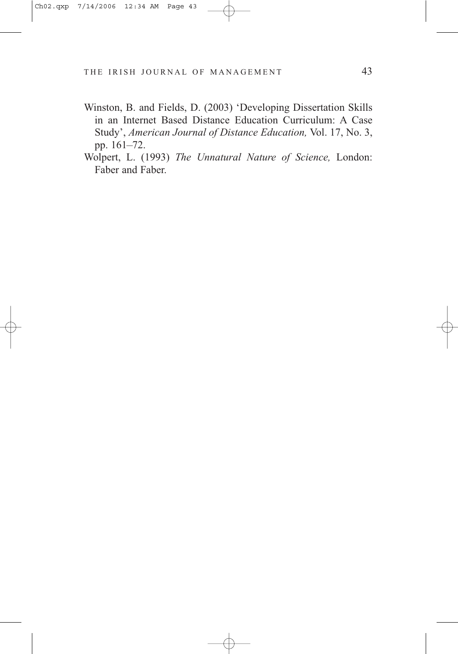- Winston, B. and Fields, D. (2003) 'Developing Dissertation Skills in an Internet Based Distance Education Curriculum: A Case Study', *American Journal of Distance Education,* Vol. 17, No. 3, pp. 161–72.
- Wolpert, L. (1993) *The Unnatural Nature of Science,* London: Faber and Faber.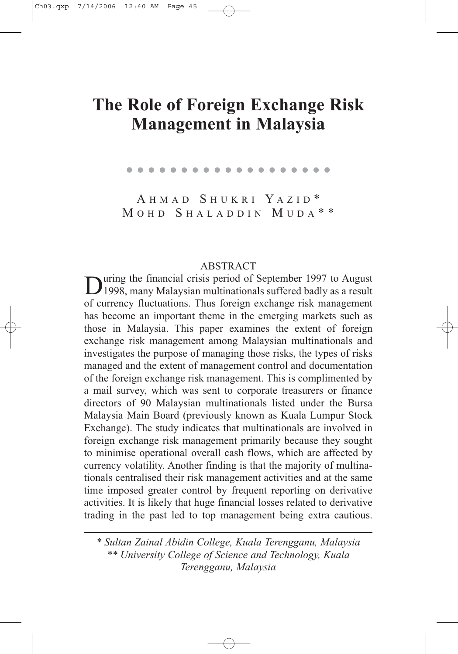# **The Role of Foreign Exchange Risk Management in Malaysia**

. . . . . . . . . . . . . . . . . . .

A HMAD S HUKRI Y AZID \* M OHD S HALADDIN M UDA \* \*

#### **ABSTRACT**

During the financial crisis period of September 1997 to August<br>1998, many Malaysian multinationals suffered badly as a result of currency fluctuations. Thus foreign exchange risk management has become an important theme in the emerging markets such as those in Malaysia. This paper examines the extent of foreign exchange risk management among Malaysian multinationals and investigates the purpose of managing those risks, the types of risks managed and the extent of management control and documentation of the foreign exchange risk management. This is complimented by a mail survey, which was sent to corporate treasurers or finance directors of 90 Malaysian multinationals listed under the Bursa Malaysia Main Board (previously known as Kuala Lumpur Stock Exchange). The study indicates that multinationals are involved in foreign exchange risk management primarily because they sought to minimise operational overall cash flows, which are affected by currency volatility. Another finding is that the majority of multinationals centralised their risk management activities and at the same time imposed greater control by frequent reporting on derivative activities. It is likely that huge financial losses related to derivative trading in the past led to top management being extra cautious.

*\* Sultan Zainal Abidin College, Kuala Terengganu, Malaysia \*\* University College of Science and Technology, Kuala Terengganu, Malaysia*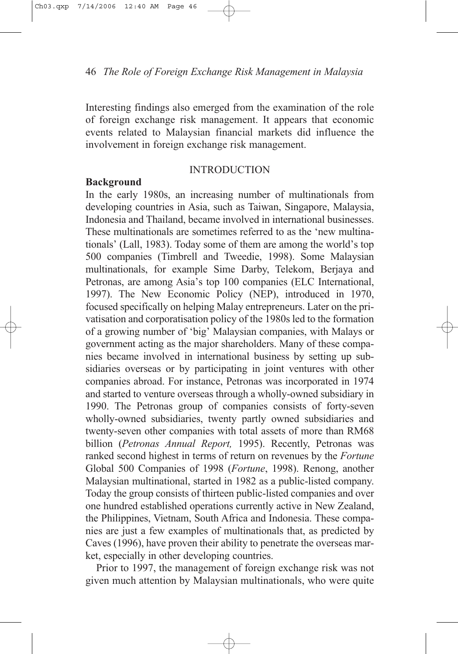Interesting findings also emerged from the examination of the role of foreign exchange risk management. It appears that economic events related to Malaysian financial markets did influence the involvement in foreign exchange risk management.

## **INTRODUCTION**

#### **Background**

In the early 1980s, an increasing number of multinationals from developing countries in Asia, such as Taiwan, Singapore, Malaysia, Indonesia and Thailand, became involved in international businesses. These multinationals are sometimes referred to as the 'new multinationals' (Lall, 1983). Today some of them are among the world's top 500 companies (Timbrell and Tweedie, 1998). Some Malaysian multinationals, for example Sime Darby, Telekom, Berjaya and Petronas, are among Asia's top 100 companies (ELC International, 1997). The New Economic Policy (NEP), introduced in 1970, focused specifically on helping Malay entrepreneurs. Later on the privatisation and corporatisation policy of the 1980s led to the formation of a growing number of 'big' Malaysian companies, with Malays or government acting as the major shareholders. Many of these companies became involved in international business by setting up subsidiaries overseas or by participating in joint ventures with other companies abroad. For instance, Petronas was incorporated in 1974 and started to venture overseas through a wholly-owned subsidiary in 1990. The Petronas group of companies consists of forty-seven wholly-owned subsidiaries, twenty partly owned subsidiaries and twenty-seven other companies with total assets of more than RM68 billion (*Petronas Annual Report,* 1995). Recently, Petronas was ranked second highest in terms of return on revenues by the *Fortune* Global 500 Companies of 1998 (*Fortune*, 1998). Renong, another Malaysian multinational, started in 1982 as a public-listed company. Today the group consists of thirteen public-listed companies and over one hundred established operations currently active in New Zealand, the Philippines, Vietnam, South Africa and Indonesia. These companies are just a few examples of multinationals that, as predicted by Caves (1996), have proven their ability to penetrate the overseas market, especially in other developing countries.

Prior to 1997, the management of foreign exchange risk was not given much attention by Malaysian multinationals, who were quite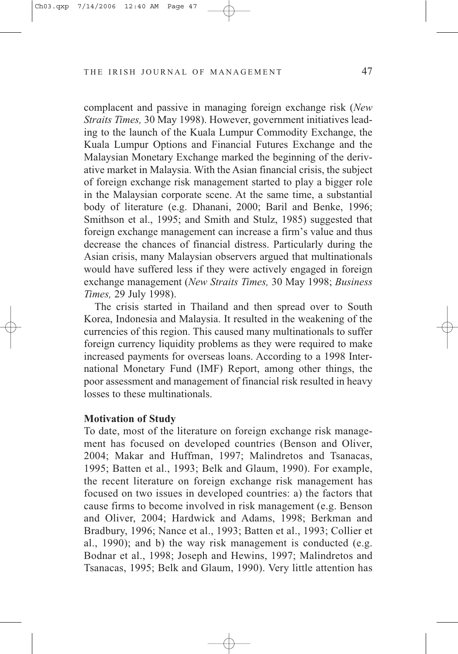complacent and passive in managing foreign exchange risk (*New Straits Times,* 30 May 1998). However, government initiatives leading to the launch of the Kuala Lumpur Commodity Exchange, the Kuala Lumpur Options and Financial Futures Exchange and the Malaysian Monetary Exchange marked the beginning of the derivative market in Malaysia. With the Asian financial crisis, the subject of foreign exchange risk management started to play a bigger role in the Malaysian corporate scene. At the same time, a substantial body of literature (e.g. Dhanani, 2000; Baril and Benke, 1996; Smithson et al., 1995; and Smith and Stulz, 1985) suggested that foreign exchange management can increase a firm's value and thus decrease the chances of financial distress. Particularly during the Asian crisis, many Malaysian observers argued that multinationals would have suffered less if they were actively engaged in foreign exchange management (*New Straits Times,* 30 May 1998; *Business Times,* 29 July 1998).

The crisis started in Thailand and then spread over to South Korea, Indonesia and Malaysia. It resulted in the weakening of the currencies of this region. This caused many multinationals to suffer foreign currency liquidity problems as they were required to make increased payments for overseas loans. According to a 1998 International Monetary Fund (IMF) Report, among other things, the poor assessment and management of financial risk resulted in heavy losses to these multinationals.

#### **Motivation of Study**

To date, most of the literature on foreign exchange risk management has focused on developed countries (Benson and Oliver, 2004; Makar and Huffman, 1997; Malindretos and Tsanacas, 1995; Batten et al., 1993; Belk and Glaum, 1990). For example, the recent literature on foreign exchange risk management has focused on two issues in developed countries: a) the factors that cause firms to become involved in risk management (e.g. Benson and Oliver, 2004; Hardwick and Adams, 1998; Berkman and Bradbury, 1996; Nance et al., 1993; Batten et al., 1993; Collier et al., 1990); and b) the way risk management is conducted (e.g. Bodnar et al., 1998; Joseph and Hewins, 1997; Malindretos and Tsanacas, 1995; Belk and Glaum, 1990). Very little attention has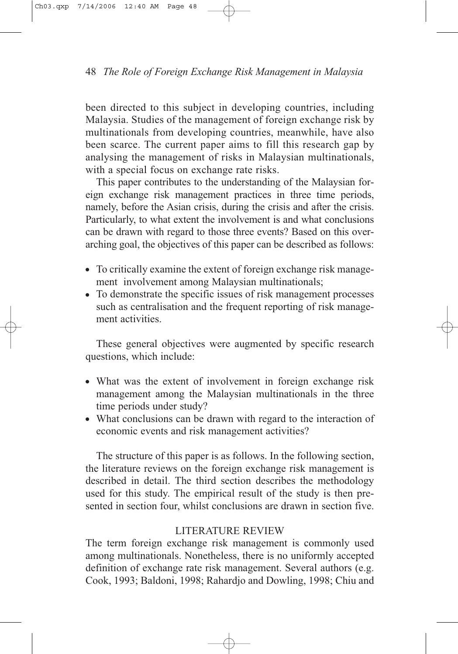been directed to this subject in developing countries, including Malaysia. Studies of the management of foreign exchange risk by multinationals from developing countries, meanwhile, have also been scarce. The current paper aims to fill this research gap by analysing the management of risks in Malaysian multinationals, with a special focus on exchange rate risks.

This paper contributes to the understanding of the Malaysian foreign exchange risk management practices in three time periods, namely, before the Asian crisis, during the crisis and after the crisis. Particularly, to what extent the involvement is and what conclusions can be drawn with regard to those three events? Based on this overarching goal, the objectives of this paper can be described as follows:

- To critically examine the extent of foreign exchange risk management involvement among Malaysian multinationals;
- To demonstrate the specific issues of risk management processes such as centralisation and the frequent reporting of risk management activities.

These general objectives were augmented by specific research questions, which include:

- What was the extent of involvement in foreign exchange risk management among the Malaysian multinationals in the three time periods under study?
- What conclusions can be drawn with regard to the interaction of economic events and risk management activities?

The structure of this paper is as follows. In the following section, the literature reviews on the foreign exchange risk management is described in detail. The third section describes the methodology used for this study. The empirical result of the study is then presented in section four, whilst conclusions are drawn in section five.

# LITERATURE REVIEW

The term foreign exchange risk management is commonly used among multinationals. Nonetheless, there is no uniformly accepted definition of exchange rate risk management. Several authors (e.g. Cook, 1993; Baldoni, 1998; Rahardjo and Dowling, 1998; Chiu and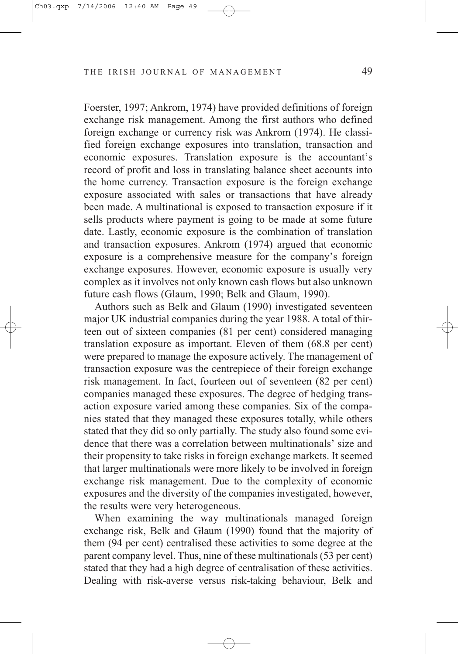Foerster, 1997; Ankrom, 1974) have provided definitions of foreign exchange risk management. Among the first authors who defined foreign exchange or currency risk was Ankrom (1974). He classified foreign exchange exposures into translation, transaction and economic exposures. Translation exposure is the accountant's record of profit and loss in translating balance sheet accounts into the home currency. Transaction exposure is the foreign exchange exposure associated with sales or transactions that have already been made. A multinational is exposed to transaction exposure if it sells products where payment is going to be made at some future date. Lastly, economic exposure is the combination of translation and transaction exposures. Ankrom (1974) argued that economic exposure is a comprehensive measure for the company's foreign exchange exposures. However, economic exposure is usually very complex as it involves not only known cash flows but also unknown future cash flows (Glaum, 1990; Belk and Glaum, 1990).

Authors such as Belk and Glaum (1990) investigated seventeen major UK industrial companies during the year 1988. A total of thirteen out of sixteen companies (81 per cent) considered managing translation exposure as important. Eleven of them (68.8 per cent) were prepared to manage the exposure actively. The management of transaction exposure was the centrepiece of their foreign exchange risk management. In fact, fourteen out of seventeen (82 per cent) companies managed these exposures. The degree of hedging transaction exposure varied among these companies. Six of the companies stated that they managed these exposures totally, while others stated that they did so only partially. The study also found some evidence that there was a correlation between multinationals' size and their propensity to take risks in foreign exchange markets. It seemed that larger multinationals were more likely to be involved in foreign exchange risk management. Due to the complexity of economic exposures and the diversity of the companies investigated, however, the results were very heterogeneous.

When examining the way multinationals managed foreign exchange risk, Belk and Glaum (1990) found that the majority of them (94 per cent) centralised these activities to some degree at the parent company level. Thus, nine of these multinationals (53 per cent) stated that they had a high degree of centralisation of these activities. Dealing with risk-averse versus risk-taking behaviour, Belk and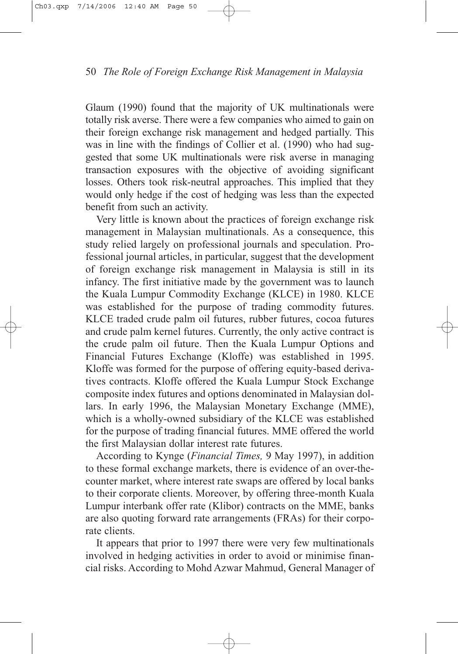Glaum (1990) found that the majority of UK multinationals were totally risk averse. There were a few companies who aimed to gain on their foreign exchange risk management and hedged partially. This was in line with the findings of Collier et al. (1990) who had suggested that some UK multinationals were risk averse in managing transaction exposures with the objective of avoiding significant losses. Others took risk-neutral approaches. This implied that they would only hedge if the cost of hedging was less than the expected benefit from such an activity.

Very little is known about the practices of foreign exchange risk management in Malaysian multinationals. As a consequence, this study relied largely on professional journals and speculation. Professional journal articles, in particular, suggest that the development of foreign exchange risk management in Malaysia is still in its infancy. The first initiative made by the government was to launch the Kuala Lumpur Commodity Exchange (KLCE) in 1980. KLCE was established for the purpose of trading commodity futures. KLCE traded crude palm oil futures, rubber futures, cocoa futures and crude palm kernel futures. Currently, the only active contract is the crude palm oil future. Then the Kuala Lumpur Options and Financial Futures Exchange (Kloffe) was established in 1995. Kloffe was formed for the purpose of offering equity-based derivatives contracts. Kloffe offered the Kuala Lumpur Stock Exchange composite index futures and options denominated in Malaysian dollars. In early 1996, the Malaysian Monetary Exchange (MME), which is a wholly-owned subsidiary of the KLCE was established for the purpose of trading financial futures. MME offered the world the first Malaysian dollar interest rate futures.

According to Kynge (*Financial Times,* 9 May 1997), in addition to these formal exchange markets, there is evidence of an over-thecounter market, where interest rate swaps are offered by local banks to their corporate clients. Moreover, by offering three-month Kuala Lumpur interbank offer rate (Klibor) contracts on the MME, banks are also quoting forward rate arrangements (FRAs) for their corporate clients.

It appears that prior to 1997 there were very few multinationals involved in hedging activities in order to avoid or minimise financial risks. According to Mohd Azwar Mahmud, General Manager of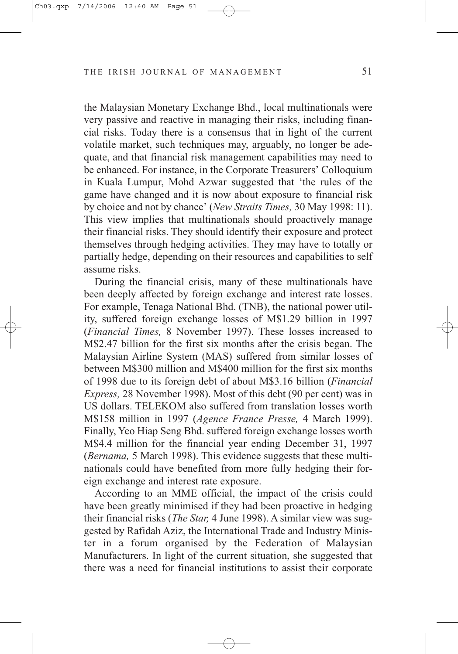the Malaysian Monetary Exchange Bhd., local multinationals were very passive and reactive in managing their risks, including financial risks. Today there is a consensus that in light of the current volatile market, such techniques may, arguably, no longer be adequate, and that financial risk management capabilities may need to be enhanced. For instance, in the Corporate Treasurers' Colloquium in Kuala Lumpur, Mohd Azwar suggested that 'the rules of the game have changed and it is now about exposure to financial risk by choice and not by chance' (*New Straits Times,* 30 May 1998: 11). This view implies that multinationals should proactively manage their financial risks. They should identify their exposure and protect themselves through hedging activities. They may have to totally or partially hedge, depending on their resources and capabilities to self assume risks.

During the financial crisis, many of these multinationals have been deeply affected by foreign exchange and interest rate losses. For example, Tenaga National Bhd. (TNB), the national power utility, suffered foreign exchange losses of M\$1.29 billion in 1997 (*Financial Times,* 8 November 1997). These losses increased to M\$2.47 billion for the first six months after the crisis began. The Malaysian Airline System (MAS) suffered from similar losses of between M\$300 million and M\$400 million for the first six months of 1998 due to its foreign debt of about M\$3.16 billion (*Financial Express,* 28 November 1998). Most of this debt (90 per cent) was in US dollars. TELEKOM also suffered from translation losses worth M\$158 million in 1997 (*Agence France Presse,* 4 March 1999). Finally, Yeo Hiap Seng Bhd. suffered foreign exchange losses worth M\$4.4 million for the financial year ending December 31, 1997 (*Bernama,* 5 March 1998). This evidence suggests that these multinationals could have benefited from more fully hedging their foreign exchange and interest rate exposure.

According to an MME official, the impact of the crisis could have been greatly minimised if they had been proactive in hedging their financial risks (*The Star,* 4 June 1998). A similar view was suggested by Rafidah Aziz, the International Trade and Industry Minister in a forum organised by the Federation of Malaysian Manufacturers. In light of the current situation, she suggested that there was a need for financial institutions to assist their corporate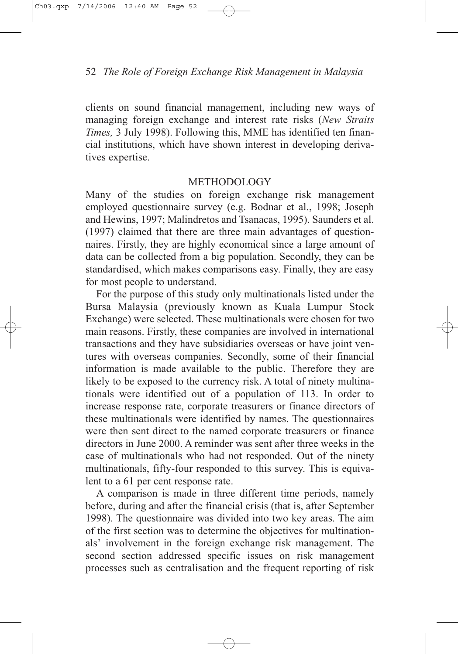clients on sound financial management, including new ways of managing foreign exchange and interest rate risks (*New Straits Times,* 3 July 1998). Following this, MME has identified ten financial institutions, which have shown interest in developing derivatives expertise.

## METHODOLOGY

Many of the studies on foreign exchange risk management employed questionnaire survey (e.g. Bodnar et al., 1998; Joseph and Hewins, 1997; Malindretos and Tsanacas, 1995). Saunders et al. (1997) claimed that there are three main advantages of questionnaires. Firstly, they are highly economical since a large amount of data can be collected from a big population. Secondly, they can be standardised, which makes comparisons easy. Finally, they are easy for most people to understand.

For the purpose of this study only multinationals listed under the Bursa Malaysia (previously known as Kuala Lumpur Stock Exchange) were selected. These multinationals were chosen for two main reasons. Firstly, these companies are involved in international transactions and they have subsidiaries overseas or have joint ventures with overseas companies. Secondly, some of their financial information is made available to the public. Therefore they are likely to be exposed to the currency risk. A total of ninety multinationals were identified out of a population of 113. In order to increase response rate, corporate treasurers or finance directors of these multinationals were identified by names. The questionnaires were then sent direct to the named corporate treasurers or finance directors in June 2000. A reminder was sent after three weeks in the case of multinationals who had not responded. Out of the ninety multinationals, fifty-four responded to this survey. This is equivalent to a 61 per cent response rate.

A comparison is made in three different time periods, namely before, during and after the financial crisis (that is, after September 1998). The questionnaire was divided into two key areas. The aim of the first section was to determine the objectives for multinationals' involvement in the foreign exchange risk management. The second section addressed specific issues on risk management processes such as centralisation and the frequent reporting of risk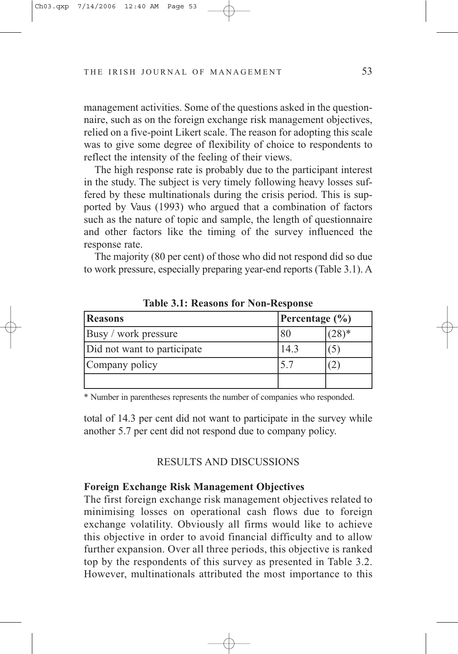management activities. Some of the questions asked in the questionnaire, such as on the foreign exchange risk management objectives, relied on a five-point Likert scale. The reason for adopting this scale was to give some degree of flexibility of choice to respondents to reflect the intensity of the feeling of their views.

The high response rate is probably due to the participant interest in the study. The subject is very timely following heavy losses suffered by these multinationals during the crisis period. This is supported by Vaus (1993) who argued that a combination of factors such as the nature of topic and sample, the length of questionnaire and other factors like the timing of the survey influenced the response rate.

The majority (80 per cent) of those who did not respond did so due to work pressure, especially preparing year-end reports (Table 3.1). A

| <b>Reasons</b>              | Percentage $(\% )$ |  |
|-----------------------------|--------------------|--|
| Busy / work pressure        | 80                 |  |
| Did not want to participate | $4^{\circ}$        |  |
| Company policy              |                    |  |
|                             |                    |  |

**Table 3.1: Reasons for Non-Response**

\* Number in parentheses represents the number of companies who responded.

total of 14.3 per cent did not want to participate in the survey while another 5.7 per cent did not respond due to company policy.

#### RESULTS AND DISCUSSIONS

#### **Foreign Exchange Risk Management Objectives**

The first foreign exchange risk management objectives related to minimising losses on operational cash flows due to foreign exchange volatility. Obviously all firms would like to achieve this objective in order to avoid financial difficulty and to allow further expansion. Over all three periods, this objective is ranked top by the respondents of this survey as presented in Table 3.2. However, multinationals attributed the most importance to this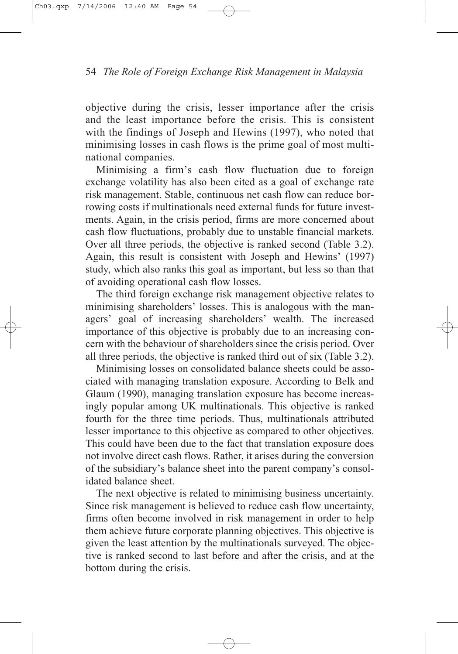objective during the crisis, lesser importance after the crisis and the least importance before the crisis. This is consistent with the findings of Joseph and Hewins (1997), who noted that minimising losses in cash flows is the prime goal of most multinational companies.

Minimising a firm's cash flow fluctuation due to foreign exchange volatility has also been cited as a goal of exchange rate risk management. Stable, continuous net cash flow can reduce borrowing costs if multinationals need external funds for future investments. Again, in the crisis period, firms are more concerned about cash flow fluctuations, probably due to unstable financial markets. Over all three periods, the objective is ranked second (Table 3.2). Again, this result is consistent with Joseph and Hewins' (1997) study, which also ranks this goal as important, but less so than that of avoiding operational cash flow losses.

The third foreign exchange risk management objective relates to minimising shareholders' losses. This is analogous with the managers' goal of increasing shareholders' wealth. The increased importance of this objective is probably due to an increasing concern with the behaviour of shareholders since the crisis period. Over all three periods, the objective is ranked third out of six (Table 3.2).

Minimising losses on consolidated balance sheets could be associated with managing translation exposure. According to Belk and Glaum (1990), managing translation exposure has become increasingly popular among UK multinationals. This objective is ranked fourth for the three time periods. Thus, multinationals attributed lesser importance to this objective as compared to other objectives. This could have been due to the fact that translation exposure does not involve direct cash flows. Rather, it arises during the conversion of the subsidiary's balance sheet into the parent company's consolidated balance sheet.

The next objective is related to minimising business uncertainty. Since risk management is believed to reduce cash flow uncertainty, firms often become involved in risk management in order to help them achieve future corporate planning objectives. This objective is given the least attention by the multinationals surveyed. The objective is ranked second to last before and after the crisis, and at the bottom during the crisis.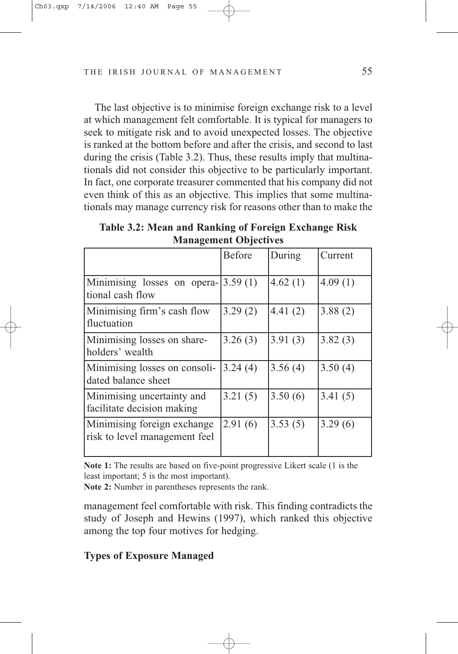The last objective is to minimise foreign exchange risk to a level at which management felt comfortable. It is typical for managers to seek to mitigate risk and to avoid unexpected losses. The objective is ranked at the bottom before and after the crisis, and second to last during the crisis (Table 3.2). Thus, these results imply that multinationals did not consider this objective to be particularly important. In fact, one corporate treasurer commented that his company did not even think of this as an objective. This implies that some multinationals may manage currency risk for reasons other than to make the

**Table 3.2: Mean and Ranking of Foreign Exchange Risk Management Objectives**

|                                                              | Before  | During  | Current |
|--------------------------------------------------------------|---------|---------|---------|
| Minimising losses on opera- $ 3.59(1) $<br>tional cash flow  |         | 4.62(1) | 4.09(1) |
| Minimising firm's cash flow<br>fluctuation                   | 3.29(2) | 4.41(2) | 3.88(2) |
| Minimising losses on share-<br>holders' wealth               | 3.26(3) | 3.91(3) | 3.82(3) |
| Minimising losses on consoli-<br>dated balance sheet         | 3.24(4) | 3.56(4) | 3.50(4) |
| Minimising uncertainty and<br>facilitate decision making     | 3.21(5) | 3.50(6) | 3.41(5) |
| Minimising foreign exchange<br>risk to level management feel | 2.91(6) | 3.53(5) | 3.29(6) |

**Note 1:** The results are based on five-point progressive Likert scale (1 is the least important; 5 is the most important).

**Note 2:** Number in parentheses represents the rank.

management feel comfortable with risk. This finding contradicts the study of Joseph and Hewins (1997), which ranked this objective among the top four motives for hedging.

# **Types of Exposure Managed**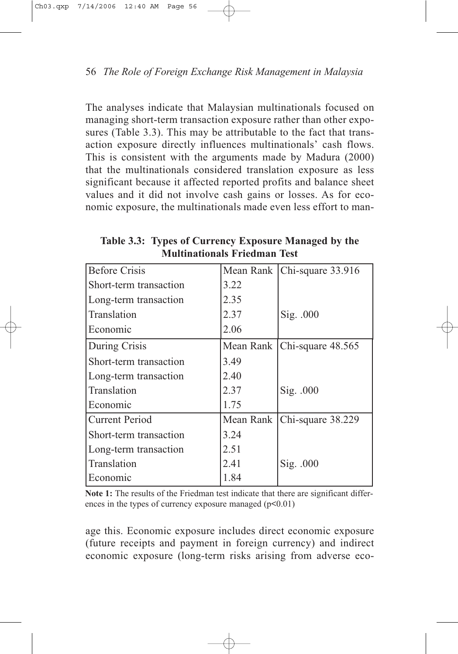The analyses indicate that Malaysian multinationals focused on managing short-term transaction exposure rather than other exposures (Table 3.3). This may be attributable to the fact that transaction exposure directly influences multinationals' cash flows. This is consistent with the arguments made by Madura (2000) that the multinationals considered translation exposure as less significant because it affected reported profits and balance sheet values and it did not involve cash gains or losses. As for economic exposure, the multinationals made even less effort to man-

| <b>Before Crisis</b>   | Mean Rank | Chi-square 33.916             |
|------------------------|-----------|-------------------------------|
| Short-term transaction | 3.22      |                               |
| Long-term transaction  | 2.35      |                               |
| Translation            | 2.37      | Sig. .000                     |
| Economic               | 2.06      |                               |
| During Crisis          |           | Mean Rank   Chi-square 48.565 |
| Short-term transaction | 3.49      |                               |
| Long-term transaction  | 2.40      |                               |
| Translation            | 2.37      | Sig. .000                     |
| Economic               | 1.75      |                               |
| <b>Current Period</b>  | Mean Rank | Chi-square 38.229             |
| Short-term transaction | 3.24      |                               |
| Long-term transaction  | 2.51      |                               |
| Translation            | 2.41      | Sig. .000                     |
| Economic               | 1.84      |                               |

**Table 3.3: Types of Currency Exposure Managed by the Multinationals Friedman Test**

**Note 1:** The results of the Friedman test indicate that there are significant differences in the types of currency exposure managed  $(p<0.01)$ 

age this. Economic exposure includes direct economic exposure (future receipts and payment in foreign currency) and indirect economic exposure (long-term risks arising from adverse eco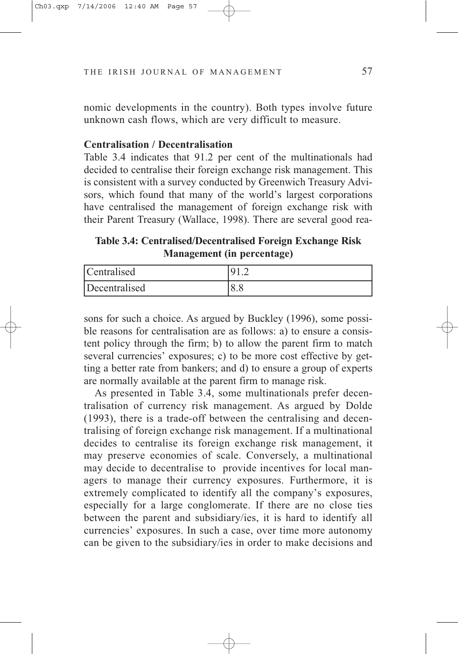nomic developments in the country). Both types involve future unknown cash flows, which are very difficult to measure.

#### **Centralisation / Decentralisation**

Table 3.4 indicates that 91.2 per cent of the multinationals had decided to centralise their foreign exchange risk management. This is consistent with a survey conducted by Greenwich Treasury Advisors, which found that many of the world's largest corporations have centralised the management of foreign exchange risk with their Parent Treasury (Wallace, 1998). There are several good rea-

**Table 3.4: Centralised/Decentralised Foreign Exchange Risk Management (in percentage)**

| Centralised   |  |
|---------------|--|
| Decentralised |  |

sons for such a choice. As argued by Buckley (1996), some possible reasons for centralisation are as follows: a) to ensure a consistent policy through the firm; b) to allow the parent firm to match several currencies' exposures; c) to be more cost effective by getting a better rate from bankers; and d) to ensure a group of experts are normally available at the parent firm to manage risk.

As presented in Table 3.4, some multinationals prefer decentralisation of currency risk management. As argued by Dolde (1993), there is a trade-off between the centralising and decentralising of foreign exchange risk management. If a multinational decides to centralise its foreign exchange risk management, it may preserve economies of scale. Conversely, a multinational may decide to decentralise to provide incentives for local managers to manage their currency exposures. Furthermore, it is extremely complicated to identify all the company's exposures, especially for a large conglomerate. If there are no close ties between the parent and subsidiary/ies, it is hard to identify all currencies' exposures. In such a case, over time more autonomy can be given to the subsidiary/ies in order to make decisions and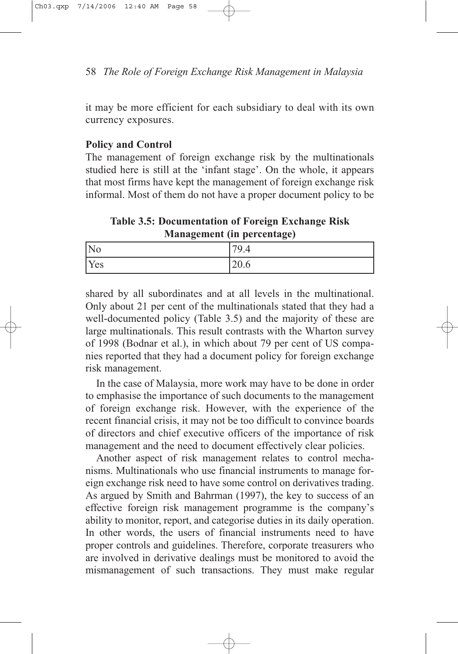it may be more efficient for each subsidiary to deal with its own currency exposures.

# **Policy and Control**

The management of foreign exchange risk by the multinationals studied here is still at the 'infant stage'. On the whole, it appears that most firms have kept the management of foreign exchange risk informal. Most of them do not have a proper document policy to be

**Table 3.5: Documentation of Foreign Exchange Risk Management (in percentage)**

| $\overline{\rm No}$ | .70<br>ч<br>╱╻┰ |
|---------------------|-----------------|
| <b>Yes</b>          | 20.6            |

shared by all subordinates and at all levels in the multinational. Only about 21 per cent of the multinationals stated that they had a well-documented policy (Table 3.5) and the majority of these are large multinationals. This result contrasts with the Wharton survey of 1998 (Bodnar et al.), in which about 79 per cent of US companies reported that they had a document policy for foreign exchange risk management.

In the case of Malaysia, more work may have to be done in order to emphasise the importance of such documents to the management of foreign exchange risk. However, with the experience of the recent financial crisis, it may not be too difficult to convince boards of directors and chief executive officers of the importance of risk management and the need to document effectively clear policies.

Another aspect of risk management relates to control mechanisms. Multinationals who use financial instruments to manage foreign exchange risk need to have some control on derivatives trading. As argued by Smith and Bahrman (1997), the key to success of an effective foreign risk management programme is the company's ability to monitor, report, and categorise duties in its daily operation. In other words, the users of financial instruments need to have proper controls and guidelines. Therefore, corporate treasurers who are involved in derivative dealings must be monitored to avoid the mismanagement of such transactions. They must make regular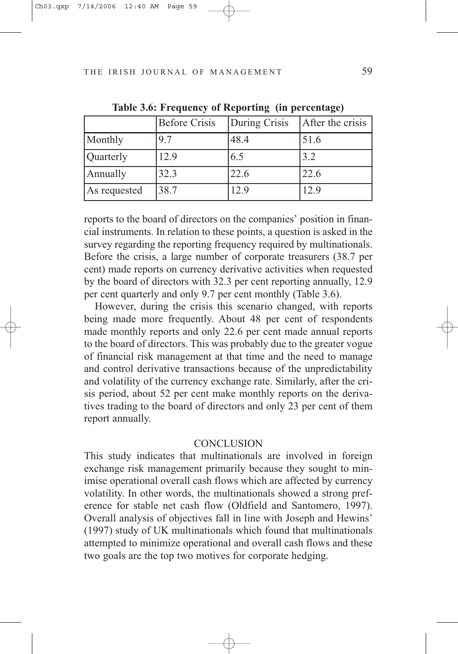|              | <b>Before Crisis</b> | During Crisis | After the crisis |
|--------------|----------------------|---------------|------------------|
| Monthly      | 97                   | 48.4          | 51.6             |
| Quarterly    | 12.9                 | 6.5           | 3.2              |
| Annually     | 32.3                 | 22.6          | 22.6             |
| As requested | 38.7                 | 12.9          | 12.9             |

**Table 3.6: Frequency of Reporting (in percentage)**

reports to the board of directors on the companies' position in financial instruments. In relation to these points, a question is asked in the survey regarding the reporting frequency required by multinationals. Before the crisis, a large number of corporate treasurers (38.7 per cent) made reports on currency derivative activities when requested by the board of directors with 32.3 per cent reporting annually, 12.9 per cent quarterly and only 9.7 per cent monthly (Table 3.6).

However, during the crisis this scenario changed, with reports being made more frequently. About 48 per cent of respondents made monthly reports and only 22.6 per cent made annual reports to the board of directors. This was probably due to the greater vogue of financial risk management at that time and the need to manage and control derivative transactions because of the unpredictability and volatility of the currency exchange rate. Similarly, after the crisis period, about 52 per cent make monthly reports on the derivatives trading to the board of directors and only 23 per cent of them report annually.

## **CONCLUSION**

This study indicates that multinationals are involved in foreign exchange risk management primarily because they sought to minimise operational overall cash flows which are affected by currency volatility. In other words, the multinationals showed a strong preference for stable net cash flow (Oldfield and Santomero, 1997). Overall analysis of objectives fall in line with Joseph and Hewins' (1997) study of UK multinationals which found that multinationals attempted to minimize operational and overall cash flows and these two goals are the top two motives for corporate hedging.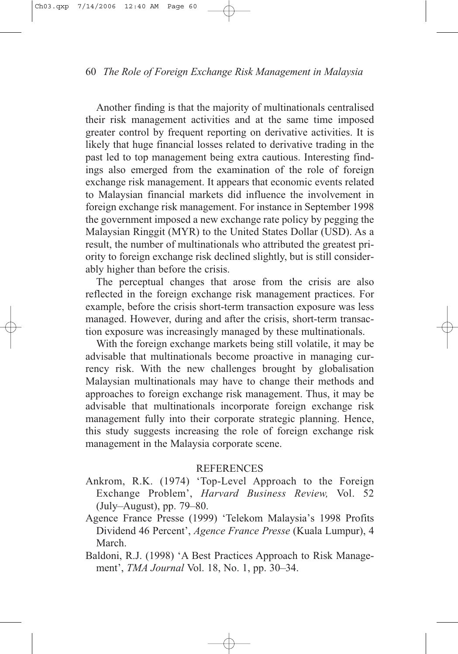Another finding is that the majority of multinationals centralised their risk management activities and at the same time imposed greater control by frequent reporting on derivative activities. It is likely that huge financial losses related to derivative trading in the past led to top management being extra cautious. Interesting findings also emerged from the examination of the role of foreign exchange risk management. It appears that economic events related to Malaysian financial markets did influence the involvement in foreign exchange risk management. For instance in September 1998 the government imposed a new exchange rate policy by pegging the Malaysian Ringgit (MYR) to the United States Dollar (USD). As a result, the number of multinationals who attributed the greatest priority to foreign exchange risk declined slightly, but is still considerably higher than before the crisis.

The perceptual changes that arose from the crisis are also reflected in the foreign exchange risk management practices. For example, before the crisis short-term transaction exposure was less managed. However, during and after the crisis, short-term transaction exposure was increasingly managed by these multinationals.

With the foreign exchange markets being still volatile, it may be advisable that multinationals become proactive in managing currency risk. With the new challenges brought by globalisation Malaysian multinationals may have to change their methods and approaches to foreign exchange risk management. Thus, it may be advisable that multinationals incorporate foreign exchange risk management fully into their corporate strategic planning. Hence, this study suggests increasing the role of foreign exchange risk management in the Malaysia corporate scene.

## **REFERENCES**

- Ankrom, R.K. (1974) 'Top-Level Approach to the Foreign Exchange Problem', *Harvard Business Review,* Vol. 52 (July–August), pp. 79–80.
- Agence France Presse (1999) 'Telekom Malaysia's 1998 Profits Dividend 46 Percent', *Agence France Presse* (Kuala Lumpur), 4 March.
- Baldoni, R.J. (1998) 'A Best Practices Approach to Risk Management', *TMA Journal* Vol. 18, No. 1, pp. 30–34.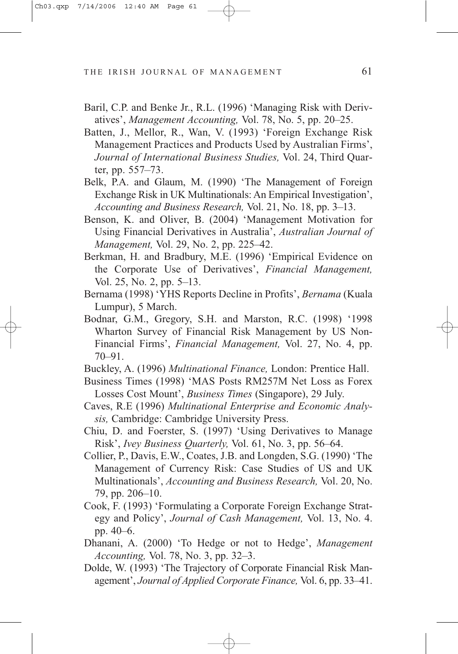- Baril, C.P. and Benke Jr., R.L. (1996) 'Managing Risk with Derivatives', *Management Accounting,* Vol. 78, No. 5, pp. 20–25.
- Batten, J., Mellor, R., Wan, V. (1993) 'Foreign Exchange Risk Management Practices and Products Used by Australian Firms', *Journal of International Business Studies,* Vol. 24, Third Quarter, pp. 557–73.
- Belk, P.A. and Glaum, M. (1990) 'The Management of Foreign Exchange Risk in UK Multinationals: An Empirical Investigation', *Accounting and Business Research,* Vol. 21, No. 18, pp. 3–13.
- Benson, K. and Oliver, B. (2004) 'Management Motivation for Using Financial Derivatives in Australia', *Australian Journal of Management,* Vol. 29, No. 2, pp. 225–42.
- Berkman, H. and Bradbury, M.E. (1996) 'Empirical Evidence on the Corporate Use of Derivatives', *Financial Management,* Vol. 25, No. 2, pp. 5–13.
- Bernama (1998) 'YHS Reports Decline in Profits', *Bernama* (Kuala Lumpur), 5 March.
- Bodnar, G.M., Gregory, S.H. and Marston, R.C. (1998) '1998 Wharton Survey of Financial Risk Management by US Non-Financial Firms', *Financial Management,* Vol. 27, No. 4, pp. 70–91.
- Buckley, A. (1996) *Multinational Finance,* London: Prentice Hall.
- Business Times (1998) 'MAS Posts RM257M Net Loss as Forex Losses Cost Mount', *Business Times* (Singapore), 29 July.
- Caves, R.E (1996) *Multinational Enterprise and Economic Analysis,* Cambridge: Cambridge University Press.
- Chiu, D. and Foerster, S. (1997) 'Using Derivatives to Manage Risk', *Ivey Business Quarterly,* Vol. 61, No. 3, pp. 56–64.
- Collier, P., Davis, E.W., Coates, J.B. and Longden, S.G. (1990) 'The Management of Currency Risk: Case Studies of US and UK Multinationals', *Accounting and Business Research,* Vol. 20, No. 79, pp. 206–10.
- Cook, F. (1993) 'Formulating a Corporate Foreign Exchange Strategy and Policy', *Journal of Cash Management,* Vol. 13, No. 4. pp. 40–6.
- Dhanani, A. (2000) 'To Hedge or not to Hedge', *Management Accounting,* Vol. 78, No. 3, pp. 32–3.
- Dolde, W. (1993) 'The Trajectory of Corporate Financial Risk Management', *Journal of Applied Corporate Finance,* Vol. 6, pp. 33–41.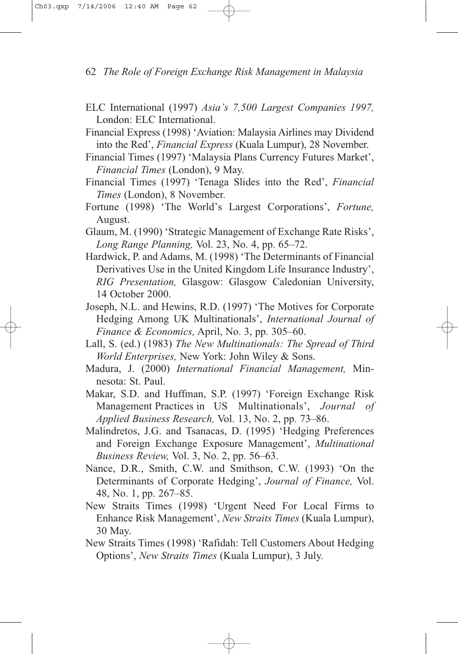- ELC International (1997) *Asia's 7,500 Largest Companies 1997,* London: ELC International.
- Financial Express (1998) 'Aviation: Malaysia Airlines may Dividend into the Red', *Financial Express* (Kuala Lumpur), 28 November.
- Financial Times (1997) 'Malaysia Plans Currency Futures Market', *Financial Times* (London), 9 May.
- Financial Times (1997) 'Tenaga Slides into the Red', *Financial Times* (London), 8 November.
- Fortune (1998) 'The World's Largest Corporations', *Fortune,* August.
- Glaum, M. (1990) 'Strategic Management of Exchange Rate Risks', *Long Range Planning,* Vol. 23, No. 4, pp. 65–72.
- Hardwick, P. and Adams, M. (1998) 'The Determinants of Financial Derivatives Use in the United Kingdom Life Insurance Industry', *RIG Presentation,* Glasgow: Glasgow Caledonian University, 14 October 2000.
- Joseph, N.L. and Hewins, R.D. (1997) 'The Motives for Corporate Hedging Among UK Multinationals', *International Journal of Finance & Economics,* April, No. 3, pp. 305–60.
- Lall, S. (ed.) (1983) *The New Multinationals: The Spread of Third World Enterprises,* New York: John Wiley & Sons.
- Madura, J. (2000) *International Financial Management,* Minnesota: St. Paul.
- Makar, S.D. and Huffman, S.P. (1997) 'Foreign Exchange Risk Management Practices in US Multinationals', *Journal of Applied Business Research,* Vol. 13, No. 2, pp. 73–86.
- Malindretos, J.G. and Tsanacas, D. (1995) 'Hedging Preferences and Foreign Exchange Exposure Management', *Multinational Business Review,* Vol. 3, No. 2, pp. 56–63.
- Nance, D.R., Smith, C.W. and Smithson, C.W. (1993) 'On the Determinants of Corporate Hedging', *Journal of Finance,* Vol. 48, No. 1, pp. 267–85.
- New Straits Times (1998) 'Urgent Need For Local Firms to Enhance Risk Management', *New Straits Times* (Kuala Lumpur), 30 May.
- New Straits Times (1998) 'Rafidah: Tell Customers About Hedging Options', *New Straits Times* (Kuala Lumpur), 3 July.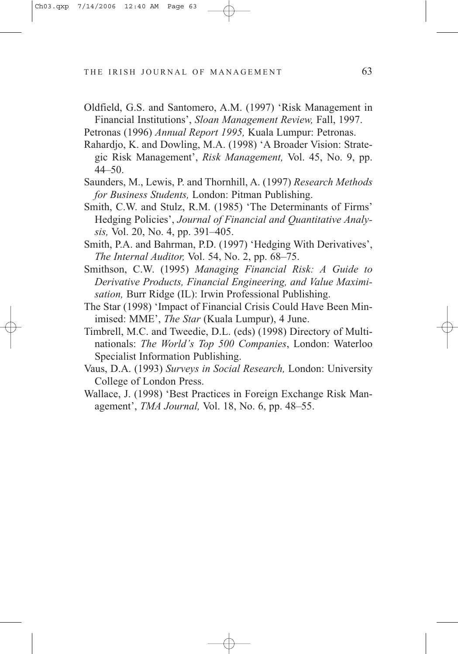- Oldfield, G.S. and Santomero, A.M. (1997) 'Risk Management in Financial Institutions', *Sloan Management Review,* Fall, 1997.
- Petronas (1996) *Annual Report 1995,* Kuala Lumpur: Petronas.
- Rahardjo, K. and Dowling, M.A. (1998) 'A Broader Vision: Strategic Risk Management', *Risk Management,* Vol. 45, No. 9, pp. 44–50.
- Saunders, M., Lewis, P. and Thornhill, A. (1997) *Research Methods for Business Students,* London: Pitman Publishing.
- Smith, C.W. and Stulz, R.M. (1985) 'The Determinants of Firms' Hedging Policies', *Journal of Financial and Quantitative Analysis,* Vol. 20, No. 4, pp. 391–405.
- Smith, P.A. and Bahrman, P.D. (1997) 'Hedging With Derivatives', *The Internal Auditor,* Vol. 54, No. 2, pp. 68–75.
- Smithson, C.W. (1995) *Managing Financial Risk: A Guide to Derivative Products, Financial Engineering, and Value Maximisation,* Burr Ridge (IL): Irwin Professional Publishing.
- The Star (1998) 'Impact of Financial Crisis Could Have Been Minimised: MME', *The Star* (Kuala Lumpur), 4 June.
- Timbrell, M.C. and Tweedie, D.L. (eds) (1998) Directory of Multinationals: *The World's Top 500 Companies*, London: Waterloo Specialist Information Publishing.
- Vaus, D.A. (1993) *Surveys in Social Research,* London: University College of London Press.
- Wallace, J. (1998) 'Best Practices in Foreign Exchange Risk Management', *TMA Journal,* Vol. 18, No. 6, pp. 48–55.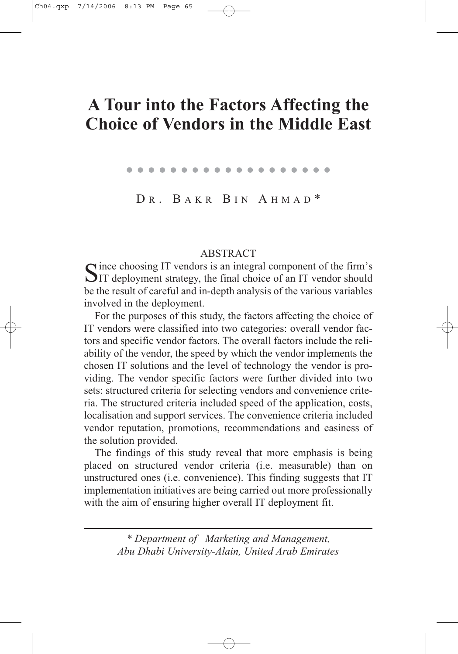# **A Tour into the Factors Affecting the Choice of Vendors in the Middle East**

. . . . . . . . . . . . . . . . . . .

DR. BAKR BIN AHMAD\*

ABSTRACT<br>
The choosing IT vendors is an integral component of the firm's Since choosing IT vendors is an integral component of the firm's<br>SIT deployment strategy, the final choice of an IT vendor should be the result of careful and in-depth analysis of the various variables involved in the deployment.

For the purposes of this study, the factors affecting the choice of IT vendors were classified into two categories: overall vendor factors and specific vendor factors. The overall factors include the reliability of the vendor, the speed by which the vendor implements the chosen IT solutions and the level of technology the vendor is providing. The vendor specific factors were further divided into two sets: structured criteria for selecting vendors and convenience criteria. The structured criteria included speed of the application, costs, localisation and support services. The convenience criteria included vendor reputation, promotions, recommendations and easiness of the solution provided.

The findings of this study reveal that more emphasis is being placed on structured vendor criteria (i.e. measurable) than on unstructured ones (i.e. convenience). This finding suggests that IT implementation initiatives are being carried out more professionally with the aim of ensuring higher overall IT deployment fit.

> *\* Department of Marketing and Management, Abu Dhabi University-Alain, United Arab Emirates*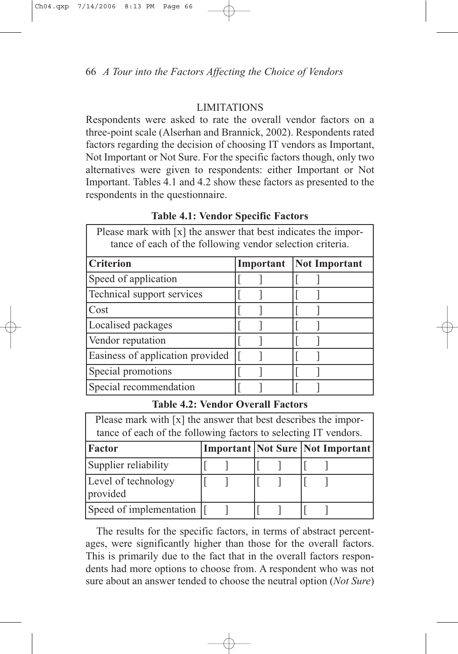# LIMITATIONS

Respondents were asked to rate the overall vendor factors on a three-point scale (Alserhan and Brannick, 2002). Respondents rated factors regarding the decision of choosing IT vendors as Important, Not Important or Not Sure. For the specific factors though, only two alternatives were given to respondents: either Important or Not Important. Tables 4.1 and 4.2 show these factors as presented to the respondents in the questionnaire.

# **Table 4.1: Vendor Specific Factors**

Please mark with [x] the answer that best indicates the importance of each of the following vendor selection criteria.

| <b>Criterion</b>                 | Important | <b>Not Important</b> |
|----------------------------------|-----------|----------------------|
| Speed of application             |           |                      |
| Technical support services       |           |                      |
| Cost                             |           |                      |
| Localised packages               |           |                      |
| Vendor reputation                |           |                      |
| Easiness of application provided |           |                      |
| Special promotions               |           |                      |
| Special recommendation           |           |                      |

#### **Table 4.2: Vendor Overall Factors**

| Please mark with [x] the answer that best describes the impor-  |
|-----------------------------------------------------------------|
| tance of each of the following factors to selecting IT vendors. |

| Factor                          |  |  | <b>Important Not Sure Not Important</b> |
|---------------------------------|--|--|-----------------------------------------|
| Supplier reliability            |  |  |                                         |
| Level of technology<br>provided |  |  |                                         |
| Speed of implementation         |  |  |                                         |

The results for the specific factors, in terms of abstract percentages, were significantly higher than those for the overall factors. This is primarily due to the fact that in the overall factors respondents had more options to choose from. A respondent who was not sure about an answer tended to choose the neutral option (*Not Sure*)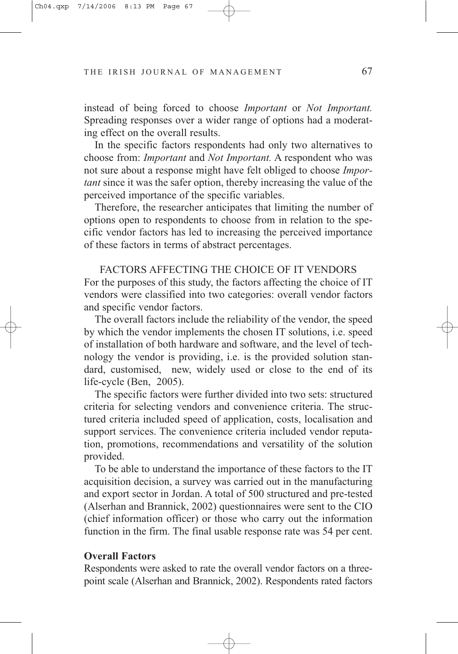instead of being forced to choose *Important* or *Not Important.* Spreading responses over a wider range of options had a moderating effect on the overall results.

In the specific factors respondents had only two alternatives to choose from: *Important* and *Not Important.* A respondent who was not sure about a response might have felt obliged to choose *Important* since it was the safer option, thereby increasing the value of the perceived importance of the specific variables.

Therefore, the researcher anticipates that limiting the number of options open to respondents to choose from in relation to the specific vendor factors has led to increasing the perceived importance of these factors in terms of abstract percentages.

FACTORS AFFECTING THE CHOICE OF IT VENDORS For the purposes of this study, the factors affecting the choice of IT vendors were classified into two categories: overall vendor factors and specific vendor factors.

The overall factors include the reliability of the vendor, the speed by which the vendor implements the chosen IT solutions, i.e. speed of installation of both hardware and software, and the level of technology the vendor is providing, i.e. is the provided solution standard, customised, new, widely used or close to the end of its life-cycle (Ben, 2005).

The specific factors were further divided into two sets: structured criteria for selecting vendors and convenience criteria. The structured criteria included speed of application, costs, localisation and support services. The convenience criteria included vendor reputation, promotions, recommendations and versatility of the solution provided.

To be able to understand the importance of these factors to the IT acquisition decision, a survey was carried out in the manufacturing and export sector in Jordan. A total of 500 structured and pre-tested (Alserhan and Brannick, 2002) questionnaires were sent to the CIO (chief information officer) or those who carry out the information function in the firm. The final usable response rate was 54 per cent.

#### **Overall Factors**

Respondents were asked to rate the overall vendor factors on a threepoint scale (Alserhan and Brannick, 2002). Respondents rated factors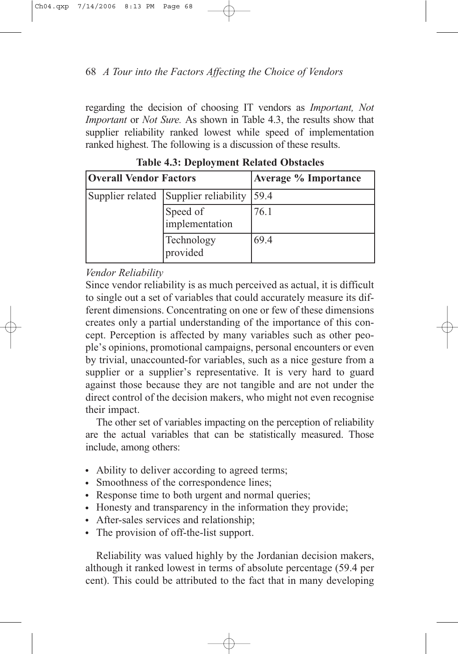regarding the decision of choosing IT vendors as *Important, Not Important* or *Not Sure.* As shown in Table 4.3, the results show that supplier reliability ranked lowest while speed of implementation ranked highest. The following is a discussion of these results.

| <b>Overall Vendor Factors</b> |                            | <b>Average % Importance</b> |  |
|-------------------------------|----------------------------|-----------------------------|--|
| Supplier related              | Supplier reliability       | 59.4                        |  |
|                               | Speed of<br>implementation | 76.1                        |  |
|                               | Technology<br>provided     | 69.4                        |  |

**Table 4.3: Deployment Related Obstacles**

# *Vendor Reliability*

Since vendor reliability is as much perceived as actual, it is difficult to single out a set of variables that could accurately measure its different dimensions. Concentrating on one or few of these dimensions creates only a partial understanding of the importance of this concept. Perception is affected by many variables such as other people's opinions, promotional campaigns, personal encounters or even by trivial, unaccounted-for variables, such as a nice gesture from a supplier or a supplier's representative. It is very hard to guard against those because they are not tangible and are not under the direct control of the decision makers, who might not even recognise their impact.

The other set of variables impacting on the perception of reliability are the actual variables that can be statistically measured. Those include, among others:

- Ability to deliver according to agreed terms;
- Smoothness of the correspondence lines;
- Response time to both urgent and normal queries;
- Honesty and transparency in the information they provide;
- After-sales services and relationship;
- The provision of off-the-list support.

Reliability was valued highly by the Jordanian decision makers, although it ranked lowest in terms of absolute percentage (59.4 per cent). This could be attributed to the fact that in many developing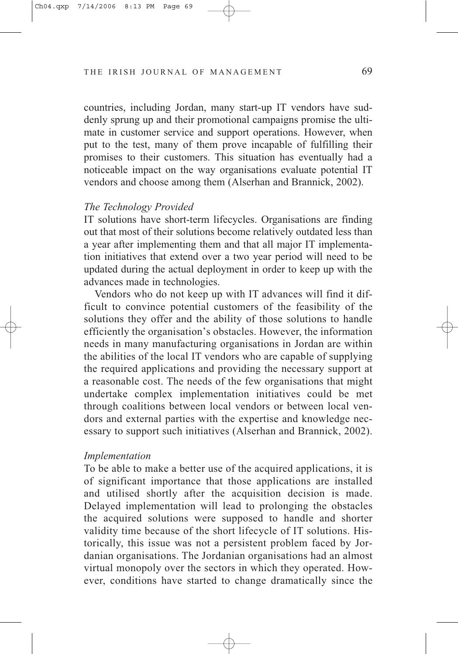countries, including Jordan, many start-up IT vendors have suddenly sprung up and their promotional campaigns promise the ultimate in customer service and support operations. However, when put to the test, many of them prove incapable of fulfilling their promises to their customers. This situation has eventually had a noticeable impact on the way organisations evaluate potential IT vendors and choose among them (Alserhan and Brannick, 2002).

#### *The Technology Provided*

IT solutions have short-term lifecycles. Organisations are finding out that most of their solutions become relatively outdated less than a year after implementing them and that all major IT implementation initiatives that extend over a two year period will need to be updated during the actual deployment in order to keep up with the advances made in technologies.

Vendors who do not keep up with IT advances will find it difficult to convince potential customers of the feasibility of the solutions they offer and the ability of those solutions to handle efficiently the organisation's obstacles. However, the information needs in many manufacturing organisations in Jordan are within the abilities of the local IT vendors who are capable of supplying the required applications and providing the necessary support at a reasonable cost. The needs of the few organisations that might undertake complex implementation initiatives could be met through coalitions between local vendors or between local vendors and external parties with the expertise and knowledge necessary to support such initiatives (Alserhan and Brannick, 2002).

#### *Implementation*

To be able to make a better use of the acquired applications, it is of significant importance that those applications are installed and utilised shortly after the acquisition decision is made. Delayed implementation will lead to prolonging the obstacles the acquired solutions were supposed to handle and shorter validity time because of the short lifecycle of IT solutions. Historically, this issue was not a persistent problem faced by Jordanian organisations. The Jordanian organisations had an almost virtual monopoly over the sectors in which they operated. However, conditions have started to change dramatically since the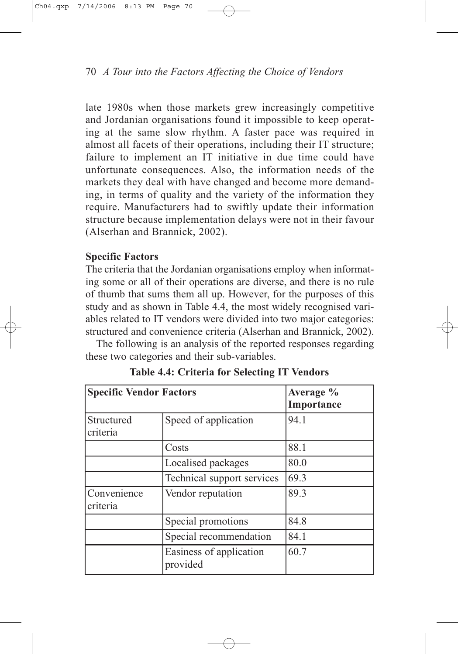late 1980s when those markets grew increasingly competitive and Jordanian organisations found it impossible to keep operating at the same slow rhythm. A faster pace was required in almost all facets of their operations, including their IT structure; failure to implement an IT initiative in due time could have unfortunate consequences. Also, the information needs of the markets they deal with have changed and become more demanding, in terms of quality and the variety of the information they require. Manufacturers had to swiftly update their information structure because implementation delays were not in their favour (Alserhan and Brannick, 2002).

# **Specific Factors**

The criteria that the Jordanian organisations employ when informating some or all of their operations are diverse, and there is no rule of thumb that sums them all up. However, for the purposes of this study and as shown in Table 4.4, the most widely recognised variables related to IT vendors were divided into two major categories: structured and convenience criteria (Alserhan and Brannick, 2002).

The following is an analysis of the reported responses regarding these two categories and their sub-variables.

| <b>Specific Vendor Factors</b> | Average %<br>Importance             |      |
|--------------------------------|-------------------------------------|------|
| Structured<br>criteria         | Speed of application                | 94.1 |
|                                | Costs                               | 88.1 |
|                                | Localised packages                  | 80.0 |
|                                | Technical support services          | 69.3 |
| Convenience<br>criteria        | Vendor reputation                   | 89.3 |
|                                | Special promotions                  | 84.8 |
|                                | Special recommendation              | 84.1 |
|                                | Easiness of application<br>provided | 60.7 |

**Table 4.4: Criteria for Selecting IT Vendors**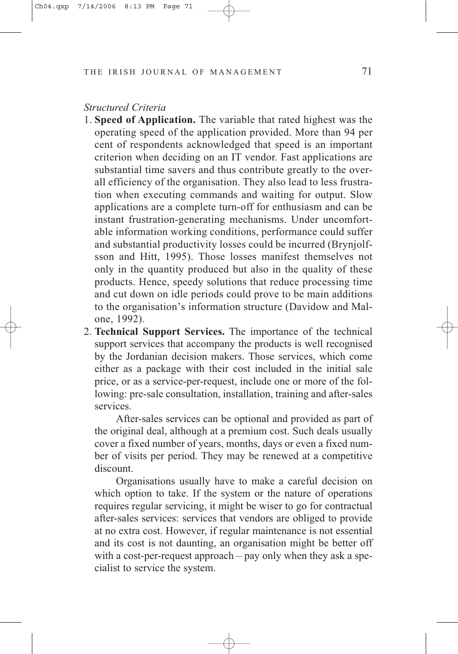### *Structured Criteria*

- 1. **Speed of Application.** The variable that rated highest was the operating speed of the application provided. More than 94 per cent of respondents acknowledged that speed is an important criterion when deciding on an IT vendor. Fast applications are substantial time savers and thus contribute greatly to the overall efficiency of the organisation. They also lead to less frustration when executing commands and waiting for output. Slow applications are a complete turn-off for enthusiasm and can be instant frustration-generating mechanisms. Under uncomfortable information working conditions, performance could suffer and substantial productivity losses could be incurred (Brynjolfsson and Hitt, 1995). Those losses manifest themselves not only in the quantity produced but also in the quality of these products. Hence, speedy solutions that reduce processing time and cut down on idle periods could prove to be main additions to the organisation's information structure (Davidow and Malone, 1992).
- 2. **Technical Support Services.** The importance of the technical support services that accompany the products is well recognised by the Jordanian decision makers. Those services, which come either as a package with their cost included in the initial sale price, or as a service-per-request, include one or more of the following: pre-sale consultation, installation, training and after-sales services.

After-sales services can be optional and provided as part of the original deal, although at a premium cost. Such deals usually cover a fixed number of years, months, days or even a fixed number of visits per period. They may be renewed at a competitive discount.

Organisations usually have to make a careful decision on which option to take. If the system or the nature of operations requires regular servicing, it might be wiser to go for contractual after-sales services: services that vendors are obliged to provide at no extra cost. However, if regular maintenance is not essential and its cost is not daunting, an organisation might be better off with a cost-per-request approach – pay only when they ask a specialist to service the system.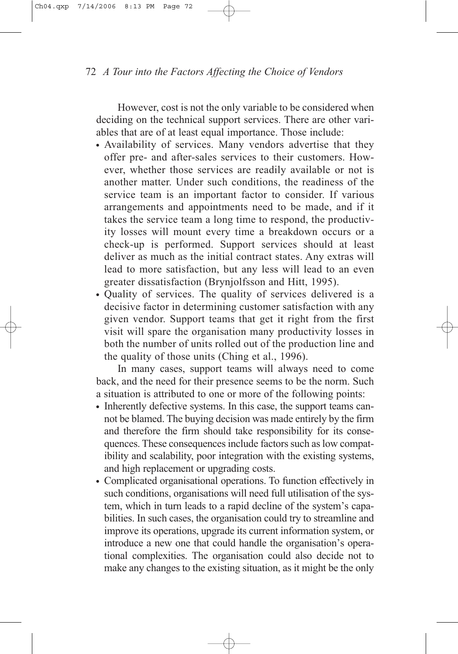However, cost is not the only variable to be considered when deciding on the technical support services. There are other variables that are of at least equal importance. Those include:

- Availability of services. Many vendors advertise that they offer pre- and after-sales services to their customers. However, whether those services are readily available or not is another matter. Under such conditions, the readiness of the service team is an important factor to consider. If various arrangements and appointments need to be made, and if it takes the service team a long time to respond, the productivity losses will mount every time a breakdown occurs or a check-up is performed. Support services should at least deliver as much as the initial contract states. Any extras will lead to more satisfaction, but any less will lead to an even greater dissatisfaction (Brynjolfsson and Hitt, 1995).
- Quality of services. The quality of services delivered is a decisive factor in determining customer satisfaction with any given vendor. Support teams that get it right from the first visit will spare the organisation many productivity losses in both the number of units rolled out of the production line and the quality of those units (Ching et al., 1996).

In many cases, support teams will always need to come back, and the need for their presence seems to be the norm. Such a situation is attributed to one or more of the following points:

- Inherently defective systems. In this case, the support teams cannot be blamed. The buying decision was made entirely by the firm and therefore the firm should take responsibility for its consequences. These consequences include factors such as low compatibility and scalability, poor integration with the existing systems, and high replacement or upgrading costs.
- Complicated organisational operations. To function effectively in such conditions, organisations will need full utilisation of the system, which in turn leads to a rapid decline of the system's capabilities. In such cases, the organisation could try to streamline and improve its operations, upgrade its current information system, or introduce a new one that could handle the organisation's operational complexities. The organisation could also decide not to make any changes to the existing situation, as it might be the only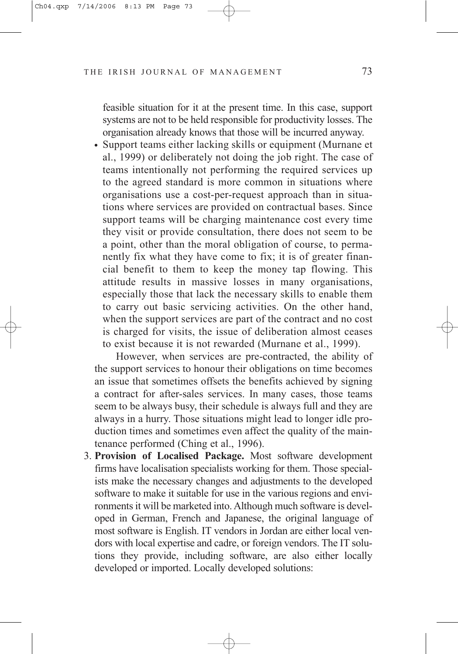feasible situation for it at the present time. In this case, support systems are not to be held responsible for productivity losses. The organisation already knows that those will be incurred anyway.

• Support teams either lacking skills or equipment (Murnane et al., 1999) or deliberately not doing the job right. The case of teams intentionally not performing the required services up to the agreed standard is more common in situations where organisations use a cost-per-request approach than in situations where services are provided on contractual bases. Since support teams will be charging maintenance cost every time they visit or provide consultation, there does not seem to be a point, other than the moral obligation of course, to permanently fix what they have come to fix; it is of greater financial benefit to them to keep the money tap flowing. This attitude results in massive losses in many organisations, especially those that lack the necessary skills to enable them to carry out basic servicing activities. On the other hand, when the support services are part of the contract and no cost is charged for visits, the issue of deliberation almost ceases to exist because it is not rewarded (Murnane et al., 1999).

However, when services are pre-contracted, the ability of the support services to honour their obligations on time becomes an issue that sometimes offsets the benefits achieved by signing a contract for after-sales services. In many cases, those teams seem to be always busy, their schedule is always full and they are always in a hurry. Those situations might lead to longer idle production times and sometimes even affect the quality of the maintenance performed (Ching et al., 1996).

3. **Provision of Localised Package.** Most software development firms have localisation specialists working for them. Those specialists make the necessary changes and adjustments to the developed software to make it suitable for use in the various regions and environments it will be marketed into. Although much software is developed in German, French and Japanese, the original language of most software is English. IT vendors in Jordan are either local vendors with local expertise and cadre, or foreign vendors. The IT solutions they provide, including software, are also either locally developed or imported. Locally developed solutions: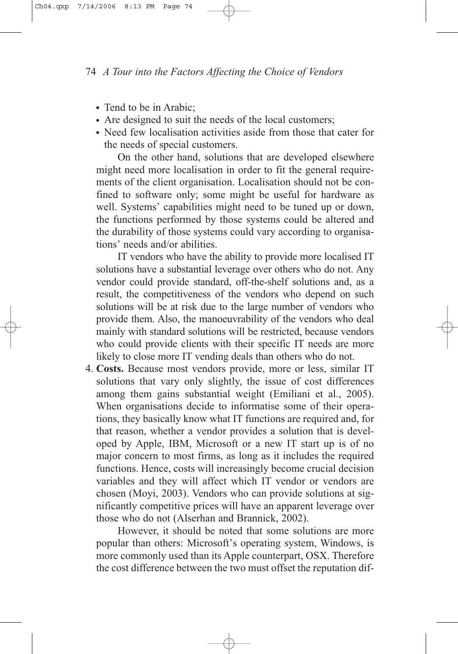- Tend to be in Arabic;
- Are designed to suit the needs of the local customers;
- Need few localisation activities aside from those that cater for the needs of special customers.

On the other hand, solutions that are developed elsewhere might need more localisation in order to fit the general requirements of the client organisation. Localisation should not be confined to software only; some might be useful for hardware as well. Systems' capabilities might need to be tuned up or down, the functions performed by those systems could be altered and the durability of those systems could vary according to organisations' needs and/or abilities.

IT vendors who have the ability to provide more localised IT solutions have a substantial leverage over others who do not. Any vendor could provide standard, off-the-shelf solutions and, as a result, the competitiveness of the vendors who depend on such solutions will be at risk due to the large number of vendors who provide them. Also, the manoeuvrability of the vendors who deal mainly with standard solutions will be restricted, because vendors who could provide clients with their specific IT needs are more likely to close more IT vending deals than others who do not.

4. **Costs.** Because most vendors provide, more or less, similar IT solutions that vary only slightly, the issue of cost differences among them gains substantial weight (Emiliani et al., 2005). When organisations decide to informatise some of their operations, they basically know what IT functions are required and, for that reason, whether a vendor provides a solution that is developed by Apple, IBM, Microsoft or a new IT start up is of no major concern to most firms, as long as it includes the required functions. Hence, costs will increasingly become crucial decision variables and they will affect which IT vendor or vendors are chosen (Moyi, 2003). Vendors who can provide solutions at significantly competitive prices will have an apparent leverage over those who do not (Alserhan and Brannick, 2002).

However, it should be noted that some solutions are more popular than others: Microsoft's operating system, Windows, is more commonly used than its Apple counterpart, OSX. Therefore the cost difference between the two must offset the reputation dif-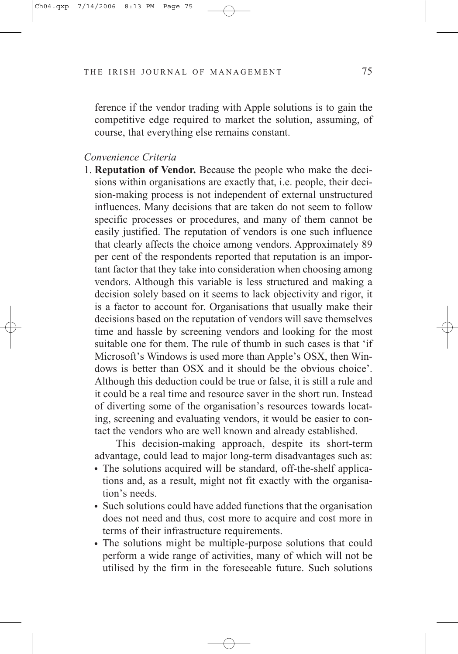ference if the vendor trading with Apple solutions is to gain the competitive edge required to market the solution, assuming, of course, that everything else remains constant.

#### *Convenience Criteria*

1. **Reputation of Vendor.** Because the people who make the decisions within organisations are exactly that, i.e. people, their decision-making process is not independent of external unstructured influences. Many decisions that are taken do not seem to follow specific processes or procedures, and many of them cannot be easily justified. The reputation of vendors is one such influence that clearly affects the choice among vendors. Approximately 89 per cent of the respondents reported that reputation is an important factor that they take into consideration when choosing among vendors. Although this variable is less structured and making a decision solely based on it seems to lack objectivity and rigor, it is a factor to account for. Organisations that usually make their decisions based on the reputation of vendors will save themselves time and hassle by screening vendors and looking for the most suitable one for them. The rule of thumb in such cases is that 'if Microsoft's Windows is used more than Apple's OSX, then Windows is better than OSX and it should be the obvious choice'. Although this deduction could be true or false, it is still a rule and it could be a real time and resource saver in the short run. Instead of diverting some of the organisation's resources towards locating, screening and evaluating vendors, it would be easier to contact the vendors who are well known and already established.

This decision-making approach, despite its short-term advantage, could lead to major long-term disadvantages such as:

- The solutions acquired will be standard, off-the-shelf applications and, as a result, might not fit exactly with the organisation's needs.
- Such solutions could have added functions that the organisation does not need and thus, cost more to acquire and cost more in terms of their infrastructure requirements.
- The solutions might be multiple-purpose solutions that could perform a wide range of activities, many of which will not be utilised by the firm in the foreseeable future. Such solutions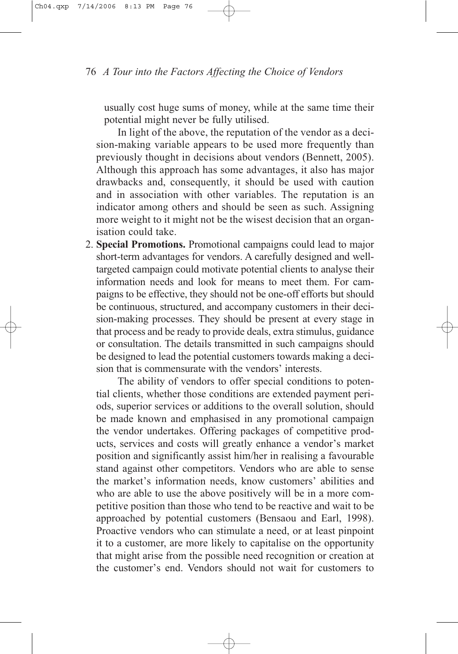usually cost huge sums of money, while at the same time their potential might never be fully utilised.

In light of the above, the reputation of the vendor as a decision-making variable appears to be used more frequently than previously thought in decisions about vendors (Bennett, 2005). Although this approach has some advantages, it also has major drawbacks and, consequently, it should be used with caution and in association with other variables. The reputation is an indicator among others and should be seen as such. Assigning more weight to it might not be the wisest decision that an organisation could take.

2. **Special Promotions.** Promotional campaigns could lead to major short-term advantages for vendors. A carefully designed and welltargeted campaign could motivate potential clients to analyse their information needs and look for means to meet them. For campaigns to be effective, they should not be one-off efforts but should be continuous, structured, and accompany customers in their decision-making processes. They should be present at every stage in that process and be ready to provide deals, extra stimulus, guidance or consultation. The details transmitted in such campaigns should be designed to lead the potential customers towards making a decision that is commensurate with the vendors' interests.

The ability of vendors to offer special conditions to potential clients, whether those conditions are extended payment periods, superior services or additions to the overall solution, should be made known and emphasised in any promotional campaign the vendor undertakes. Offering packages of competitive products, services and costs will greatly enhance a vendor's market position and significantly assist him/her in realising a favourable stand against other competitors. Vendors who are able to sense the market's information needs, know customers' abilities and who are able to use the above positively will be in a more competitive position than those who tend to be reactive and wait to be approached by potential customers (Bensaou and Earl, 1998). Proactive vendors who can stimulate a need, or at least pinpoint it to a customer, are more likely to capitalise on the opportunity that might arise from the possible need recognition or creation at the customer's end. Vendors should not wait for customers to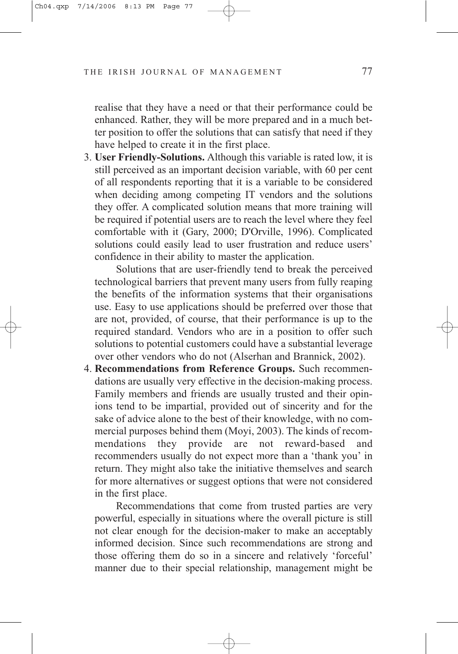realise that they have a need or that their performance could be enhanced. Rather, they will be more prepared and in a much better position to offer the solutions that can satisfy that need if they have helped to create it in the first place.

3. **User Friendly-Solutions.** Although this variable is rated low, it is still perceived as an important decision variable, with 60 per cent of all respondents reporting that it is a variable to be considered when deciding among competing IT vendors and the solutions they offer. A complicated solution means that more training will be required if potential users are to reach the level where they feel comfortable with it (Gary, 2000; D'Orville, 1996). Complicated solutions could easily lead to user frustration and reduce users' confidence in their ability to master the application.

Solutions that are user-friendly tend to break the perceived technological barriers that prevent many users from fully reaping the benefits of the information systems that their organisations use. Easy to use applications should be preferred over those that are not, provided, of course, that their performance is up to the required standard. Vendors who are in a position to offer such solutions to potential customers could have a substantial leverage over other vendors who do not (Alserhan and Brannick, 2002).

4. **Recommendations from Reference Groups.** Such recommendations are usually very effective in the decision-making process. Family members and friends are usually trusted and their opinions tend to be impartial, provided out of sincerity and for the sake of advice alone to the best of their knowledge, with no commercial purposes behind them (Moyi, 2003). The kinds of recommendations they provide are not reward-based and recommenders usually do not expect more than a 'thank you' in return. They might also take the initiative themselves and search for more alternatives or suggest options that were not considered in the first place.

Recommendations that come from trusted parties are very powerful, especially in situations where the overall picture is still not clear enough for the decision-maker to make an acceptably informed decision. Since such recommendations are strong and those offering them do so in a sincere and relatively 'forceful' manner due to their special relationship, management might be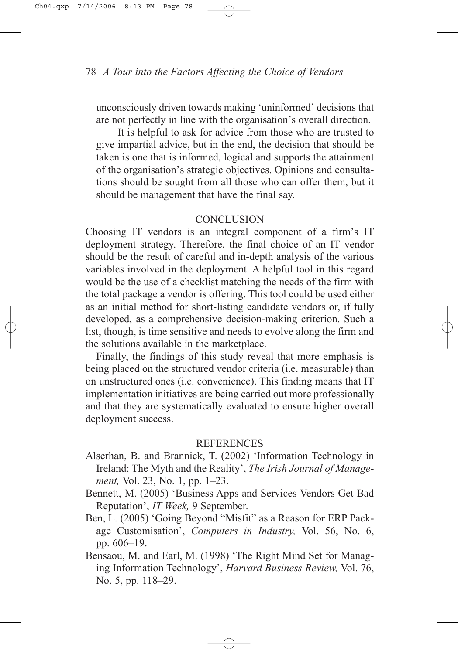unconsciously driven towards making 'uninformed' decisions that are not perfectly in line with the organisation's overall direction.

It is helpful to ask for advice from those who are trusted to give impartial advice, but in the end, the decision that should be taken is one that is informed, logical and supports the attainment of the organisation's strategic objectives. Opinions and consultations should be sought from all those who can offer them, but it should be management that have the final say.

#### **CONCLUSION**

Choosing IT vendors is an integral component of a firm's IT deployment strategy. Therefore, the final choice of an IT vendor should be the result of careful and in-depth analysis of the various variables involved in the deployment. A helpful tool in this regard would be the use of a checklist matching the needs of the firm with the total package a vendor is offering. This tool could be used either as an initial method for short-listing candidate vendors or, if fully developed, as a comprehensive decision-making criterion. Such a list, though, is time sensitive and needs to evolve along the firm and the solutions available in the marketplace.

Finally, the findings of this study reveal that more emphasis is being placed on the structured vendor criteria (i.e. measurable) than on unstructured ones (i.e. convenience). This finding means that IT implementation initiatives are being carried out more professionally and that they are systematically evaluated to ensure higher overall deployment success.

#### **REFERENCES**

- Alserhan, B. and Brannick, T. (2002) 'Information Technology in Ireland: The Myth and the Reality', *The Irish Journal of Management,* Vol. 23, No. 1, pp. 1–23.
- Bennett, M. (2005) 'Business Apps and Services Vendors Get Bad Reputation', *IT Week,* 9 September.
- Ben, L. (2005) 'Going Beyond "Misfit" as a Reason for ERP Package Customisation', *Computers in Industry,* Vol. 56, No. 6, pp. 606–19.
- Bensaou, M. and Earl, M. (1998) 'The Right Mind Set for Managing Information Technology', *Harvard Business Review,* Vol. 76, No. 5, pp. 118–29.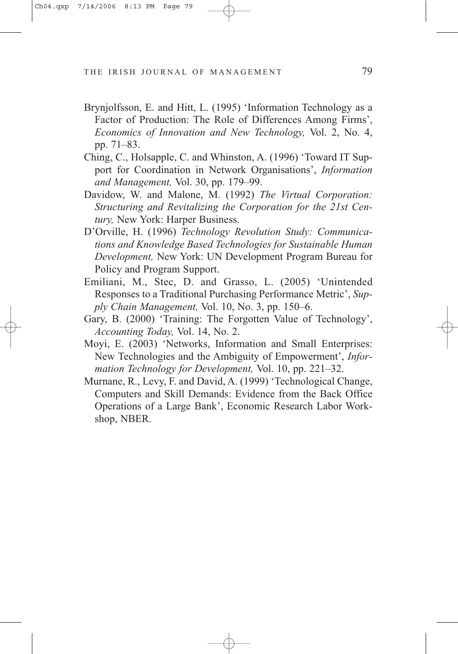- Brynjolfsson, E. and Hitt, L. (1995) 'Information Technology as a Factor of Production: The Role of Differences Among Firms', *Economics of Innovation and New Technology,* Vol. 2, No. 4, pp. 71–83.
- Ching, C., Holsapple, C. and Whinston, A. (1996) 'Toward IT Support for Coordination in Network Organisations', *Information and Management,* Vol. 30, pp. 179–99.
- Davidow, W. and Malone, M. (1992) *The Virtual Corporation: Structuring and Revitalizing the Corporation for the 21st Century,* New York: Harper Business.
- D'Orville, H. (1996) *Technology Revolution Study: Communications and Knowledge Based Technologies for Sustainable Human Development,* New York: UN Development Program Bureau for Policy and Program Support.
- Emiliani, M., Stec, D. and Grasso, L. (2005) 'Unintended Responses to a Traditional Purchasing Performance Metric', *Supply Chain Management,* Vol. 10, No. 3, pp. 150–6.
- Gary, B. (2000) 'Training: The Forgotten Value of Technology', *Accounting Today,* Vol. 14, No. 2.
- Moyi, E. (2003) 'Networks, Information and Small Enterprises: New Technologies and the Ambiguity of Empowerment', *Information Technology for Development,* Vol. 10, pp. 221–32.
- Murnane, R., Levy, F. and David, A. (1999) 'Technological Change, Computers and Skill Demands: Evidence from the Back Office Operations of a Large Bank', Economic Research Labor Workshop, NBER.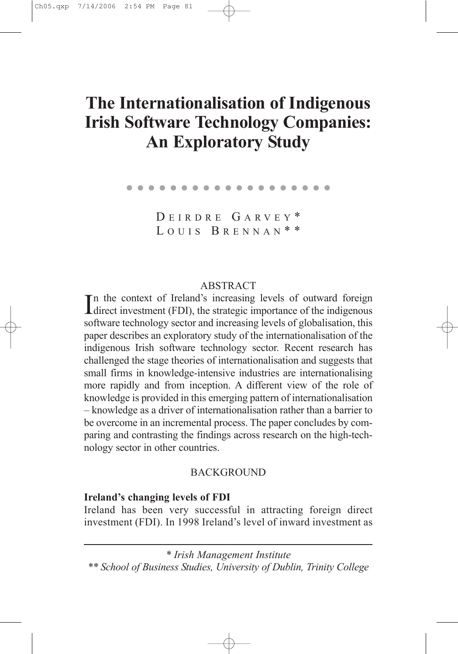# The Internationalisation of Indigenous Irish Software Technology Companies: An Exploratory Study

. . . . . . . . . . . .

D EIRDRE G A R VEY \* LOUIS BRENNAN<sup>\*\*</sup>

#### ABSTRACT

In the context of Ireland's increasing levels of outward foreign<br>direct investment (FDI), the strategic importance of the indigenous n the context of Ireland's increasing levels of outward foreign software technology sector and increasing levels of globalisation, this paper describes an exploratory study of the internationalisation of the indigenous Irish software technology sector. Recent research has challenged the stage theories of internationalisation and suggests that small firms in knowledge-intensive industries are internationalising more rapidly and from inception. A different view of the role of knowledge is provided in this emerging pattern of internationalisation – knowledge as a driver of internationalisation rather than a barrier to be overcome in an incremental process. The paper concludes by comparing and contrasting the findings across research on the high-technology sector in other countries.

#### **BACKGROUND**

#### Ireland's changing levels of FDI

Ireland has been very successful in attracting foreign direct investment (FDI). In 1998 Ireland's level of inward investment as

\* Irish Management Institute

\*\* School of Business Studies, University of Dublin, Trinity College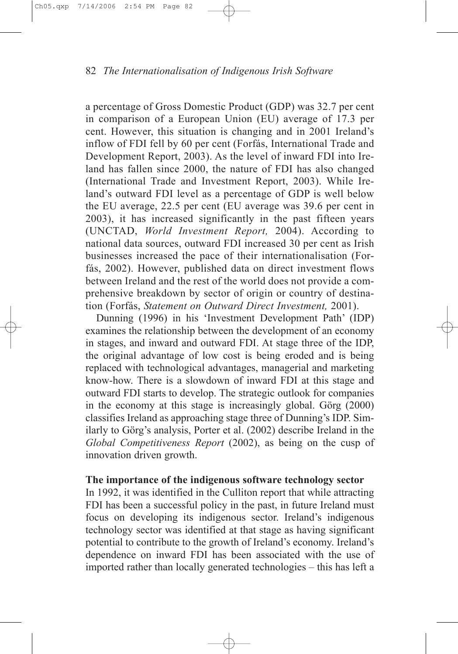a percentage of Gross Domestic Product (GDP) was 32.7 per cent in comparison of a European Union (EU) average of 17.3 per cent. However, this situation is changing and in 2001 Ireland's inflow of FDI fell by 60 per cent (Forfás, International Trade and Development Report, 2003). As the level of inward FDI into Ireland has fallen since 2000, the nature of FDI has also changed (International Trade and Investment Report, 2003). While Ireland's outward FDI level as a percentage of GDP is well below the EU average, 22.5 per cent (EU average was 39.6 per cent in 2003), it has increased significantly in the past fifteen years (UNCTAD, World Investment Report, 2004). According to national data sources, outward FDI increased 30 per cent as Irish businesses increased the pace of their internationalisation (Forfás, 2002). However, published data on direct investment flows between Ireland and the rest of the world does not provide a comprehensive breakdown by sector of origin or country of destination (Forfás, Statement on Outward Direct Investment, 2001).

Dunning (1996) in his 'Investment Development Path' (IDP) examines the relationship between the development of an economy in stages, and inward and outward FDI. At stage three of the IDP, the original advantage of low cost is being eroded and is being replaced with technological advantages, managerial and marketing know-how. There is a slowdown of inward FDI at this stage and outward FDI starts to develop. The strategic outlook for companies in the economy at this stage is increasingly global. Görg (2000) classifies Ireland as approaching stage three of Dunning's IDP. Similarly to Görg's analysis, Porter et al. (2002) describe Ireland in the Global Competitiveness Report (2002), as being on the cusp of innovation driven growth.

# The importance of the indigenous software technology sector

In 1992, it was identified in the Culliton report that while attracting FDI has been a successful policy in the past, in future Ireland must focus on developing its indigenous sector. Ireland's indigenous technology sector was identified at that stage as having significant potential to contribute to the growth of Ireland's economy. Ireland's dependence on inward FDI has been associated with the use of imported rather than locally generated technologies – this has left a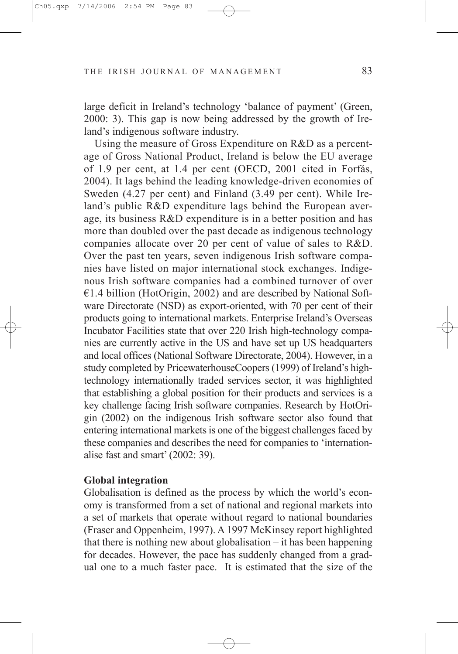large deficit in Ireland's technology 'balance of payment' (Green, 2000: 3). This gap is now being addressed by the growth of Ireland's indigenous software industry.

Using the measure of Gross Expenditure on R&D as a percentage of Gross National Product, Ireland is below the EU average of 1.9 per cent, at 1.4 per cent (OECD, 2001 cited in Forfás, 2004). It lags behind the leading knowledge-driven economies of Sweden (4.27 per cent) and Finland (3.49 per cent). While Ireland's public R&D expenditure lags behind the European average, its business R&D expenditure is in a better position and has more than doubled over the past decade as indigenous technology companies allocate over 20 per cent of value of sales to R&D. Over the past ten years, seven indigenous Irish software companies have listed on major international stock exchanges. Indigenous Irish software companies had a combined turnover of over  $€1.4$  billion (HotOrigin, 2002) and are described by National Software Directorate (NSD) as export-oriented, with 70 per cent of their products going to international markets. Enterprise Ireland's Overseas Incubator Facilities state that over 220 Irish high-technology companies are currently active in the US and have set up US headquarters and local offices (National Software Directorate, 2004). However, in a study completed by PricewaterhouseCoopers (1999) of Ireland's hightechnology internationally traded services sector, it was highlighted that establishing a global position for their products and services is a key challenge facing Irish software companies. Research by HotOrigin (2002) on the indigenous Irish software sector also found that entering international markets is one of the biggest challenges faced by these companies and describes the need for companies to 'internationalise fast and smart' (2002: 39).

## Global integration

Globalisation is defined as the process by which the world's economy is transformed from a set of national and regional markets into a set of markets that operate without regard to national boundaries (Fraser and Oppenheim, 1997). A 1997 McKinsey report highlighted that there is nothing new about globalisation – it has been happening for decades. However, the pace has suddenly changed from a gradual one to a much faster pace. It is estimated that the size of the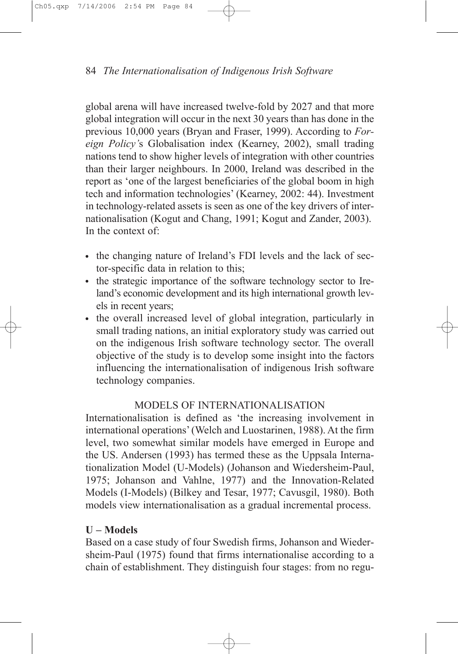global arena will have increased twelve-fold by 2027 and that more global integration will occur in the next 30 years than has done in the previous 10,000 years (Bryan and Fraser, 1999). According to Foreign Policy's Globalisation index (Kearney, 2002), small trading nations tend to show higher levels of integration with other countries than their larger neighbours. In 2000, Ireland was described in the report as 'one of the largest beneficiaries of the global boom in high tech and information technologies' (Kearney, 2002: 44). Investment in technology-related assets is seen as one of the key drivers of internationalisation (Kogut and Chang, 1991; Kogut and Zander, 2003). In the context of:

- the changing nature of Ireland's FDI levels and the lack of sector-specific data in relation to this;
- the strategic importance of the software technology sector to Ireland's economic development and its high international growth levels in recent years;
- the overall increased level of global integration, particularly in small trading nations, an initial exploratory study was carried out on the indigenous Irish software technology sector. The overall objective of the study is to develop some insight into the factors influencing the internationalisation of indigenous Irish software technology companies.

# MODELS OF INTERNATIONALISATION

Internationalisation is defined as 'the increasing involvement in international operations'(Welch and Luostarinen, 1988). At the firm level, two somewhat similar models have emerged in Europe and the US. Andersen (1993) has termed these as the Uppsala Internationalization Model (U-Models) (Johanson and Wiedersheim-Paul, 1975; Johanson and Vahlne, 1977) and the Innovation-Related Models (I-Models) (Bilkey and Tesar, 1977; Cavusgil, 1980). Both models view internationalisation as a gradual incremental process.

# U – Models

Based on a case study of four Swedish firms, Johanson and Wiedersheim-Paul (1975) found that firms internationalise according to a chain of establishment. They distinguish four stages: from no regu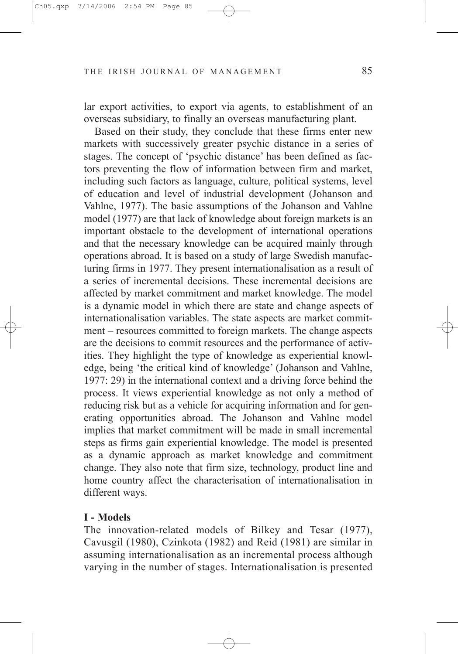lar export activities, to export via agents, to establishment of an overseas subsidiary, to finally an overseas manufacturing plant.

Based on their study, they conclude that these firms enter new markets with successively greater psychic distance in a series of stages. The concept of 'psychic distance' has been defined as factors preventing the flow of information between firm and market, including such factors as language, culture, political systems, level of education and level of industrial development (Johanson and Vahlne, 1977). The basic assumptions of the Johanson and Vahlne model (1977) are that lack of knowledge about foreign markets is an important obstacle to the development of international operations and that the necessary knowledge can be acquired mainly through operations abroad. It is based on a study of large Swedish manufacturing firms in 1977. They present internationalisation as a result of a series of incremental decisions. These incremental decisions are affected by market commitment and market knowledge. The model is a dynamic model in which there are state and change aspects of internationalisation variables. The state aspects are market commitment – resources committed to foreign markets. The change aspects are the decisions to commit resources and the performance of activities. They highlight the type of knowledge as experiential knowledge, being 'the critical kind of knowledge' (Johanson and Vahlne, 1977: 29) in the international context and a driving force behind the process. It views experiential knowledge as not only a method of reducing risk but as a vehicle for acquiring information and for generating opportunities abroad. The Johanson and Vahlne model implies that market commitment will be made in small incremental steps as firms gain experiential knowledge. The model is presented as a dynamic approach as market knowledge and commitment change. They also note that firm size, technology, product line and home country affect the characterisation of internationalisation in different ways.

#### I - Models

The innovation-related models of Bilkey and Tesar (1977), Cavusgil (1980), Czinkota (1982) and Reid (1981) are similar in assuming internationalisation as an incremental process although varying in the number of stages. Internationalisation is presented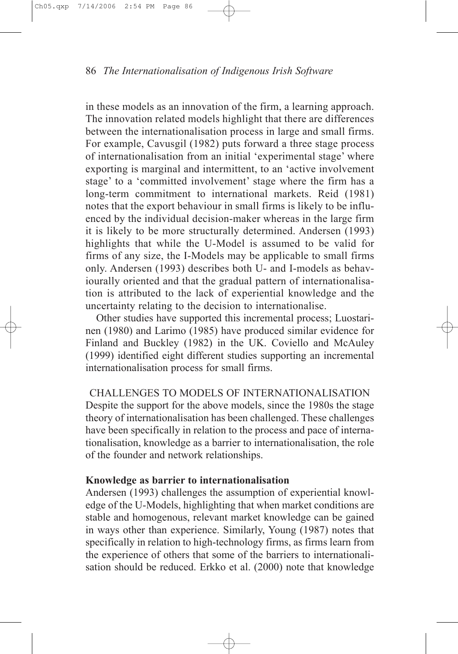in these models as an innovation of the firm, a learning approach. The innovation related models highlight that there are differences between the internationalisation process in large and small firms. For example, Cavusgil (1982) puts forward a three stage process of internationalisation from an initial 'experimental stage' where exporting is marginal and intermittent, to an 'active involvement stage' to a 'committed involvement' stage where the firm has a long-term commitment to international markets. Reid (1981) notes that the export behaviour in small firms is likely to be influenced by the individual decision-maker whereas in the large firm it is likely to be more structurally determined. Andersen (1993) highlights that while the U-Model is assumed to be valid for firms of any size, the I-Models may be applicable to small firms only. Andersen (1993) describes both U- and I-models as behaviourally oriented and that the gradual pattern of internationalisation is attributed to the lack of experiential knowledge and the uncertainty relating to the decision to internationalise.

Other studies have supported this incremental process; Luostarinen (1980) and Larimo (1985) have produced similar evidence for Finland and Buckley (1982) in the UK. Coviello and McAuley (1999) identified eight different studies supporting an incremental internationalisation process for small firms.

CHALLENGES TO MODELS OF INTERNATIONALISATION Despite the support for the above models, since the 1980s the stage theory of internationalisation has been challenged. These challenges have been specifically in relation to the process and pace of internationalisation, knowledge as a barrier to internationalisation, the role of the founder and network relationships.

# Knowledge as barrier to internationalisation

Andersen (1993) challenges the assumption of experiential knowledge of the U-Models, highlighting that when market conditions are stable and homogenous, relevant market knowledge can be gained in ways other than experience. Similarly, Young (1987) notes that specifically in relation to high-technology firms, as firms learn from the experience of others that some of the barriers to internationalisation should be reduced. Erkko et al. (2000) note that knowledge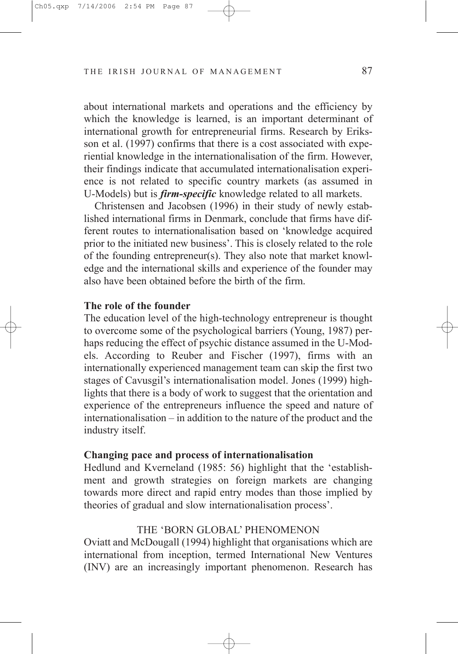about international markets and operations and the efficiency by which the knowledge is learned, is an important determinant of international growth for entrepreneurial firms. Research by Eriksson et al. (1997) confirms that there is a cost associated with experiential knowledge in the internationalisation of the firm. However, their findings indicate that accumulated internationalisation experience is not related to specific country markets (as assumed in U-Models) but is *firm-specific* knowledge related to all markets.

Christensen and Jacobsen (1996) in their study of newly established international firms in Denmark, conclude that firms have different routes to internationalisation based on 'knowledge acquired prior to the initiated new business'. This is closely related to the role of the founding entrepreneur(s). They also note that market knowledge and the international skills and experience of the founder may also have been obtained before the birth of the firm.

#### The role of the founder

The education level of the high-technology entrepreneur is thought to overcome some of the psychological barriers (Young, 1987) perhaps reducing the effect of psychic distance assumed in the U-Models. According to Reuber and Fischer (1997), firms with an internationally experienced management team can skip the first two stages of Cavusgil's internationalisation model. Jones (1999) highlights that there is a body of work to suggest that the orientation and experience of the entrepreneurs influence the speed and nature of internationalisation – in addition to the nature of the product and the industry itself.

#### Changing pace and process of internationalisation

Hedlund and Kverneland (1985: 56) highlight that the 'establishment and growth strategies on foreign markets are changing towards more direct and rapid entry modes than those implied by theories of gradual and slow internationalisation process'.

#### THE 'BORN GLOBAL' PHENOMENON

Oviatt and McDougall (1994) highlight that organisations which are international from inception, termed International New Ventures (INV) are an increasingly important phenomenon. Research has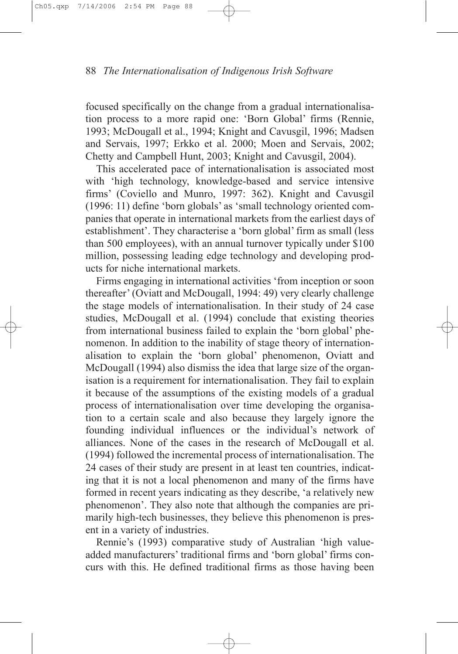focused specifically on the change from a gradual internationalisation process to a more rapid one: 'Born Global' firms (Rennie, 1993; McDougall et al., 1994; Knight and Cavusgil, 1996; Madsen and Servais, 1997; Erkko et al. 2000; Moen and Servais, 2002; Chetty and Campbell Hunt, 2003; Knight and Cavusgil, 2004).

This accelerated pace of internationalisation is associated most with 'high technology, knowledge-based and service intensive firms' (Coviello and Munro, 1997: 362). Knight and Cavusgil (1996: 11) define 'born globals' as 'small technology oriented companies that operate in international markets from the earliest days of establishment'. They characterise a 'born global' firm as small (less) than 500 employees), with an annual turnover typically under \$100 million, possessing leading edge technology and developing products for niche international markets.

Firms engaging in international activities 'from inception or soon thereafter'(Oviatt and McDougall, 1994: 49) very clearly challenge the stage models of internationalisation. In their study of 24 case studies, McDougall et al. (1994) conclude that existing theories from international business failed to explain the 'born global' phenomenon. In addition to the inability of stage theory of internationalisation to explain the 'born global' phenomenon, Oviatt and McDougall (1994) also dismiss the idea that large size of the organisation is a requirement for internationalisation. They fail to explain it because of the assumptions of the existing models of a gradual process of internationalisation over time developing the organisation to a certain scale and also because they largely ignore the founding individual influences or the individual's network of alliances. None of the cases in the research of McDougall et al. (1994) followed the incremental process of internationalisation. The 24 cases of their study are present in at least ten countries, indicating that it is not a local phenomenon and many of the firms have formed in recent years indicating as they describe, 'a relatively new phenomenon'. They also note that although the companies are primarily high-tech businesses, they believe this phenomenon is present in a variety of industries.

Rennie's (1993) comparative study of Australian 'high valueadded manufacturers' traditional firms and 'born global' firms concurs with this. He defined traditional firms as those having been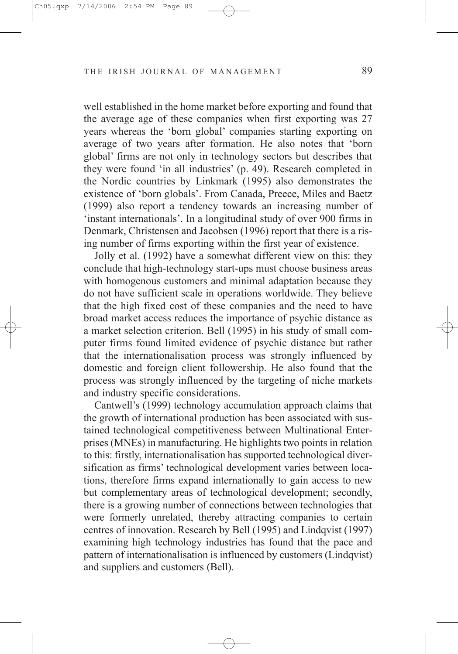well established in the home market before exporting and found that the average age of these companies when first exporting was 27 years whereas the 'born global' companies starting exporting on average of two years after formation. He also notes that 'born global' firms are not only in technology sectors but describes that they were found 'in all industries' (p. 49). Research completed in the Nordic countries by Linkmark (1995) also demonstrates the existence of 'born globals'. From Canada, Preece, Miles and Baetz (1999) also report a tendency towards an increasing number of 'instant internationals'. In a longitudinal study of over 900 firms in Denmark, Christensen and Jacobsen (1996) report that there is a rising number of firms exporting within the first year of existence.

Jolly et al. (1992) have a somewhat different view on this: they conclude that high-technology start-ups must choose business areas with homogenous customers and minimal adaptation because they do not have sufficient scale in operations worldwide. They believe that the high fixed cost of these companies and the need to have broad market access reduces the importance of psychic distance as a market selection criterion. Bell (1995) in his study of small computer firms found limited evidence of psychic distance but rather that the internationalisation process was strongly influenced by domestic and foreign client followership. He also found that the process was strongly influenced by the targeting of niche markets and industry specific considerations.

Cantwell's (1999) technology accumulation approach claims that the growth of international production has been associated with sustained technological competitiveness between Multinational Enterprises (MNEs) in manufacturing. He highlights two points in relation to this: firstly, internationalisation has supported technological diversification as firms' technological development varies between locations, therefore firms expand internationally to gain access to new but complementary areas of technological development; secondly, there is a growing number of connections between technologies that were formerly unrelated, thereby attracting companies to certain centres of innovation. Research by Bell (1995) and Lindqvist (1997) examining high technology industries has found that the pace and pattern of internationalisation is influenced by customers (Lindqvist) and suppliers and customers (Bell).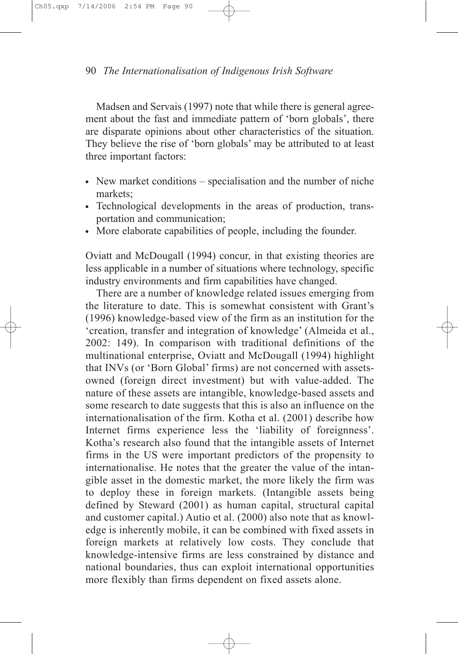Madsen and Servais (1997) note that while there is general agreement about the fast and immediate pattern of 'born globals', there are disparate opinions about other characteristics of the situation. They believe the rise of 'born globals' may be attributed to at least three important factors:

- $\bullet$  New market conditions specialisation and the number of niche markets;
- Technological developments in the areas of production, transportation and communication;
- More elaborate capabilities of people, including the founder.

Oviatt and McDougall (1994) concur, in that existing theories are less applicable in a number of situations where technology, specific industry environments and firm capabilities have changed.

There are a number of knowledge related issues emerging from the literature to date. This is somewhat consistent with Grant's (1996) knowledge-based view of the firm as an institution for the 'creation, transfer and integration of knowledge' (Almeida et al., 2002: 149). In comparison with traditional definitions of the multinational enterprise, Oviatt and McDougall (1994) highlight that INVs (or 'Born Global' firms) are not concerned with assetsowned (foreign direct investment) but with value-added. The nature of these assets are intangible, knowledge-based assets and some research to date suggests that this is also an influence on the internationalisation of the firm. Kotha et al. (2001) describe how Internet firms experience less the 'liability of foreignness'. Kotha's research also found that the intangible assets of Internet firms in the US were important predictors of the propensity to internationalise. He notes that the greater the value of the intangible asset in the domestic market, the more likely the firm was to deploy these in foreign markets. (Intangible assets being defined by Steward (2001) as human capital, structural capital and customer capital.) Autio et al. (2000) also note that as knowledge is inherently mobile, it can be combined with fixed assets in foreign markets at relatively low costs. They conclude that knowledge-intensive firms are less constrained by distance and national boundaries, thus can exploit international opportunities more flexibly than firms dependent on fixed assets alone.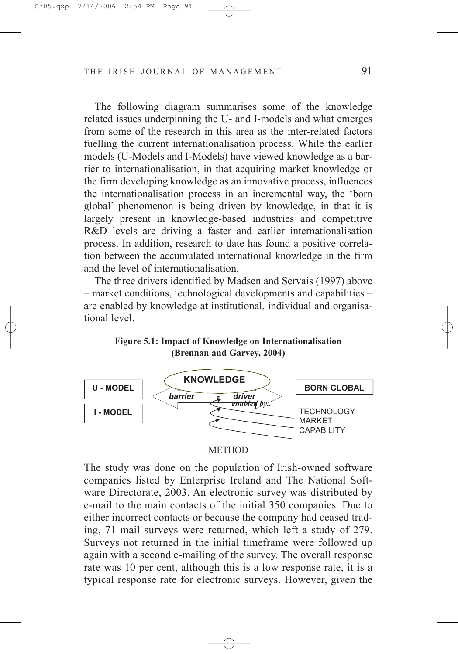The following diagram summarises some of the knowledge related issues underpinning the U- and I-models and what emerges from some of the research in this area as the inter-related factors fuelling the current internationalisation process. While the earlier models (U-Models and I-Models) have viewed knowledge as a barrier to internationalisation, in that acquiring market knowledge or the firm developing knowledge as an innovative process, influences the internationalisation process in an incremental way, the 'born global' phenomenon is being driven by knowledge, in that it is largely present in knowledge-based industries and competitive R&D levels are driving a faster and earlier internationalisation process. In addition, research to date has found a positive correlation between the accumulated international knowledge in the firm and the level of internationalisation.

The three drivers identified by Madsen and Servais (1997) above – market conditions, technological developments and capabilities – are enabled by knowledge at institutional, individual and organisational level.

Figure 5.1: Impact of Knowledge on Internationalisation (Brennan and Garvey, 2004)



#### **METHOD**

The study was done on the population of Irish-owned software companies listed by Enterprise Ireland and The National Software Directorate, 2003. An electronic survey was distributed by e-mail to the main contacts of the initial 350 companies. Due to either incorrect contacts or because the company had ceased trading, 71 mail surveys were returned, which left a study of 279. Surveys not returned in the initial timeframe were followed up again with a second e-mailing of the survey. The overall response rate was 10 per cent, although this is a low response rate, it is a typical response rate for electronic surveys. However, given the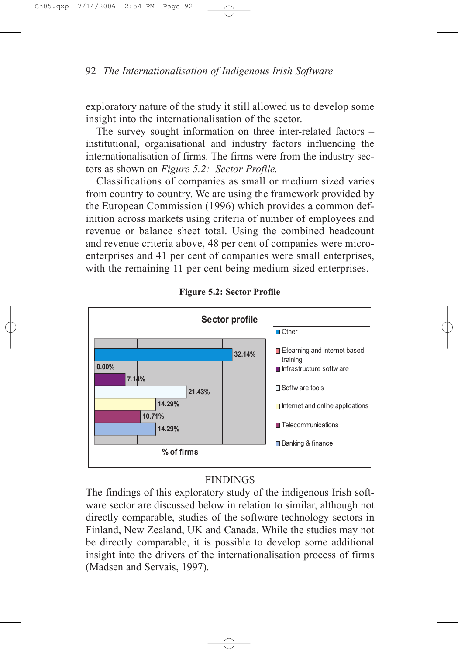exploratory nature of the study it still allowed us to develop some insight into the internationalisation of the sector.

The survey sought information on three inter-related factors – institutional, organisational and industry factors influencing the internationalisation of firms. The firms were from the industry sectors as shown on Figure 5.2: Sector Profile.

Classifications of companies as small or medium sized varies from country to country. We are using the framework provided by the European Commission (1996) which provides a common definition across markets using criteria of number of employees and revenue or balance sheet total. Using the combined headcount and revenue criteria above, 48 per cent of companies were microenterprises and 41 per cent of companies were small enterprises, with the remaining 11 per cent being medium sized enterprises.



Figure 5.2: Sector Profile

# FINDINGS

The findings of this exploratory study of the indigenous Irish software sector are discussed below in relation to similar, although not directly comparable, studies of the software technology sectors in Finland, New Zealand, UK and Canada. While the studies may not be directly comparable, it is possible to develop some additional insight into the drivers of the internationalisation process of firms (Madsen and Servais, 1997).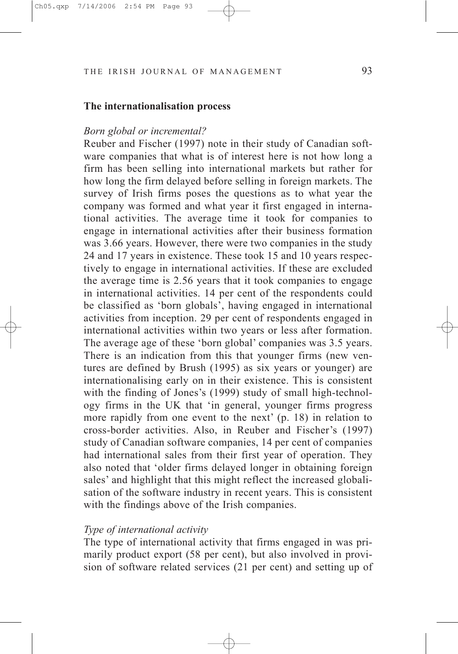#### The internationalisation process

#### Born global or incremental?

Reuber and Fischer (1997) note in their study of Canadian software companies that what is of interest here is not how long a firm has been selling into international markets but rather for how long the firm delayed before selling in foreign markets. The survey of Irish firms poses the questions as to what year the company was formed and what year it first engaged in international activities. The average time it took for companies to engage in international activities after their business formation was 3.66 years. However, there were two companies in the study 24 and 17 years in existence. These took 15 and 10 years respectively to engage in international activities. If these are excluded the average time is 2.56 years that it took companies to engage in international activities. 14 per cent of the respondents could be classified as 'born globals', having engaged in international activities from inception. 29 per cent of respondents engaged in international activities within two years or less after formation. The average age of these 'born global' companies was 3.5 years. There is an indication from this that younger firms (new ventures are defined by Brush (1995) as six years or younger) are internationalising early on in their existence. This is consistent with the finding of Jones's (1999) study of small high-technology firms in the UK that 'in general, younger firms progress more rapidly from one event to the next' (p. 18) in relation to cross-border activities. Also, in Reuber and Fischer's (1997) study of Canadian software companies, 14 per cent of companies had international sales from their first year of operation. They also noted that 'older firms delayed longer in obtaining foreign sales' and highlight that this might reflect the increased globalisation of the software industry in recent years. This is consistent with the findings above of the Irish companies.

## Type of international activity

The type of international activity that firms engaged in was primarily product export (58 per cent), but also involved in provision of software related services (21 per cent) and setting up of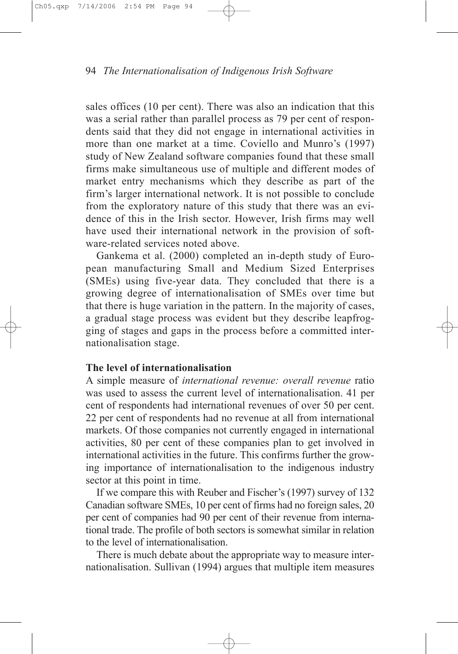sales offices (10 per cent). There was also an indication that this was a serial rather than parallel process as 79 per cent of respondents said that they did not engage in international activities in more than one market at a time. Coviello and Munro's (1997) study of New Zealand software companies found that these small firms make simultaneous use of multiple and different modes of market entry mechanisms which they describe as part of the firm's larger international network. It is not possible to conclude from the exploratory nature of this study that there was an evidence of this in the Irish sector. However, Irish firms may well have used their international network in the provision of software-related services noted above.

Gankema et al. (2000) completed an in-depth study of European manufacturing Small and Medium Sized Enterprises (SMEs) using five-year data. They concluded that there is a growing degree of internationalisation of SMEs over time but that there is huge variation in the pattern. In the majority of cases, a gradual stage process was evident but they describe leapfrogging of stages and gaps in the process before a committed internationalisation stage.

# The level of internationalisation

A simple measure of international revenue: overall revenue ratio was used to assess the current level of internationalisation. 41 per cent of respondents had international revenues of over 50 per cent. 22 per cent of respondents had no revenue at all from international markets. Of those companies not currently engaged in international activities, 80 per cent of these companies plan to get involved in international activities in the future. This confirms further the growing importance of internationalisation to the indigenous industry sector at this point in time.

If we compare this with Reuber and Fischer's (1997) survey of 132 Canadian software SMEs, 10 per cent of firms had no foreign sales, 20 per cent of companies had 90 per cent of their revenue from international trade. The profile of both sectors is somewhat similar in relation to the level of internationalisation.

There is much debate about the appropriate way to measure internationalisation. Sullivan (1994) argues that multiple item measures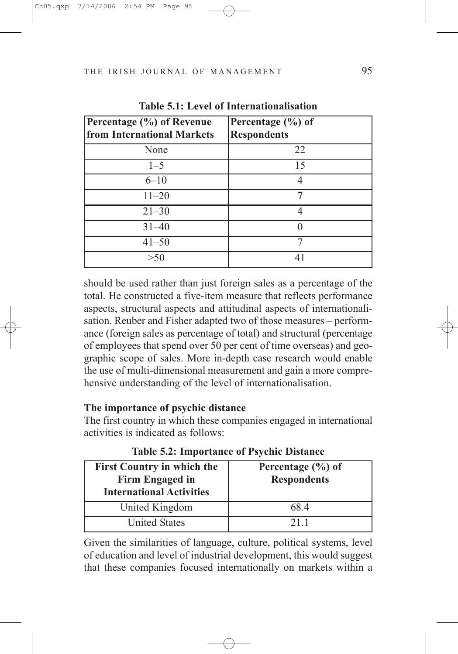| Percentage (%) of Revenue<br>from International Markets | Percentage $(\% )$ of<br><b>Respondents</b> |
|---------------------------------------------------------|---------------------------------------------|
| None                                                    | 22                                          |
| $1 - 5$                                                 | 15                                          |
| $6 - 10$                                                | 4                                           |
| $11 - 20$                                               |                                             |
| $21 - 30$                                               |                                             |
| $31 - 40$                                               |                                             |
| $41 - 50$                                               | 7                                           |
| >50                                                     |                                             |

Table 5.1: Level of Internationalisation

should be used rather than just foreign sales as a percentage of the total. He constructed a five-item measure that reflects performance aspects, structural aspects and attitudinal aspects of internationalisation. Reuber and Fisher adapted two of those measures – performance (foreign sales as percentage of total) and structural (percentage of employees that spend over 50 per cent of time overseas) and geographic scope of sales. More in-depth case research would enable the use of multi-dimensional measurement and gain a more comprehensive understanding of the level of internationalisation.

# The importance of psychic distance

The first country in which these companies engaged in international activities is indicated as follows:

| <b>Table 5.2: Importance of Psychic Distance</b> |  |  |
|--------------------------------------------------|--|--|
|--------------------------------------------------|--|--|

| <b>First Country in which the</b><br>Firm Engaged in<br><b>International Activities</b> | Percentage $(\% )$ of<br><b>Respondents</b> |
|-----------------------------------------------------------------------------------------|---------------------------------------------|
| United Kingdom                                                                          | 68.4                                        |
| <b>United States</b>                                                                    | 211                                         |

Given the similarities of language, culture, political systems, level of education and level of industrial development, this would suggest that these companies focused internationally on markets within a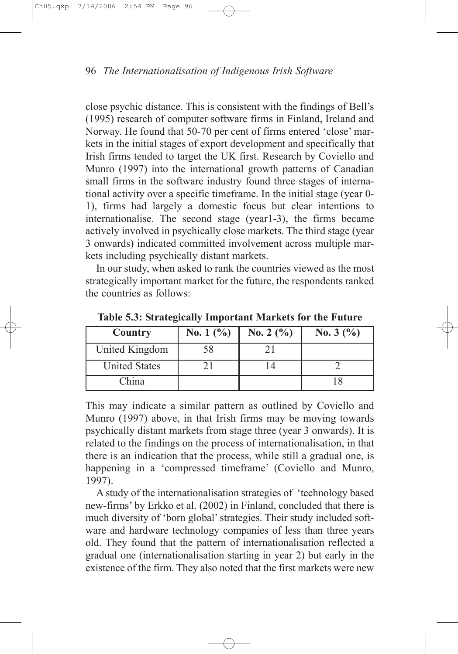close psychic distance. This is consistent with the findings of Bell's (1995) research of computer software firms in Finland, Ireland and Norway. He found that 50-70 per cent of firms entered 'close' markets in the initial stages of export development and specifically that Irish firms tended to target the UK first. Research by Coviello and Munro (1997) into the international growth patterns of Canadian small firms in the software industry found three stages of international activity over a specific timeframe. In the initial stage (year 0- 1), firms had largely a domestic focus but clear intentions to internationalise. The second stage (year1-3), the firms became actively involved in psychically close markets. The third stage (year 3 onwards) indicated committed involvement across multiple markets including psychically distant markets.

In our study, when asked to rank the countries viewed as the most strategically important market for the future, the respondents ranked the countries as follows:

| Country              | No. 1 $(\% )$ | No. 2 $(\% )$ | No. $3(%)$ |
|----------------------|---------------|---------------|------------|
| United Kingdom       | 58            |               |            |
| <b>United States</b> |               |               |            |
| China                |               |               |            |

Table 5.3: Strategically Important Markets for the Future

This may indicate a similar pattern as outlined by Coviello and Munro (1997) above, in that Irish firms may be moving towards psychically distant markets from stage three (year 3 onwards). It is related to the findings on the process of internationalisation, in that there is an indication that the process, while still a gradual one, is happening in a 'compressed timeframe' (Coviello and Munro, 1997).

A study of the internationalisation strategies of 'technology based new-firms' by Erkko et al. (2002) in Finland, concluded that there is much diversity of 'born global'strategies. Their study included software and hardware technology companies of less than three years old. They found that the pattern of internationalisation reflected a gradual one (internationalisation starting in year 2) but early in the existence of the firm. They also noted that the first markets were new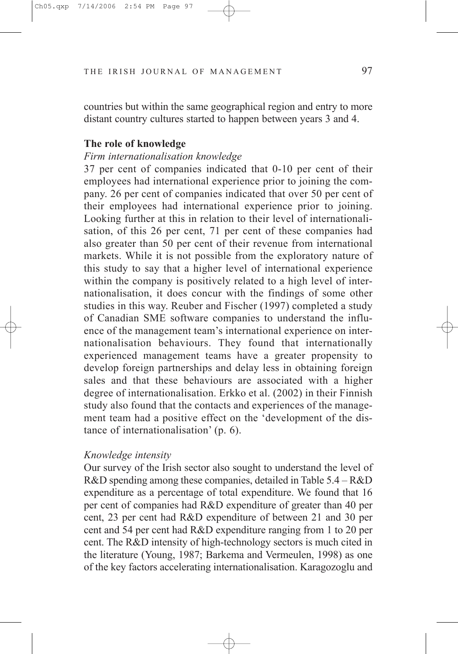countries but within the same geographical region and entry to more distant country cultures started to happen between years 3 and 4.

# The role of knowledge

# Firm internationalisation knowledge

37 per cent of companies indicated that 0-10 per cent of their employees had international experience prior to joining the company. 26 per cent of companies indicated that over 50 per cent of their employees had international experience prior to joining. Looking further at this in relation to their level of internationalisation, of this 26 per cent, 71 per cent of these companies had also greater than 50 per cent of their revenue from international markets. While it is not possible from the exploratory nature of this study to say that a higher level of international experience within the company is positively related to a high level of internationalisation, it does concur with the findings of some other studies in this way. Reuber and Fischer (1997) completed a study of Canadian SME software companies to understand the influence of the management team's international experience on internationalisation behaviours. They found that internationally experienced management teams have a greater propensity to develop foreign partnerships and delay less in obtaining foreign sales and that these behaviours are associated with a higher degree of internationalisation. Erkko et al. (2002) in their Finnish study also found that the contacts and experiences of the management team had a positive effect on the 'development of the distance of internationalisation' (p. 6).

#### Knowledge intensity

Our survey of the Irish sector also sought to understand the level of R&D spending among these companies, detailed in Table 5.4 – R&D expenditure as a percentage of total expenditure. We found that 16 per cent of companies had R&D expenditure of greater than 40 per cent, 23 per cent had R&D expenditure of between 21 and 30 per cent and 54 per cent had R&D expenditure ranging from 1 to 20 per cent. The R&D intensity of high-technology sectors is much cited in the literature (Young, 1987; Barkema and Vermeulen, 1998) as one of the key factors accelerating internationalisation. Karagozoglu and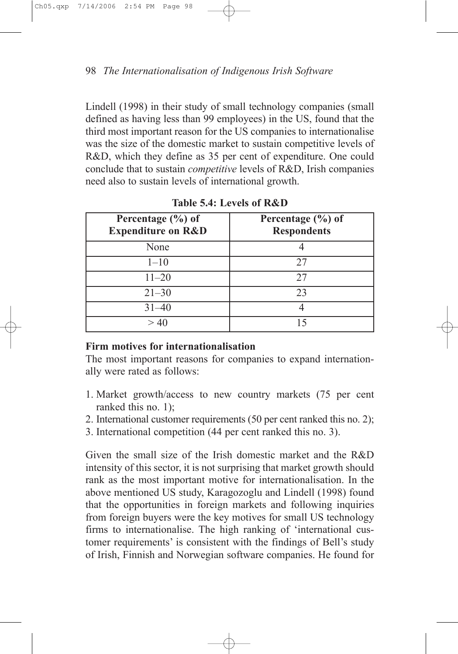Lindell (1998) in their study of small technology companies (small defined as having less than 99 employees) in the US, found that the third most important reason for the US companies to internationalise was the size of the domestic market to sustain competitive levels of R&D, which they define as 35 per cent of expenditure. One could conclude that to sustain competitive levels of R&D, Irish companies need also to sustain levels of international growth.

| Percentage $(\% )$ of<br><b>Expenditure on R&amp;D</b> | Percentage $(\% )$ of<br><b>Respondents</b> |
|--------------------------------------------------------|---------------------------------------------|
| None                                                   |                                             |
| $1 - 10$                                               | 27                                          |
| $11 - 20$                                              | 27                                          |
| $21 - 30$                                              | 23                                          |
| $31 - 40$                                              |                                             |
|                                                        |                                             |

Table 5.4: Levels of R&D

# Firm motives for internationalisation

The most important reasons for companies to expand internationally were rated as follows:

- 1. Market growth/access to new country markets (75 per cent ranked this no. 1);
- 2. International customer requirements (50 per cent ranked this no. 2);
- 3. International competition (44 per cent ranked this no. 3).

Given the small size of the Irish domestic market and the R&D intensity of this sector, it is not surprising that market growth should rank as the most important motive for internationalisation. In the above mentioned US study, Karagozoglu and Lindell (1998) found that the opportunities in foreign markets and following inquiries from foreign buyers were the key motives for small US technology firms to internationalise. The high ranking of 'international customer requirements' is consistent with the findings of Bell's study of Irish, Finnish and Norwegian software companies. He found for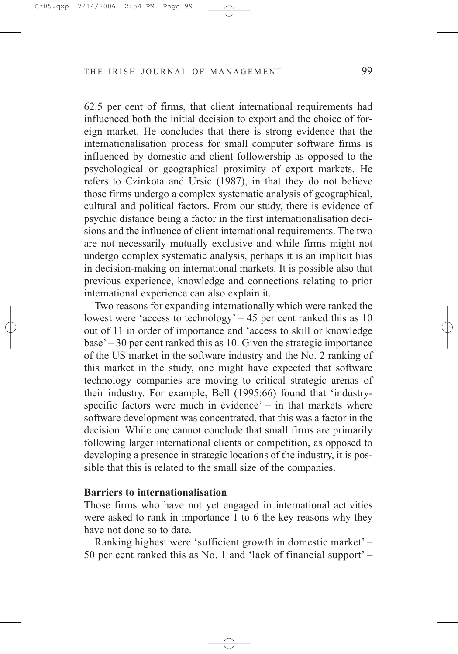62.5 per cent of firms, that client international requirements had influenced both the initial decision to export and the choice of foreign market. He concludes that there is strong evidence that the internationalisation process for small computer software firms is influenced by domestic and client followership as opposed to the psychological or geographical proximity of export markets. He refers to Czinkota and Ursic (1987), in that they do not believe those firms undergo a complex systematic analysis of geographical, cultural and political factors. From our study, there is evidence of psychic distance being a factor in the first internationalisation decisions and the influence of client international requirements. The two are not necessarily mutually exclusive and while firms might not undergo complex systematic analysis, perhaps it is an implicit bias in decision-making on international markets. It is possible also that previous experience, knowledge and connections relating to prior international experience can also explain it.

Two reasons for expanding internationally which were ranked the lowest were 'access to technology'  $-45$  per cent ranked this as 10 out of 11 in order of importance and 'access to skill or knowledge base' – 30 per cent ranked this as 10. Given the strategic importance of the US market in the software industry and the No. 2 ranking of this market in the study, one might have expected that software technology companies are moving to critical strategic arenas of their industry. For example, Bell (1995:66) found that 'industryspecific factors were much in evidence' – in that markets where software development was concentrated, that this was a factor in the decision. While one cannot conclude that small firms are primarily following larger international clients or competition, as opposed to developing a presence in strategic locations of the industry, it is possible that this is related to the small size of the companies.

#### Barriers to internationalisation

Those firms who have not yet engaged in international activities were asked to rank in importance 1 to 6 the key reasons why they have not done so to date.

Ranking highest were 'sufficient growth in domestic market' – 50 per cent ranked this as No. 1 and 'lack of financial support' –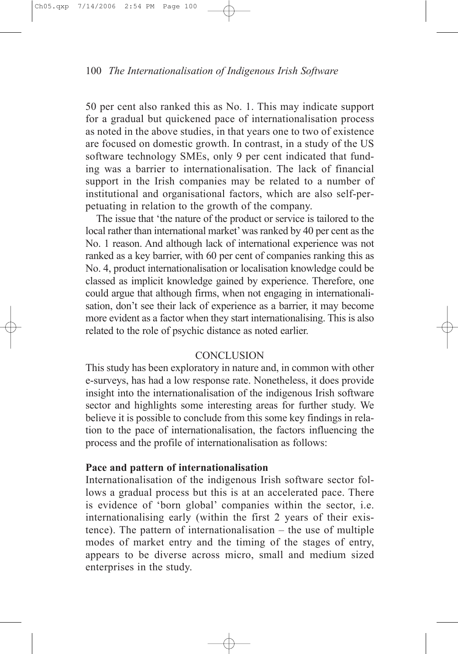50 per cent also ranked this as No. 1. This may indicate support for a gradual but quickened pace of internationalisation process as noted in the above studies, in that years one to two of existence are focused on domestic growth. In contrast, in a study of the US software technology SMEs, only 9 per cent indicated that funding was a barrier to internationalisation. The lack of financial support in the Irish companies may be related to a number of institutional and organisational factors, which are also self-perpetuating in relation to the growth of the company.

The issue that 'the nature of the product or service is tailored to the local rather than international market'was ranked by 40 per cent as the No. 1 reason. And although lack of international experience was not ranked as a key barrier, with 60 per cent of companies ranking this as No. 4, product internationalisation or localisation knowledge could be classed as implicit knowledge gained by experience. Therefore, one could argue that although firms, when not engaging in internationalisation, don't see their lack of experience as a barrier, it may become more evident as a factor when they start internationalising. This is also related to the role of psychic distance as noted earlier.

#### **CONCLUSION**

This study has been exploratory in nature and, in common with other e-surveys, has had a low response rate. Nonetheless, it does provide insight into the internationalisation of the indigenous Irish software sector and highlights some interesting areas for further study. We believe it is possible to conclude from this some key findings in relation to the pace of internationalisation, the factors influencing the process and the profile of internationalisation as follows:

# Pace and pattern of internationalisation

Internationalisation of the indigenous Irish software sector follows a gradual process but this is at an accelerated pace. There is evidence of 'born global' companies within the sector, i.e. internationalising early (within the first 2 years of their existence). The pattern of internationalisation – the use of multiple modes of market entry and the timing of the stages of entry, appears to be diverse across micro, small and medium sized enterprises in the study.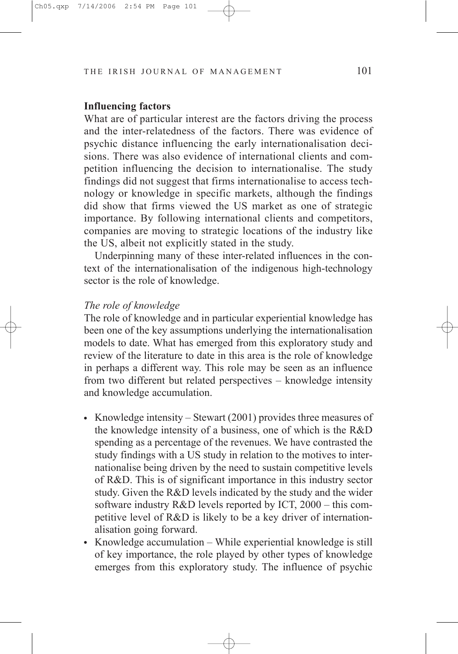## Influencing factors

What are of particular interest are the factors driving the process and the inter-relatedness of the factors. There was evidence of psychic distance influencing the early internationalisation decisions. There was also evidence of international clients and competition influencing the decision to internationalise. The study findings did not suggest that firms internationalise to access technology or knowledge in specific markets, although the findings did show that firms viewed the US market as one of strategic importance. By following international clients and competitors, companies are moving to strategic locations of the industry like the US, albeit not explicitly stated in the study.

Underpinning many of these inter-related influences in the context of the internationalisation of the indigenous high-technology sector is the role of knowledge.

#### The role of knowledge

The role of knowledge and in particular experiential knowledge has been one of the key assumptions underlying the internationalisation models to date. What has emerged from this exploratory study and review of the literature to date in this area is the role of knowledge in perhaps a different way. This role may be seen as an influence from two different but related perspectives – knowledge intensity and knowledge accumulation.

- Knowledge intensity Stewart  $(2001)$  provides three measures of the knowledge intensity of a business, one of which is the R&D spending as a percentage of the revenues. We have contrasted the study findings with a US study in relation to the motives to internationalise being driven by the need to sustain competitive levels of R&D. This is of significant importance in this industry sector study. Given the R&D levels indicated by the study and the wider software industry R&D levels reported by ICT, 2000 – this competitive level of R&D is likely to be a key driver of internationalisation going forward.
- Knowledge accumulation While experiential knowledge is still of key importance, the role played by other types of knowledge emerges from this exploratory study. The influence of psychic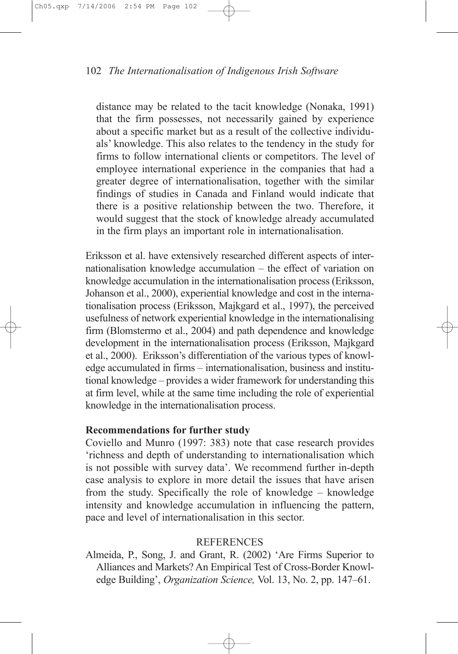distance may be related to the tacit knowledge (Nonaka, 1991) that the firm possesses, not necessarily gained by experience about a specific market but as a result of the collective individuals' knowledge. This also relates to the tendency in the study for firms to follow international clients or competitors. The level of employee international experience in the companies that had a greater degree of internationalisation, together with the similar findings of studies in Canada and Finland would indicate that there is a positive relationship between the two. Therefore, it would suggest that the stock of knowledge already accumulated in the firm plays an important role in internationalisation.

Eriksson et al. have extensively researched different aspects of internationalisation knowledge accumulation – the effect of variation on knowledge accumulation in the internationalisation process (Eriksson, Johanson et al., 2000), experiential knowledge and cost in the internationalisation process (Eriksson, Majkgard et al., 1997), the perceived usefulness of network experiential knowledge in the internationalising firm (Blomstermo et al., 2004) and path dependence and knowledge development in the internationalisation process (Eriksson, Majkgard et al., 2000). Eriksson's differentiation of the various types of knowledge accumulated in firms – internationalisation, business and institutional knowledge – provides a wider framework for understanding this at firm level, while at the same time including the role of experiential knowledge in the internationalisation process.

# Recommendations for further study

Coviello and Munro (1997: 383) note that case research provides 'richness and depth of understanding to internationalisation which is not possible with survey data'. We recommend further in-depth case analysis to explore in more detail the issues that have arisen from the study. Specifically the role of knowledge – knowledge intensity and knowledge accumulation in influencing the pattern, pace and level of internationalisation in this sector.

# REFERENCES

Almeida, P., Song, J. and Grant, R. (2002) 'Are Firms Superior to Alliances and Markets? An Empirical Test of Cross-Border Knowledge Building', Organization Science, Vol. 13, No. 2, pp. 147–61.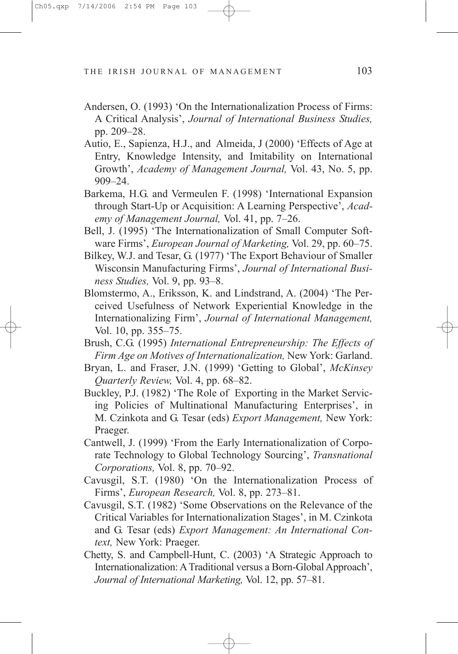- Andersen, O. (1993) 'On the Internationalization Process of Firms: A Critical Analysis', Journal of International Business Studies, pp. 209–28.
- Autio, E., Sapienza, H.J., and Almeida, J (2000) 'Effects of Age at Entry, Knowledge Intensity, and Imitability on International Growth', Academy of Management Journal, Vol. 43, No. 5, pp. 909–24.
- Barkema, H.G. and Vermeulen F. (1998) 'International Expansion through Start-Up or Acquisition: A Learning Perspective', Academy of Management Journal, Vol. 41, pp. 7–26.
- Bell, J. (1995) 'The Internationalization of Small Computer Software Firms', European Journal of Marketing, Vol. 29, pp. 60–75.
- Bilkey, W.J. and Tesar, G. (1977) 'The Export Behaviour of Smaller Wisconsin Manufacturing Firms', Journal of International Business Studies, Vol. 9, pp. 93–8.
- Blomstermo, A., Eriksson, K. and Lindstrand, A. (2004) 'The Perceived Usefulness of Network Experiential Knowledge in the Internationalizing Firm', Journal of International Management, Vol. 10, pp. 355–75.
- Brush, C.G. (1995) International Entrepreneurship: The Effects of Firm Age on Motives of Internationalization, New York: Garland.
- Bryan, L. and Fraser, J.N. (1999) 'Getting to Global', McKinsey Quarterly Review, Vol. 4, pp. 68–82.
- Buckley, P.J. (1982) 'The Role of Exporting in the Market Servicing Policies of Multinational Manufacturing Enterprises', in M. Czinkota and G. Tesar (eds) Export Management, New York: Praeger.
- Cantwell, J. (1999) 'From the Early Internationalization of Corporate Technology to Global Technology Sourcing', Transnational Corporations, Vol. 8, pp. 70–92.
- Cavusgil, S.T. (1980) 'On the Internationalization Process of Firms', European Research, Vol. 8, pp. 273–81.
- Cavusgil, S.T. (1982) 'Some Observations on the Relevance of the Critical Variables for Internationalization Stages', in M. Czinkota and G. Tesar (eds) Export Management: An International Context, New York: Praeger.
- Chetty, S. and Campbell-Hunt, C. (2003) 'A Strategic Approach to Internationalization: ATraditional versus a Born-Global Approach', Journal of International Marketing, Vol. 12, pp. 57–81.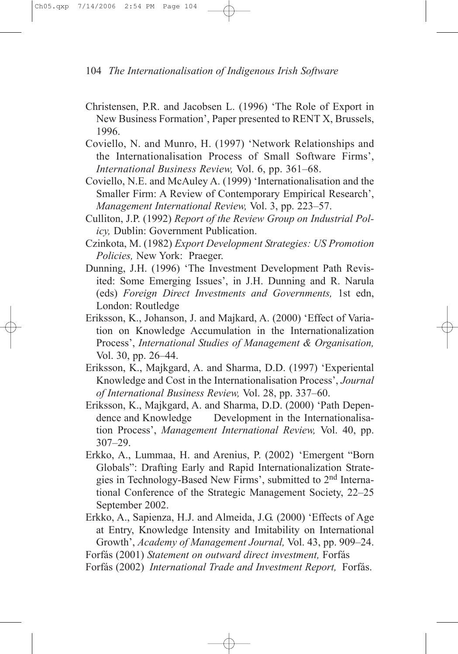- Christensen, P.R. and Jacobsen L. (1996) 'The Role of Export in New Business Formation', Paper presented to RENT X, Brussels, 1996.
- Coviello, N. and Munro, H. (1997) 'Network Relationships and the Internationalisation Process of Small Software Firms', International Business Review, Vol. 6, pp. 361–68.
- Coviello, N.E. and McAuley A. (1999) 'Internationalisation and the Smaller Firm: A Review of Contemporary Empirical Research', Management International Review, Vol. 3, pp. 223–57.
- Culliton, J.P. (1992) Report of the Review Group on Industrial Policy, Dublin: Government Publication.
- Czinkota, M. (1982) Export Development Strategies: US Promotion Policies, New York: Praeger.
- Dunning, J.H. (1996) 'The Investment Development Path Revisited: Some Emerging Issues', in J.H. Dunning and R. Narula (eds) Foreign Direct Investments and Governments, 1st edn, London: Routledge
- Eriksson, K., Johanson, J. and Majkard, A. (2000) 'Effect of Variation on Knowledge Accumulation in the Internationalization Process', International Studies of Management & Organisation, Vol. 30, pp. 26–44.
- Eriksson, K., Majkgard, A. and Sharma, D.D. (1997) 'Experiental Knowledge and Cost in the Internationalisation Process', Journal of International Business Review, Vol. 28, pp. 337–60.
- Eriksson, K., Majkgard, A. and Sharma, D.D. (2000) 'Path Dependence and Knowledge Development in the Internationalisation Process', Management International Review, Vol. 40, pp. 307–29.
- Erkko, A., Lummaa, H. and Arenius, P. (2002) 'Emergent "Born Globals": Drafting Early and Rapid Internationalization Strategies in Technology-Based New Firms', submitted to 2nd International Conference of the Strategic Management Society, 22–25 September 2002.
- Erkko, A., Sapienza, H.J. and Almeida, J.G. (2000) 'Effects of Age at Entry, Knowledge Intensity and Imitability on International Growth', Academy of Management Journal, Vol. 43, pp. 909–24.

Forfás (2002) International Trade and Investment Report, Forfás.

Forfás (2001) Statement on outward direct investment, Forfás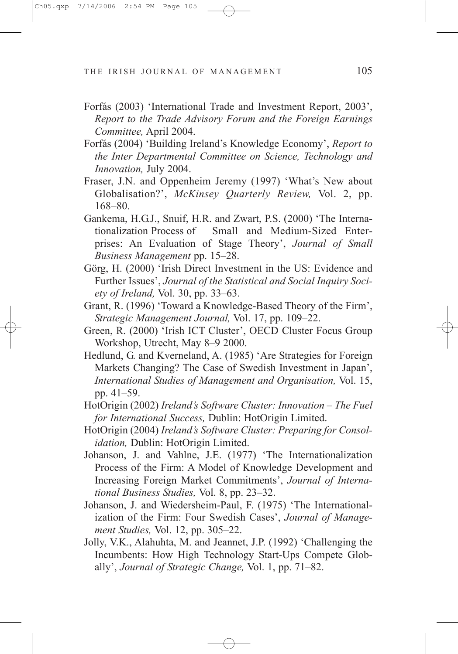- Forfás (2003) 'International Trade and Investment Report, 2003', Report to the Trade Advisory Forum and the Foreign Earnings Committee, April 2004.
- Forfás (2004) 'Building Ireland's Knowledge Economy', Report to the Inter Departmental Committee on Science, Technology and Innovation, July 2004.
- Fraser, J.N. and Oppenheim Jeremy (1997) 'What's New about Globalisation?', McKinsey Quarterly Review, Vol. 2, pp. 168–80.
- Gankema, H.G.J., Snuif, H.R. and Zwart, P.S. (2000) 'The Internationalization Process of Small and Medium-Sized Enterprises: An Evaluation of Stage Theory', Journal of Small Business Management pp. 15–28.
- Görg, H. (2000) 'Irish Direct Investment in the US: Evidence and Further Issues', Journal of the Statistical and Social Inquiry Society of Ireland, Vol. 30, pp. 33–63.
- Grant, R. (1996) 'Toward a Knowledge-Based Theory of the Firm', Strategic Management Journal, Vol. 17, pp. 109–22.
- Green, R. (2000) 'Irish ICT Cluster', OECD Cluster Focus Group Workshop, Utrecht, May 8–9 2000.
- Hedlund, G. and Kverneland, A. (1985) 'Are Strategies for Foreign Markets Changing? The Case of Swedish Investment in Japan', International Studies of Management and Organisation, Vol. 15, pp. 41–59.
- HotOrigin (2002) Ireland's Software Cluster: Innovation The Fuel for International Success, Dublin: HotOrigin Limited.
- HotOrigin (2004) Ireland's Software Cluster: Preparing for Consolidation, Dublin: HotOrigin Limited.
- Johanson, J. and Vahlne, J.E. (1977) 'The Internationalization Process of the Firm: A Model of Knowledge Development and Increasing Foreign Market Commitments', Journal of International Business Studies, Vol. 8, pp. 23–32.
- Johanson, J. and Wiedersheim-Paul, F. (1975) 'The Internationalization of the Firm: Four Swedish Cases', Journal of Management Studies, Vol. 12, pp. 305–22.
- Jolly, V.K., Alahuhta, M. and Jeannet, J.P. (1992) 'Challenging the Incumbents: How High Technology Start-Ups Compete Globally', Journal of Strategic Change, Vol. 1, pp. 71–82.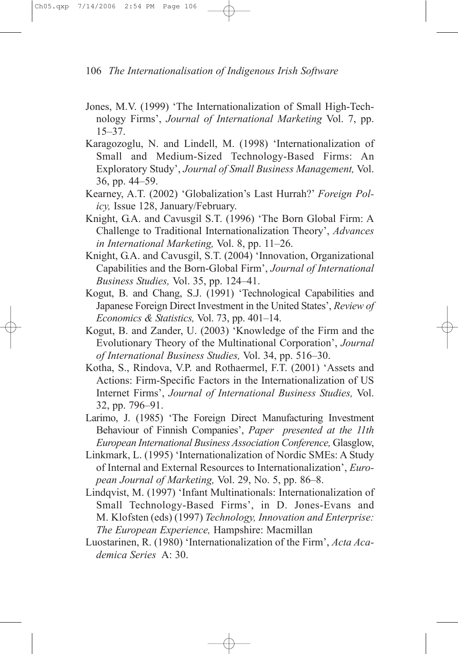- Jones, M.V. (1999) 'The Internationalization of Small High-Technology Firms', Journal of International Marketing Vol. 7, pp. 15–37.
- Karagozoglu, N. and Lindell, M. (1998) 'Internationalization of Small and Medium-Sized Technology-Based Firms: An Exploratory Study', Journal of Small Business Management, Vol. 36, pp. 44–59.
- Kearney, A.T. (2002) 'Globalization's Last Hurrah?' Foreign Policy, Issue 128, January/February.
- Knight, G.A. and Cavusgil S.T. (1996) 'The Born Global Firm: A Challenge to Traditional Internationalization Theory', Advances in International Marketing, Vol. 8, pp. 11–26.
- Knight, G.A. and Cavusgil, S.T. (2004) 'Innovation, Organizational Capabilities and the Born-Global Firm', Journal of International Business Studies, Vol. 35, pp. 124–41.
- Kogut, B. and Chang, S.J. (1991) 'Technological Capabilities and Japanese Foreign Direct Investment in the United States', Review of Economics & Statistics, Vol. 73, pp. 401–14.
- Kogut, B. and Zander, U. (2003) 'Knowledge of the Firm and the Evolutionary Theory of the Multinational Corporation', Journal of International Business Studies, Vol. 34, pp. 516–30.
- Kotha, S., Rindova, V.P. and Rothaermel, F.T. (2001) 'Assets and Actions: Firm-Specific Factors in the Internationalization of US Internet Firms', Journal of International Business Studies, Vol. 32, pp. 796–91.
- Larimo, J. (1985) 'The Foreign Direct Manufacturing Investment Behaviour of Finnish Companies', Paper presented at the 11th European International Business Association Conference, Glasglow,
- Linkmark, L. (1995) 'Internationalization of Nordic SMEs: A Study of Internal and External Resources to Internationalization', European Journal of Marketing, Vol. 29, No. 5, pp. 86–8.
- Lindqvist, M. (1997) 'Infant Multinationals: Internationalization of Small Technology-Based Firms', in D. Jones-Evans and M. Klofsten (eds) (1997) Technology, Innovation and Enterprise: The European Experience, Hampshire: Macmillan
- Luostarinen, R. (1980) 'Internationalization of the Firm', Acta Academica Series A: 30.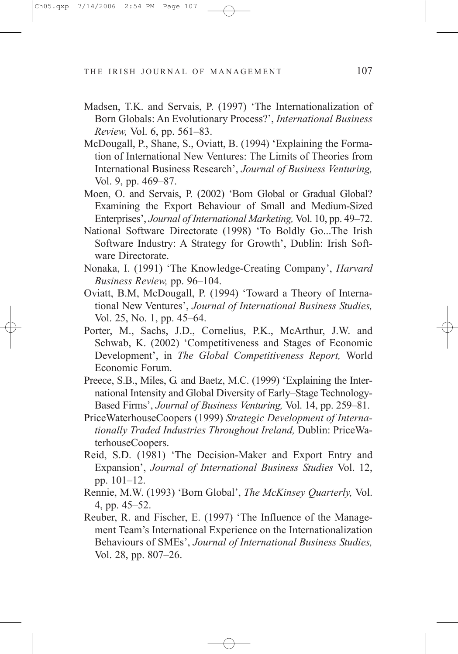- Madsen, T.K. and Servais, P. (1997) 'The Internationalization of Born Globals: An Evolutionary Process?', International Business Review, Vol. 6, pp. 561–83.
- McDougall, P., Shane, S., Oviatt, B. (1994) 'Explaining the Formation of International New Ventures: The Limits of Theories from International Business Research', Journal of Business Venturing, Vol. 9, pp. 469–87.
- Moen, O. and Servais, P. (2002) 'Born Global or Gradual Global? Examining the Export Behaviour of Small and Medium-Sized Enterprises', Journal of International Marketing, Vol. 10, pp. 49–72.
- National Software Directorate (1998) 'To Boldly Go...The Irish Software Industry: A Strategy for Growth', Dublin: Irish Software Directorate.
- Nonaka, I. (1991) 'The Knowledge-Creating Company', Harvard Business Review, pp. 96–104.
- Oviatt, B.M, McDougall, P. (1994) 'Toward a Theory of International New Ventures', Journal of International Business Studies, Vol. 25, No. 1, pp. 45–64.
- Porter, M., Sachs, J.D., Cornelius, P.K., McArthur, J.W. and Schwab, K. (2002) 'Competitiveness and Stages of Economic Development', in The Global Competitiveness Report, World Economic Forum.
- Preece, S.B., Miles, G. and Baetz, M.C. (1999) 'Explaining the International Intensity and Global Diversity of Early–Stage Technology-Based Firms', Journal of Business Venturing, Vol. 14, pp. 259–81.
- PriceWaterhouseCoopers (1999) Strategic Development of Internationally Traded Industries Throughout Ireland, Dublin: PriceWaterhouseCoopers.
- Reid, S.D. (1981) 'The Decision-Maker and Export Entry and Expansion', Journal of International Business Studies Vol. 12, pp. 101–12.
- Rennie, M.W. (1993) 'Born Global', The McKinsey Quarterly, Vol. 4, pp. 45–52.
- Reuber, R. and Fischer, E. (1997) 'The Influence of the Management Team's International Experience on the Internationalization Behaviours of SMEs', Journal of International Business Studies, Vol. 28, pp. 807–26.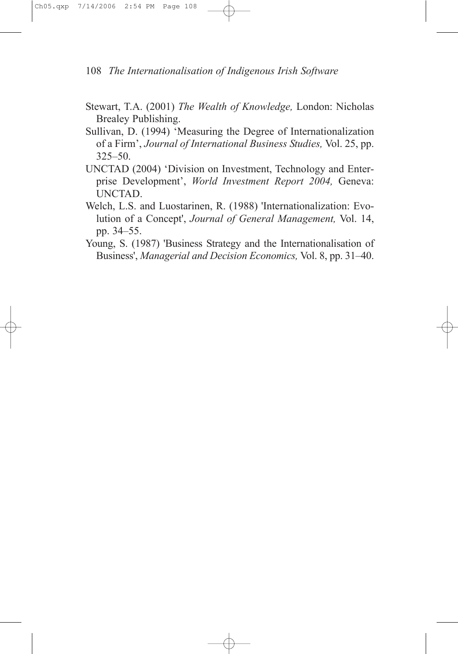- Stewart, T.A. (2001) The Wealth of Knowledge, London: Nicholas Brealey Publishing.
- Sullivan, D. (1994) 'Measuring the Degree of Internationalization of a Firm', Journal of International Business Studies, Vol. 25, pp. 325–50.
- UNCTAD (2004) 'Division on Investment, Technology and Enterprise Development', World Investment Report 2004, Geneva: UNCTAD.
- Welch, L.S. and Luostarinen, R. (1988) 'Internationalization: Evolution of a Concept', Journal of General Management, Vol. 14, pp. 34–55.
- Young, S. (1987) 'Business Strategy and the Internationalisation of Business', Managerial and Decision Economics, Vol. 8, pp. 31–40.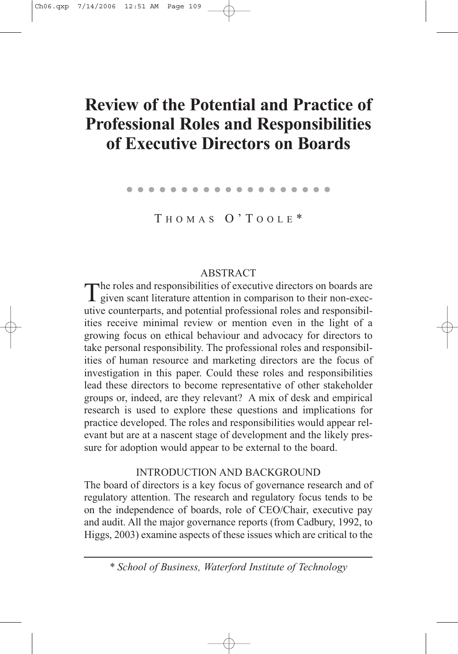# **Review of the Potential and Practice of Professional Roles and Responsibilities of Executive Directors on Boards**

. . . . . . . . . . . . . . . . . . .

T HOMAS O'T OOLE \*

# ABSTRACT

The roles and responsibilities of executive directors on boards are<br>given scant literature attention in comparison to their non-executive counterparts, and potential professional roles and responsibilities receive minimal review or mention even in the light of a growing focus on ethical behaviour and advocacy for directors to take personal responsibility. The professional roles and responsibilities of human resource and marketing directors are the focus of investigation in this paper. Could these roles and responsibilities lead these directors to become representative of other stakeholder groups or, indeed, are they relevant? A mix of desk and empirical research is used to explore these questions and implications for practice developed. The roles and responsibilities would appear relevant but are at a nascent stage of development and the likely pressure for adoption would appear to be external to the board.

# INTRODUCTION AND BACKGROUND

The board of directors is a key focus of governance research and of regulatory attention. The research and regulatory focus tends to be on the independence of boards, role of CEO/Chair, executive pay and audit. All the major governance reports (from Cadbury, 1992, to Higgs, 2003) examine aspects of these issues which are critical to the

*\* School of Business, Waterford Institute of Technology*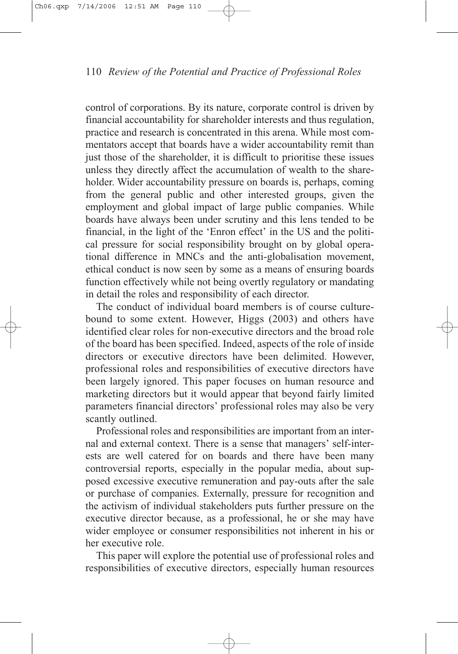control of corporations. By its nature, corporate control is driven by financial accountability for shareholder interests and thus regulation, practice and research is concentrated in this arena. While most commentators accept that boards have a wider accountability remit than just those of the shareholder, it is difficult to prioritise these issues unless they directly affect the accumulation of wealth to the shareholder. Wider accountability pressure on boards is, perhaps, coming from the general public and other interested groups, given the employment and global impact of large public companies. While boards have always been under scrutiny and this lens tended to be financial, in the light of the 'Enron effect' in the US and the political pressure for social responsibility brought on by global operational difference in MNCs and the anti-globalisation movement, ethical conduct is now seen by some as a means of ensuring boards function effectively while not being overtly regulatory or mandating in detail the roles and responsibility of each director.

The conduct of individual board members is of course culturebound to some extent. However, Higgs (2003) and others have identified clear roles for non-executive directors and the broad role of the board has been specified. Indeed, aspects of the role of inside directors or executive directors have been delimited. However, professional roles and responsibilities of executive directors have been largely ignored. This paper focuses on human resource and marketing directors but it would appear that beyond fairly limited parameters financial directors' professional roles may also be very scantly outlined.

Professional roles and responsibilities are important from an internal and external context. There is a sense that managers' self-interests are well catered for on boards and there have been many controversial reports, especially in the popular media, about supposed excessive executive remuneration and pay-outs after the sale or purchase of companies. Externally, pressure for recognition and the activism of individual stakeholders puts further pressure on the executive director because, as a professional, he or she may have wider employee or consumer responsibilities not inherent in his or her executive role.

This paper will explore the potential use of professional roles and responsibilities of executive directors, especially human resources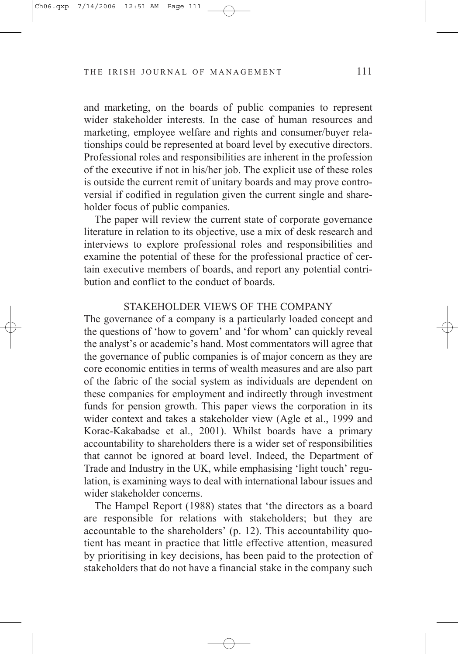and marketing, on the boards of public companies to represent wider stakeholder interests. In the case of human resources and marketing, employee welfare and rights and consumer/buyer relationships could be represented at board level by executive directors. Professional roles and responsibilities are inherent in the profession of the executive if not in his/her job. The explicit use of these roles is outside the current remit of unitary boards and may prove controversial if codified in regulation given the current single and shareholder focus of public companies.

The paper will review the current state of corporate governance literature in relation to its objective, use a mix of desk research and interviews to explore professional roles and responsibilities and examine the potential of these for the professional practice of certain executive members of boards, and report any potential contribution and conflict to the conduct of boards.

#### STAKEHOLDER VIEWS OF THE COMPANY

The governance of a company is a particularly loaded concept and the questions of 'how to govern' and 'for whom' can quickly reveal the analyst's or academic's hand. Most commentators will agree that the governance of public companies is of major concern as they are core economic entities in terms of wealth measures and are also part of the fabric of the social system as individuals are dependent on these companies for employment and indirectly through investment funds for pension growth. This paper views the corporation in its wider context and takes a stakeholder view (Agle et al., 1999 and Korac-Kakabadse et al., 2001). Whilst boards have a primary accountability to shareholders there is a wider set of responsibilities that cannot be ignored at board level. Indeed, the Department of Trade and Industry in the UK, while emphasising 'light touch' regulation, is examining ways to deal with international labour issues and wider stakeholder concerns.

The Hampel Report (1988) states that 'the directors as a board are responsible for relations with stakeholders; but they are accountable to the shareholders' (p. 12). This accountability quotient has meant in practice that little effective attention, measured by prioritising in key decisions, has been paid to the protection of stakeholders that do not have a financial stake in the company such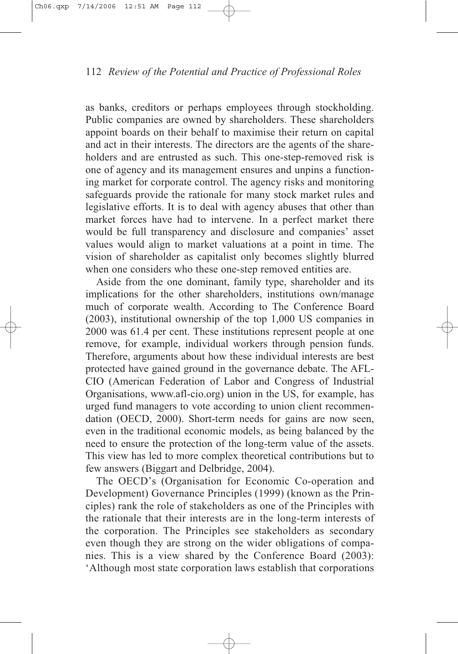as banks, creditors or perhaps employees through stockholding. Public companies are owned by shareholders. These shareholders appoint boards on their behalf to maximise their return on capital and act in their interests. The directors are the agents of the shareholders and are entrusted as such. This one-step-removed risk is one of agency and its management ensures and unpins a functioning market for corporate control. The agency risks and monitoring safeguards provide the rationale for many stock market rules and legislative efforts. It is to deal with agency abuses that other than market forces have had to intervene. In a perfect market there would be full transparency and disclosure and companies' asset values would align to market valuations at a point in time. The vision of shareholder as capitalist only becomes slightly blurred when one considers who these one-step removed entities are.

Aside from the one dominant, family type, shareholder and its implications for the other shareholders, institutions own/manage much of corporate wealth. According to The Conference Board (2003), institutional ownership of the top 1,000 US companies in 2000 was 61.4 per cent. These institutions represent people at one remove, for example, individual workers through pension funds. Therefore, arguments about how these individual interests are best protected have gained ground in the governance debate. The AFL-CIO (American Federation of Labor and Congress of Industrial Organisations, www.afl-cio.org) union in the US, for example, has urged fund managers to vote according to union client recommendation (OECD, 2000). Short-term needs for gains are now seen, even in the traditional economic models, as being balanced by the need to ensure the protection of the long-term value of the assets. This view has led to more complex theoretical contributions but to few answers (Biggart and Delbridge, 2004).

The OECD's (Organisation for Economic Co-operation and Development) Governance Principles (1999) (known as the Principles) rank the role of stakeholders as one of the Principles with the rationale that their interests are in the long-term interests of the corporation. The Principles see stakeholders as secondary even though they are strong on the wider obligations of companies. This is a view shared by the Conference Board (2003): 'Although most state corporation laws establish that corporations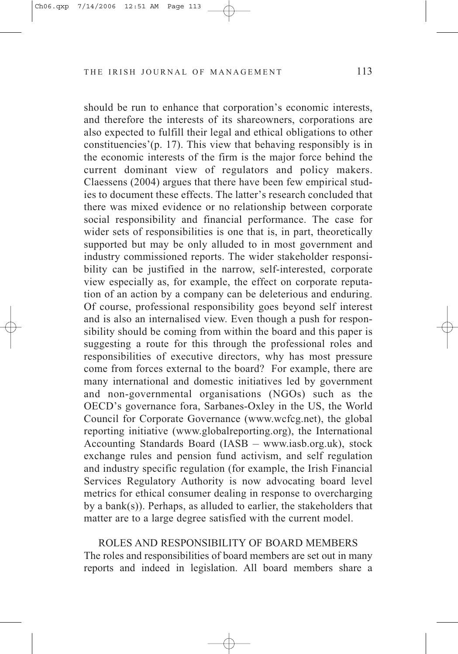should be run to enhance that corporation's economic interests, and therefore the interests of its shareowners, corporations are also expected to fulfill their legal and ethical obligations to other constituencies'(p. 17). This view that behaving responsibly is in the economic interests of the firm is the major force behind the current dominant view of regulators and policy makers. Claessens (2004) argues that there have been few empirical studies to document these effects. The latter's research concluded that there was mixed evidence or no relationship between corporate social responsibility and financial performance. The case for wider sets of responsibilities is one that is, in part, theoretically supported but may be only alluded to in most government and industry commissioned reports. The wider stakeholder responsibility can be justified in the narrow, self-interested, corporate view especially as, for example, the effect on corporate reputation of an action by a company can be deleterious and enduring. Of course, professional responsibility goes beyond self interest and is also an internalised view. Even though a push for responsibility should be coming from within the board and this paper is suggesting a route for this through the professional roles and responsibilities of executive directors, why has most pressure come from forces external to the board? For example, there are many international and domestic initiatives led by government and non-governmental organisations (NGOs) such as the OECD's governance fora, Sarbanes-Oxley in the US, the World Council for Corporate Governance (www.wcfcg.net), the global reporting initiative (www.globalreporting.org), the International Accounting Standards Board (IASB – www.iasb.org.uk), stock exchange rules and pension fund activism, and self regulation and industry specific regulation (for example, the Irish Financial Services Regulatory Authority is now advocating board level metrics for ethical consumer dealing in response to overcharging by a bank(s)). Perhaps, as alluded to earlier, the stakeholders that matter are to a large degree satisfied with the current model.

ROLES AND RESPONSIBILITY OF BOARD MEMBERS The roles and responsibilities of board members are set out in many reports and indeed in legislation. All board members share a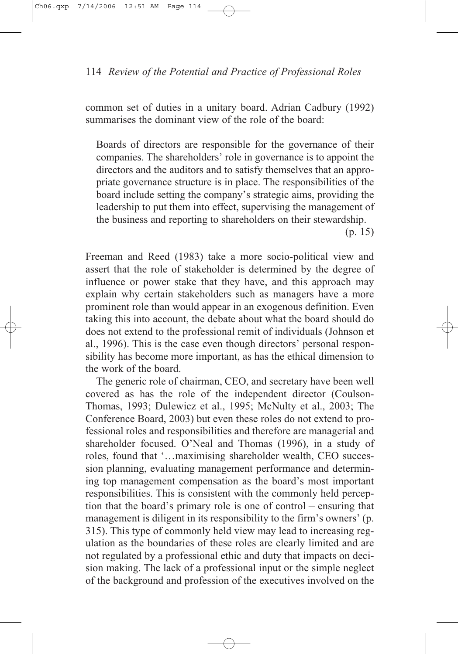common set of duties in a unitary board. Adrian Cadbury (1992) summarises the dominant view of the role of the board:

Boards of directors are responsible for the governance of their companies. The shareholders' role in governance is to appoint the directors and the auditors and to satisfy themselves that an appropriate governance structure is in place. The responsibilities of the board include setting the company's strategic aims, providing the leadership to put them into effect, supervising the management of the business and reporting to shareholders on their stewardship.

(p. 15)

Freeman and Reed (1983) take a more socio-political view and assert that the role of stakeholder is determined by the degree of influence or power stake that they have, and this approach may explain why certain stakeholders such as managers have a more prominent role than would appear in an exogenous definition. Even taking this into account, the debate about what the board should do does not extend to the professional remit of individuals (Johnson et al., 1996). This is the case even though directors' personal responsibility has become more important, as has the ethical dimension to the work of the board.

The generic role of chairman, CEO, and secretary have been well covered as has the role of the independent director (Coulson-Thomas, 1993; Dulewicz et al., 1995; McNulty et al., 2003; The Conference Board, 2003) but even these roles do not extend to professional roles and responsibilities and therefore are managerial and shareholder focused. O'Neal and Thomas (1996), in a study of roles, found that '…maximising shareholder wealth, CEO succession planning, evaluating management performance and determining top management compensation as the board's most important responsibilities. This is consistent with the commonly held perception that the board's primary role is one of control – ensuring that management is diligent in its responsibility to the firm's owners' (p. 315). This type of commonly held view may lead to increasing regulation as the boundaries of these roles are clearly limited and are not regulated by a professional ethic and duty that impacts on decision making. The lack of a professional input or the simple neglect of the background and profession of the executives involved on the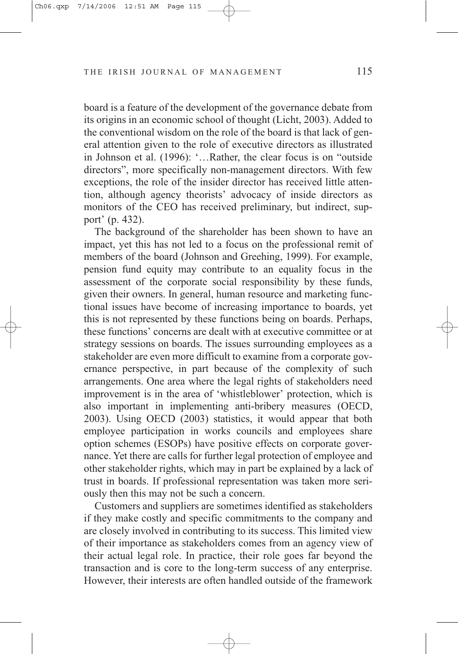board is a feature of the development of the governance debate from its origins in an economic school of thought (Licht, 2003). Added to the conventional wisdom on the role of the board is that lack of general attention given to the role of executive directors as illustrated in Johnson et al. (1996): '…Rather, the clear focus is on "outside directors", more specifically non-management directors. With few exceptions, the role of the insider director has received little attention, although agency theorists' advocacy of inside directors as monitors of the CEO has received preliminary, but indirect, support' (p. 432).

The background of the shareholder has been shown to have an impact, yet this has not led to a focus on the professional remit of members of the board (Johnson and Greehing, 1999). For example, pension fund equity may contribute to an equality focus in the assessment of the corporate social responsibility by these funds, given their owners. In general, human resource and marketing functional issues have become of increasing importance to boards, yet this is not represented by these functions being on boards. Perhaps, these functions' concerns are dealt with at executive committee or at strategy sessions on boards. The issues surrounding employees as a stakeholder are even more difficult to examine from a corporate governance perspective, in part because of the complexity of such arrangements. One area where the legal rights of stakeholders need improvement is in the area of 'whistleblower' protection, which is also important in implementing anti-bribery measures (OECD, 2003). Using OECD (2003) statistics, it would appear that both employee participation in works councils and employees share option schemes (ESOPs) have positive effects on corporate governance. Yet there are calls for further legal protection of employee and other stakeholder rights, which may in part be explained by a lack of trust in boards. If professional representation was taken more seriously then this may not be such a concern.

Customers and suppliers are sometimes identified as stakeholders if they make costly and specific commitments to the company and are closely involved in contributing to its success. This limited view of their importance as stakeholders comes from an agency view of their actual legal role. In practice, their role goes far beyond the transaction and is core to the long-term success of any enterprise. However, their interests are often handled outside of the framework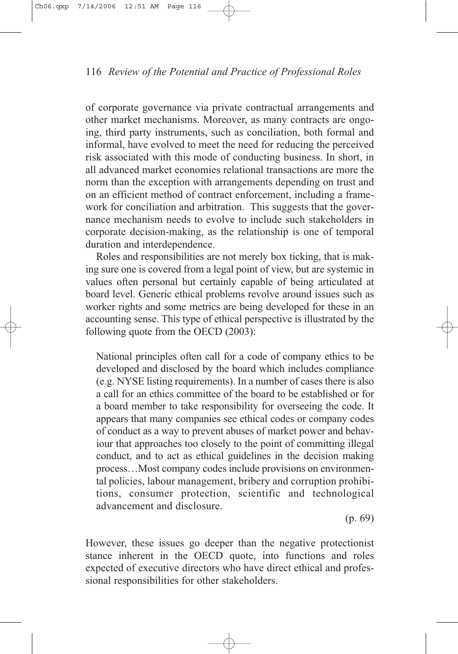of corporate governance via private contractual arrangements and other market mechanisms. Moreover, as many contracts are ongoing, third party instruments, such as conciliation, both formal and informal, have evolved to meet the need for reducing the perceived risk associated with this mode of conducting business. In short, in all advanced market economies relational transactions are more the norm than the exception with arrangements depending on trust and on an efficient method of contract enforcement, including a framework for conciliation and arbitration. This suggests that the governance mechanism needs to evolve to include such stakeholders in corporate decision-making, as the relationship is one of temporal duration and interdependence.

Roles and responsibilities are not merely box ticking, that is making sure one is covered from a legal point of view, but are systemic in values often personal but certainly capable of being articulated at board level. Generic ethical problems revolve around issues such as worker rights and some metrics are being developed for these in an accounting sense. This type of ethical perspective is illustrated by the following quote from the OECD (2003):

National principles often call for a code of company ethics to be developed and disclosed by the board which includes compliance (e.g. NYSE listing requirements). In a number of cases there is also a call for an ethics committee of the board to be established or for a board member to take responsibility for overseeing the code. It appears that many companies see ethical codes or company codes of conduct as a way to prevent abuses of market power and behaviour that approaches too closely to the point of committing illegal conduct, and to act as ethical guidelines in the decision making process…Most company codes include provisions on environmental policies, labour management, bribery and corruption prohibitions, consumer protection, scientific and technological advancement and disclosure.

(p. 69)

However, these issues go deeper than the negative protectionist stance inherent in the OECD quote, into functions and roles expected of executive directors who have direct ethical and professional responsibilities for other stakeholders.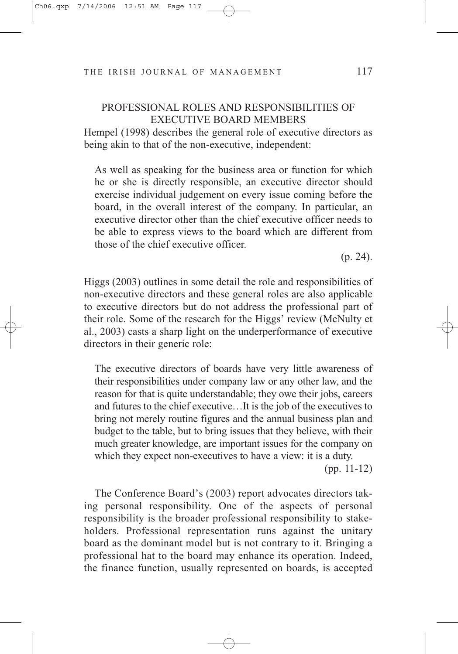# PROFESSIONAL ROLES AND RESPONSIBILITIES OF EXECUTIVE BOARD MEMBERS

Hempel (1998) describes the general role of executive directors as being akin to that of the non-executive, independent:

As well as speaking for the business area or function for which he or she is directly responsible, an executive director should exercise individual judgement on every issue coming before the board, in the overall interest of the company. In particular, an executive director other than the chief executive officer needs to be able to express views to the board which are different from those of the chief executive officer.

(p. 24).

Higgs (2003) outlines in some detail the role and responsibilities of non-executive directors and these general roles are also applicable to executive directors but do not address the professional part of their role. Some of the research for the Higgs' review (McNulty et al., 2003) casts a sharp light on the underperformance of executive directors in their generic role:

The executive directors of boards have very little awareness of their responsibilities under company law or any other law, and the reason for that is quite understandable; they owe their jobs, careers and futures to the chief executive…It is the job of the executives to bring not merely routine figures and the annual business plan and budget to the table, but to bring issues that they believe, with their much greater knowledge, are important issues for the company on which they expect non-executives to have a view: it is a duty.

(pp. 11-12)

The Conference Board's (2003) report advocates directors taking personal responsibility. One of the aspects of personal responsibility is the broader professional responsibility to stakeholders. Professional representation runs against the unitary board as the dominant model but is not contrary to it. Bringing a professional hat to the board may enhance its operation. Indeed, the finance function, usually represented on boards, is accepted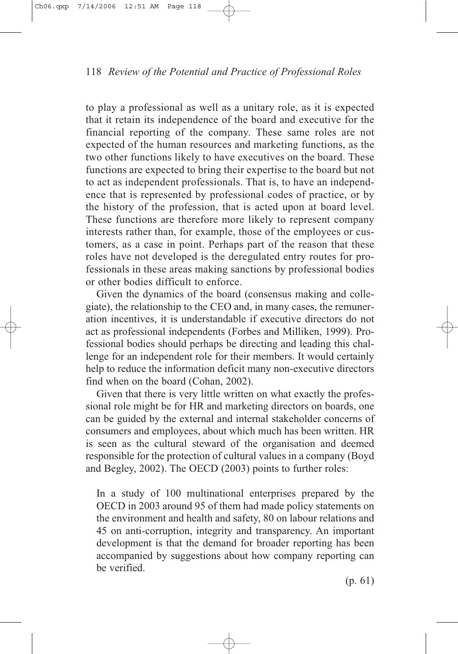to play a professional as well as a unitary role, as it is expected that it retain its independence of the board and executive for the financial reporting of the company. These same roles are not expected of the human resources and marketing functions, as the two other functions likely to have executives on the board. These functions are expected to bring their expertise to the board but not to act as independent professionals. That is, to have an independence that is represented by professional codes of practice, or by the history of the profession, that is acted upon at board level. These functions are therefore more likely to represent company interests rather than, for example, those of the employees or customers, as a case in point. Perhaps part of the reason that these roles have not developed is the deregulated entry routes for professionals in these areas making sanctions by professional bodies or other bodies difficult to enforce.

Given the dynamics of the board (consensus making and collegiate), the relationship to the CEO and, in many cases, the remuneration incentives, it is understandable if executive directors do not act as professional independents (Forbes and Milliken, 1999). Professional bodies should perhaps be directing and leading this challenge for an independent role for their members. It would certainly help to reduce the information deficit many non-executive directors find when on the board (Cohan, 2002).

Given that there is very little written on what exactly the professional role might be for HR and marketing directors on boards, one can be guided by the external and internal stakeholder concerns of consumers and employees, about which much has been written. HR is seen as the cultural steward of the organisation and deemed responsible for the protection of cultural values in a company (Boyd and Begley, 2002). The OECD (2003) points to further roles:

In a study of 100 multinational enterprises prepared by the OECD in 2003 around 95 of them had made policy statements on the environment and health and safety, 80 on labour relations and 45 on anti-corruption, integrity and transparency. An important development is that the demand for broader reporting has been accompanied by suggestions about how company reporting can be verified.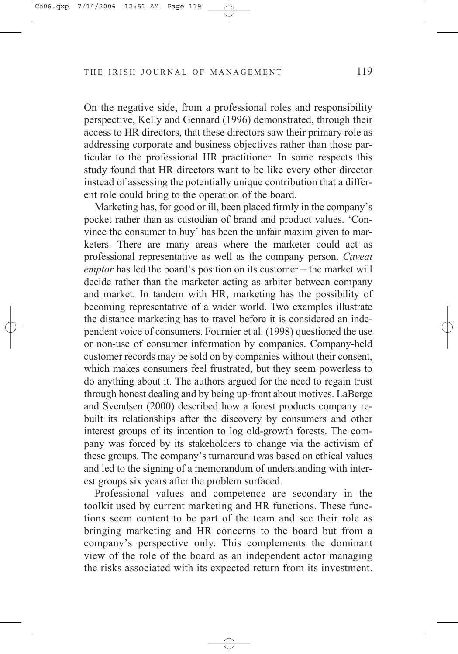On the negative side, from a professional roles and responsibility perspective, Kelly and Gennard (1996) demonstrated, through their access to HR directors, that these directors saw their primary role as addressing corporate and business objectives rather than those particular to the professional HR practitioner. In some respects this study found that HR directors want to be like every other director instead of assessing the potentially unique contribution that a different role could bring to the operation of the board.

Marketing has, for good or ill, been placed firmly in the company's pocket rather than as custodian of brand and product values. 'Convince the consumer to buy' has been the unfair maxim given to marketers. There are many areas where the marketer could act as professional representative as well as the company person. *Caveat emptor* has led the board's position on its customer – the market will decide rather than the marketer acting as arbiter between company and market. In tandem with HR, marketing has the possibility of becoming representative of a wider world. Two examples illustrate the distance marketing has to travel before it is considered an independent voice of consumers. Fournier et al. (1998) questioned the use or non-use of consumer information by companies. Company-held customer records may be sold on by companies without their consent, which makes consumers feel frustrated, but they seem powerless to do anything about it. The authors argued for the need to regain trust through honest dealing and by being up-front about motives. LaBerge and Svendsen (2000) described how a forest products company rebuilt its relationships after the discovery by consumers and other interest groups of its intention to log old-growth forests. The company was forced by its stakeholders to change via the activism of these groups. The company's turnaround was based on ethical values and led to the signing of a memorandum of understanding with interest groups six years after the problem surfaced.

Professional values and competence are secondary in the toolkit used by current marketing and HR functions. These functions seem content to be part of the team and see their role as bringing marketing and HR concerns to the board but from a company's perspective only. This complements the dominant view of the role of the board as an independent actor managing the risks associated with its expected return from its investment.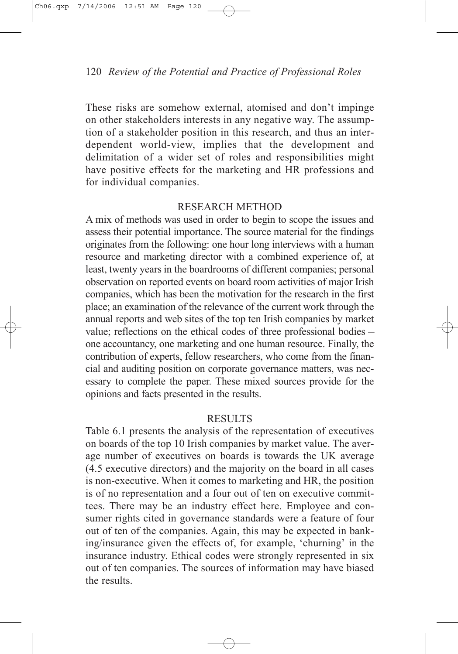These risks are somehow external, atomised and don't impinge on other stakeholders interests in any negative way. The assumption of a stakeholder position in this research, and thus an interdependent world-view, implies that the development and delimitation of a wider set of roles and responsibilities might have positive effects for the marketing and HR professions and for individual companies.

# RESEARCH METHOD

A mix of methods was used in order to begin to scope the issues and assess their potential importance. The source material for the findings originates from the following: one hour long interviews with a human resource and marketing director with a combined experience of, at least, twenty years in the boardrooms of different companies; personal observation on reported events on board room activities of major Irish companies, which has been the motivation for the research in the first place; an examination of the relevance of the current work through the annual reports and web sites of the top ten Irish companies by market value; reflections on the ethical codes of three professional bodies – one accountancy, one marketing and one human resource. Finally, the contribution of experts, fellow researchers, who come from the financial and auditing position on corporate governance matters, was necessary to complete the paper. These mixed sources provide for the opinions and facts presented in the results.

# **RESULTS**

Table 6.1 presents the analysis of the representation of executives on boards of the top 10 Irish companies by market value. The average number of executives on boards is towards the UK average (4.5 executive directors) and the majority on the board in all cases is non-executive. When it comes to marketing and HR, the position is of no representation and a four out of ten on executive committees. There may be an industry effect here. Employee and consumer rights cited in governance standards were a feature of four out of ten of the companies. Again, this may be expected in banking/insurance given the effects of, for example, 'churning' in the insurance industry. Ethical codes were strongly represented in six out of ten companies. The sources of information may have biased the results.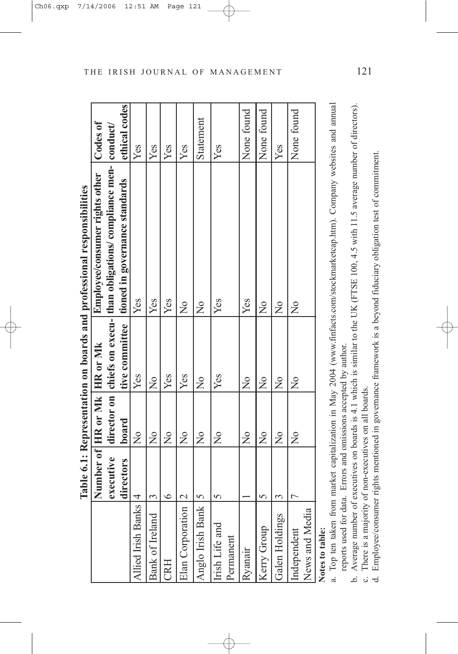| i<br>֖֖֚֚֚֚֚֚֚֚֚֚֚֚֚֚֚֚֚֬֝֝֝֝֝֬֝֬֝֬֝֬֝֬֝֬֝֓֬֝֓֬֝֓֬֝֓֬<br><b>C</b><br>2010/01/2012<br>í     |
|--------------------------------------------------------------------------------------------|
| $\vdots$<br>J<br>$\frac{1}{2}$<br>q                                                        |
| うていく<br>Ï<br>$\overline{\phantom{a}}$<br>į<br>l<br><b>THORN CHAIR CALL</b><br>$\mathbf{I}$ |
| $\overline{\phantom{a}}$<br>ׇ֓֕֡<br>d<br>ĺ<br>i                                            |
| ļ<br>Í<br>$\ddot{\phantom{0}}$<br>l                                                        |

|                                                                 |                | Number of HR or Mk HR or Mk      |                | Employee/consumer rights other                                                                                             | Codes of        |
|-----------------------------------------------------------------|----------------|----------------------------------|----------------|----------------------------------------------------------------------------------------------------------------------------|-----------------|
|                                                                 | executive      |                                  |                | director on chiefs on execu-<br> than obligations/compliance men-                                                          | $ $ conduct $ $ |
|                                                                 | directors      | board                            | tive committee | tioned in governance standards                                                                                             | ethical codes   |
| <b>Allied Irish Banks</b>                                       | 4              | $\frac{1}{2}$                    | Yes            | Yes                                                                                                                        | Yes             |
| Bank of Ireland                                                 | 3              | $\overline{X}$                   | $\frac{1}{2}$  | Yes                                                                                                                        | Yes             |
| CRH                                                             | $\circ$        | $\overline{X}$                   | Yes            | Yes                                                                                                                        | Yes             |
| Elan Corporation                                                | $\mathcal{C}$  | $\overline{a}$                   | Yes            | $\overline{a}$                                                                                                             | Yes             |
| Anglo Irish Bank                                                | $\overline{S}$ | $\frac{1}{2}$                    | $\frac{1}{2}$  | $\frac{1}{2}$                                                                                                              | Statement       |
| Irish Life and                                                  | 5              | $\frac{1}{2}$                    | Yes            | Yes                                                                                                                        | Yes             |
| Permanent                                                       |                |                                  |                |                                                                                                                            |                 |
| Ryanair                                                         |                | $\frac{1}{2}$                    | $\frac{1}{2}$  | Yes                                                                                                                        | None found      |
| Kerry Group                                                     | S              | $\frac{1}{2}$                    | $\frac{1}{2}$  | $\overline{Q}$                                                                                                             | None found      |
| Galen Holdings                                                  | 3              | $\overline{X}$                   | $\frac{1}{2}$  | $\overline{X}$                                                                                                             | Yes             |
| Independent                                                     |                | $\frac{1}{2}$                    | $\frac{1}{2}$  | $\frac{1}{2}$                                                                                                              | None found      |
| News and Media                                                  |                |                                  |                |                                                                                                                            |                 |
| Notes to table:                                                 |                |                                  |                |                                                                                                                            |                 |
|                                                                 |                |                                  |                | a. Top ten taken from market capitalization in May 2004 (www.finfacts.com/stockmarketcap.htm). Company websites and annual |                 |
| reports used for data. Errors and omissions accepted by author. |                |                                  |                |                                                                                                                            |                 |
| b. Average number of                                            |                |                                  |                | executives on boards is 4.1 which is similar to the UK (FTSE 100, 4.5 with 11.5 average number of directors).              |                 |
| c. There is a majority                                          |                | of non-executives on all boards. |                |                                                                                                                            |                 |

- 
- 
- Employee/consumer rights mentioned in governance framework is a beyond fiduciary obligation test of commitment. d. Employee/consumer rights mentioned in governance framework is a beyond fiduciary obligation test of commitment.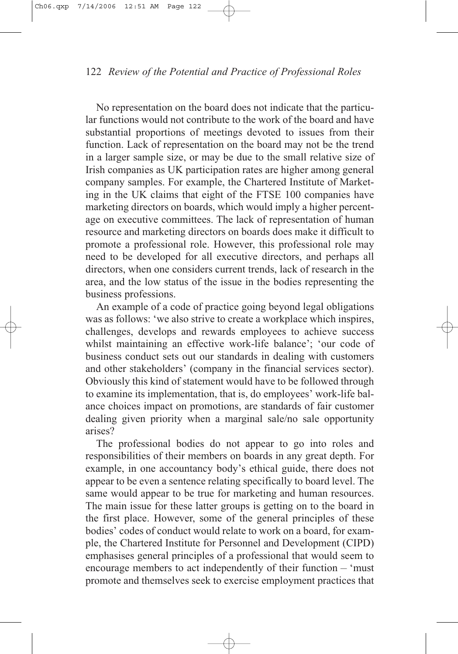No representation on the board does not indicate that the particular functions would not contribute to the work of the board and have substantial proportions of meetings devoted to issues from their function. Lack of representation on the board may not be the trend in a larger sample size, or may be due to the small relative size of Irish companies as UK participation rates are higher among general company samples. For example, the Chartered Institute of Marketing in the UK claims that eight of the FTSE 100 companies have marketing directors on boards, which would imply a higher percentage on executive committees. The lack of representation of human resource and marketing directors on boards does make it difficult to promote a professional role. However, this professional role may need to be developed for all executive directors, and perhaps all directors, when one considers current trends, lack of research in the area, and the low status of the issue in the bodies representing the business professions.

An example of a code of practice going beyond legal obligations was as follows: 'we also strive to create a workplace which inspires, challenges, develops and rewards employees to achieve success whilst maintaining an effective work-life balance'; 'our code of business conduct sets out our standards in dealing with customers and other stakeholders' (company in the financial services sector). Obviously this kind of statement would have to be followed through to examine its implementation, that is, do employees' work-life balance choices impact on promotions, are standards of fair customer dealing given priority when a marginal sale/no sale opportunity arises?

The professional bodies do not appear to go into roles and responsibilities of their members on boards in any great depth. For example, in one accountancy body's ethical guide, there does not appear to be even a sentence relating specifically to board level. The same would appear to be true for marketing and human resources. The main issue for these latter groups is getting on to the board in the first place. However, some of the general principles of these bodies' codes of conduct would relate to work on a board, for example, the Chartered Institute for Personnel and Development (CIPD) emphasises general principles of a professional that would seem to encourage members to act independently of their function – 'must promote and themselves seek to exercise employment practices that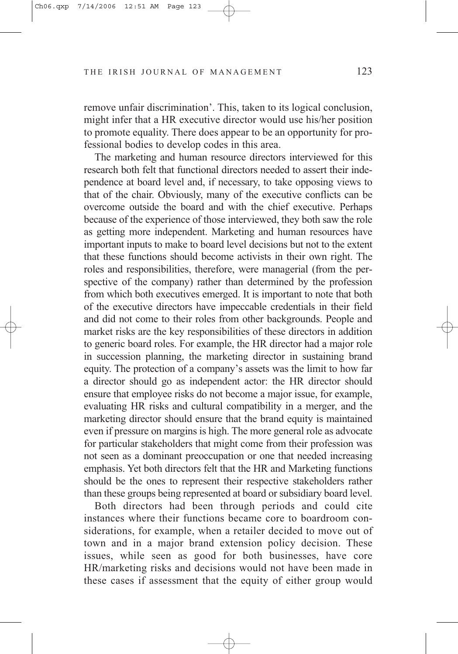remove unfair discrimination'. This, taken to its logical conclusion, might infer that a HR executive director would use his/her position to promote equality. There does appear to be an opportunity for professional bodies to develop codes in this area.

The marketing and human resource directors interviewed for this research both felt that functional directors needed to assert their independence at board level and, if necessary, to take opposing views to that of the chair. Obviously, many of the executive conflicts can be overcome outside the board and with the chief executive. Perhaps because of the experience of those interviewed, they both saw the role as getting more independent. Marketing and human resources have important inputs to make to board level decisions but not to the extent that these functions should become activists in their own right. The roles and responsibilities, therefore, were managerial (from the perspective of the company) rather than determined by the profession from which both executives emerged. It is important to note that both of the executive directors have impeccable credentials in their field and did not come to their roles from other backgrounds. People and market risks are the key responsibilities of these directors in addition to generic board roles. For example, the HR director had a major role in succession planning, the marketing director in sustaining brand equity. The protection of a company's assets was the limit to how far a director should go as independent actor: the HR director should ensure that employee risks do not become a major issue, for example, evaluating HR risks and cultural compatibility in a merger, and the marketing director should ensure that the brand equity is maintained even if pressure on margins is high. The more general role as advocate for particular stakeholders that might come from their profession was not seen as a dominant preoccupation or one that needed increasing emphasis. Yet both directors felt that the HR and Marketing functions should be the ones to represent their respective stakeholders rather than these groups being represented at board or subsidiary board level.

Both directors had been through periods and could cite instances where their functions became core to boardroom considerations, for example, when a retailer decided to move out of town and in a major brand extension policy decision. These issues, while seen as good for both businesses, have core HR/marketing risks and decisions would not have been made in these cases if assessment that the equity of either group would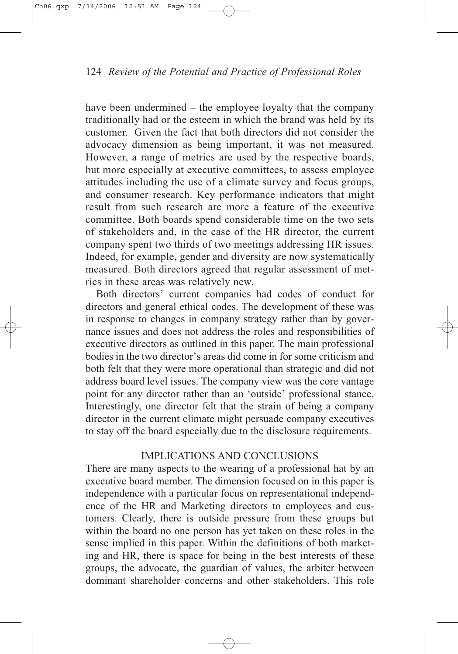have been undermined – the employee loyalty that the company traditionally had or the esteem in which the brand was held by its customer. Given the fact that both directors did not consider the advocacy dimension as being important, it was not measured. However, a range of metrics are used by the respective boards, but more especially at executive committees, to assess employee attitudes including the use of a climate survey and focus groups, and consumer research. Key performance indicators that might result from such research are more a feature of the executive committee. Both boards spend considerable time on the two sets of stakeholders and, in the case of the HR director, the current company spent two thirds of two meetings addressing HR issues. Indeed, for example, gender and diversity are now systematically measured. Both directors agreed that regular assessment of metrics in these areas was relatively new.

Both directors' current companies had codes of conduct for directors and general ethical codes. The development of these was in response to changes in company strategy rather than by governance issues and does not address the roles and responsibilities of executive directors as outlined in this paper. The main professional bodies in the two director's areas did come in for some criticism and both felt that they were more operational than strategic and did not address board level issues. The company view was the core vantage point for any director rather than an 'outside' professional stance. Interestingly, one director felt that the strain of being a company director in the current climate might persuade company executives to stay off the board especially due to the disclosure requirements.

## IMPLICATIONS AND CONCLUSIONS

There are many aspects to the wearing of a professional hat by an executive board member. The dimension focused on in this paper is independence with a particular focus on representational independence of the HR and Marketing directors to employees and customers. Clearly, there is outside pressure from these groups but within the board no one person has yet taken on these roles in the sense implied in this paper. Within the definitions of both marketing and HR, there is space for being in the best interests of these groups, the advocate, the guardian of values, the arbiter between dominant shareholder concerns and other stakeholders. This role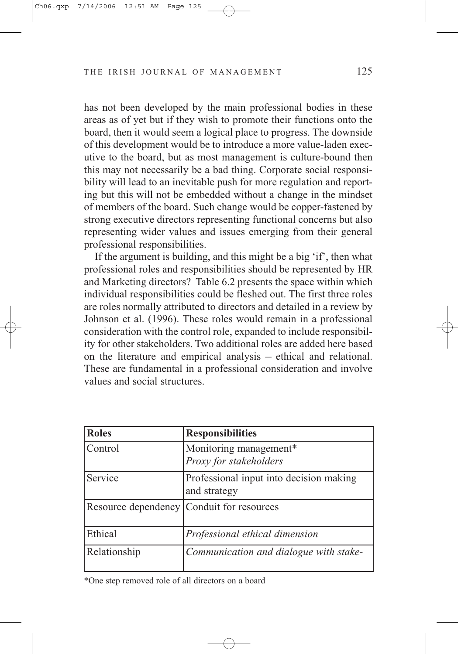has not been developed by the main professional bodies in these areas as of yet but if they wish to promote their functions onto the board, then it would seem a logical place to progress. The downside of this development would be to introduce a more value-laden executive to the board, but as most management is culture-bound then this may not necessarily be a bad thing. Corporate social responsibility will lead to an inevitable push for more regulation and reporting but this will not be embedded without a change in the mindset of members of the board. Such change would be copper-fastened by strong executive directors representing functional concerns but also representing wider values and issues emerging from their general professional responsibilities.

If the argument is building, and this might be a big 'if', then what professional roles and responsibilities should be represented by HR and Marketing directors? Table 6.2 presents the space within which individual responsibilities could be fleshed out. The first three roles are roles normally attributed to directors and detailed in a review by Johnson et al. (1996). These roles would remain in a professional consideration with the control role, expanded to include responsibility for other stakeholders. Two additional roles are added here based on the literature and empirical analysis – ethical and relational. These are fundamental in a professional consideration and involve values and social structures.

| <b>Roles</b>        | <b>Responsibilities</b>                                 |
|---------------------|---------------------------------------------------------|
| Control             | Monitoring management*<br>Proxy for stakeholders        |
| Service             | Professional input into decision making<br>and strategy |
| Resource dependency | Conduit for resources                                   |
| Ethical             | Professional ethical dimension                          |
| Relationship        | Communication and dialogue with stake-                  |

\*One step removed role of all directors on a board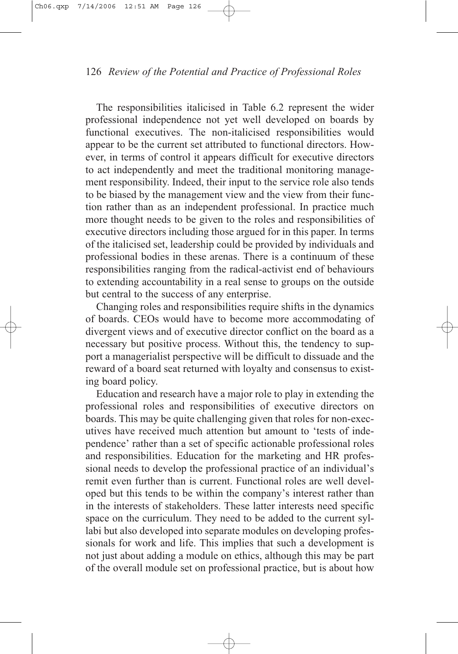The responsibilities italicised in Table 6.2 represent the wider professional independence not yet well developed on boards by functional executives. The non-italicised responsibilities would appear to be the current set attributed to functional directors. However, in terms of control it appears difficult for executive directors to act independently and meet the traditional monitoring management responsibility. Indeed, their input to the service role also tends to be biased by the management view and the view from their function rather than as an independent professional. In practice much more thought needs to be given to the roles and responsibilities of executive directors including those argued for in this paper. In terms of the italicised set, leadership could be provided by individuals and professional bodies in these arenas. There is a continuum of these responsibilities ranging from the radical-activist end of behaviours to extending accountability in a real sense to groups on the outside but central to the success of any enterprise.

Changing roles and responsibilities require shifts in the dynamics of boards. CEOs would have to become more accommodating of divergent views and of executive director conflict on the board as a necessary but positive process. Without this, the tendency to support a managerialist perspective will be difficult to dissuade and the reward of a board seat returned with loyalty and consensus to existing board policy.

Education and research have a major role to play in extending the professional roles and responsibilities of executive directors on boards. This may be quite challenging given that roles for non-executives have received much attention but amount to 'tests of independence' rather than a set of specific actionable professional roles and responsibilities. Education for the marketing and HR professional needs to develop the professional practice of an individual's remit even further than is current. Functional roles are well developed but this tends to be within the company's interest rather than in the interests of stakeholders. These latter interests need specific space on the curriculum. They need to be added to the current syllabi but also developed into separate modules on developing professionals for work and life. This implies that such a development is not just about adding a module on ethics, although this may be part of the overall module set on professional practice, but is about how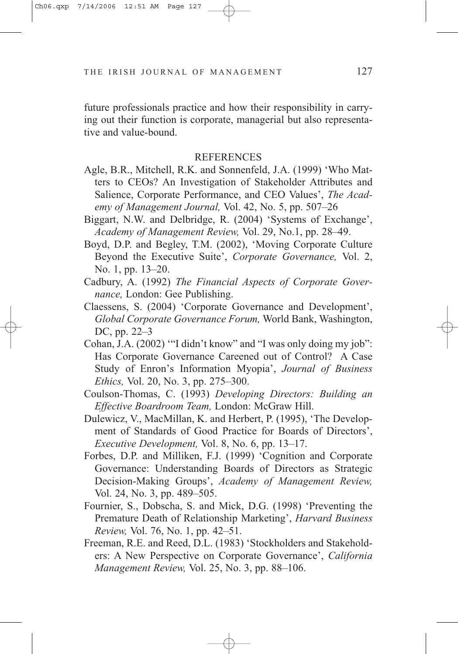future professionals practice and how their responsibility in carrying out their function is corporate, managerial but also representative and value-bound.

#### REFERENCES

- Agle, B.R., Mitchell, R.K. and Sonnenfeld, J.A. (1999) 'Who Matters to CEOs? An Investigation of Stakeholder Attributes and Salience, Corporate Performance, and CEO Values', *The Academy of Management Journal,* Vol. 42, No. 5, pp. 507–26
- Biggart, N.W. and Delbridge, R. (2004) 'Systems of Exchange', *Academy of Management Review,* Vol. 29, No.1, pp. 28–49.
- Boyd, D.P. and Begley, T.M. (2002), 'Moving Corporate Culture Beyond the Executive Suite', *Corporate Governance,* Vol. 2, No. 1, pp. 13–20.
- Cadbury, A. (1992) *The Financial Aspects of Corporate Governance,* London: Gee Publishing.
- Claessens, S. (2004) 'Corporate Governance and Development', *Global Corporate Governance Forum,* World Bank, Washington, DC, pp. 22–3
- Cohan, J.A. (2002) '"I didn't know" and "I was only doing my job": Has Corporate Governance Careened out of Control? A Case Study of Enron's Information Myopia', *Journal of Business Ethics,* Vol. 20, No. 3, pp. 275–300.
- Coulson-Thomas, C. (1993) *Developing Directors: Building an Effective Boardroom Team,* London: McGraw Hill.
- Dulewicz, V., MacMillan, K. and Herbert, P. (1995), 'The Development of Standards of Good Practice for Boards of Directors', *Executive Development,* Vol. 8, No. 6, pp. 13–17.
- Forbes, D.P. and Milliken, F.J. (1999) 'Cognition and Corporate Governance: Understanding Boards of Directors as Strategic Decision-Making Groups', *Academy of Management Review,* Vol. 24, No. 3, pp. 489–505.
- Fournier, S., Dobscha, S. and Mick, D.G. (1998) 'Preventing the Premature Death of Relationship Marketing', *Harvard Business Review,* Vol. 76, No. 1, pp. 42–51.
- Freeman, R.E. and Reed, D.L. (1983) 'Stockholders and Stakeholders: A New Perspective on Corporate Governance', *California Management Review,* Vol. 25, No. 3, pp. 88–106.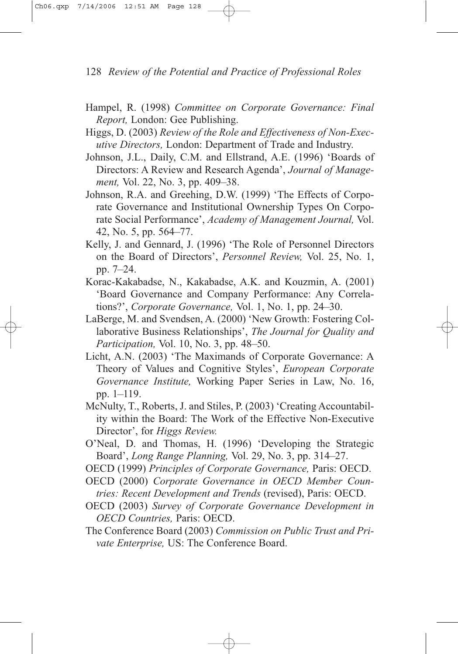- Hampel, R. (1998) *Committee on Corporate Governance: Final Report,* London: Gee Publishing.
- Higgs, D. (2003) *Review of the Role and Effectiveness of Non-Executive Directors,* London: Department of Trade and Industry.
- Johnson, J.L., Daily, C.M. and Ellstrand, A.E. (1996) 'Boards of Directors: A Review and Research Agenda', *Journal of Management,* Vol. 22, No. 3, pp. 409–38.
- Johnson, R.A. and Greehing, D.W. (1999) 'The Effects of Corporate Governance and Institutional Ownership Types On Corporate Social Performance', *Academy of Management Journal,* Vol. 42, No. 5, pp. 564–77.
- Kelly, J. and Gennard, J. (1996) 'The Role of Personnel Directors on the Board of Directors', *Personnel Review,* Vol. 25, No. 1, pp. 7–24.
- Korac-Kakabadse, N., Kakabadse, A.K. and Kouzmin, A. (2001) 'Board Governance and Company Performance: Any Correlations?', *Corporate Governance,* Vol. 1, No. 1, pp. 24–30.
- LaBerge, M. and Svendsen, A. (2000) 'New Growth: Fostering Collaborative Business Relationships', *The Journal for Quality and Participation,* Vol. 10, No. 3, pp. 48–50.
- Licht, A.N. (2003) 'The Maximands of Corporate Governance: A Theory of Values and Cognitive Styles', *European Corporate Governance Institute,* Working Paper Series in Law, No. 16, pp. 1–119.
- McNulty, T., Roberts, J. and Stiles, P. (2003) 'Creating Accountability within the Board: The Work of the Effective Non-Executive Director', for *Higgs Review.*
- O'Neal, D. and Thomas, H. (1996) 'Developing the Strategic Board', *Long Range Planning,* Vol. 29, No. 3, pp. 314–27.
- OECD (1999) *Principles of Corporate Governance,* Paris: OECD.
- OECD (2000) *Corporate Governance in OECD Member Countries: Recent Development and Trends* (revised), Paris: OECD.
- OECD (2003) *Survey of Corporate Governance Development in OECD Countries,* Paris: OECD.
- The Conference Board (2003) *Commission on Public Trust and Private Enterprise,* US: The Conference Board.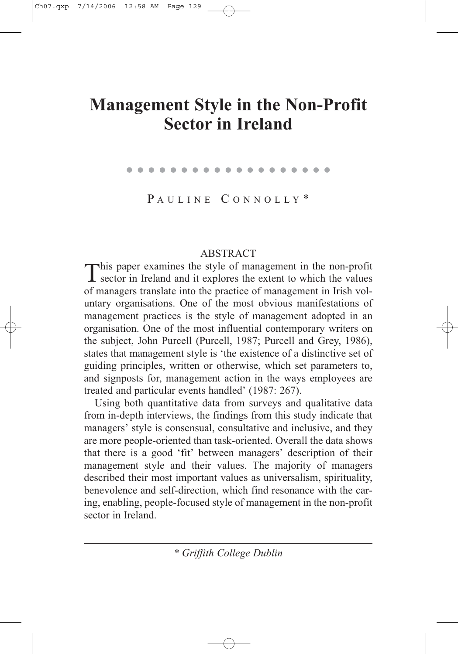# **Management Style in the Non-Profit Sector in Ireland**

. . . . . . . . . . . . . . . . . . .

PAULINE CONNOLLY\*

ABSTRACT<br>This paper examines the style of management in the non-profit This paper examines the style of management in the non-profit sector in Ireland and it explores the extent to which the values of managers translate into the practice of management in Irish voluntary organisations. One of the most obvious manifestations of management practices is the style of management adopted in an organisation. One of the most influential contemporary writers on the subject, John Purcell (Purcell, 1987; Purcell and Grey, 1986), states that management style is 'the existence of a distinctive set of guiding principles, written or otherwise, which set parameters to, and signposts for, management action in the ways employees are treated and particular events handled' (1987: 267).

Using both quantitative data from surveys and qualitative data from in-depth interviews, the findings from this study indicate that managers' style is consensual, consultative and inclusive, and they are more people-oriented than task-oriented. Overall the data shows that there is a good 'fit' between managers' description of their management style and their values. The majority of managers described their most important values as universalism, spirituality, benevolence and self-direction, which find resonance with the caring, enabling, people-focused style of management in the non-profit sector in Ireland.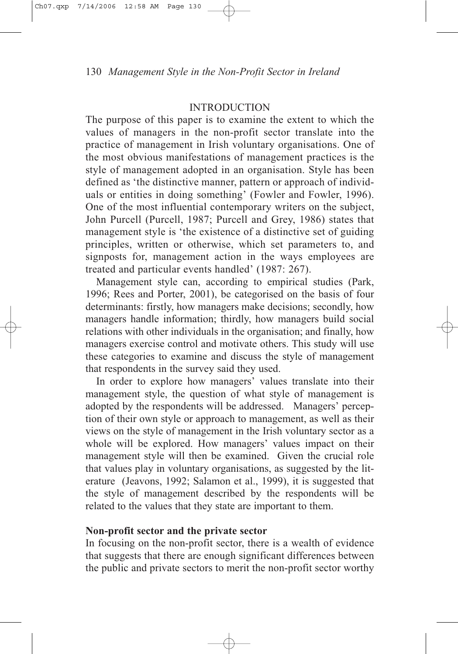#### INTRODUCTION

The purpose of this paper is to examine the extent to which the values of managers in the non-profit sector translate into the practice of management in Irish voluntary organisations. One of the most obvious manifestations of management practices is the style of management adopted in an organisation. Style has been defined as 'the distinctive manner, pattern or approach of individuals or entities in doing something' (Fowler and Fowler, 1996). One of the most influential contemporary writers on the subject, John Purcell (Purcell, 1987; Purcell and Grey, 1986) states that management style is 'the existence of a distinctive set of guiding principles, written or otherwise, which set parameters to, and signposts for, management action in the ways employees are treated and particular events handled' (1987: 267).

Management style can, according to empirical studies (Park, 1996; Rees and Porter, 2001), be categorised on the basis of four determinants: firstly, how managers make decisions; secondly, how managers handle information; thirdly, how managers build social relations with other individuals in the organisation; and finally, how managers exercise control and motivate others. This study will use these categories to examine and discuss the style of management that respondents in the survey said they used.

In order to explore how managers' values translate into their management style, the question of what style of management is adopted by the respondents will be addressed. Managers' perception of their own style or approach to management, as well as their views on the style of management in the Irish voluntary sector as a whole will be explored. How managers' values impact on their management style will then be examined. Given the crucial role that values play in voluntary organisations, as suggested by the literature (Jeavons, 1992; Salamon et al., 1999), it is suggested that the style of management described by the respondents will be related to the values that they state are important to them.

# **Non-profit sector and the private sector**

In focusing on the non-profit sector, there is a wealth of evidence that suggests that there are enough significant differences between the public and private sectors to merit the non-profit sector worthy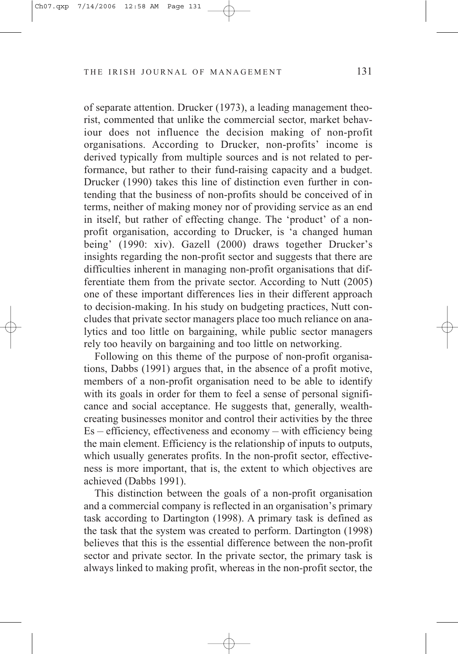of separate attention. Drucker (1973), a leading management theorist, commented that unlike the commercial sector, market behaviour does not influence the decision making of non-profit organisations. According to Drucker, non-profits' income is derived typically from multiple sources and is not related to performance, but rather to their fund-raising capacity and a budget. Drucker (1990) takes this line of distinction even further in contending that the business of non-profits should be conceived of in terms, neither of making money nor of providing service as an end in itself, but rather of effecting change. The 'product' of a nonprofit organisation, according to Drucker, is 'a changed human being' (1990: xiv). Gazell (2000) draws together Drucker's insights regarding the non-profit sector and suggests that there are difficulties inherent in managing non-profit organisations that differentiate them from the private sector. According to Nutt (2005) one of these important differences lies in their different approach to decision-making. In his study on budgeting practices, Nutt concludes that private sector managers place too much reliance on analytics and too little on bargaining, while public sector managers rely too heavily on bargaining and too little on networking.

Following on this theme of the purpose of non-profit organisations, Dabbs (1991) argues that, in the absence of a profit motive, members of a non-profit organisation need to be able to identify with its goals in order for them to feel a sense of personal significance and social acceptance. He suggests that, generally, wealthcreating businesses monitor and control their activities by the three Es – efficiency, effectiveness and economy – with efficiency being the main element. Efficiency is the relationship of inputs to outputs, which usually generates profits. In the non-profit sector, effectiveness is more important, that is, the extent to which objectives are achieved (Dabbs 1991).

This distinction between the goals of a non-profit organisation and a commercial company is reflected in an organisation's primary task according to Dartington (1998). A primary task is defined as the task that the system was created to perform. Dartington (1998) believes that this is the essential difference between the non-profit sector and private sector. In the private sector, the primary task is always linked to making profit, whereas in the non-profit sector, the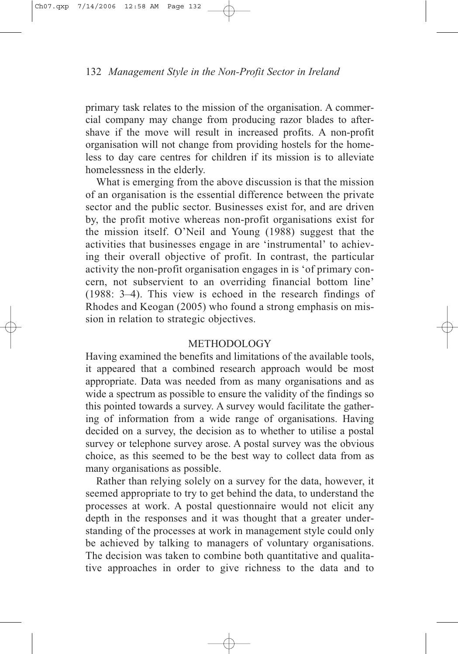primary task relates to the mission of the organisation. A commercial company may change from producing razor blades to aftershave if the move will result in increased profits. A non-profit organisation will not change from providing hostels for the homeless to day care centres for children if its mission is to alleviate homelessness in the elderly.

What is emerging from the above discussion is that the mission of an organisation is the essential difference between the private sector and the public sector. Businesses exist for, and are driven by, the profit motive whereas non-profit organisations exist for the mission itself. O'Neil and Young (1988) suggest that the activities that businesses engage in are 'instrumental' to achieving their overall objective of profit. In contrast, the particular activity the non-profit organisation engages in is 'of primary concern, not subservient to an overriding financial bottom line' (1988: 3–4). This view is echoed in the research findings of Rhodes and Keogan (2005) who found a strong emphasis on mission in relation to strategic objectives.

## METHODOLOGY

Having examined the benefits and limitations of the available tools, it appeared that a combined research approach would be most appropriate. Data was needed from as many organisations and as wide a spectrum as possible to ensure the validity of the findings so this pointed towards a survey. A survey would facilitate the gathering of information from a wide range of organisations. Having decided on a survey, the decision as to whether to utilise a postal survey or telephone survey arose. A postal survey was the obvious choice, as this seemed to be the best way to collect data from as many organisations as possible.

Rather than relying solely on a survey for the data, however, it seemed appropriate to try to get behind the data, to understand the processes at work. A postal questionnaire would not elicit any depth in the responses and it was thought that a greater understanding of the processes at work in management style could only be achieved by talking to managers of voluntary organisations. The decision was taken to combine both quantitative and qualitative approaches in order to give richness to the data and to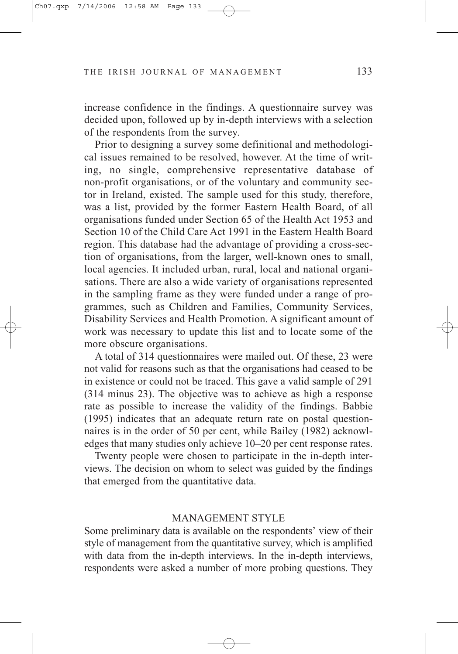increase confidence in the findings. A questionnaire survey was decided upon, followed up by in-depth interviews with a selection of the respondents from the survey.

Prior to designing a survey some definitional and methodological issues remained to be resolved, however. At the time of writing, no single, comprehensive representative database of non-profit organisations, or of the voluntary and community sector in Ireland, existed. The sample used for this study, therefore, was a list, provided by the former Eastern Health Board, of all organisations funded under Section 65 of the Health Act 1953 and Section 10 of the Child Care Act 1991 in the Eastern Health Board region. This database had the advantage of providing a cross-section of organisations, from the larger, well-known ones to small, local agencies. It included urban, rural, local and national organisations. There are also a wide variety of organisations represented in the sampling frame as they were funded under a range of programmes, such as Children and Families, Community Services, Disability Services and Health Promotion. A significant amount of work was necessary to update this list and to locate some of the more obscure organisations.

A total of 314 questionnaires were mailed out. Of these, 23 were not valid for reasons such as that the organisations had ceased to be in existence or could not be traced. This gave a valid sample of 291 (314 minus 23). The objective was to achieve as high a response rate as possible to increase the validity of the findings. Babbie (1995) indicates that an adequate return rate on postal questionnaires is in the order of 50 per cent, while Bailey (1982) acknowledges that many studies only achieve 10–20 per cent response rates.

Twenty people were chosen to participate in the in-depth interviews. The decision on whom to select was guided by the findings that emerged from the quantitative data.

#### MANAGEMENT STYLE

Some preliminary data is available on the respondents' view of their style of management from the quantitative survey, which is amplified with data from the in-depth interviews. In the in-depth interviews, respondents were asked a number of more probing questions. They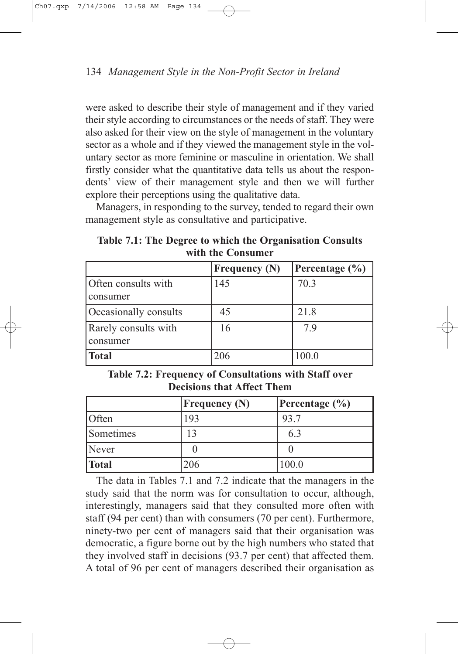were asked to describe their style of management and if they varied their style according to circumstances or the needs of staff. They were also asked for their view on the style of management in the voluntary sector as a whole and if they viewed the management style in the voluntary sector as more feminine or masculine in orientation. We shall firstly consider what the quantitative data tells us about the respondents' view of their management style and then we will further explore their perceptions using the qualitative data.

Managers, in responding to the survey, tended to regard their own management style as consultative and participative.

**Table 7.1: The Degree to which the Organisation Consults with the Consumer**

|                                    | <b>Frequency (N)</b> | Percentage $(\% )$ |
|------------------------------------|----------------------|--------------------|
| Often consults with<br>consumer    | 145                  | 70.3               |
| Occasionally consults              | 45                   | 21.8               |
| Rarely consults with<br>  consumer | 16                   | 79                 |
| <b>Total</b>                       | 206                  | 100.0              |

**Table 7.2: Frequency of Consultations with Staff over Decisions that Affect Them**

|           | <b>Frequency (N)</b> | Percentage $(\% )$ |
|-----------|----------------------|--------------------|
| Often     | 193                  | 93.7               |
| Sometimes |                      | 6.3                |
| Never     |                      |                    |
| Total     | 206                  | 100.0              |

The data in Tables 7.1 and 7.2 indicate that the managers in the study said that the norm was for consultation to occur, although, interestingly, managers said that they consulted more often with staff (94 per cent) than with consumers (70 per cent). Furthermore, ninety-two per cent of managers said that their organisation was democratic, a figure borne out by the high numbers who stated that they involved staff in decisions (93.7 per cent) that affected them. A total of 96 per cent of managers described their organisation as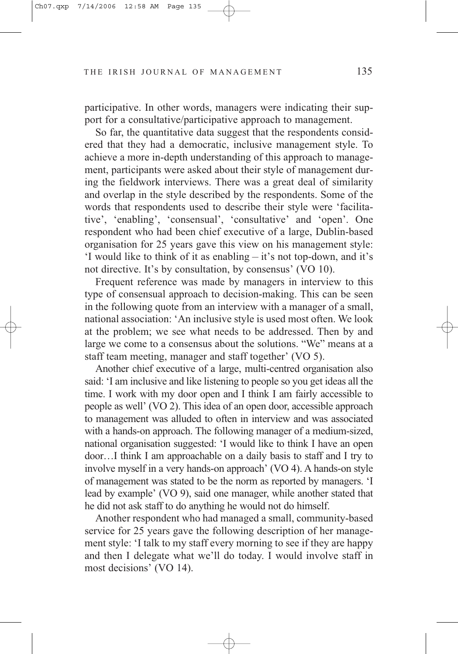participative. In other words, managers were indicating their support for a consultative/participative approach to management.

So far, the quantitative data suggest that the respondents considered that they had a democratic, inclusive management style. To achieve a more in-depth understanding of this approach to management, participants were asked about their style of management during the fieldwork interviews. There was a great deal of similarity and overlap in the style described by the respondents. Some of the words that respondents used to describe their style were 'facilitative', 'enabling', 'consensual', 'consultative' and 'open'. One respondent who had been chief executive of a large, Dublin-based organisation for 25 years gave this view on his management style: 'I would like to think of it as enabling – it's not top-down, and it's not directive. It's by consultation, by consensus' (VO 10).

Frequent reference was made by managers in interview to this type of consensual approach to decision-making. This can be seen in the following quote from an interview with a manager of a small, national association: 'An inclusive style is used most often. We look at the problem; we see what needs to be addressed. Then by and large we come to a consensus about the solutions. "We" means at a staff team meeting, manager and staff together' (VO 5).

Another chief executive of a large, multi-centred organisation also said: 'I am inclusive and like listening to people so you get ideas all the time. I work with my door open and I think I am fairly accessible to people as well' (VO 2). This idea of an open door, accessible approach to management was alluded to often in interview and was associated with a hands-on approach. The following manager of a medium-sized, national organisation suggested: 'I would like to think I have an open door…I think I am approachable on a daily basis to staff and I try to involve myself in a very hands-on approach' (VO 4). A hands-on style of management was stated to be the norm as reported by managers. 'I lead by example' (VO 9), said one manager, while another stated that he did not ask staff to do anything he would not do himself.

Another respondent who had managed a small, community-based service for 25 years gave the following description of her management style: 'I talk to my staff every morning to see if they are happy and then I delegate what we'll do today. I would involve staff in most decisions' (VO 14).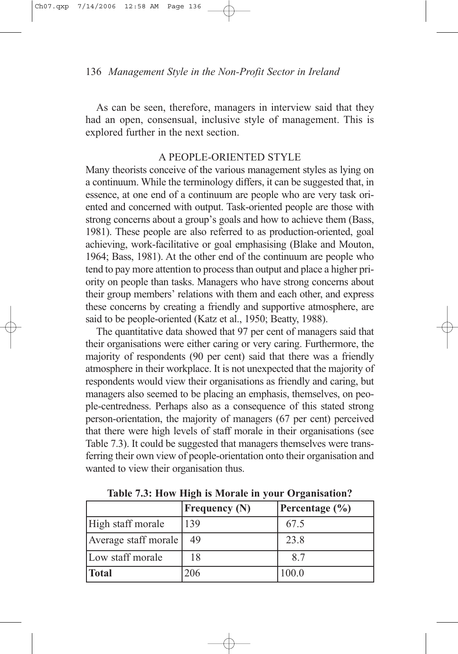As can be seen, therefore, managers in interview said that they had an open, consensual, inclusive style of management. This is explored further in the next section.

#### A PEOPLE-ORIENTED STYLE

Many theorists conceive of the various management styles as lying on a continuum. While the terminology differs, it can be suggested that, in essence, at one end of a continuum are people who are very task oriented and concerned with output. Task-oriented people are those with strong concerns about a group's goals and how to achieve them (Bass, 1981). These people are also referred to as production-oriented, goal achieving, work-facilitative or goal emphasising (Blake and Mouton, 1964; Bass, 1981). At the other end of the continuum are people who tend to pay more attention to process than output and place a higher priority on people than tasks. Managers who have strong concerns about their group members' relations with them and each other, and express these concerns by creating a friendly and supportive atmosphere, are said to be people-oriented (Katz et al., 1950; Beatty, 1988).

The quantitative data showed that 97 per cent of managers said that their organisations were either caring or very caring. Furthermore, the majority of respondents (90 per cent) said that there was a friendly atmosphere in their workplace. It is not unexpected that the majority of respondents would view their organisations as friendly and caring, but managers also seemed to be placing an emphasis, themselves, on people-centredness. Perhaps also as a consequence of this stated strong person-orientation, the majority of managers (67 per cent) perceived that there were high levels of staff morale in their organisations (see Table 7.3). It could be suggested that managers themselves were transferring their own view of people-orientation onto their organisation and wanted to view their organisation thus.

|                      | <b>Frequency (N)</b> | Percentage $(\% )$ |
|----------------------|----------------------|--------------------|
| High staff morale    | 139                  | 67.5               |
| Average staff morale | 49                   | 23.8               |
| Low staff morale     | 18                   | 8.7                |
| <b>Total</b>         | 206                  | 100.0              |

**Table 7.3: How High is Morale in your Organisation?**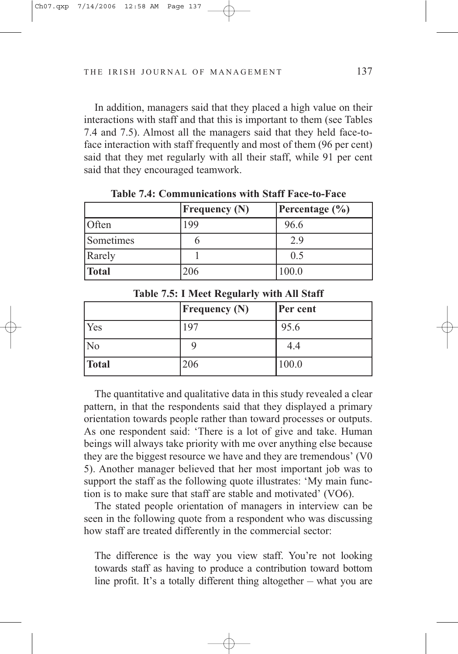In addition, managers said that they placed a high value on their interactions with staff and that this is important to them (see Tables 7.4 and 7.5). Almost all the managers said that they held face-toface interaction with staff frequently and most of them (96 per cent) said that they met regularly with all their staff, while 91 per cent said that they encouraged teamwork.

|           | $F$ requency $(N)$ | Percentage $(\% )$ |
|-----------|--------------------|--------------------|
| Often     | 199                | 96.6               |
| Sometimes |                    | 2.9                |
| Rarely    |                    | 0.5                |
| Total     | 206                | 100.0              |

**Table 7.4: Communications with Staff Face-to-Face**

**Table 7.5: I Meet Regularly with All Staff**

|                | <b>Frequency (N)</b> | Per cent |  |
|----------------|----------------------|----------|--|
| Yes            | 197                  | 95.6     |  |
| N <sub>o</sub> |                      | 4.4      |  |
| Total          | 206                  | 100.0    |  |

The quantitative and qualitative data in this study revealed a clear pattern, in that the respondents said that they displayed a primary orientation towards people rather than toward processes or outputs. As one respondent said: 'There is a lot of give and take. Human beings will always take priority with me over anything else because they are the biggest resource we have and they are tremendous' (V0 5). Another manager believed that her most important job was to support the staff as the following quote illustrates: 'My main function is to make sure that staff are stable and motivated' (VO6).

The stated people orientation of managers in interview can be seen in the following quote from a respondent who was discussing how staff are treated differently in the commercial sector:

The difference is the way you view staff. You're not looking towards staff as having to produce a contribution toward bottom line profit. It's a totally different thing altogether – what you are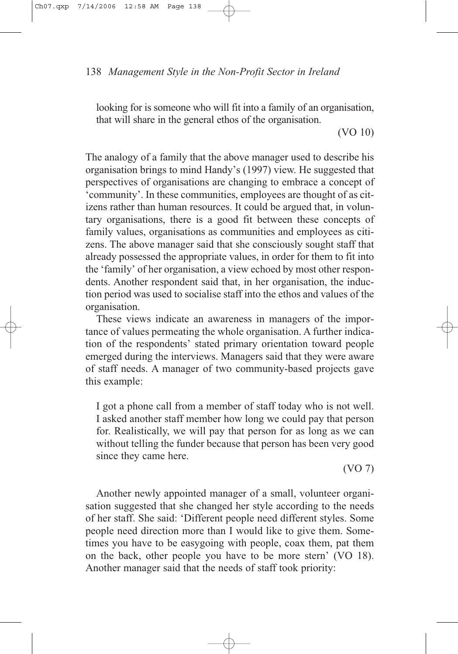looking for is someone who will fit into a family of an organisation, that will share in the general ethos of the organisation.

(VO 10)

The analogy of a family that the above manager used to describe his organisation brings to mind Handy's (1997) view. He suggested that perspectives of organisations are changing to embrace a concept of 'community'. In these communities, employees are thought of as citizens rather than human resources. It could be argued that, in voluntary organisations, there is a good fit between these concepts of family values, organisations as communities and employees as citizens. The above manager said that she consciously sought staff that already possessed the appropriate values, in order for them to fit into the 'family' of her organisation, a view echoed by most other respondents. Another respondent said that, in her organisation, the induction period was used to socialise staff into the ethos and values of the organisation.

These views indicate an awareness in managers of the importance of values permeating the whole organisation. A further indication of the respondents' stated primary orientation toward people emerged during the interviews. Managers said that they were aware of staff needs. A manager of two community-based projects gave this example:

I got a phone call from a member of staff today who is not well. I asked another staff member how long we could pay that person for. Realistically, we will pay that person for as long as we can without telling the funder because that person has been very good since they came here.

(VO 7)

Another newly appointed manager of a small, volunteer organisation suggested that she changed her style according to the needs of her staff. She said: 'Different people need different styles. Some people need direction more than I would like to give them. Sometimes you have to be easygoing with people, coax them, pat them on the back, other people you have to be more stern' (VO 18). Another manager said that the needs of staff took priority: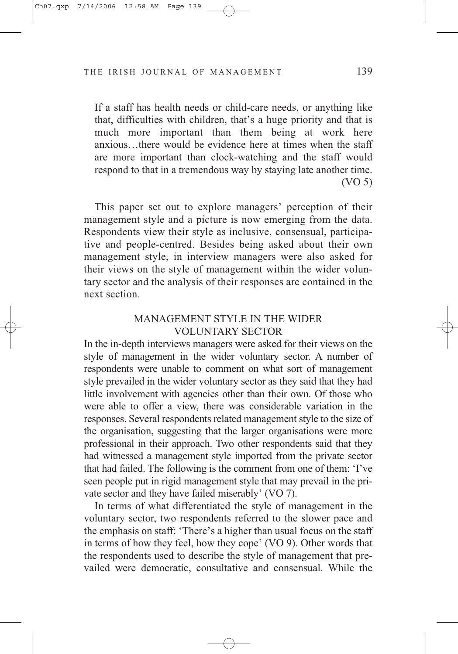If a staff has health needs or child-care needs, or anything like that, difficulties with children, that's a huge priority and that is much more important than them being at work here anxious…there would be evidence here at times when the staff are more important than clock-watching and the staff would respond to that in a tremendous way by staying late another time. (VO 5)

This paper set out to explore managers' perception of their management style and a picture is now emerging from the data. Respondents view their style as inclusive, consensual, participative and people-centred. Besides being asked about their own management style, in interview managers were also asked for their views on the style of management within the wider voluntary sector and the analysis of their responses are contained in the next section.

## MANAGEMENT STYLE IN THE WIDER VOLUNTARY SECTOR

In the in-depth interviews managers were asked for their views on the style of management in the wider voluntary sector. A number of respondents were unable to comment on what sort of management style prevailed in the wider voluntary sector as they said that they had little involvement with agencies other than their own. Of those who were able to offer a view, there was considerable variation in the responses. Several respondents related management style to the size of the organisation, suggesting that the larger organisations were more professional in their approach. Two other respondents said that they had witnessed a management style imported from the private sector that had failed. The following is the comment from one of them: 'I've seen people put in rigid management style that may prevail in the private sector and they have failed miserably' (VO 7).

In terms of what differentiated the style of management in the voluntary sector, two respondents referred to the slower pace and the emphasis on staff: 'There's a higher than usual focus on the staff in terms of how they feel, how they cope' (VO 9). Other words that the respondents used to describe the style of management that prevailed were democratic, consultative and consensual. While the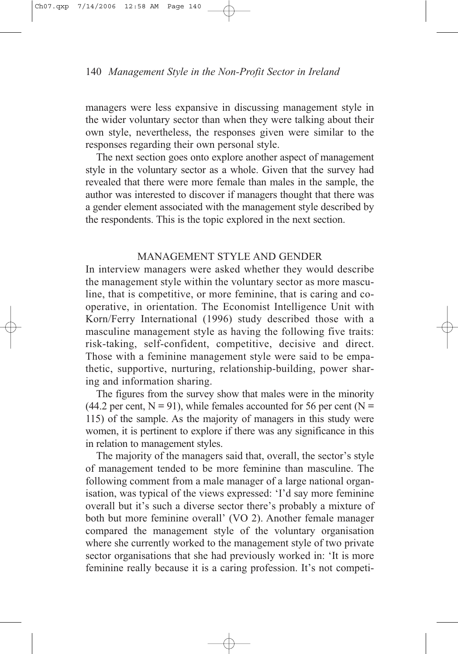managers were less expansive in discussing management style in the wider voluntary sector than when they were talking about their own style, nevertheless, the responses given were similar to the responses regarding their own personal style.

The next section goes onto explore another aspect of management style in the voluntary sector as a whole. Given that the survey had revealed that there were more female than males in the sample, the author was interested to discover if managers thought that there was a gender element associated with the management style described by the respondents. This is the topic explored in the next section.

## MANAGEMENT STYLE AND GENDER

In interview managers were asked whether they would describe the management style within the voluntary sector as more masculine, that is competitive, or more feminine, that is caring and cooperative, in orientation. The Economist Intelligence Unit with Korn/Ferry International (1996) study described those with a masculine management style as having the following five traits: risk-taking, self-confident, competitive, decisive and direct. Those with a feminine management style were said to be empathetic, supportive, nurturing, relationship-building, power sharing and information sharing.

The figures from the survey show that males were in the minority (44.2 per cent,  $N = 91$ ), while females accounted for 56 per cent ( $N =$ 115) of the sample. As the majority of managers in this study were women, it is pertinent to explore if there was any significance in this in relation to management styles.

The majority of the managers said that, overall, the sector's style of management tended to be more feminine than masculine. The following comment from a male manager of a large national organisation, was typical of the views expressed: 'I'd say more feminine overall but it's such a diverse sector there's probably a mixture of both but more feminine overall' (VO 2). Another female manager compared the management style of the voluntary organisation where she currently worked to the management style of two private sector organisations that she had previously worked in: 'It is more feminine really because it is a caring profession. It's not competi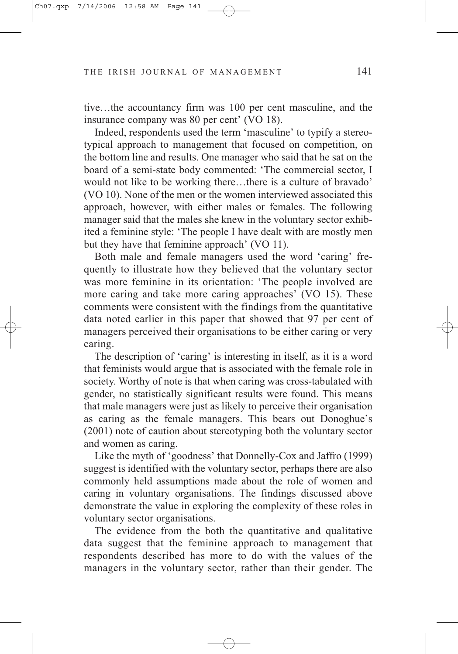tive…the accountancy firm was 100 per cent masculine, and the insurance company was 80 per cent' (VO 18).

Indeed, respondents used the term 'masculine' to typify a stereotypical approach to management that focused on competition, on the bottom line and results. One manager who said that he sat on the board of a semi-state body commented: 'The commercial sector, I would not like to be working there…there is a culture of bravado' (VO 10). None of the men or the women interviewed associated this approach, however, with either males or females. The following manager said that the males she knew in the voluntary sector exhibited a feminine style: 'The people I have dealt with are mostly men but they have that feminine approach' (VO 11).

Both male and female managers used the word 'caring' frequently to illustrate how they believed that the voluntary sector was more feminine in its orientation: 'The people involved are more caring and take more caring approaches' (VO 15). These comments were consistent with the findings from the quantitative data noted earlier in this paper that showed that 97 per cent of managers perceived their organisations to be either caring or very caring.

The description of 'caring' is interesting in itself, as it is a word that feminists would argue that is associated with the female role in society. Worthy of note is that when caring was cross-tabulated with gender, no statistically significant results were found. This means that male managers were just as likely to perceive their organisation as caring as the female managers. This bears out Donoghue's (2001) note of caution about stereotyping both the voluntary sector and women as caring.

Like the myth of 'goodness' that Donnelly-Cox and Jaffro (1999) suggest is identified with the voluntary sector, perhaps there are also commonly held assumptions made about the role of women and caring in voluntary organisations. The findings discussed above demonstrate the value in exploring the complexity of these roles in voluntary sector organisations.

The evidence from the both the quantitative and qualitative data suggest that the feminine approach to management that respondents described has more to do with the values of the managers in the voluntary sector, rather than their gender. The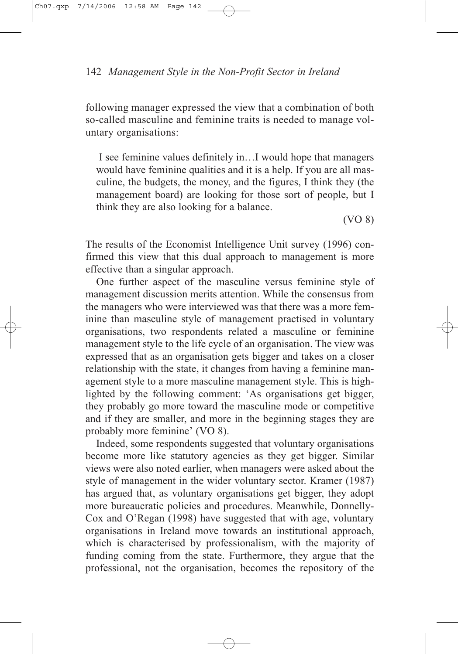following manager expressed the view that a combination of both so-called masculine and feminine traits is needed to manage voluntary organisations:

I see feminine values definitely in…I would hope that managers would have feminine qualities and it is a help. If you are all masculine, the budgets, the money, and the figures, I think they (the management board) are looking for those sort of people, but I think they are also looking for a balance.

(VO 8)

The results of the Economist Intelligence Unit survey (1996) confirmed this view that this dual approach to management is more effective than a singular approach.

One further aspect of the masculine versus feminine style of management discussion merits attention. While the consensus from the managers who were interviewed was that there was a more feminine than masculine style of management practised in voluntary organisations, two respondents related a masculine or feminine management style to the life cycle of an organisation. The view was expressed that as an organisation gets bigger and takes on a closer relationship with the state, it changes from having a feminine management style to a more masculine management style. This is highlighted by the following comment: 'As organisations get bigger, they probably go more toward the masculine mode or competitive and if they are smaller, and more in the beginning stages they are probably more feminine' (VO 8).

Indeed, some respondents suggested that voluntary organisations become more like statutory agencies as they get bigger. Similar views were also noted earlier, when managers were asked about the style of management in the wider voluntary sector. Kramer (1987) has argued that, as voluntary organisations get bigger, they adopt more bureaucratic policies and procedures. Meanwhile, Donnelly-Cox and O'Regan (1998) have suggested that with age, voluntary organisations in Ireland move towards an institutional approach, which is characterised by professionalism, with the majority of funding coming from the state. Furthermore, they argue that the professional, not the organisation, becomes the repository of the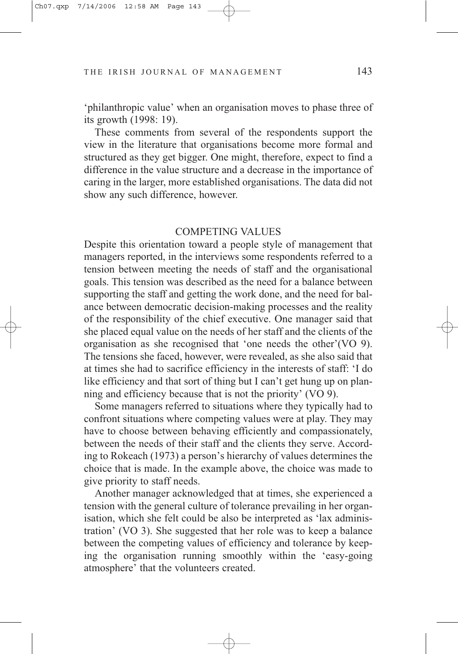'philanthropic value' when an organisation moves to phase three of its growth (1998: 19).

These comments from several of the respondents support the view in the literature that organisations become more formal and structured as they get bigger. One might, therefore, expect to find a difference in the value structure and a decrease in the importance of caring in the larger, more established organisations. The data did not show any such difference, however.

## COMPETING VALUES

Despite this orientation toward a people style of management that managers reported, in the interviews some respondents referred to a tension between meeting the needs of staff and the organisational goals. This tension was described as the need for a balance between supporting the staff and getting the work done, and the need for balance between democratic decision-making processes and the reality of the responsibility of the chief executive. One manager said that she placed equal value on the needs of her staff and the clients of the organisation as she recognised that 'one needs the other'(VO 9). The tensions she faced, however, were revealed, as she also said that at times she had to sacrifice efficiency in the interests of staff: 'I do like efficiency and that sort of thing but I can't get hung up on planning and efficiency because that is not the priority' (VO 9).

Some managers referred to situations where they typically had to confront situations where competing values were at play. They may have to choose between behaving efficiently and compassionately, between the needs of their staff and the clients they serve. According to Rokeach (1973) a person's hierarchy of values determines the choice that is made. In the example above, the choice was made to give priority to staff needs.

Another manager acknowledged that at times, she experienced a tension with the general culture of tolerance prevailing in her organisation, which she felt could be also be interpreted as 'lax administration' (VO 3). She suggested that her role was to keep a balance between the competing values of efficiency and tolerance by keeping the organisation running smoothly within the 'easy-going atmosphere' that the volunteers created.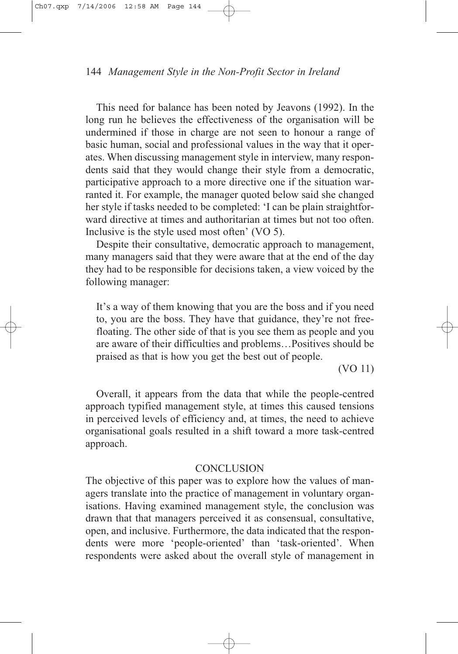This need for balance has been noted by Jeavons (1992). In the long run he believes the effectiveness of the organisation will be undermined if those in charge are not seen to honour a range of basic human, social and professional values in the way that it operates. When discussing management style in interview, many respondents said that they would change their style from a democratic, participative approach to a more directive one if the situation warranted it. For example, the manager quoted below said she changed her style if tasks needed to be completed: 'I can be plain straightforward directive at times and authoritarian at times but not too often. Inclusive is the style used most often' (VO 5).

Despite their consultative, democratic approach to management, many managers said that they were aware that at the end of the day they had to be responsible for decisions taken, a view voiced by the following manager:

It's a way of them knowing that you are the boss and if you need to, you are the boss. They have that guidance, they're not freefloating. The other side of that is you see them as people and you are aware of their difficulties and problems…Positives should be praised as that is how you get the best out of people.

(VO 11)

Overall, it appears from the data that while the people-centred approach typified management style, at times this caused tensions in perceived levels of efficiency and, at times, the need to achieve organisational goals resulted in a shift toward a more task-centred approach.

### **CONCLUSION**

The objective of this paper was to explore how the values of managers translate into the practice of management in voluntary organisations. Having examined management style, the conclusion was drawn that that managers perceived it as consensual, consultative, open, and inclusive. Furthermore, the data indicated that the respondents were more 'people-oriented' than 'task-oriented'. When respondents were asked about the overall style of management in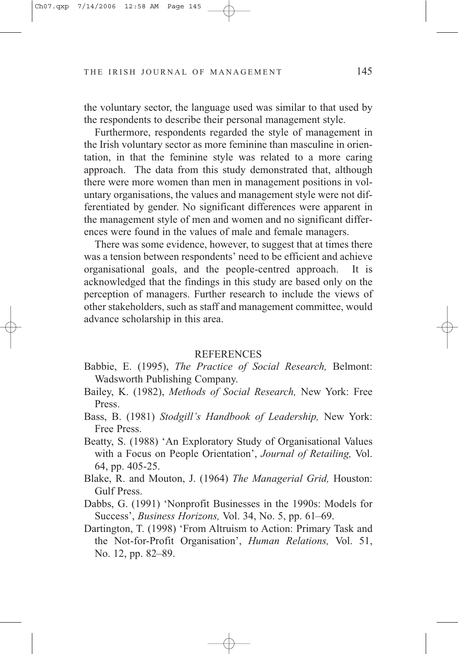the voluntary sector, the language used was similar to that used by the respondents to describe their personal management style.

Furthermore, respondents regarded the style of management in the Irish voluntary sector as more feminine than masculine in orientation, in that the feminine style was related to a more caring approach. The data from this study demonstrated that, although there were more women than men in management positions in voluntary organisations, the values and management style were not differentiated by gender. No significant differences were apparent in the management style of men and women and no significant differences were found in the values of male and female managers.

There was some evidence, however, to suggest that at times there was a tension between respondents' need to be efficient and achieve organisational goals, and the people-centred approach. It is acknowledged that the findings in this study are based only on the perception of managers. Further research to include the views of other stakeholders, such as staff and management committee, would advance scholarship in this area.

#### REFERENCES

- Babbie, E. (1995), *The Practice of Social Research,* Belmont: Wadsworth Publishing Company.
- Bailey, K. (1982), *Methods of Social Research,* New York: Free Press.
- Bass, B. (1981) *Stodgill's Handbook of Leadership,* New York: Free Press.
- Beatty, S. (1988) 'An Exploratory Study of Organisational Values with a Focus on People Orientation', *Journal of Retailing,* Vol. 64, pp. 405-25.
- Blake, R. and Mouton, J. (1964) *The Managerial Grid,* Houston: Gulf Press.
- Dabbs, G. (1991) 'Nonprofit Businesses in the 1990s: Models for Success', *Business Horizons,* Vol. 34, No. 5, pp. 61–69.
- Dartington, T. (1998) 'From Altruism to Action: Primary Task and the Not-for-Profit Organisation', *Human Relations,* Vol. 51, No. 12, pp. 82–89.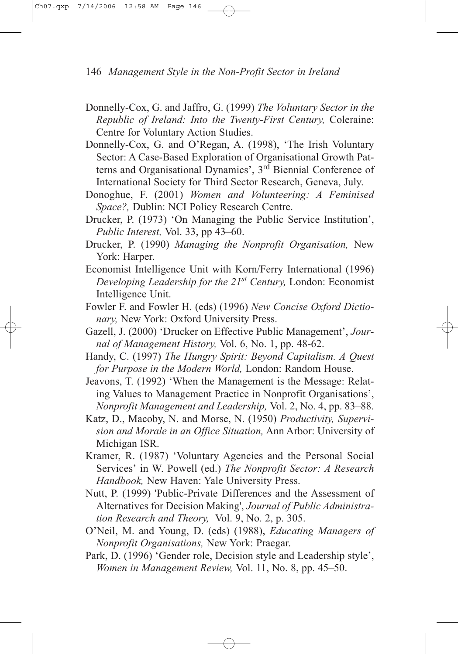- Donnelly-Cox, G. and Jaffro, G. (1999) *The Voluntary Sector in the Republic of Ireland: Into the Twenty-First Century,* Coleraine: Centre for Voluntary Action Studies.
- Donnelly-Cox, G. and O'Regan, A. (1998), 'The Irish Voluntary Sector: A Case-Based Exploration of Organisational Growth Patterns and Organisational Dynamics', 3rd Biennial Conference of International Society for Third Sector Research, Geneva, July.
- Donoghue, F. (2001) *Women and Volunteering: A Feminised Space?,* Dublin: NCI Policy Research Centre.
- Drucker, P. (1973) 'On Managing the Public Service Institution', *Public Interest,* Vol. 33, pp 43–60.
- Drucker, P. (1990) *Managing the Nonprofit Organisation,* New York: Harper.
- Economist Intelligence Unit with Korn/Ferry International (1996) *Developing Leadership for the 21st Century,* London: Economist Intelligence Unit.
- Fowler F. and Fowler H. (eds) (1996) *New Concise Oxford Dictionary,* New York: Oxford University Press.
- Gazell, J. (2000) 'Drucker on Effective Public Management', *Journal of Management History,* Vol. 6, No. 1, pp. 48-62.
- Handy, C. (1997) *The Hungry Spirit: Beyond Capitalism. A Quest for Purpose in the Modern World,* London: Random House.
- Jeavons, T. (1992) 'When the Management is the Message: Relating Values to Management Practice in Nonprofit Organisations', *Nonprofit Management and Leadership,* Vol. 2, No. 4, pp. 83–88.
- Katz, D., Macoby, N. and Morse, N. (1950) *Productivity, Supervision and Morale in an Office Situation,* Ann Arbor: University of Michigan ISR.
- Kramer, R. (1987) 'Voluntary Agencies and the Personal Social Services' in W. Powell (ed.) *The Nonprofit Sector: A Research Handbook,* New Haven: Yale University Press.
- Nutt, P. (1999) 'Public-Private Differences and the Assessment of Alternatives for Decision Making', *Journal of Public Administration Research and Theory,* Vol. 9, No. 2, p. 305.
- O'Neil, M. and Young, D. (eds) (1988), *Educating Managers of Nonprofit Organisations,* New York: Praegar.
- Park, D. (1996) 'Gender role, Decision style and Leadership style', *Women in Management Review,* Vol. 11, No. 8, pp. 45–50.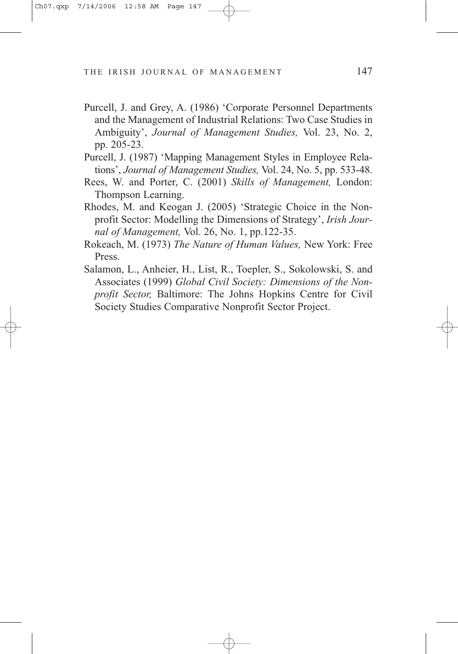- Purcell, J. and Grey, A. (1986) 'Corporate Personnel Departments and the Management of Industrial Relations: Two Case Studies in Ambiguity', *Journal of Management Studies,* Vol. 23, No. 2, pp. 205-23.
- Purcell, J. (1987) 'Mapping Management Styles in Employee Relations', *Journal of Management Studies,* Vol. 24, No. 5, pp. 533-48.
- Rees, W. and Porter, C. (2001) *Skills of Management,* London: Thompson Learning.
- Rhodes, M. and Keogan J. (2005) 'Strategic Choice in the Nonprofit Sector: Modelling the Dimensions of Strategy', *Irish Journal of Management,* Vol. 26, No. 1, pp.122-35.
- Rokeach, M. (1973) *The Nature of Human Values,* New York: Free Press.
- Salamon, L., Anheier, H., List, R., Toepler, S., Sokolowski, S. and Associates (1999) *Global Civil Society: Dimensions of the Nonprofit Sector,* Baltimore: The Johns Hopkins Centre for Civil Society Studies Comparative Nonprofit Sector Project.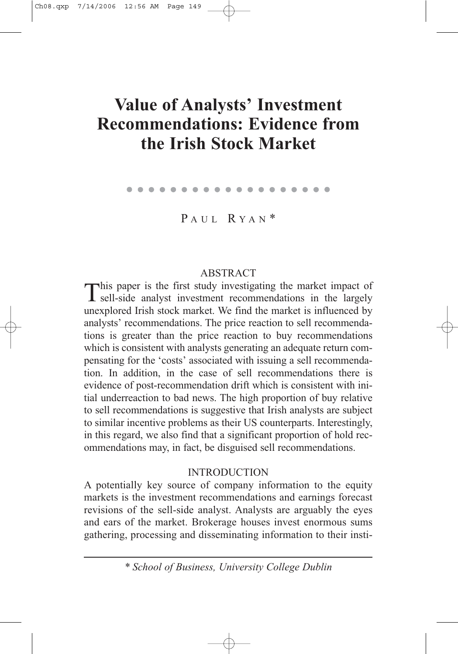# **Value of Analysts' Investment Recommendations: Evidence from the Irish Stock Market**

. . . . . . . . . . . . . . . . . . .

PAUL RYAN<sup>\*</sup>

## **ABSTRACT**

This paper is the first study investigating the market impact of sell-side analyst investment recommendations in the largely unexplored Irish stock market. We find the market is influenced by analysts' recommendations. The price reaction to sell recommendations is greater than the price reaction to buy recommendations which is consistent with analysts generating an adequate return compensating for the 'costs' associated with issuing a sell recommendation. In addition, in the case of sell recommendations there is evidence of post-recommendation drift which is consistent with initial underreaction to bad news. The high proportion of buy relative to sell recommendations is suggestive that Irish analysts are subject to similar incentive problems as their US counterparts. Interestingly, in this regard, we also find that a significant proportion of hold recommendations may, in fact, be disguised sell recommendations.

## INTRODUCTION

A potentially key source of company information to the equity markets is the investment recommendations and earnings forecast revisions of the sell-side analyst. Analysts are arguably the eyes and ears of the market. Brokerage houses invest enormous sums gathering, processing and disseminating information to their insti-

*<sup>\*</sup> School of Business, University College Dublin*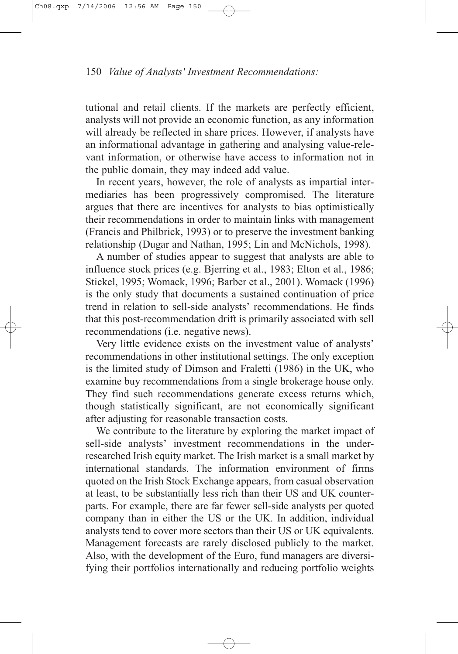tutional and retail clients. If the markets are perfectly efficient, analysts will not provide an economic function, as any information will already be reflected in share prices. However, if analysts have an informational advantage in gathering and analysing value-relevant information, or otherwise have access to information not in the public domain, they may indeed add value.

In recent years, however, the role of analysts as impartial intermediaries has been progressively compromised. The literature argues that there are incentives for analysts to bias optimistically their recommendations in order to maintain links with management (Francis and Philbrick, 1993) or to preserve the investment banking relationship (Dugar and Nathan, 1995; Lin and McNichols, 1998).

A number of studies appear to suggest that analysts are able to influence stock prices (e.g. Bjerring et al., 1983; Elton et al., 1986; Stickel, 1995; Womack, 1996; Barber et al., 2001). Womack (1996) is the only study that documents a sustained continuation of price trend in relation to sell-side analysts' recommendations. He finds that this post-recommendation drift is primarily associated with sell recommendations (i.e. negative news).

Very little evidence exists on the investment value of analysts' recommendations in other institutional settings. The only exception is the limited study of Dimson and Fraletti (1986) in the UK, who examine buy recommendations from a single brokerage house only. They find such recommendations generate excess returns which, though statistically significant, are not economically significant after adjusting for reasonable transaction costs.

We contribute to the literature by exploring the market impact of sell-side analysts' investment recommendations in the underresearched Irish equity market. The Irish market is a small market by international standards. The information environment of firms quoted on the Irish Stock Exchange appears, from casual observation at least, to be substantially less rich than their US and UK counterparts. For example, there are far fewer sell-side analysts per quoted company than in either the US or the UK. In addition, individual analysts tend to cover more sectors than their US or UK equivalents. Management forecasts are rarely disclosed publicly to the market. Also, with the development of the Euro, fund managers are diversifying their portfolios internationally and reducing portfolio weights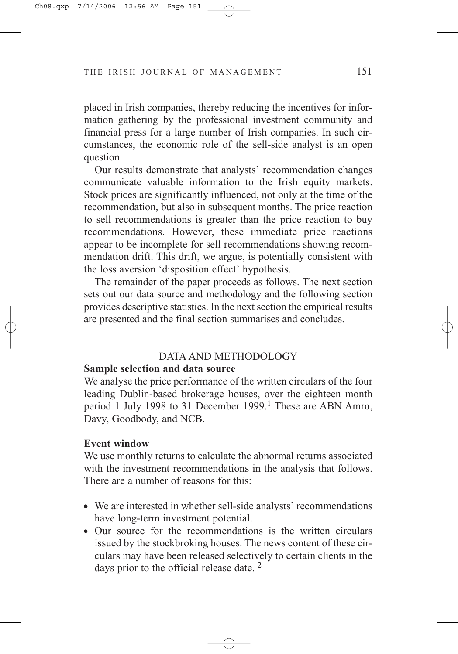placed in Irish companies, thereby reducing the incentives for information gathering by the professional investment community and financial press for a large number of Irish companies. In such circumstances, the economic role of the sell-side analyst is an open question.

Our results demonstrate that analysts' recommendation changes communicate valuable information to the Irish equity markets. Stock prices are significantly influenced, not only at the time of the recommendation, but also in subsequent months. The price reaction to sell recommendations is greater than the price reaction to buy recommendations. However, these immediate price reactions appear to be incomplete for sell recommendations showing recommendation drift. This drift, we argue, is potentially consistent with the loss aversion 'disposition effect' hypothesis.

The remainder of the paper proceeds as follows. The next section sets out our data source and methodology and the following section provides descriptive statistics. In the next section the empirical results are presented and the final section summarises and concludes.

#### DATA AND METHODOLOGY

## **Sample selection and data source**

We analyse the price performance of the written circulars of the four leading Dublin-based brokerage houses, over the eighteen month period 1 July 1998 to 31 December 1999.<sup>1</sup> These are ABN Amro, Davy, Goodbody, and NCB.

## **Event window**

We use monthly returns to calculate the abnormal returns associated with the investment recommendations in the analysis that follows. There are a number of reasons for this:

- We are interested in whether sell-side analysts' recommendations have long-term investment potential.
- Our source for the recommendations is the written circulars issued by the stockbroking houses. The news content of these circulars may have been released selectively to certain clients in the days prior to the official release date.<sup>2</sup>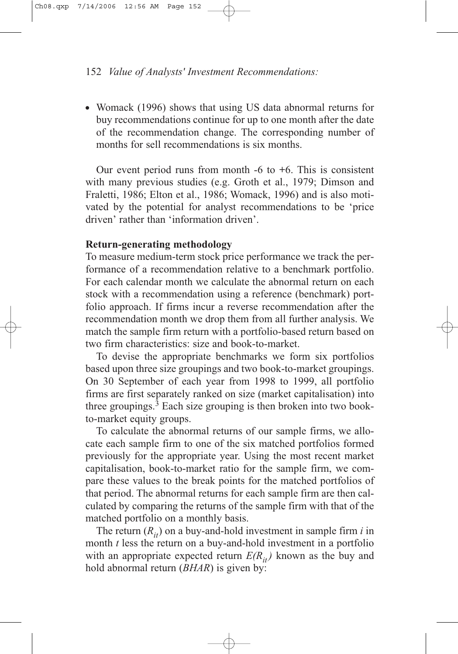• Womack (1996) shows that using US data abnormal returns for buy recommendations continue for up to one month after the date of the recommendation change. The corresponding number of months for sell recommendations is six months.

Our event period runs from month -6 to +6. This is consistent with many previous studies (e.g. Groth et al., 1979; Dimson and Fraletti, 1986; Elton et al., 1986; Womack, 1996) and is also motivated by the potential for analyst recommendations to be 'price driven' rather than 'information driven'.

## **Return-generating methodology**

To measure medium-term stock price performance we track the performance of a recommendation relative to a benchmark portfolio. For each calendar month we calculate the abnormal return on each stock with a recommendation using a reference (benchmark) portfolio approach. If firms incur a reverse recommendation after the recommendation month we drop them from all further analysis. We match the sample firm return with a portfolio-based return based on two firm characteristics: size and book-to-market.

To devise the appropriate benchmarks we form six portfolios based upon three size groupings and two book-to-market groupings. On 30 September of each year from 1998 to 1999, all portfolio firms are first separately ranked on size (market capitalisation) into three groupings.<sup>3</sup> Each size grouping is then broken into two bookto-market equity groups.

To calculate the abnormal returns of our sample firms, we allocate each sample firm to one of the six matched portfolios formed previously for the appropriate year. Using the most recent market capitalisation, book-to-market ratio for the sample firm, we compare these values to the break points for the matched portfolios of that period. The abnormal returns for each sample firm are then calculated by comparing the returns of the sample firm with that of the matched portfolio on a monthly basis.

The return  $(R_{it})$  on a buy-and-hold investment in sample firm *i* in month *t* less the return on a buy-and-hold investment in a portfolio with an appropriate expected return  $E(R_{it})$  known as the buy and hold abnormal return (*BHAR*) is given by: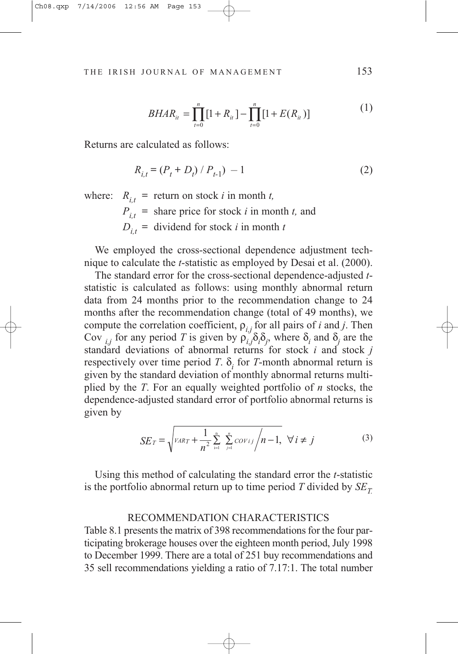$$
BHAR_{it} = \prod_{t=0}^{n} [1 + R_{it}] - \prod_{t=0}^{n} [1 + E(R_{it})]
$$
 (1)

Returns are calculated as follows:

$$
R_{i,t} = (P_t + D_t) / P_{t-1}) - 1
$$
 (2)

where:  $R_{i,t}$  = return on stock *i* in month *t*,  $P_{i,t}$  = share price for stock *i* in month *t*, and  $D_{i,t}$  = dividend for stock *i* in month *t* 

We employed the cross-sectional dependence adjustment technique to calculate the *t*-statistic as employed by Desai et al. (2000).

The standard error for the cross-sectional dependence-adjusted *t*statistic is calculated as follows: using monthly abnormal return data from 24 months prior to the recommendation change to 24 months after the recommendation change (total of 49 months), we compute the correlation coefficient,  $\rho_{i,j}$  for all pairs of *i* and *j*. Then Cov  $_{i,j}$  for any period *T* is given by  $\rho_{i,j} \delta_i \delta_j$ , where  $\delta_i$  and  $\delta_j$  are the standard deviations of abnormal returns for stock *i* and stock *j* respectively over time period *T*.  $\delta$ <sub>*i*</sub> for *T*-month abnormal return is given by the standard deviation of monthly abnormal returns multiplied by the *T*. For an equally weighted portfolio of *n* stocks, the dependence-adjusted standard error of portfolio abnormal returns is given by

$$
SE_T = \sqrt{\nu_{ART} + \frac{1}{n^2} \sum_{i=1}^{n} \sum_{j=1}^{n} cov_{ij} / n - 1}, \ \forall i \neq j
$$
 (3)

Using this method of calculating the standard error the *t*-statistic is the portfolio abnormal return up to time period  $T$  divided by  $SE_T$ 

#### RECOMMENDATION CHARACTERISTICS

Table 8.1 presents the matrix of 398 recommendations for the four participating brokerage houses over the eighteen month period, July 1998 to December 1999. There are a total of 251 buy recommendations and 35 sell recommendations yielding a ratio of 7.17:1. The total number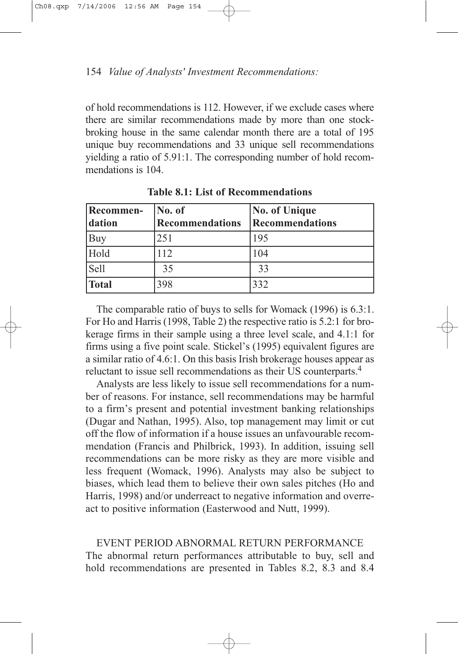of hold recommendations is 112. However, if we exclude cases where there are similar recommendations made by more than one stockbroking house in the same calendar month there are a total of 195 unique buy recommendations and 33 unique sell recommendations yielding a ratio of 5.91:1. The corresponding number of hold recommendations is 104.

| <b>Recommen-</b><br>dation | No. of<br><b>Recommendations</b> | <b>No. of Unique</b><br>Recommendations |  |
|----------------------------|----------------------------------|-----------------------------------------|--|
| Buy                        | 251                              | 195                                     |  |
| Hold                       | 112                              | 104                                     |  |
| Sell                       | 35                               | 33                                      |  |
| <b>Total</b>               | 398                              | 332                                     |  |

**Table 8.1: List of Recommendations**

The comparable ratio of buys to sells for Womack (1996) is 6.3:1. For Ho and Harris (1998, Table 2) the respective ratio is 5.2:1 for brokerage firms in their sample using a three level scale, and 4.1:1 for firms using a five point scale. Stickel's (1995) equivalent figures are a similar ratio of 4.6:1. On this basis Irish brokerage houses appear as reluctant to issue sell recommendations as their US counterparts.4

Analysts are less likely to issue sell recommendations for a number of reasons. For instance, sell recommendations may be harmful to a firm's present and potential investment banking relationships (Dugar and Nathan, 1995). Also, top management may limit or cut off the flow of information if a house issues an unfavourable recommendation (Francis and Philbrick, 1993). In addition, issuing sell recommendations can be more risky as they are more visible and less frequent (Womack, 1996). Analysts may also be subject to biases, which lead them to believe their own sales pitches (Ho and Harris, 1998) and/or underreact to negative information and overreact to positive information (Easterwood and Nutt, 1999).

EVENT PERIOD ABNORMAL RETURN PERFORMANCE The abnormal return performances attributable to buy, sell and hold recommendations are presented in Tables 8.2, 8.3 and 8.4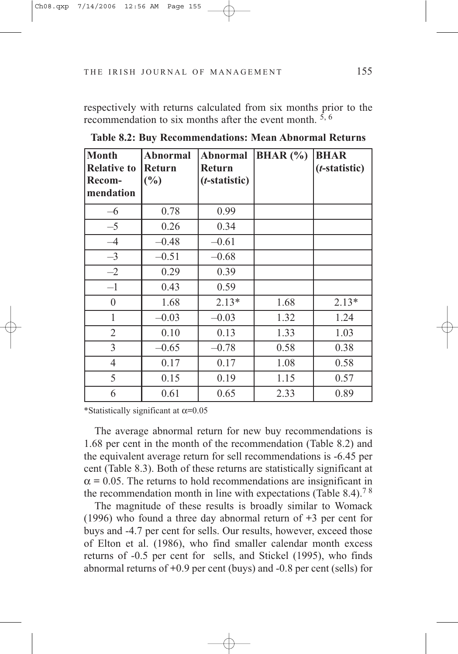respectively with returns calculated from six months prior to the recommendation to six months after the event month.  $5, 6$ 

| <b>Month</b><br><b>Relative to</b> | <b>Abnormal</b><br><b>Return</b> | <b>Abnormal</b><br><b>Return</b> | <b>BHAR</b> $(\%)$ | <b>BHAR</b><br>$(t\text{-statistic})$ |  |
|------------------------------------|----------------------------------|----------------------------------|--------------------|---------------------------------------|--|
| Recom-<br>mendation                | $\binom{0}{0}$                   | ( <i>t</i> -statistic)           |                    |                                       |  |
|                                    |                                  |                                  |                    |                                       |  |
| $-6$                               | 0.78                             | 0.99                             |                    |                                       |  |
| $-5$                               | 0.26                             | 0.34                             |                    |                                       |  |
| $-4$                               | $-0.48$                          | $-0.61$                          |                    |                                       |  |
| $-3$                               | $-0.51$                          | $-0.68$                          |                    |                                       |  |
| $-2$                               | 0.29                             | 0.39                             |                    |                                       |  |
| $-1$                               | 0.43                             | 0.59                             |                    |                                       |  |
| $\boldsymbol{0}$                   | 1.68                             | $2.13*$                          | 1.68               | $2.13*$                               |  |
| 1                                  | $-0.03$                          | $-0.03$                          | 1.32               | 1.24                                  |  |
| $\overline{2}$                     | 0.10                             | 0.13                             | 1.33               | 1.03                                  |  |
| 3                                  | $-0.65$                          | $-0.78$                          | 0.58               | 0.38                                  |  |
| $\overline{4}$                     | 0.17                             | 0.17                             | 1.08               | 0.58                                  |  |
| 5                                  | 0.15                             | 0.19                             | 1.15               | 0.57                                  |  |
| 6                                  | 0.61                             | 0.65                             | 2.33               | 0.89                                  |  |

**Table 8.2: Buy Recommendations: Mean Abnormal Returns**

\*Statistically significant at  $\alpha$ =0.05

The average abnormal return for new buy recommendations is 1.68 per cent in the month of the recommendation (Table 8.2) and the equivalent average return for sell recommendations is -6.45 per cent (Table 8.3). Both of these returns are statistically significant at  $\alpha$  = 0.05. The returns to hold recommendations are insignificant in the recommendation month in line with expectations (Table 8.4).<sup>78</sup>

The magnitude of these results is broadly similar to Womack (1996) who found a three day abnormal return of +3 per cent for buys and -4.7 per cent for sells. Our results, however, exceed those of Elton et al. (1986), who find smaller calendar month excess returns of -0.5 per cent for sells, and Stickel (1995), who finds abnormal returns of +0.9 per cent (buys) and -0.8 per cent (sells) for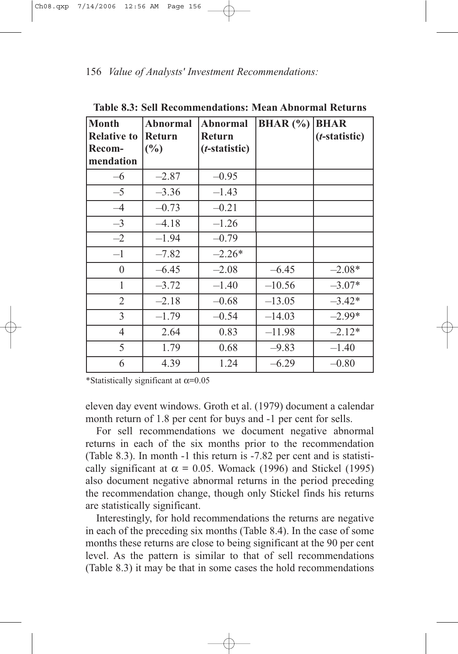| <b>Month</b>       | <b>Abnormal</b> | <b>Abnormal</b>        | <b>BHAR</b> $(\% )$ | <b>BHAR</b>            |
|--------------------|-----------------|------------------------|---------------------|------------------------|
| <b>Relative to</b> | <b>Return</b>   | Return                 |                     | ( <i>t</i> -statistic) |
| Recom-             | $(\%)$          | ( <i>t</i> -statistic) |                     |                        |
| mendation          |                 |                        |                     |                        |
| $-6$               | $-2.87$         | $-0.95$                |                     |                        |
| $-5$               | $-3.36$         | $-1.43$                |                     |                        |
| $-4$               | $-0.73$         | $-0.21$                |                     |                        |
| $-3$               | $-4.18$         | $-1.26$                |                     |                        |
| $-2$               | $-1.94$         | $-0.79$                |                     |                        |
| $-1$               | $-7.82$         | $-2.26*$               |                     |                        |
| $\boldsymbol{0}$   | $-6.45$         | $-2.08$                | $-6.45$             | $-2.08*$               |
| 1                  | $-3.72$         | $-1.40$                | $-10.56$            | $-3.07*$               |
| $\overline{2}$     | $-2.18$         | $-0.68$                | $-13.05$            | $-3.42*$               |
| 3                  | $-1.79$         | $-0.54$                | $-14.03$            | $-2.99*$               |
| $\overline{4}$     | 2.64            | 0.83                   | $-11.98$            | $-2.12*$               |
| 5                  | 1.79            | 0.68                   | $-9.83$             | $-1.40$                |
| 6                  | 4.39            | 1.24                   | $-6.29$             | $-0.80$                |

**Table 8.3: Sell Recommendations: Mean Abnormal Returns**

\*Statistically significant at  $\alpha$ =0.05

eleven day event windows. Groth et al. (1979) document a calendar month return of 1.8 per cent for buys and -1 per cent for sells.

For sell recommendations we document negative abnormal returns in each of the six months prior to the recommendation (Table 8.3). In month -1 this return is -7.82 per cent and is statistically significant at  $\alpha = 0.05$ . Womack (1996) and Stickel (1995) also document negative abnormal returns in the period preceding the recommendation change, though only Stickel finds his returns are statistically significant.

Interestingly, for hold recommendations the returns are negative in each of the preceding six months (Table 8.4). In the case of some months these returns are close to being significant at the 90 per cent level. As the pattern is similar to that of sell recommendations (Table 8.3) it may be that in some cases the hold recommendations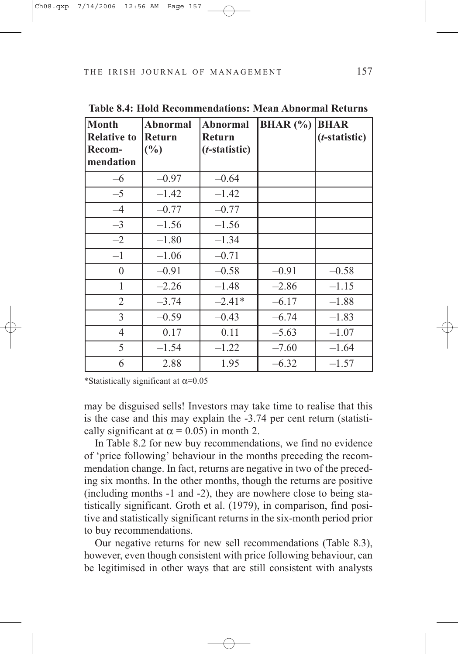| <b>Month</b><br><b>Relative to</b><br>Recom-<br>mendation | <b>Abnormal</b><br><b>Return</b><br>$\left(\frac{0}{0}\right)$ | <b>Abnormal</b><br><b>Return</b><br>( <i>t</i> -statistic) | <b>BHAR</b> $(\%)$ | <b>BHAR</b><br>( <i>t</i> -statistic) |
|-----------------------------------------------------------|----------------------------------------------------------------|------------------------------------------------------------|--------------------|---------------------------------------|
| $-6$                                                      | $-0.97$                                                        | $-0.64$                                                    |                    |                                       |
| $-5$                                                      | $-1.42$                                                        | $-1.42$                                                    |                    |                                       |
| $-4$                                                      | $-0.77$                                                        | $-0.77$                                                    |                    |                                       |
| $-3$                                                      | $-1.56$                                                        | $-1.56$                                                    |                    |                                       |
| $-2$                                                      | $-1.80$                                                        | $-1.34$                                                    |                    |                                       |
| $-1$                                                      | $-1.06$                                                        | $-0.71$                                                    |                    |                                       |
| $\boldsymbol{0}$                                          | $-0.91$                                                        | $-0.58$                                                    | $-0.91$            | $-0.58$                               |
| $\mathbf{1}$                                              | $-2.26$                                                        | $-1.48$                                                    | $-2.86$            | $-1.15$                               |
| $\overline{2}$                                            | $-3.74$                                                        | $-2.41*$                                                   | $-6.17$            | $-1.88$                               |
| 3                                                         | $-0.59$                                                        | $-0.43$                                                    | $-6.74$            | $-1.83$                               |
| $\overline{4}$                                            | 0.17                                                           | 0.11                                                       | $-5.63$            | $-1.07$                               |
| 5                                                         | $-1.54$                                                        | $-1.22$                                                    | $-7.60$            | $-1.64$                               |
| 6                                                         | 2.88                                                           | 1.95                                                       | $-6.32$            | $-1.57$                               |

**Table 8.4: Hold Recommendations: Mean Abnormal Returns**

\*Statistically significant at  $\alpha$ =0.05

may be disguised sells! Investors may take time to realise that this is the case and this may explain the -3.74 per cent return (statistically significant at  $\alpha$  = 0.05) in month 2.

In Table 8.2 for new buy recommendations, we find no evidence of 'price following' behaviour in the months preceding the recommendation change. In fact, returns are negative in two of the preceding six months. In the other months, though the returns are positive (including months -1 and -2), they are nowhere close to being statistically significant. Groth et al. (1979), in comparison, find positive and statistically significant returns in the six-month period prior to buy recommendations.

Our negative returns for new sell recommendations (Table 8.3), however, even though consistent with price following behaviour, can be legitimised in other ways that are still consistent with analysts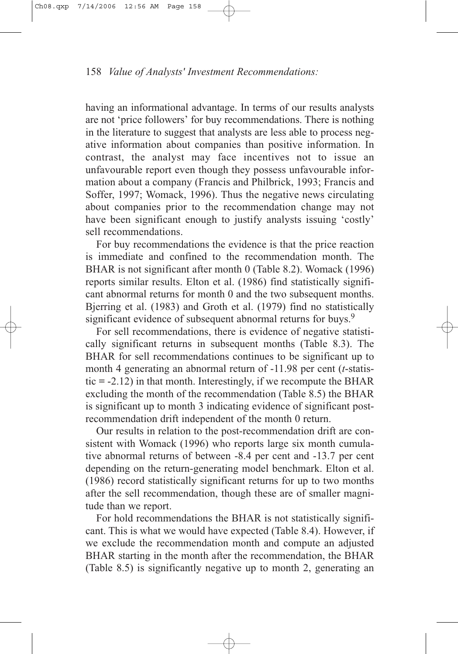having an informational advantage. In terms of our results analysts are not 'price followers' for buy recommendations. There is nothing in the literature to suggest that analysts are less able to process negative information about companies than positive information. In contrast, the analyst may face incentives not to issue an unfavourable report even though they possess unfavourable information about a company (Francis and Philbrick, 1993; Francis and Soffer, 1997; Womack, 1996). Thus the negative news circulating about companies prior to the recommendation change may not have been significant enough to justify analysts issuing 'costly' sell recommendations.

For buy recommendations the evidence is that the price reaction is immediate and confined to the recommendation month. The BHAR is not significant after month 0 (Table 8.2). Womack (1996) reports similar results. Elton et al. (1986) find statistically significant abnormal returns for month 0 and the two subsequent months. Bjerring et al. (1983) and Groth et al. (1979) find no statistically significant evidence of subsequent abnormal returns for buys.<sup>9</sup>

For sell recommendations, there is evidence of negative statistically significant returns in subsequent months (Table 8.3). The BHAR for sell recommendations continues to be significant up to month 4 generating an abnormal return of -11.98 per cent (*t*-statistic  $= -2.12$ ) in that month. Interestingly, if we recompute the BHAR excluding the month of the recommendation (Table 8.5) the BHAR is significant up to month 3 indicating evidence of significant postrecommendation drift independent of the month 0 return.

Our results in relation to the post-recommendation drift are consistent with Womack (1996) who reports large six month cumulative abnormal returns of between -8.4 per cent and -13.7 per cent depending on the return-generating model benchmark. Elton et al. (1986) record statistically significant returns for up to two months after the sell recommendation, though these are of smaller magnitude than we report.

For hold recommendations the BHAR is not statistically significant. This is what we would have expected (Table 8.4). However, if we exclude the recommendation month and compute an adjusted BHAR starting in the month after the recommendation, the BHAR (Table 8.5) is significantly negative up to month 2, generating an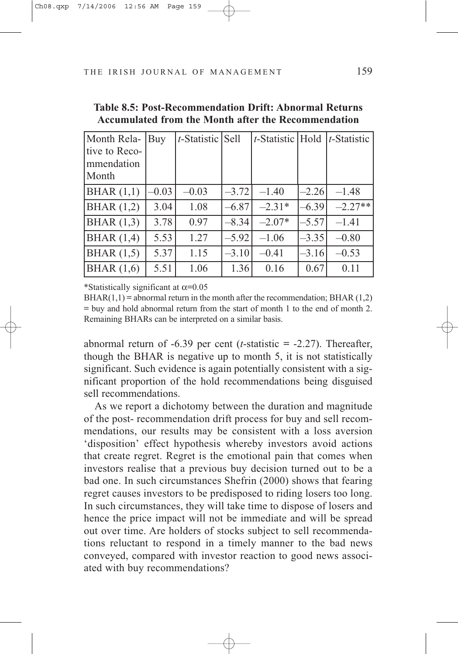| Month Rela-<br>tive to Reco-<br>mmendation<br> Month | Buy     | $t$ -Statistic Sell |         | $t$ -Statistic Hold |         | $ t\text{-Statistic} $ |
|------------------------------------------------------|---------|---------------------|---------|---------------------|---------|------------------------|
| BHAR(1,1)                                            | $-0.03$ | $-0.03$             | $-3.72$ | $-1.40$             | $-2.26$ | $-1.48$                |
| BHAR $(1,2)$                                         | 3.04    | 1.08                | $-6.87$ | $-2.31*$            | $-6.39$ | $-2.27**$              |
| BHAR $(1,3)$                                         | 3.78    | 0.97                | $-8.34$ | $-2.07*$            | $-5.57$ | $-1.41$                |
| BHAR(1,4)                                            | 5.53    | 1.27                | $-5.92$ | $-1.06$             | $-3.35$ | $-0.80$                |
| BHAR $(1,5)$                                         | 5.37    | 1.15                | $-3.10$ | $-0.41$             | $-3.16$ | $-0.53$                |
| BHAR(1,6)                                            | 5.51    | 1.06                | 1.36    | 0.16                | 0.67    | 0.11                   |

**Table 8.5: Post-Recommendation Drift: Abnormal Returns Accumulated from the Month after the Recommendation**

\*Statistically significant at  $\alpha$ =0.05

 $BHAR(1,1) =$  abnormal return in the month after the recommendation; BHAR  $(1,2)$  $=$  buy and hold abnormal return from the start of month 1 to the end of month 2. Remaining BHARs can be interpreted on a similar basis.

abnormal return of -6.39 per cent (*t*-statistic = -2.27). Thereafter, though the BHAR is negative up to month 5, it is not statistically significant. Such evidence is again potentially consistent with a significant proportion of the hold recommendations being disguised sell recommendations.

As we report a dichotomy between the duration and magnitude of the post- recommendation drift process for buy and sell recommendations, our results may be consistent with a loss aversion 'disposition' effect hypothesis whereby investors avoid actions that create regret. Regret is the emotional pain that comes when investors realise that a previous buy decision turned out to be a bad one. In such circumstances Shefrin (2000) shows that fearing regret causes investors to be predisposed to riding losers too long. In such circumstances, they will take time to dispose of losers and hence the price impact will not be immediate and will be spread out over time. Are holders of stocks subject to sell recommendations reluctant to respond in a timely manner to the bad news conveyed, compared with investor reaction to good news associated with buy recommendations?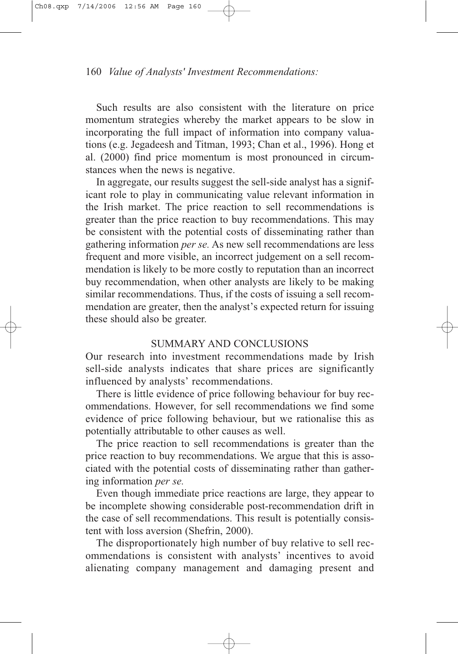Such results are also consistent with the literature on price momentum strategies whereby the market appears to be slow in incorporating the full impact of information into company valuations (e.g. Jegadeesh and Titman, 1993; Chan et al., 1996). Hong et al. (2000) find price momentum is most pronounced in circumstances when the news is negative.

In aggregate, our results suggest the sell-side analyst has a significant role to play in communicating value relevant information in the Irish market. The price reaction to sell recommendations is greater than the price reaction to buy recommendations. This may be consistent with the potential costs of disseminating rather than gathering information *per se.* As new sell recommendations are less frequent and more visible, an incorrect judgement on a sell recommendation is likely to be more costly to reputation than an incorrect buy recommendation, when other analysts are likely to be making similar recommendations. Thus, if the costs of issuing a sell recommendation are greater, then the analyst's expected return for issuing these should also be greater.

# SUMMARY AND CONCLUSIONS

Our research into investment recommendations made by Irish sell-side analysts indicates that share prices are significantly influenced by analysts' recommendations.

There is little evidence of price following behaviour for buy recommendations. However, for sell recommendations we find some evidence of price following behaviour, but we rationalise this as potentially attributable to other causes as well.

The price reaction to sell recommendations is greater than the price reaction to buy recommendations. We argue that this is associated with the potential costs of disseminating rather than gathering information *per se.*

Even though immediate price reactions are large, they appear to be incomplete showing considerable post-recommendation drift in the case of sell recommendations. This result is potentially consistent with loss aversion (Shefrin, 2000).

The disproportionately high number of buy relative to sell recommendations is consistent with analysts' incentives to avoid alienating company management and damaging present and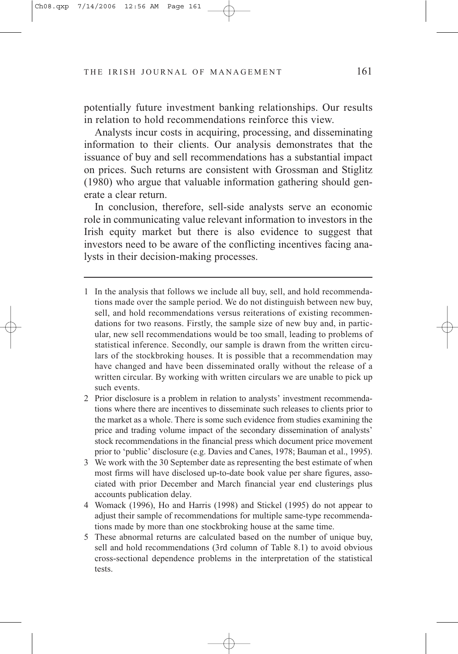potentially future investment banking relationships. Our results in relation to hold recommendations reinforce this view.

Analysts incur costs in acquiring, processing, and disseminating information to their clients. Our analysis demonstrates that the issuance of buy and sell recommendations has a substantial impact on prices. Such returns are consistent with Grossman and Stiglitz (1980) who argue that valuable information gathering should generate a clear return.

In conclusion, therefore, sell-side analysts serve an economic role in communicating value relevant information to investors in the Irish equity market but there is also evidence to suggest that investors need to be aware of the conflicting incentives facing analysts in their decision-making processes.

- 1 In the analysis that follows we include all buy, sell, and hold recommendations made over the sample period. We do not distinguish between new buy, sell, and hold recommendations versus reiterations of existing recommendations for two reasons. Firstly, the sample size of new buy and, in particular, new sell recommendations would be too small, leading to problems of statistical inference. Secondly, our sample is drawn from the written circulars of the stockbroking houses. It is possible that a recommendation may have changed and have been disseminated orally without the release of a written circular. By working with written circulars we are unable to pick up such events.
- 2 Prior disclosure is a problem in relation to analysts' investment recommendations where there are incentives to disseminate such releases to clients prior to the market as a whole. There is some such evidence from studies examining the price and trading volume impact of the secondary dissemination of analysts' stock recommendations in the financial press which document price movement prior to 'public' disclosure (e.g. Davies and Canes, 1978; Bauman et al., 1995).
- 3 We work with the 30 September date as representing the best estimate of when most firms will have disclosed up-to-date book value per share figures, associated with prior December and March financial year end clusterings plus accounts publication delay.
- 4 Womack (1996), Ho and Harris (1998) and Stickel (1995) do not appear to adjust their sample of recommendations for multiple same-type recommendations made by more than one stockbroking house at the same time.
- 5 These abnormal returns are calculated based on the number of unique buy, sell and hold recommendations (3rd column of Table 8.1) to avoid obvious cross-sectional dependence problems in the interpretation of the statistical tests.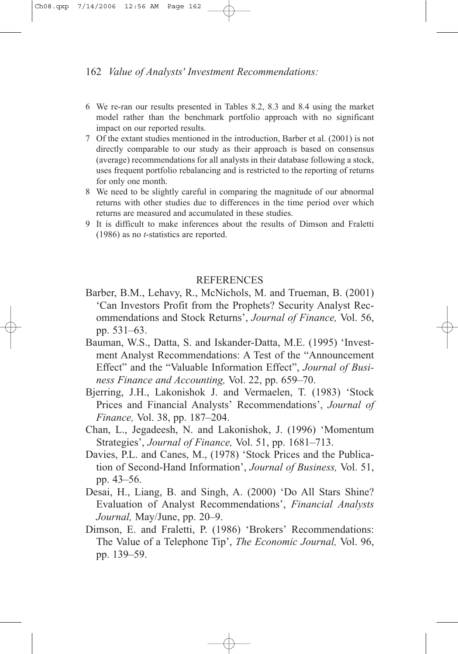- 6 We re-ran our results presented in Tables 8.2, 8.3 and 8.4 using the market model rather than the benchmark portfolio approach with no significant impact on our reported results.
- 7 Of the extant studies mentioned in the introduction, Barber et al. (2001) is not directly comparable to our study as their approach is based on consensus (average) recommendations for all analysts in their database following a stock, uses frequent portfolio rebalancing and is restricted to the reporting of returns for only one month.
- 8 We need to be slightly careful in comparing the magnitude of our abnormal returns with other studies due to differences in the time period over which returns are measured and accumulated in these studies.
- 9 It is difficult to make inferences about the results of Dimson and Fraletti (1986) as no *t*-statistics are reported.

## **REFERENCES**

- Barber, B.M., Lehavy, R., McNichols, M. and Trueman, B. (2001) 'Can Investors Profit from the Prophets? Security Analyst Recommendations and Stock Returns', *Journal of Finance,* Vol. 56, pp. 531–63.
- Bauman, W.S., Datta, S. and Iskander-Datta, M.E. (1995) 'Investment Analyst Recommendations: A Test of the "Announcement Effect" and the "Valuable Information Effect", *Journal of Business Finance and Accounting,* Vol. 22, pp. 659–70.
- Bjerring, J.H., Lakonishok J. and Vermaelen, T. (1983) 'Stock Prices and Financial Analysts' Recommendations', *Journal of Finance,* Vol. 38, pp. 187–204.
- Chan, L., Jegadeesh, N. and Lakonishok, J. (1996) 'Momentum Strategies', *Journal of Finance,* Vol. 51, pp. 1681–713.
- Davies, P.L. and Canes, M., (1978) 'Stock Prices and the Publication of Second-Hand Information', *Journal of Business,* Vol. 51, pp. 43–56.
- Desai, H., Liang, B. and Singh, A. (2000) 'Do All Stars Shine? Evaluation of Analyst Recommendations', *Financial Analysts Journal,* May/June, pp. 20–9.
- Dimson, E. and Fraletti, P. (1986) 'Brokers' Recommendations: The Value of a Telephone Tip', *The Economic Journal,* Vol. 96, pp. 139–59.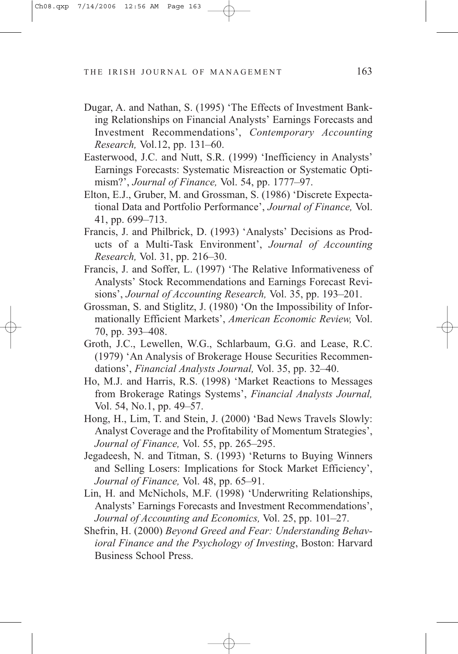- Dugar, A. and Nathan, S. (1995) 'The Effects of Investment Banking Relationships on Financial Analysts' Earnings Forecasts and Investment Recommendations', *Contemporary Accounting Research,* Vol.12, pp. 131–60.
- Easterwood, J.C. and Nutt, S.R. (1999) 'Inefficiency in Analysts' Earnings Forecasts: Systematic Misreaction or Systematic Optimism?', *Journal of Finance,* Vol. 54, pp. 1777–97.
- Elton, E.J., Gruber, M. and Grossman, S. (1986) 'Discrete Expectational Data and Portfolio Performance', *Journal of Finance,* Vol. 41, pp. 699–713.
- Francis, J. and Philbrick, D. (1993) 'Analysts' Decisions as Products of a Multi-Task Environment', *Journal of Accounting Research,* Vol. 31, pp. 216–30.
- Francis, J. and Soffer, L. (1997) 'The Relative Informativeness of Analysts' Stock Recommendations and Earnings Forecast Revisions', *Journal of Accounting Research,* Vol. 35, pp. 193–201.
- Grossman, S. and Stiglitz, J. (1980) 'On the Impossibility of Informationally Efficient Markets', *American Economic Review,* Vol. 70, pp. 393–408.
- Groth, J.C., Lewellen, W.G., Schlarbaum, G.G. and Lease, R.C. (1979) 'An Analysis of Brokerage House Securities Recommendations', *Financial Analysts Journal,* Vol. 35, pp. 32–40.
- Ho, M.J. and Harris, R.S. (1998) 'Market Reactions to Messages from Brokerage Ratings Systems', *Financial Analysts Journal,* Vol. 54, No.1, pp. 49–57.
- Hong, H., Lim, T. and Stein, J. (2000) 'Bad News Travels Slowly: Analyst Coverage and the Profitability of Momentum Strategies', *Journal of Finance,* Vol. 55, pp. 265–295.
- Jegadeesh, N. and Titman, S. (1993) 'Returns to Buying Winners and Selling Losers: Implications for Stock Market Efficiency', *Journal of Finance,* Vol. 48, pp. 65–91.
- Lin, H. and McNichols, M.F. (1998) 'Underwriting Relationships, Analysts' Earnings Forecasts and Investment Recommendations', *Journal of Accounting and Economics,* Vol. 25, pp. 101–27.
- Shefrin, H. (2000) *Beyond Greed and Fear: Understanding Behavioral Finance and the Psychology of Investing*, Boston: Harvard Business School Press.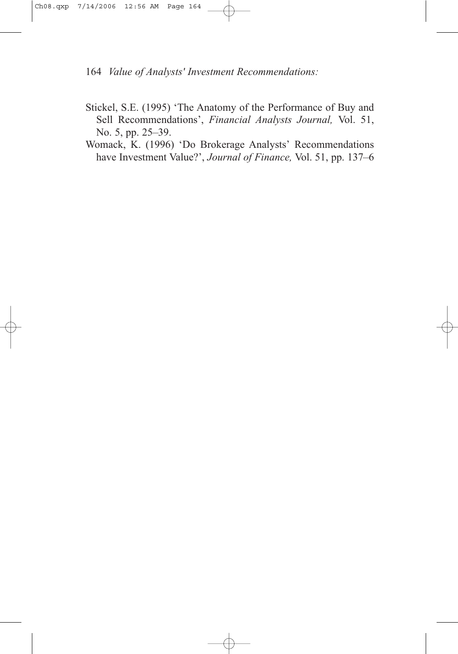- Stickel, S.E. (1995) 'The Anatomy of the Performance of Buy and Sell Recommendations', *Financial Analysts Journal,* Vol. 51, No. 5, pp. 25–39.
- Womack, K. (1996) 'Do Brokerage Analysts' Recommendations have Investment Value?', *Journal of Finance,* Vol. 51, pp. 137–6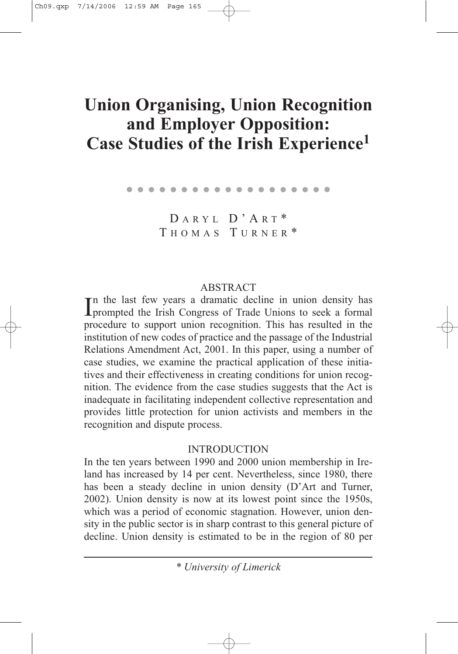# **Union Organising, Union Recognition and Employer Opposition: Case Studies of the Irish Experience1**

. . . . . . . . . . . . . . . . . . .

D ARYL D'A R T \* T HOMAS T URNER \*

# ABSTRACT

In the last few years a dramatic decline in union density has<br>prompted the Irish Congress of Trade Unions to seek a formal n the last few years a dramatic decline in union density has procedure to support union recognition. This has resulted in the institution of new codes of practice and the passage of the Industrial Relations Amendment Act, 2001. In this paper, using a number of case studies, we examine the practical application of these initiatives and their effectiveness in creating conditions for union recognition. The evidence from the case studies suggests that the Act is inadequate in facilitating independent collective representation and provides little protection for union activists and members in the recognition and dispute process.

# INTRODUCTION

In the ten years between 1990 and 2000 union membership in Ireland has increased by 14 per cent. Nevertheless, since 1980, there has been a steady decline in union density (D'Art and Turner, 2002). Union density is now at its lowest point since the 1950s, which was a period of economic stagnation. However, union density in the public sector is in sharp contrast to this general picture of decline. Union density is estimated to be in the region of 80 per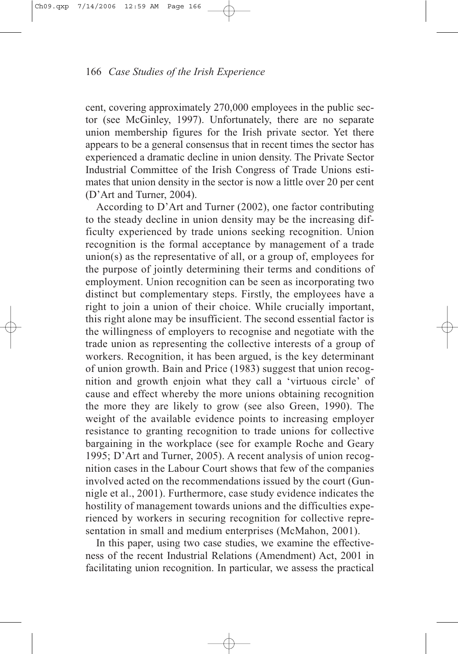cent, covering approximately 270,000 employees in the public sector (see McGinley, 1997). Unfortunately, there are no separate union membership figures for the Irish private sector. Yet there appears to be a general consensus that in recent times the sector has experienced a dramatic decline in union density. The Private Sector Industrial Committee of the Irish Congress of Trade Unions estimates that union density in the sector is now a little over 20 per cent (D'Art and Turner, 2004).

According to D'Art and Turner (2002), one factor contributing to the steady decline in union density may be the increasing difficulty experienced by trade unions seeking recognition. Union recognition is the formal acceptance by management of a trade union(s) as the representative of all, or a group of, employees for the purpose of jointly determining their terms and conditions of employment. Union recognition can be seen as incorporating two distinct but complementary steps. Firstly, the employees have a right to join a union of their choice. While crucially important, this right alone may be insufficient. The second essential factor is the willingness of employers to recognise and negotiate with the trade union as representing the collective interests of a group of workers. Recognition, it has been argued, is the key determinant of union growth. Bain and Price (1983) suggest that union recognition and growth enjoin what they call a 'virtuous circle' of cause and effect whereby the more unions obtaining recognition the more they are likely to grow (see also Green, 1990). The weight of the available evidence points to increasing employer resistance to granting recognition to trade unions for collective bargaining in the workplace (see for example Roche and Geary 1995; D'Art and Turner, 2005). A recent analysis of union recognition cases in the Labour Court shows that few of the companies involved acted on the recommendations issued by the court (Gunnigle et al., 2001). Furthermore, case study evidence indicates the hostility of management towards unions and the difficulties experienced by workers in securing recognition for collective representation in small and medium enterprises (McMahon, 2001).

In this paper, using two case studies, we examine the effectiveness of the recent Industrial Relations (Amendment) Act, 2001 in facilitating union recognition. In particular, we assess the practical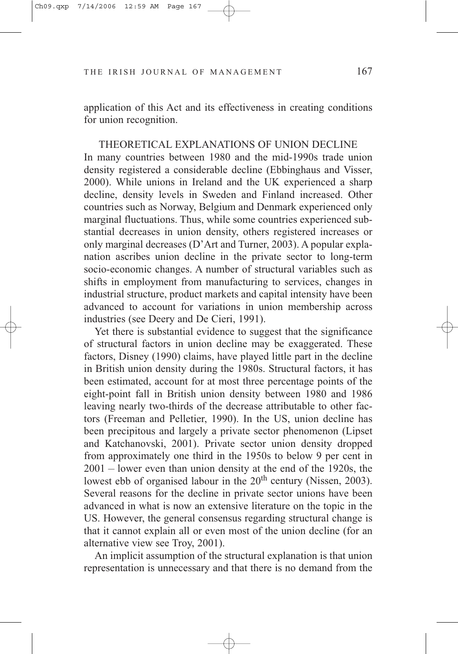application of this Act and its effectiveness in creating conditions for union recognition.

THEORETICAL EXPLANATIONS OF UNION DECLINE In many countries between 1980 and the mid-1990s trade union density registered a considerable decline (Ebbinghaus and Visser, 2000). While unions in Ireland and the UK experienced a sharp decline, density levels in Sweden and Finland increased. Other countries such as Norway, Belgium and Denmark experienced only marginal fluctuations. Thus, while some countries experienced substantial decreases in union density, others registered increases or only marginal decreases (D'Art and Turner, 2003). A popular explanation ascribes union decline in the private sector to long-term socio-economic changes. A number of structural variables such as shifts in employment from manufacturing to services, changes in industrial structure, product markets and capital intensity have been advanced to account for variations in union membership across industries (see Deery and De Cieri, 1991).

Yet there is substantial evidence to suggest that the significance of structural factors in union decline may be exaggerated. These factors, Disney (1990) claims, have played little part in the decline in British union density during the 1980s. Structural factors, it has been estimated, account for at most three percentage points of the eight-point fall in British union density between 1980 and 1986 leaving nearly two-thirds of the decrease attributable to other factors (Freeman and Pelletier, 1990). In the US, union decline has been precipitous and largely a private sector phenomenon (Lipset and Katchanovski, 2001). Private sector union density dropped from approximately one third in the 1950s to below 9 per cent in 2001 – lower even than union density at the end of the 1920s, the lowest ebb of organised labour in the 20<sup>th</sup> century (Nissen, 2003). Several reasons for the decline in private sector unions have been advanced in what is now an extensive literature on the topic in the US. However, the general consensus regarding structural change is that it cannot explain all or even most of the union decline (for an alternative view see Troy, 2001).

An implicit assumption of the structural explanation is that union representation is unnecessary and that there is no demand from the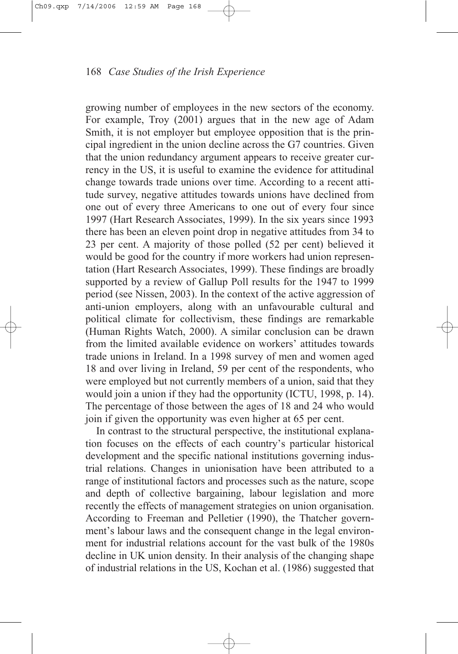growing number of employees in the new sectors of the economy. For example, Troy (2001) argues that in the new age of Adam Smith, it is not employer but employee opposition that is the principal ingredient in the union decline across the G7 countries. Given that the union redundancy argument appears to receive greater currency in the US, it is useful to examine the evidence for attitudinal change towards trade unions over time. According to a recent attitude survey, negative attitudes towards unions have declined from one out of every three Americans to one out of every four since 1997 (Hart Research Associates, 1999). In the six years since 1993 there has been an eleven point drop in negative attitudes from 34 to 23 per cent. A majority of those polled (52 per cent) believed it would be good for the country if more workers had union representation (Hart Research Associates, 1999). These findings are broadly supported by a review of Gallup Poll results for the 1947 to 1999 period (see Nissen, 2003). In the context of the active aggression of anti-union employers, along with an unfavourable cultural and political climate for collectivism, these findings are remarkable (Human Rights Watch, 2000). A similar conclusion can be drawn from the limited available evidence on workers' attitudes towards trade unions in Ireland. In a 1998 survey of men and women aged 18 and over living in Ireland, 59 per cent of the respondents, who were employed but not currently members of a union, said that they would join a union if they had the opportunity (ICTU, 1998, p. 14). The percentage of those between the ages of 18 and 24 who would join if given the opportunity was even higher at 65 per cent.

In contrast to the structural perspective, the institutional explanation focuses on the effects of each country's particular historical development and the specific national institutions governing industrial relations. Changes in unionisation have been attributed to a range of institutional factors and processes such as the nature, scope and depth of collective bargaining, labour legislation and more recently the effects of management strategies on union organisation. According to Freeman and Pelletier (1990), the Thatcher government's labour laws and the consequent change in the legal environment for industrial relations account for the vast bulk of the 1980s decline in UK union density. In their analysis of the changing shape of industrial relations in the US, Kochan et al. (1986) suggested that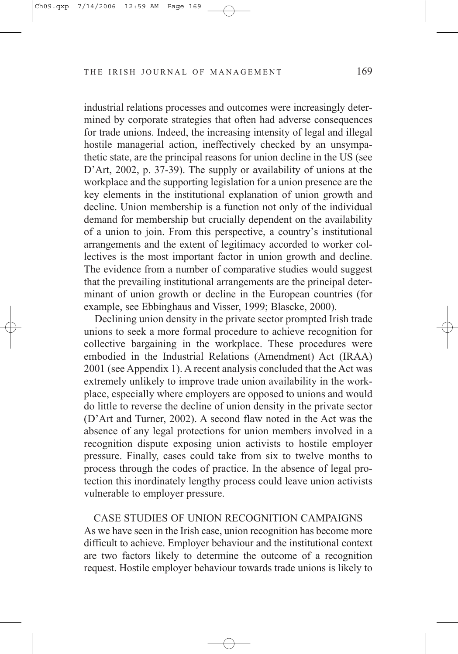industrial relations processes and outcomes were increasingly determined by corporate strategies that often had adverse consequences for trade unions. Indeed, the increasing intensity of legal and illegal hostile managerial action, ineffectively checked by an unsympathetic state, are the principal reasons for union decline in the US (see D'Art, 2002, p. 37-39). The supply or availability of unions at the workplace and the supporting legislation for a union presence are the key elements in the institutional explanation of union growth and decline. Union membership is a function not only of the individual demand for membership but crucially dependent on the availability of a union to join. From this perspective, a country's institutional arrangements and the extent of legitimacy accorded to worker collectives is the most important factor in union growth and decline. The evidence from a number of comparative studies would suggest that the prevailing institutional arrangements are the principal determinant of union growth or decline in the European countries (for example, see Ebbinghaus and Visser, 1999; Blascke, 2000).

Declining union density in the private sector prompted Irish trade unions to seek a more formal procedure to achieve recognition for collective bargaining in the workplace. These procedures were embodied in the Industrial Relations (Amendment) Act (IRAA) 2001 (see Appendix 1). A recent analysis concluded that the Act was extremely unlikely to improve trade union availability in the workplace, especially where employers are opposed to unions and would do little to reverse the decline of union density in the private sector (D'Art and Turner, 2002). A second flaw noted in the Act was the absence of any legal protections for union members involved in a recognition dispute exposing union activists to hostile employer pressure. Finally, cases could take from six to twelve months to process through the codes of practice. In the absence of legal protection this inordinately lengthy process could leave union activists vulnerable to employer pressure.

CASE STUDIES OF UNION RECOGNITION CAMPAIGNS As we have seen in the Irish case, union recognition has become more difficult to achieve. Employer behaviour and the institutional context are two factors likely to determine the outcome of a recognition request. Hostile employer behaviour towards trade unions is likely to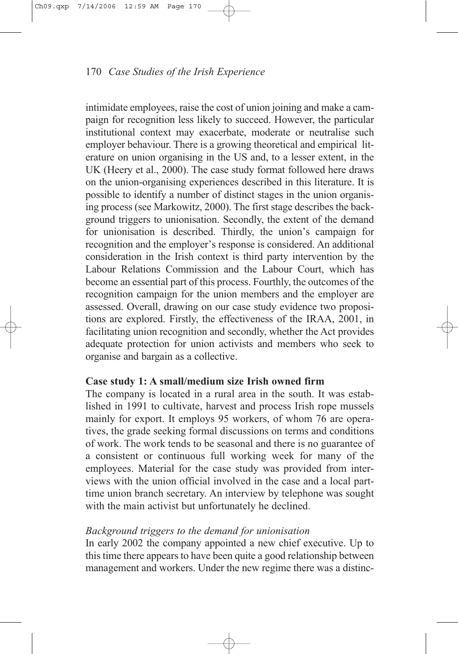intimidate employees, raise the cost of union joining and make a campaign for recognition less likely to succeed. However, the particular institutional context may exacerbate, moderate or neutralise such employer behaviour. There is a growing theoretical and empirical literature on union organising in the US and, to a lesser extent, in the UK (Heery et al., 2000). The case study format followed here draws on the union-organising experiences described in this literature. It is possible to identify a number of distinct stages in the union organising process (see Markowitz, 2000). The first stage describes the background triggers to unionisation. Secondly, the extent of the demand for unionisation is described. Thirdly, the union's campaign for recognition and the employer's response is considered. An additional consideration in the Irish context is third party intervention by the Labour Relations Commission and the Labour Court, which has become an essential part of this process. Fourthly, the outcomes of the recognition campaign for the union members and the employer are assessed. Overall, drawing on our case study evidence two propositions are explored. Firstly, the effectiveness of the IRAA, 2001, in facilitating union recognition and secondly, whether the Act provides adequate protection for union activists and members who seek to organise and bargain as a collective.

# **Case study 1: A small/medium size Irish owned firm**

The company is located in a rural area in the south. It was established in 1991 to cultivate, harvest and process Irish rope mussels mainly for export. It employs 95 workers, of whom 76 are operatives, the grade seeking formal discussions on terms and conditions of work. The work tends to be seasonal and there is no guarantee of a consistent or continuous full working week for many of the employees. Material for the case study was provided from interviews with the union official involved in the case and a local parttime union branch secretary. An interview by telephone was sought with the main activist but unfortunately he declined.

## *Background triggers to the demand for unionisation*

In early 2002 the company appointed a new chief executive. Up to this time there appears to have been quite a good relationship between management and workers. Under the new regime there was a distinc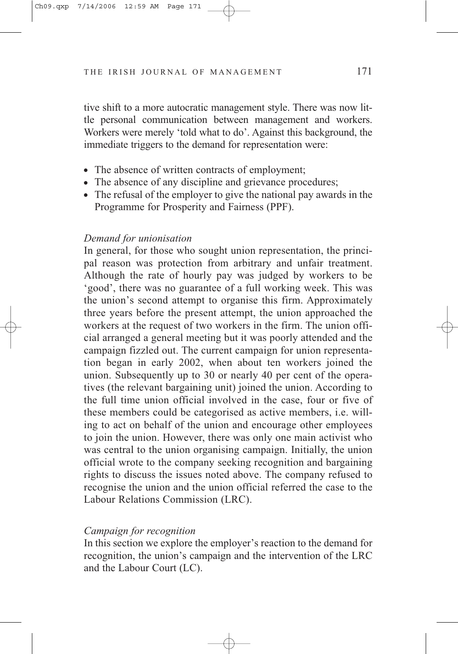tive shift to a more autocratic management style. There was now little personal communication between management and workers. Workers were merely 'told what to do'. Against this background, the immediate triggers to the demand for representation were:

- The absence of written contracts of employment;
- The absence of any discipline and grievance procedures;
- $\bullet$  The refusal of the employer to give the national pay awards in the Programme for Prosperity and Fairness (PPF).

## *Demand for unionisation*

In general, for those who sought union representation, the principal reason was protection from arbitrary and unfair treatment. Although the rate of hourly pay was judged by workers to be 'good', there was no guarantee of a full working week. This was the union's second attempt to organise this firm. Approximately three years before the present attempt, the union approached the workers at the request of two workers in the firm. The union official arranged a general meeting but it was poorly attended and the campaign fizzled out. The current campaign for union representation began in early 2002, when about ten workers joined the union. Subsequently up to 30 or nearly 40 per cent of the operatives (the relevant bargaining unit) joined the union. According to the full time union official involved in the case, four or five of these members could be categorised as active members, i.e. willing to act on behalf of the union and encourage other employees to join the union. However, there was only one main activist who was central to the union organising campaign. Initially, the union official wrote to the company seeking recognition and bargaining rights to discuss the issues noted above. The company refused to recognise the union and the union official referred the case to the Labour Relations Commission (LRC).

## *Campaign for recognition*

In this section we explore the employer's reaction to the demand for recognition, the union's campaign and the intervention of the LRC and the Labour Court (LC).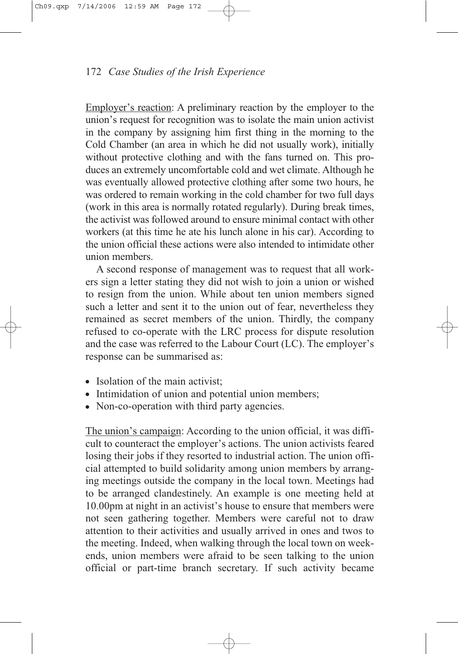Employer's reaction: A preliminary reaction by the employer to the union's request for recognition was to isolate the main union activist in the company by assigning him first thing in the morning to the Cold Chamber (an area in which he did not usually work), initially without protective clothing and with the fans turned on. This produces an extremely uncomfortable cold and wet climate. Although he was eventually allowed protective clothing after some two hours, he was ordered to remain working in the cold chamber for two full days (work in this area is normally rotated regularly). During break times, the activist was followed around to ensure minimal contact with other workers (at this time he ate his lunch alone in his car). According to the union official these actions were also intended to intimidate other union members.

A second response of management was to request that all workers sign a letter stating they did not wish to join a union or wished to resign from the union. While about ten union members signed such a letter and sent it to the union out of fear, nevertheless they remained as secret members of the union. Thirdly, the company refused to co-operate with the LRC process for dispute resolution and the case was referred to the Labour Court (LC). The employer's response can be summarised as:

- Isolation of the main activist;
- Intimidation of union and potential union members;
- Non-co-operation with third party agencies.

The union's campaign: According to the union official, it was difficult to counteract the employer's actions. The union activists feared losing their jobs if they resorted to industrial action. The union official attempted to build solidarity among union members by arranging meetings outside the company in the local town. Meetings had to be arranged clandestinely. An example is one meeting held at 10.00pm at night in an activist's house to ensure that members were not seen gathering together. Members were careful not to draw attention to their activities and usually arrived in ones and twos to the meeting. Indeed, when walking through the local town on weekends, union members were afraid to be seen talking to the union official or part-time branch secretary. If such activity became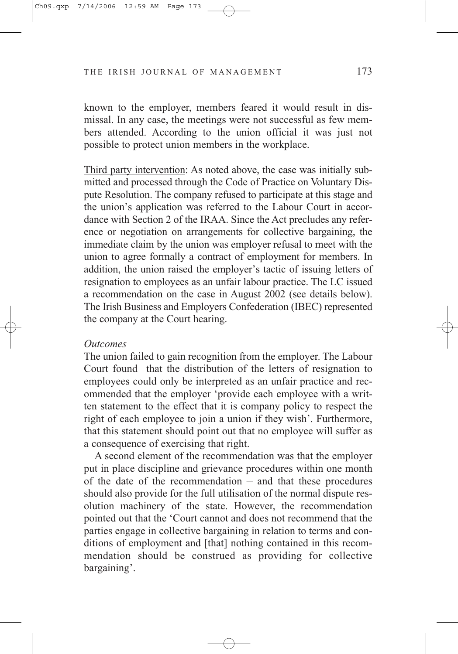known to the employer, members feared it would result in dismissal. In any case, the meetings were not successful as few members attended. According to the union official it was just not possible to protect union members in the workplace.

Third party intervention: As noted above, the case was initially submitted and processed through the Code of Practice on Voluntary Dispute Resolution. The company refused to participate at this stage and the union's application was referred to the Labour Court in accordance with Section 2 of the IRAA. Since the Act precludes any reference or negotiation on arrangements for collective bargaining, the immediate claim by the union was employer refusal to meet with the union to agree formally a contract of employment for members. In addition, the union raised the employer's tactic of issuing letters of resignation to employees as an unfair labour practice. The LC issued a recommendation on the case in August 2002 (see details below). The Irish Business and Employers Confederation (IBEC) represented the company at the Court hearing.

#### *Outcomes*

The union failed to gain recognition from the employer. The Labour Court found that the distribution of the letters of resignation to employees could only be interpreted as an unfair practice and recommended that the employer 'provide each employee with a written statement to the effect that it is company policy to respect the right of each employee to join a union if they wish'. Furthermore, that this statement should point out that no employee will suffer as a consequence of exercising that right.

A second element of the recommendation was that the employer put in place discipline and grievance procedures within one month of the date of the recommendation – and that these procedures should also provide for the full utilisation of the normal dispute resolution machinery of the state. However, the recommendation pointed out that the 'Court cannot and does not recommend that the parties engage in collective bargaining in relation to terms and conditions of employment and [that] nothing contained in this recommendation should be construed as providing for collective bargaining'.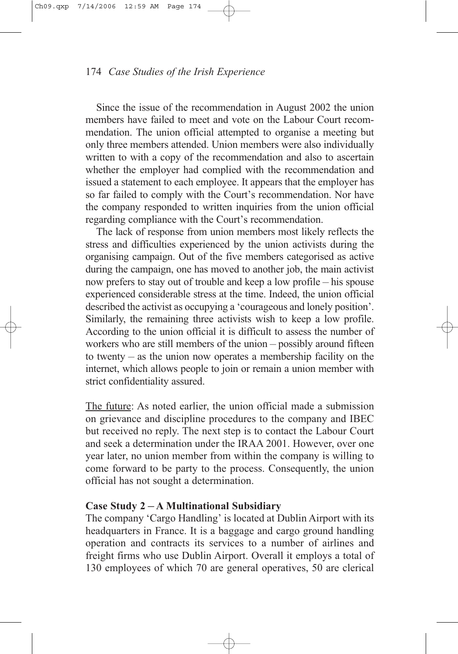Since the issue of the recommendation in August 2002 the union members have failed to meet and vote on the Labour Court recommendation. The union official attempted to organise a meeting but only three members attended. Union members were also individually written to with a copy of the recommendation and also to ascertain whether the employer had complied with the recommendation and issued a statement to each employee. It appears that the employer has so far failed to comply with the Court's recommendation. Nor have the company responded to written inquiries from the union official regarding compliance with the Court's recommendation.

The lack of response from union members most likely reflects the stress and difficulties experienced by the union activists during the organising campaign. Out of the five members categorised as active during the campaign, one has moved to another job, the main activist now prefers to stay out of trouble and keep a low profile – his spouse experienced considerable stress at the time. Indeed, the union official described the activist as occupying a 'courageous and lonely position'. Similarly, the remaining three activists wish to keep a low profile. According to the union official it is difficult to assess the number of workers who are still members of the union – possibly around fifteen to twenty – as the union now operates a membership facility on the internet, which allows people to join or remain a union member with strict confidentiality assured.

The future: As noted earlier, the union official made a submission on grievance and discipline procedures to the company and IBEC but received no reply. The next step is to contact the Labour Court and seek a determination under the IRAA 2001. However, over one year later, no union member from within the company is willing to come forward to be party to the process. Consequently, the union official has not sought a determination.

# **Case Study 2 – A Multinational Subsidiary**

The company 'Cargo Handling' is located at Dublin Airport with its headquarters in France. It is a baggage and cargo ground handling operation and contracts its services to a number of airlines and freight firms who use Dublin Airport. Overall it employs a total of 130 employees of which 70 are general operatives, 50 are clerical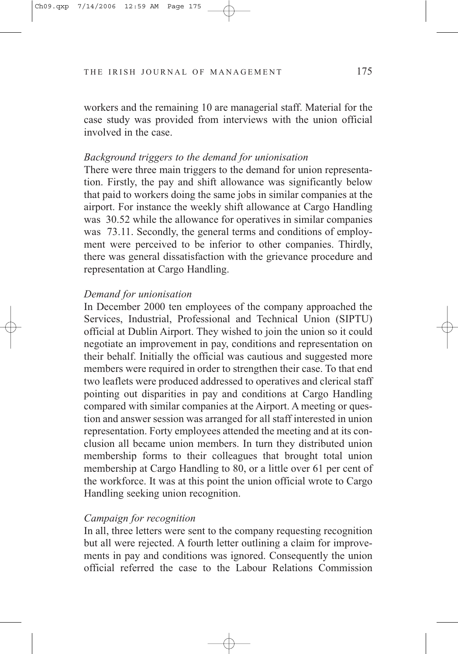workers and the remaining 10 are managerial staff. Material for the case study was provided from interviews with the union official involved in the case.

### *Background triggers to the demand for unionisation*

There were three main triggers to the demand for union representation. Firstly, the pay and shift allowance was significantly below that paid to workers doing the same jobs in similar companies at the airport. For instance the weekly shift allowance at Cargo Handling was 30.52 while the allowance for operatives in similar companies was 73.11. Secondly, the general terms and conditions of employment were perceived to be inferior to other companies. Thirdly, there was general dissatisfaction with the grievance procedure and representation at Cargo Handling.

### *Demand for unionisation*

In December 2000 ten employees of the company approached the Services, Industrial, Professional and Technical Union (SIPTU) official at Dublin Airport. They wished to join the union so it could negotiate an improvement in pay, conditions and representation on their behalf. Initially the official was cautious and suggested more members were required in order to strengthen their case. To that end two leaflets were produced addressed to operatives and clerical staff pointing out disparities in pay and conditions at Cargo Handling compared with similar companies at the Airport. A meeting or question and answer session was arranged for all staff interested in union representation. Forty employees attended the meeting and at its conclusion all became union members. In turn they distributed union membership forms to their colleagues that brought total union membership at Cargo Handling to 80, or a little over 61 per cent of the workforce. It was at this point the union official wrote to Cargo Handling seeking union recognition.

### *Campaign for recognition*

In all, three letters were sent to the company requesting recognition but all were rejected. A fourth letter outlining a claim for improvements in pay and conditions was ignored. Consequently the union official referred the case to the Labour Relations Commission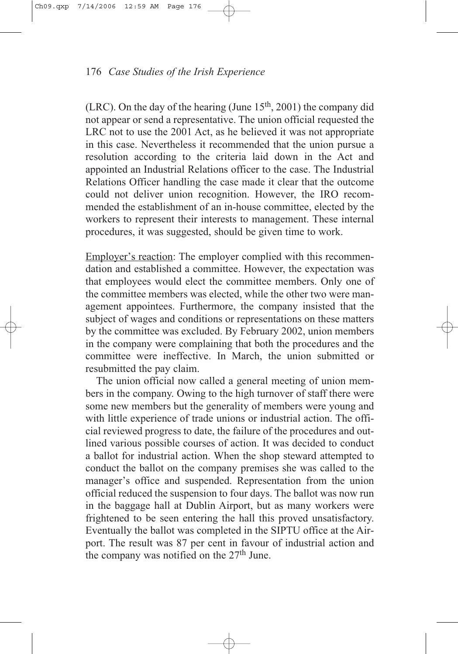(LRC). On the day of the hearing (June  $15<sup>th</sup>$ , 2001) the company did not appear or send a representative. The union official requested the LRC not to use the 2001 Act, as he believed it was not appropriate in this case. Nevertheless it recommended that the union pursue a resolution according to the criteria laid down in the Act and appointed an Industrial Relations officer to the case. The Industrial Relations Officer handling the case made it clear that the outcome could not deliver union recognition. However, the IRO recommended the establishment of an in-house committee, elected by the workers to represent their interests to management. These internal procedures, it was suggested, should be given time to work.

Employer's reaction: The employer complied with this recommendation and established a committee. However, the expectation was that employees would elect the committee members. Only one of the committee members was elected, while the other two were management appointees. Furthermore, the company insisted that the subject of wages and conditions or representations on these matters by the committee was excluded. By February 2002, union members in the company were complaining that both the procedures and the committee were ineffective. In March, the union submitted or resubmitted the pay claim.

The union official now called a general meeting of union members in the company. Owing to the high turnover of staff there were some new members but the generality of members were young and with little experience of trade unions or industrial action. The official reviewed progress to date, the failure of the procedures and outlined various possible courses of action. It was decided to conduct a ballot for industrial action. When the shop steward attempted to conduct the ballot on the company premises she was called to the manager's office and suspended. Representation from the union official reduced the suspension to four days. The ballot was now run in the baggage hall at Dublin Airport, but as many workers were frightened to be seen entering the hall this proved unsatisfactory. Eventually the ballot was completed in the SIPTU office at the Airport. The result was 87 per cent in favour of industrial action and the company was notified on the  $27<sup>th</sup>$  June.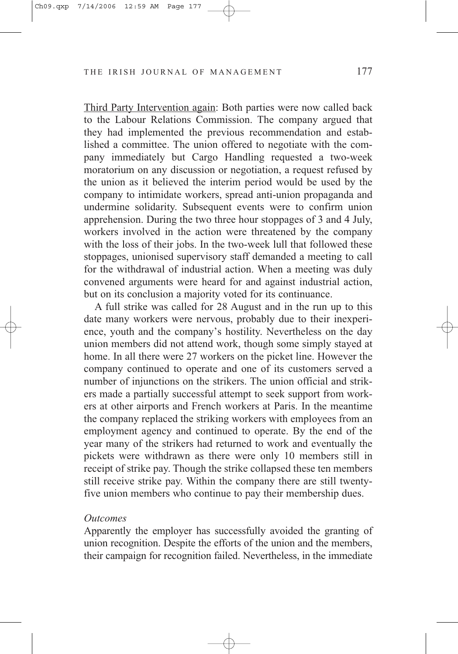Third Party Intervention again: Both parties were now called back to the Labour Relations Commission. The company argued that they had implemented the previous recommendation and established a committee. The union offered to negotiate with the company immediately but Cargo Handling requested a two-week moratorium on any discussion or negotiation, a request refused by the union as it believed the interim period would be used by the company to intimidate workers, spread anti-union propaganda and undermine solidarity. Subsequent events were to confirm union apprehension. During the two three hour stoppages of 3 and 4 July, workers involved in the action were threatened by the company with the loss of their jobs. In the two-week lull that followed these stoppages, unionised supervisory staff demanded a meeting to call for the withdrawal of industrial action. When a meeting was duly convened arguments were heard for and against industrial action, but on its conclusion a majority voted for its continuance.

A full strike was called for 28 August and in the run up to this date many workers were nervous, probably due to their inexperience, youth and the company's hostility. Nevertheless on the day union members did not attend work, though some simply stayed at home. In all there were 27 workers on the picket line. However the company continued to operate and one of its customers served a number of injunctions on the strikers. The union official and strikers made a partially successful attempt to seek support from workers at other airports and French workers at Paris. In the meantime the company replaced the striking workers with employees from an employment agency and continued to operate. By the end of the year many of the strikers had returned to work and eventually the pickets were withdrawn as there were only 10 members still in receipt of strike pay. Though the strike collapsed these ten members still receive strike pay. Within the company there are still twentyfive union members who continue to pay their membership dues.

#### *Outcomes*

Apparently the employer has successfully avoided the granting of union recognition. Despite the efforts of the union and the members, their campaign for recognition failed. Nevertheless, in the immediate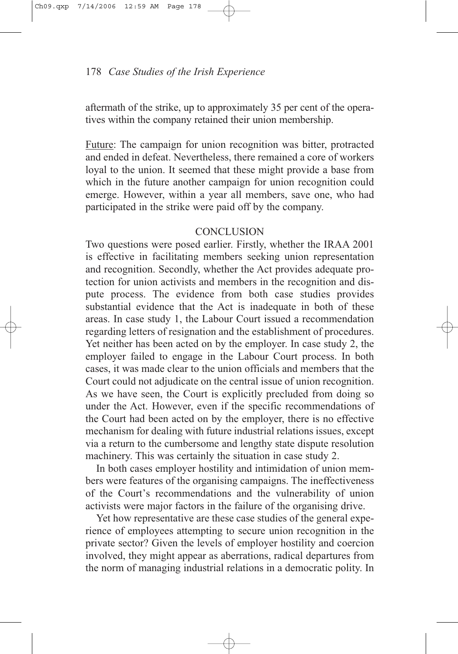aftermath of the strike, up to approximately 35 per cent of the operatives within the company retained their union membership.

Future: The campaign for union recognition was bitter, protracted and ended in defeat. Nevertheless, there remained a core of workers loyal to the union. It seemed that these might provide a base from which in the future another campaign for union recognition could emerge. However, within a year all members, save one, who had participated in the strike were paid off by the company.

## **CONCLUSION**

Two questions were posed earlier. Firstly, whether the IRAA 2001 is effective in facilitating members seeking union representation and recognition. Secondly, whether the Act provides adequate protection for union activists and members in the recognition and dispute process. The evidence from both case studies provides substantial evidence that the Act is inadequate in both of these areas. In case study 1, the Labour Court issued a recommendation regarding letters of resignation and the establishment of procedures. Yet neither has been acted on by the employer. In case study 2, the employer failed to engage in the Labour Court process. In both cases, it was made clear to the union officials and members that the Court could not adjudicate on the central issue of union recognition. As we have seen, the Court is explicitly precluded from doing so under the Act. However, even if the specific recommendations of the Court had been acted on by the employer, there is no effective mechanism for dealing with future industrial relations issues, except via a return to the cumbersome and lengthy state dispute resolution machinery. This was certainly the situation in case study 2.

In both cases employer hostility and intimidation of union members were features of the organising campaigns. The ineffectiveness of the Court's recommendations and the vulnerability of union activists were major factors in the failure of the organising drive.

Yet how representative are these case studies of the general experience of employees attempting to secure union recognition in the private sector? Given the levels of employer hostility and coercion involved, they might appear as aberrations, radical departures from the norm of managing industrial relations in a democratic polity. In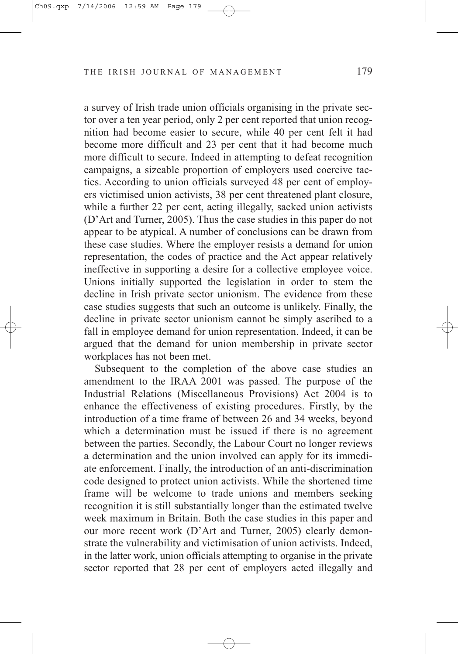a survey of Irish trade union officials organising in the private sector over a ten year period, only 2 per cent reported that union recognition had become easier to secure, while 40 per cent felt it had become more difficult and 23 per cent that it had become much more difficult to secure. Indeed in attempting to defeat recognition campaigns, a sizeable proportion of employers used coercive tactics. According to union officials surveyed 48 per cent of employers victimised union activists, 38 per cent threatened plant closure, while a further 22 per cent, acting illegally, sacked union activists (D'Art and Turner, 2005). Thus the case studies in this paper do not appear to be atypical. A number of conclusions can be drawn from these case studies. Where the employer resists a demand for union representation, the codes of practice and the Act appear relatively ineffective in supporting a desire for a collective employee voice. Unions initially supported the legislation in order to stem the decline in Irish private sector unionism. The evidence from these case studies suggests that such an outcome is unlikely. Finally, the decline in private sector unionism cannot be simply ascribed to a fall in employee demand for union representation. Indeed, it can be argued that the demand for union membership in private sector workplaces has not been met.

Subsequent to the completion of the above case studies an amendment to the IRAA 2001 was passed. The purpose of the Industrial Relations (Miscellaneous Provisions) Act 2004 is to enhance the effectiveness of existing procedures. Firstly, by the introduction of a time frame of between 26 and 34 weeks, beyond which a determination must be issued if there is no agreement between the parties. Secondly, the Labour Court no longer reviews a determination and the union involved can apply for its immediate enforcement. Finally, the introduction of an anti-discrimination code designed to protect union activists. While the shortened time frame will be welcome to trade unions and members seeking recognition it is still substantially longer than the estimated twelve week maximum in Britain. Both the case studies in this paper and our more recent work (D'Art and Turner, 2005) clearly demonstrate the vulnerability and victimisation of union activists. Indeed, in the latter work, union officials attempting to organise in the private sector reported that 28 per cent of employers acted illegally and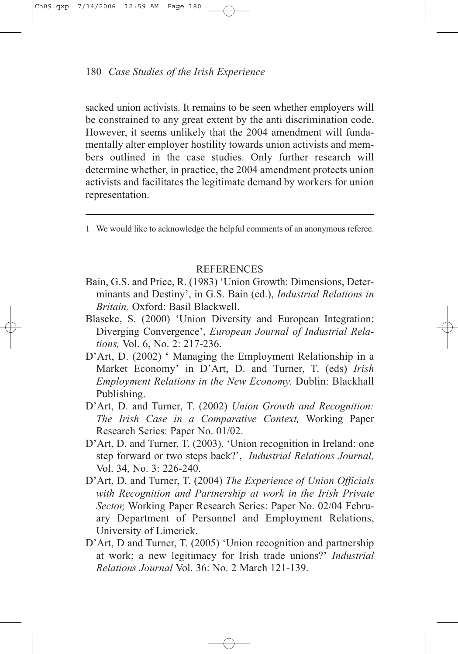sacked union activists. It remains to be seen whether employers will be constrained to any great extent by the anti discrimination code. However, it seems unlikely that the 2004 amendment will fundamentally alter employer hostility towards union activists and members outlined in the case studies. Only further research will determine whether, in practice, the 2004 amendment protects union activists and facilitates the legitimate demand by workers for union representation.

1 We would like to acknowledge the helpful comments of an anonymous referee.

#### **REFERENCES**

- Bain, G.S. and Price, R. (1983) 'Union Growth: Dimensions, Determinants and Destiny', in G.S. Bain (ed.), *Industrial Relations in Britain.* Oxford: Basil Blackwell.
- Blascke, S. (2000) 'Union Diversity and European Integration: Diverging Convergence', *European Journal of Industrial Relations,* Vol. 6, No. 2: 217-236.
- D'Art, D. (2002) ' Managing the Employment Relationship in a Market Economy' in D'Art, D. and Turner, T. (eds) *Irish Employment Relations in the New Economy.* Dublin: Blackhall Publishing.
- D'Art, D. and Turner, T. (2002) *Union Growth and Recognition: The Irish Case in a Comparative Context,* Working Paper Research Series: Paper No. 01/02.
- D'Art, D. and Turner, T. (2003). 'Union recognition in Ireland: one step forward or two steps back?', *Industrial Relations Journal,* Vol. 34, No. 3: 226-240.
- D'Art, D. and Turner, T. (2004) *The Experience of Union Officials with Recognition and Partnership at work in the Irish Private Sector,* Working Paper Research Series: Paper No. 02/04 February Department of Personnel and Employment Relations, University of Limerick.
- D'Art, D and Turner, T. (2005) 'Union recognition and partnership at work; a new legitimacy for Irish trade unions?' *Industrial Relations Journal* Vol. 36: No. 2 March 121-139.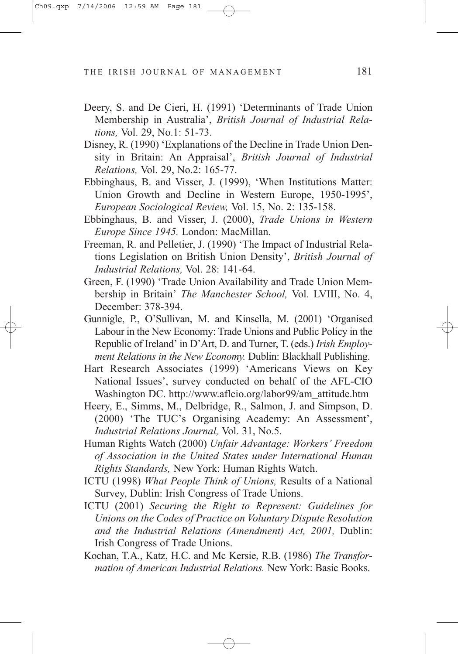- Deery, S. and De Cieri, H. (1991) 'Determinants of Trade Union Membership in Australia', *British Journal of Industrial Relations,* Vol. 29, No.1: 51-73.
- Disney, R. (1990) 'Explanations of the Decline in Trade Union Density in Britain: An Appraisal', *British Journal of Industrial Relations,* Vol. 29, No.2: 165-77.
- Ebbinghaus, B. and Visser, J. (1999), 'When Institutions Matter: Union Growth and Decline in Western Europe, 1950-1995', *European Sociological Review,* Vol. 15, No. 2: 135-158.
- Ebbinghaus, B. and Visser, J. (2000), *Trade Unions in Western Europe Since 1945.* London: MacMillan.
- Freeman, R. and Pelletier, J. (1990) 'The Impact of Industrial Relations Legislation on British Union Density', *British Journal of Industrial Relations,* Vol. 28: 141-64.
- Green, F. (1990) 'Trade Union Availability and Trade Union Membership in Britain' *The Manchester School,* Vol. LVIII, No. 4, December: 378-394.
- Gunnigle, P., O'Sullivan, M. and Kinsella, M. (2001) 'Organised Labour in the New Economy: Trade Unions and Public Policy in the Republic of Ireland' in D'Art, D. and Turner, T. (eds.) *Irish Employment Relations in the New Economy.* Dublin: Blackhall Publishing.
- Hart Research Associates (1999) 'Americans Views on Key National Issues', survey conducted on behalf of the AFL-CIO Washington DC. http://www.aflcio.org/labor99/am\_attitude.htm
- Heery, E., Simms, M., Delbridge, R., Salmon, J. and Simpson, D. (2000) 'The TUC's Organising Academy: An Assessment', *Industrial Relations Journal,* Vol. 31, No.5.
- Human Rights Watch (2000) *Unfair Advantage: Workers' Freedom of Association in the United States under International Human Rights Standards,* New York: Human Rights Watch.
- ICTU (1998) *What People Think of Unions,* Results of a National Survey, Dublin: Irish Congress of Trade Unions.
- ICTU (2001) *Securing the Right to Represent: Guidelines for Unions on the Codes of Practice on Voluntary Dispute Resolution and the Industrial Relations (Amendment) Act, 2001,* Dublin: Irish Congress of Trade Unions.
- Kochan, T.A., Katz, H.C. and Mc Kersie, R.B. (1986) *The Transformation of American Industrial Relations.* New York: Basic Books.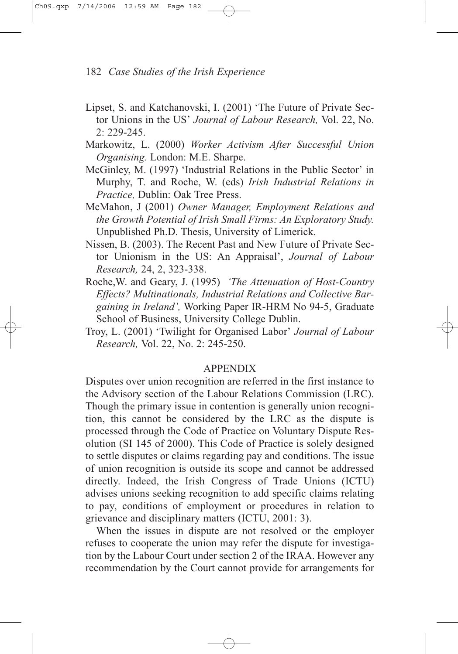- Lipset, S. and Katchanovski, I. (2001) 'The Future of Private Sector Unions in the US' *Journal of Labour Research,* Vol. 22, No. 2: 229-245.
- Markowitz, L. (2000) *Worker Activism After Successful Union Organising.* London: M.E. Sharpe.
- McGinley, M. (1997) 'Industrial Relations in the Public Sector' in Murphy, T. and Roche, W. (eds) *Irish Industrial Relations in Practice,* Dublin: Oak Tree Press.
- McMahon, J (2001) *Owner Manager, Employment Relations and the Growth Potential of Irish Small Firms: An Exploratory Study.* Unpublished Ph.D. Thesis, University of Limerick.
- Nissen, B. (2003). The Recent Past and New Future of Private Sector Unionism in the US: An Appraisal', *Journal of Labour Research,* 24, 2, 323-338.
- Roche,W. and Geary, J. (1995) *'The Attenuation of Host-Country Effects? Multinationals, Industrial Relations and Collective Bargaining in Ireland',* Working Paper IR-HRM No 94-5, Graduate School of Business, University College Dublin.
- Troy, L. (2001) 'Twilight for Organised Labor' *Journal of Labour Research,* Vol. 22, No. 2: 245-250.

#### APPENDIX

Disputes over union recognition are referred in the first instance to the Advisory section of the Labour Relations Commission (LRC). Though the primary issue in contention is generally union recognition, this cannot be considered by the LRC as the dispute is processed through the Code of Practice on Voluntary Dispute Resolution (SI 145 of 2000). This Code of Practice is solely designed to settle disputes or claims regarding pay and conditions. The issue of union recognition is outside its scope and cannot be addressed directly. Indeed, the Irish Congress of Trade Unions (ICTU) advises unions seeking recognition to add specific claims relating to pay, conditions of employment or procedures in relation to grievance and disciplinary matters (ICTU, 2001: 3).

When the issues in dispute are not resolved or the employer refuses to cooperate the union may refer the dispute for investigation by the Labour Court under section 2 of the IRAA. However any recommendation by the Court cannot provide for arrangements for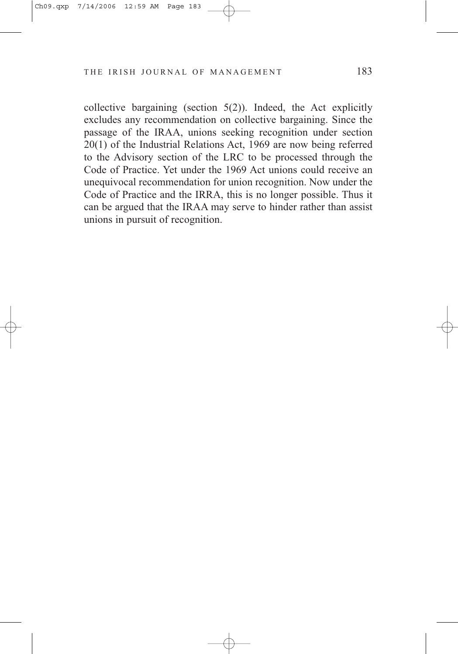collective bargaining (section  $5(2)$ ). Indeed, the Act explicitly excludes any recommendation on collective bargaining. Since the passage of the IRAA, unions seeking recognition under section 20(1) of the Industrial Relations Act, 1969 are now being referred to the Advisory section of the LRC to be processed through the Code of Practice. Yet under the 1969 Act unions could receive an unequivocal recommendation for union recognition. Now under the Code of Practice and the IRRA, this is no longer possible. Thus it can be argued that the IRAA may serve to hinder rather than assist unions in pursuit of recognition.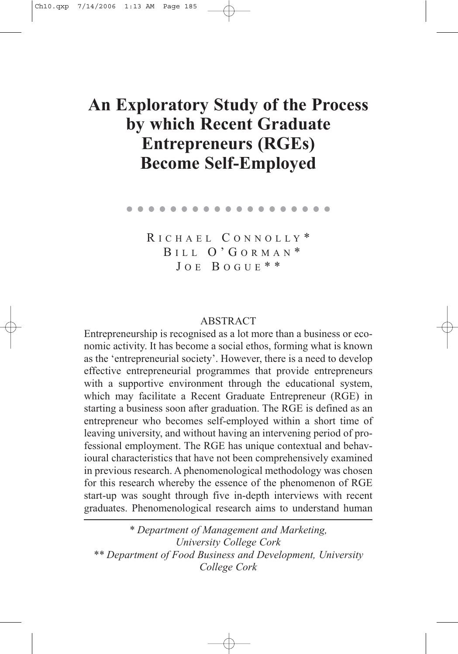# **An Exploratory Study of the Process by which Recent Graduate Entrepreneurs (RGEs) Become Self-Employed**

. . . . . . . . . . . . . . . . . . .

R ICHAEL C ONNOLLY \* B ILL O'G ORMAN \*  $JOE$  BOGUE \* \*

#### **ABSTRACT**

Entrepreneurship is recognised as a lot more than a business or economic activity. It has become a social ethos, forming what is known as the 'entrepreneurial society'. However, there is a need to develop effective entrepreneurial programmes that provide entrepreneurs with a supportive environment through the educational system, which may facilitate a Recent Graduate Entrepreneur (RGE) in starting a business soon after graduation. The RGE is defined as an entrepreneur who becomes self-employed within a short time of leaving university, and without having an intervening period of professional employment. The RGE has unique contextual and behavioural characteristics that have not been comprehensively examined in previous research. A phenomenological methodology was chosen for this research whereby the essence of the phenomenon of RGE start-up was sought through five in-depth interviews with recent graduates. Phenomenological research aims to understand human

*\* Department of Management and Marketing, University College Cork \*\* Department of Food Business and Development, University College Cork*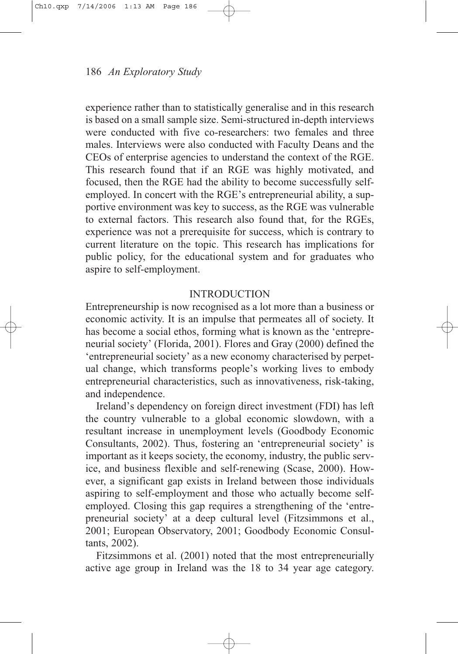experience rather than to statistically generalise and in this research is based on a small sample size. Semi-structured in-depth interviews were conducted with five co-researchers: two females and three males. Interviews were also conducted with Faculty Deans and the CEOs of enterprise agencies to understand the context of the RGE. This research found that if an RGE was highly motivated, and focused, then the RGE had the ability to become successfully selfemployed. In concert with the RGE's entrepreneurial ability, a supportive environment was key to success, as the RGE was vulnerable to external factors. This research also found that, for the RGEs, experience was not a prerequisite for success, which is contrary to current literature on the topic. This research has implications for public policy, for the educational system and for graduates who aspire to self-employment.

# INTRODUCTION

Entrepreneurship is now recognised as a lot more than a business or economic activity. It is an impulse that permeates all of society. It has become a social ethos, forming what is known as the 'entrepreneurial society' (Florida, 2001). Flores and Gray (2000) defined the 'entrepreneurial society' as a new economy characterised by perpetual change, which transforms people's working lives to embody entrepreneurial characteristics, such as innovativeness, risk-taking, and independence.

Ireland's dependency on foreign direct investment (FDI) has left the country vulnerable to a global economic slowdown, with a resultant increase in unemployment levels (Goodbody Economic Consultants, 2002). Thus, fostering an 'entrepreneurial society' is important as it keeps society, the economy, industry, the public service, and business flexible and self-renewing (Scase, 2000). However, a significant gap exists in Ireland between those individuals aspiring to self-employment and those who actually become selfemployed. Closing this gap requires a strengthening of the 'entrepreneurial society' at a deep cultural level (Fitzsimmons et al., 2001; European Observatory, 2001; Goodbody Economic Consultants, 2002).

Fitzsimmons et al. (2001) noted that the most entrepreneurially active age group in Ireland was the 18 to 34 year age category.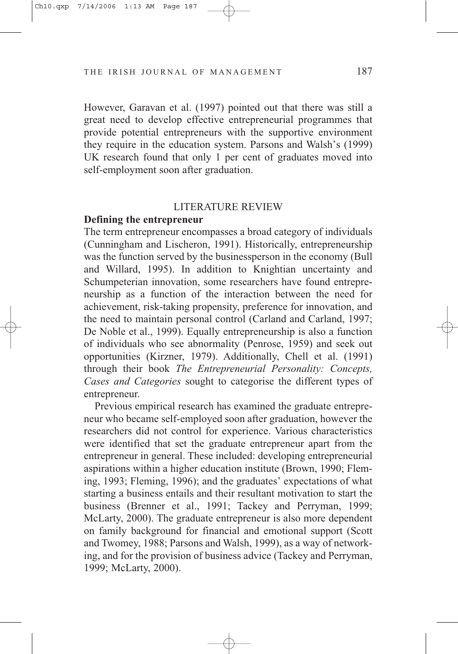However, Garavan et al. (1997) pointed out that there was still a great need to develop effective entrepreneurial programmes that provide potential entrepreneurs with the supportive environment they require in the education system. Parsons and Walsh's (1999) UK research found that only 1 per cent of graduates moved into self-employment soon after graduation.

#### LITERATURE REVIEW

# **Defining the entrepreneur**

The term entrepreneur encompasses a broad category of individuals (Cunningham and Lischeron, 1991). Historically, entrepreneurship was the function served by the businessperson in the economy (Bull and Willard, 1995). In addition to Knightian uncertainty and Schumpeterian innovation, some researchers have found entrepreneurship as a function of the interaction between the need for achievement, risk-taking propensity, preference for innovation, and the need to maintain personal control (Carland and Carland, 1997; De Noble et al., 1999). Equally entrepreneurship is also a function of individuals who see abnormality (Penrose, 1959) and seek out opportunities (Kirzner, 1979). Additionally, Chell et al. (1991) through their book *The Entrepreneurial Personality: Concepts, Cases and Categories* sought to categorise the different types of entrepreneur.

Previous empirical research has examined the graduate entrepreneur who became self-employed soon after graduation, however the researchers did not control for experience. Various characteristics were identified that set the graduate entrepreneur apart from the entrepreneur in general. These included: developing entrepreneurial aspirations within a higher education institute (Brown, 1990; Fleming, 1993; Fleming, 1996); and the graduates' expectations of what starting a business entails and their resultant motivation to start the business (Brenner et al., 1991; Tackey and Perryman, 1999; McLarty, 2000). The graduate entrepreneur is also more dependent on family background for financial and emotional support (Scott and Twomey, 1988; Parsons and Walsh, 1999), as a way of networking, and for the provision of business advice (Tackey and Perryman, 1999; McLarty, 2000).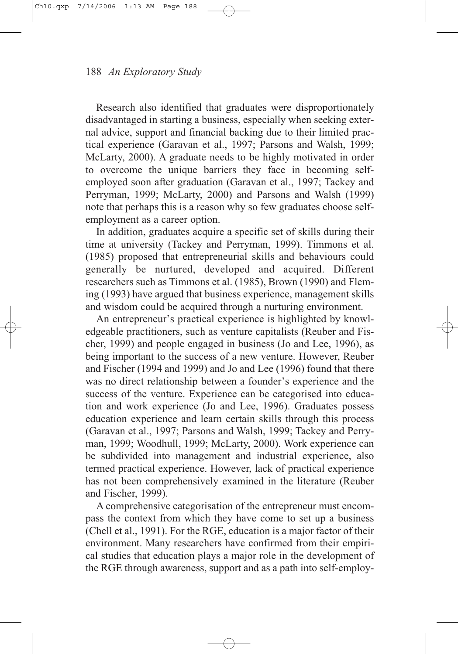Research also identified that graduates were disproportionately disadvantaged in starting a business, especially when seeking external advice, support and financial backing due to their limited practical experience (Garavan et al., 1997; Parsons and Walsh, 1999; McLarty, 2000). A graduate needs to be highly motivated in order to overcome the unique barriers they face in becoming selfemployed soon after graduation (Garavan et al., 1997; Tackey and Perryman, 1999; McLarty, 2000) and Parsons and Walsh (1999) note that perhaps this is a reason why so few graduates choose selfemployment as a career option.

In addition, graduates acquire a specific set of skills during their time at university (Tackey and Perryman, 1999). Timmons et al. (1985) proposed that entrepreneurial skills and behaviours could generally be nurtured, developed and acquired. Different researchers such as Timmons et al. (1985), Brown (1990) and Fleming (1993) have argued that business experience, management skills and wisdom could be acquired through a nurturing environment.

An entrepreneur's practical experience is highlighted by knowledgeable practitioners, such as venture capitalists (Reuber and Fischer, 1999) and people engaged in business (Jo and Lee, 1996), as being important to the success of a new venture. However, Reuber and Fischer (1994 and 1999) and Jo and Lee (1996) found that there was no direct relationship between a founder's experience and the success of the venture. Experience can be categorised into education and work experience (Jo and Lee, 1996). Graduates possess education experience and learn certain skills through this process (Garavan et al., 1997; Parsons and Walsh, 1999; Tackey and Perryman, 1999; Woodhull, 1999; McLarty, 2000). Work experience can be subdivided into management and industrial experience, also termed practical experience. However, lack of practical experience has not been comprehensively examined in the literature (Reuber and Fischer, 1999).

A comprehensive categorisation of the entrepreneur must encompass the context from which they have come to set up a business (Chell et al., 1991). For the RGE, education is a major factor of their environment. Many researchers have confirmed from their empirical studies that education plays a major role in the development of the RGE through awareness, support and as a path into self-employ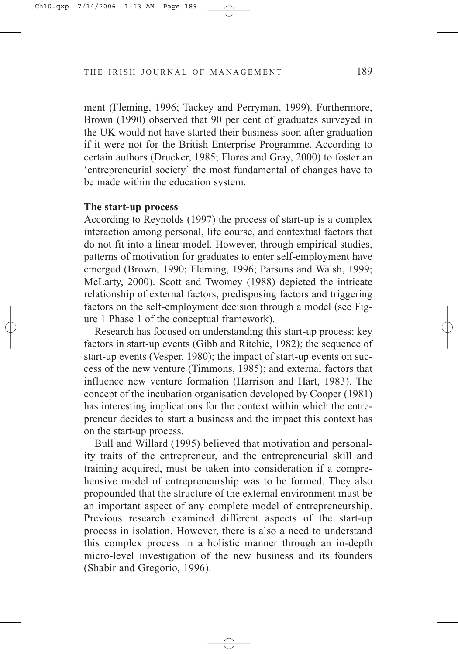ment (Fleming, 1996; Tackey and Perryman, 1999). Furthermore, Brown (1990) observed that 90 per cent of graduates surveyed in the UK would not have started their business soon after graduation if it were not for the British Enterprise Programme. According to certain authors (Drucker, 1985; Flores and Gray, 2000) to foster an 'entrepreneurial society' the most fundamental of changes have to be made within the education system.

### **The start-up process**

According to Reynolds (1997) the process of start-up is a complex interaction among personal, life course, and contextual factors that do not fit into a linear model. However, through empirical studies, patterns of motivation for graduates to enter self-employment have emerged (Brown, 1990; Fleming, 1996; Parsons and Walsh, 1999; McLarty, 2000). Scott and Twomey (1988) depicted the intricate relationship of external factors, predisposing factors and triggering factors on the self-employment decision through a model (see Figure 1 Phase 1 of the conceptual framework).

Research has focused on understanding this start-up process: key factors in start-up events (Gibb and Ritchie, 1982); the sequence of start-up events (Vesper, 1980); the impact of start-up events on success of the new venture (Timmons, 1985); and external factors that influence new venture formation (Harrison and Hart, 1983). The concept of the incubation organisation developed by Cooper (1981) has interesting implications for the context within which the entrepreneur decides to start a business and the impact this context has on the start-up process.

Bull and Willard (1995) believed that motivation and personality traits of the entrepreneur, and the entrepreneurial skill and training acquired, must be taken into consideration if a comprehensive model of entrepreneurship was to be formed. They also propounded that the structure of the external environment must be an important aspect of any complete model of entrepreneurship. Previous research examined different aspects of the start-up process in isolation. However, there is also a need to understand this complex process in a holistic manner through an in-depth micro-level investigation of the new business and its founders (Shabir and Gregorio, 1996).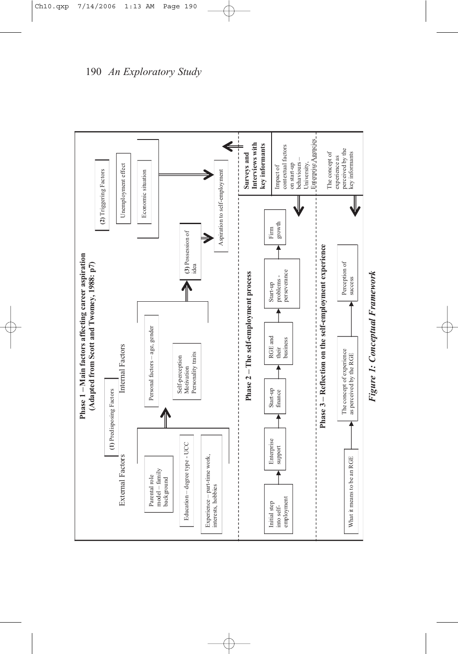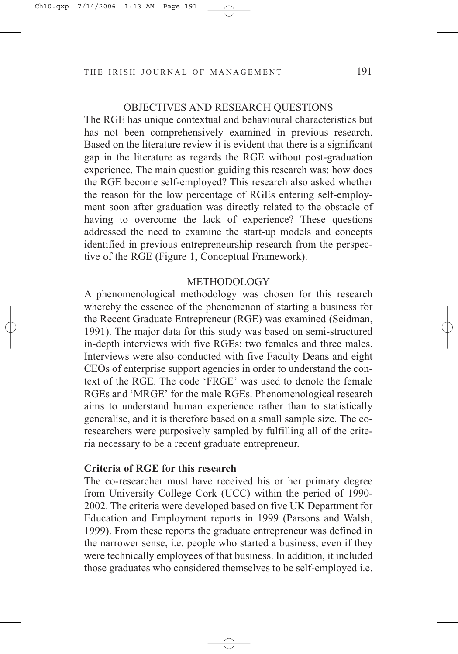## OBJECTIVES AND RESEARCH QUESTIONS

The RGE has unique contextual and behavioural characteristics but has not been comprehensively examined in previous research. Based on the literature review it is evident that there is a significant gap in the literature as regards the RGE without post-graduation experience. The main question guiding this research was: how does the RGE become self-employed? This research also asked whether the reason for the low percentage of RGEs entering self-employment soon after graduation was directly related to the obstacle of having to overcome the lack of experience? These questions addressed the need to examine the start-up models and concepts identified in previous entrepreneurship research from the perspective of the RGE (Figure 1, Conceptual Framework).

## METHODOLOGY

A phenomenological methodology was chosen for this research whereby the essence of the phenomenon of starting a business for the Recent Graduate Entrepreneur (RGE) was examined (Seidman, 1991). The major data for this study was based on semi-structured in-depth interviews with five RGEs: two females and three males. Interviews were also conducted with five Faculty Deans and eight CEOs of enterprise support agencies in order to understand the context of the RGE. The code 'FRGE' was used to denote the female RGEs and 'MRGE' for the male RGEs. Phenomenological research aims to understand human experience rather than to statistically generalise, and it is therefore based on a small sample size. The coresearchers were purposively sampled by fulfilling all of the criteria necessary to be a recent graduate entrepreneur.

## **Criteria of RGE for this research**

The co-researcher must have received his or her primary degree from University College Cork (UCC) within the period of 1990- 2002. The criteria were developed based on five UK Department for Education and Employment reports in 1999 (Parsons and Walsh, 1999). From these reports the graduate entrepreneur was defined in the narrower sense, i.e. people who started a business, even if they were technically employees of that business. In addition, it included those graduates who considered themselves to be self-employed i.e.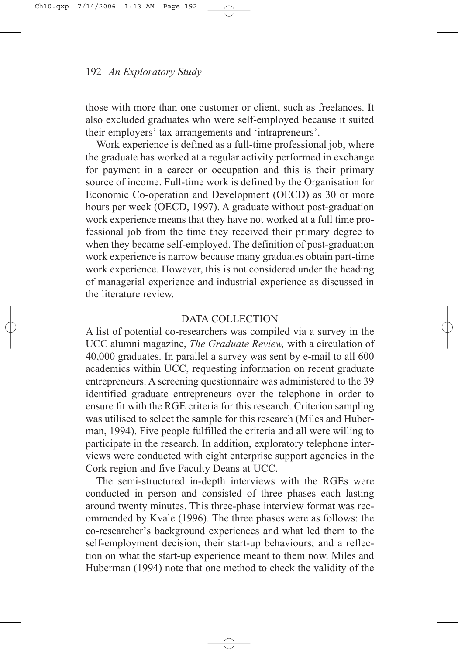those with more than one customer or client, such as freelances. It also excluded graduates who were self-employed because it suited their employers' tax arrangements and 'intrapreneurs'.

Work experience is defined as a full-time professional job, where the graduate has worked at a regular activity performed in exchange for payment in a career or occupation and this is their primary source of income. Full-time work is defined by the Organisation for Economic Co-operation and Development (OECD) as 30 or more hours per week (OECD, 1997). A graduate without post-graduation work experience means that they have not worked at a full time professional job from the time they received their primary degree to when they became self-employed. The definition of post-graduation work experience is narrow because many graduates obtain part-time work experience. However, this is not considered under the heading of managerial experience and industrial experience as discussed in the literature review.

## DATA COLLECTION

A list of potential co-researchers was compiled via a survey in the UCC alumni magazine, *The Graduate Review,* with a circulation of 40,000 graduates. In parallel a survey was sent by e-mail to all 600 academics within UCC, requesting information on recent graduate entrepreneurs. A screening questionnaire was administered to the 39 identified graduate entrepreneurs over the telephone in order to ensure fit with the RGE criteria for this research. Criterion sampling was utilised to select the sample for this research (Miles and Huberman, 1994). Five people fulfilled the criteria and all were willing to participate in the research. In addition, exploratory telephone interviews were conducted with eight enterprise support agencies in the Cork region and five Faculty Deans at UCC.

The semi-structured in-depth interviews with the RGEs were conducted in person and consisted of three phases each lasting around twenty minutes. This three-phase interview format was recommended by Kvale (1996). The three phases were as follows: the co-researcher's background experiences and what led them to the self-employment decision; their start-up behaviours; and a reflection on what the start-up experience meant to them now. Miles and Huberman (1994) note that one method to check the validity of the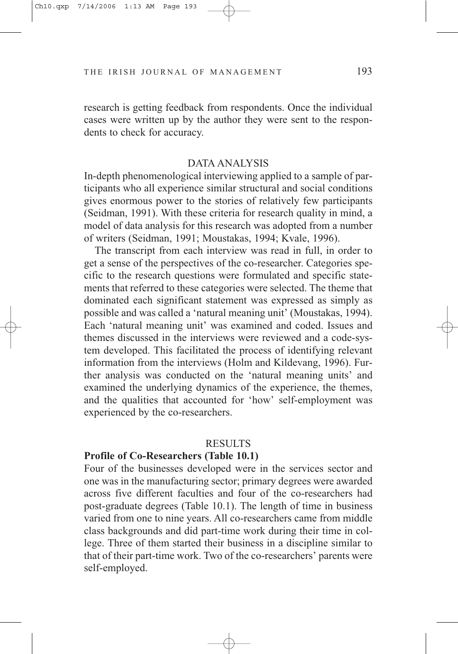research is getting feedback from respondents. Once the individual cases were written up by the author they were sent to the respondents to check for accuracy.

#### DATA ANALYSIS

In-depth phenomenological interviewing applied to a sample of participants who all experience similar structural and social conditions gives enormous power to the stories of relatively few participants (Seidman, 1991). With these criteria for research quality in mind, a model of data analysis for this research was adopted from a number of writers (Seidman, 1991; Moustakas, 1994; Kvale, 1996).

The transcript from each interview was read in full, in order to get a sense of the perspectives of the co-researcher. Categories specific to the research questions were formulated and specific statements that referred to these categories were selected. The theme that dominated each significant statement was expressed as simply as possible and was called a 'natural meaning unit' (Moustakas, 1994). Each 'natural meaning unit' was examined and coded. Issues and themes discussed in the interviews were reviewed and a code-system developed. This facilitated the process of identifying relevant information from the interviews (Holm and Kildevang, 1996). Further analysis was conducted on the 'natural meaning units' and examined the underlying dynamics of the experience, the themes, and the qualities that accounted for 'how' self-employment was experienced by the co-researchers.

#### RESULTS

## **Profile of Co-Researchers (Table 10.1)**

Four of the businesses developed were in the services sector and one was in the manufacturing sector; primary degrees were awarded across five different faculties and four of the co-researchers had post-graduate degrees (Table 10.1). The length of time in business varied from one to nine years. All co-researchers came from middle class backgrounds and did part-time work during their time in college. Three of them started their business in a discipline similar to that of their part-time work. Two of the co-researchers' parents were self-employed.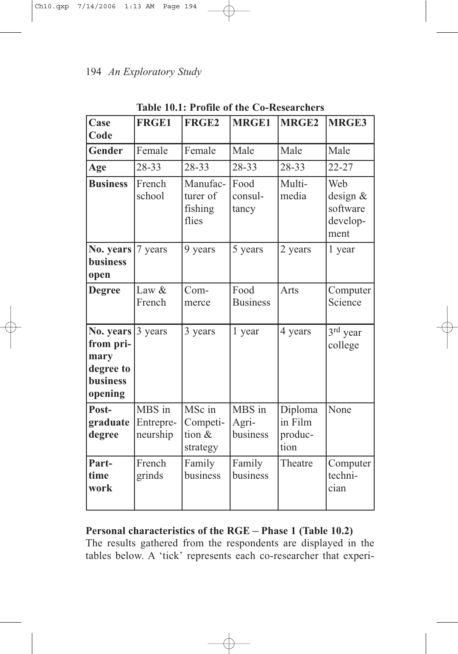| Case<br>Code                                                              | <b>FRGE1</b>                    | FRGE <sub>2</sub>                        | <b>MRGE1</b>                | MRGE <sub>2</sub>                     | MRGE3                                           |
|---------------------------------------------------------------------------|---------------------------------|------------------------------------------|-----------------------------|---------------------------------------|-------------------------------------------------|
| <b>Gender</b>                                                             | Female                          | Female                                   | Male                        | Male                                  | Male                                            |
| Age                                                                       | 28-33                           | 28-33                                    | 28-33                       | 28-33                                 | $22 - 27$                                       |
| <b>Business</b>                                                           | French<br>school                | Manufac-<br>turer of<br>fishing<br>flies | Food<br>consul-<br>tancy    | Multi-<br>media                       | Web<br>design &<br>software<br>develop-<br>ment |
| No. years<br><b>business</b><br>open                                      | 7 years                         | 9 years                                  | 5 years                     | 2 years                               | 1 year                                          |
| <b>Degree</b>                                                             | Law &<br>French                 | Com-<br>merce                            | Food<br><b>Business</b>     | Arts                                  | Computer<br>Science                             |
| No. years<br>from pri-<br>mary<br>degree to<br><b>business</b><br>opening | 3 years                         | 3 years                                  | 1 year                      | 4 years                               | $3rd$ year<br>college                           |
| Post-<br>graduate<br>degree                                               | MBS in<br>Entrepre-<br>neurship | MSc in<br>Competi-<br>tion &<br>strategy | MBS in<br>Agri-<br>business | Diploma<br>in Film<br>produc-<br>tion | None                                            |
| Part-<br>time<br>work                                                     | French<br>grinds                | Family<br>business                       | Family<br>business          | Theatre                               | Computer<br>techni-<br>cian                     |

**Table 10.1: Profile of the Co-Researchers**

# **Personal characteristics of the RGE – Phase 1 (Table 10.2)**

The results gathered from the respondents are displayed in the tables below. A 'tick' represents each co-researcher that experi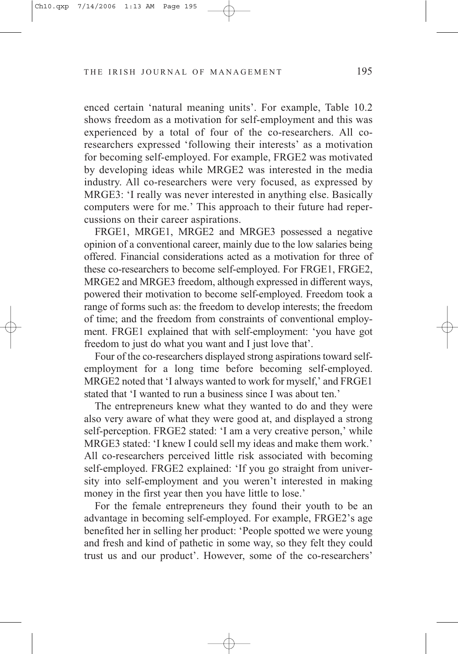enced certain 'natural meaning units'. For example, Table 10.2 shows freedom as a motivation for self-employment and this was experienced by a total of four of the co-researchers. All coresearchers expressed 'following their interests' as a motivation for becoming self-employed. For example, FRGE2 was motivated by developing ideas while MRGE2 was interested in the media industry. All co-researchers were very focused, as expressed by MRGE3: 'I really was never interested in anything else. Basically computers were for me.' This approach to their future had repercussions on their career aspirations.

FRGE1, MRGE1, MRGE2 and MRGE3 possessed a negative opinion of a conventional career, mainly due to the low salaries being offered. Financial considerations acted as a motivation for three of these co-researchers to become self-employed. For FRGE1, FRGE2, MRGE2 and MRGE3 freedom, although expressed in different ways, powered their motivation to become self-employed. Freedom took a range of forms such as: the freedom to develop interests; the freedom of time; and the freedom from constraints of conventional employment. FRGE1 explained that with self-employment: 'you have got freedom to just do what you want and I just love that'.

Four of the co-researchers displayed strong aspirations toward selfemployment for a long time before becoming self-employed. MRGE2 noted that 'I always wanted to work for myself,' and FRGE1 stated that 'I wanted to run a business since I was about ten.'

The entrepreneurs knew what they wanted to do and they were also very aware of what they were good at, and displayed a strong self-perception. FRGE2 stated: 'I am a very creative person,' while MRGE3 stated: 'I knew I could sell my ideas and make them work.' All co-researchers perceived little risk associated with becoming self-employed. FRGE2 explained: 'If you go straight from university into self-employment and you weren't interested in making money in the first year then you have little to lose.'

For the female entrepreneurs they found their youth to be an advantage in becoming self-employed. For example, FRGE2's age benefited her in selling her product: 'People spotted we were young and fresh and kind of pathetic in some way, so they felt they could trust us and our product'. However, some of the co-researchers'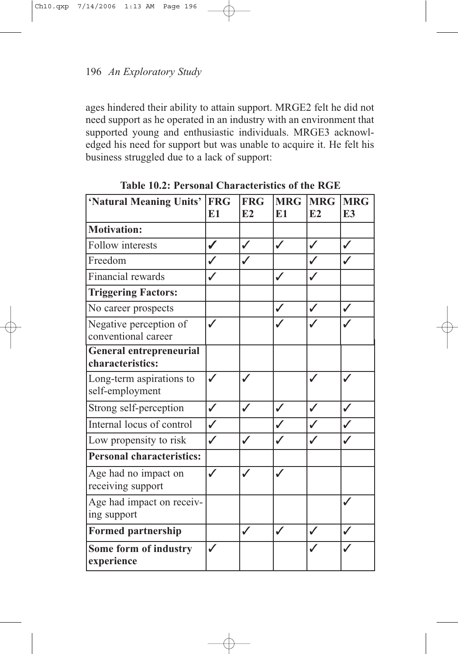ages hindered their ability to attain support. MRGE2 felt he did not need support as he operated in an industry with an environment that supported young and enthusiastic individuals. MRGE3 acknowledged his need for support but was unable to acquire it. He felt his business struggled due to a lack of support:

| 'Natural Meaning Units'                            | <b>FRG</b><br>E <sub>1</sub> | <b>FRG</b><br>E2 | <b>MRG</b><br>E1 | <b>MRG</b><br>E2 | <b>MRG</b><br>E <sub>3</sub> |
|----------------------------------------------------|------------------------------|------------------|------------------|------------------|------------------------------|
| <b>Motivation:</b>                                 |                              |                  |                  |                  |                              |
| Follow interests                                   | ✔                            | $\checkmark$     | $\checkmark$     | $\checkmark$     | ✓                            |
| Freedom                                            |                              |                  |                  |                  |                              |
| Financial rewards                                  |                              |                  | $\checkmark$     |                  |                              |
| <b>Triggering Factors:</b>                         |                              |                  |                  |                  |                              |
| No career prospects                                |                              |                  | ✓                | $\checkmark$     | $\checkmark$                 |
| Negative perception of<br>conventional career      | $\checkmark$                 |                  |                  |                  |                              |
| <b>General entrepreneurial</b><br>characteristics: |                              |                  |                  |                  |                              |
| Long-term aspirations to<br>self-employment        | $\checkmark$                 | J                |                  | $\checkmark$     |                              |
| Strong self-perception                             | ✓                            | $\checkmark$     | ✓                | $\checkmark$     | ✓                            |
| Internal locus of control                          | ✓                            |                  | ✓                |                  | $\checkmark$                 |
| Low propensity to risk                             | $\checkmark$                 | ✓                |                  |                  |                              |
| <b>Personal characteristics:</b>                   |                              |                  |                  |                  |                              |
| Age had no impact on<br>receiving support          | ✓                            |                  | ✓                |                  |                              |
| Age had impact on receiv-<br>ing support           |                              |                  |                  |                  |                              |
| <b>Formed partnership</b>                          |                              | ✓                | $\checkmark$     | $\checkmark$     |                              |
| Some form of industry<br>experience                |                              |                  |                  |                  |                              |

**Table 10.2: Personal Characteristics of the RGE**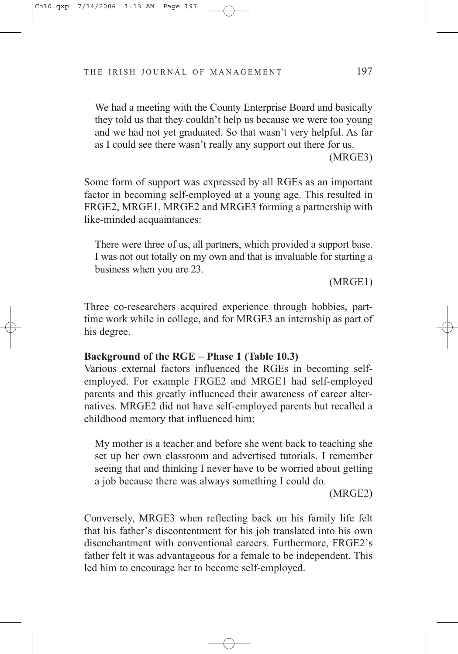We had a meeting with the County Enterprise Board and basically they told us that they couldn't help us because we were too young and we had not yet graduated. So that wasn't very helpful. As far as I could see there wasn't really any support out there for us.

(MRGE3)

Some form of support was expressed by all RGEs as an important factor in becoming self-employed at a young age. This resulted in FRGE2, MRGE1, MRGE2 and MRGE3 forming a partnership with like-minded acquaintances:

There were three of us, all partners, which provided a support base. I was not out totally on my own and that is invaluable for starting a business when you are 23.

(MRGE1)

Three co-researchers acquired experience through hobbies, parttime work while in college, and for MRGE3 an internship as part of his degree.

# **Background of the RGE – Phase 1 (Table 10.3)**

Various external factors influenced the RGEs in becoming selfemployed. For example FRGE2 and MRGE1 had self-employed parents and this greatly influenced their awareness of career alternatives. MRGE2 did not have self-employed parents but recalled a childhood memory that influenced him:

My mother is a teacher and before she went back to teaching she set up her own classroom and advertised tutorials. I remember seeing that and thinking I never have to be worried about getting a job because there was always something I could do.

(MRGE2)

Conversely, MRGE3 when reflecting back on his family life felt that his father's discontentment for his job translated into his own disenchantment with conventional careers. Furthermore, FRGE2's father felt it was advantageous for a female to be independent. This led him to encourage her to become self-employed.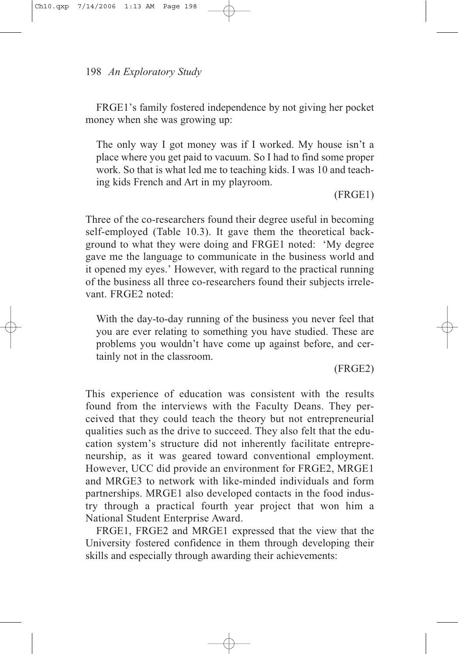FRGE1's family fostered independence by not giving her pocket money when she was growing up:

The only way I got money was if I worked. My house isn't a place where you get paid to vacuum. So I had to find some proper work. So that is what led me to teaching kids. I was 10 and teaching kids French and Art in my playroom.

(FRGE1)

Three of the co-researchers found their degree useful in becoming self-employed (Table 10.3). It gave them the theoretical background to what they were doing and FRGE1 noted: 'My degree gave me the language to communicate in the business world and it opened my eyes.' However, with regard to the practical running of the business all three co-researchers found their subjects irrelevant. FRGE2 noted:

With the day-to-day running of the business you never feel that you are ever relating to something you have studied. These are problems you wouldn't have come up against before, and certainly not in the classroom.

(FRGE2)

This experience of education was consistent with the results found from the interviews with the Faculty Deans. They perceived that they could teach the theory but not entrepreneurial qualities such as the drive to succeed. They also felt that the education system's structure did not inherently facilitate entrepreneurship, as it was geared toward conventional employment. However, UCC did provide an environment for FRGE2, MRGE1 and MRGE3 to network with like-minded individuals and form partnerships. MRGE1 also developed contacts in the food industry through a practical fourth year project that won him a National Student Enterprise Award.

FRGE1, FRGE2 and MRGE1 expressed that the view that the University fostered confidence in them through developing their skills and especially through awarding their achievements: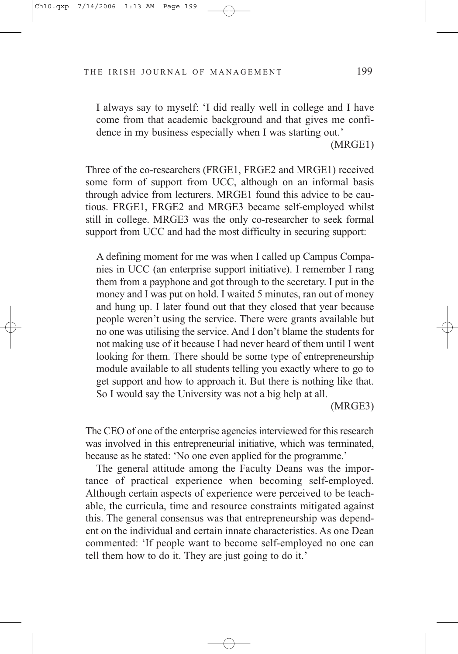I always say to myself: 'I did really well in college and I have come from that academic background and that gives me confidence in my business especially when I was starting out.'

(MRGE1)

Three of the co-researchers (FRGE1, FRGE2 and MRGE1) received some form of support from UCC, although on an informal basis through advice from lecturers. MRGE1 found this advice to be cautious. FRGE1, FRGE2 and MRGE3 became self-employed whilst still in college. MRGE3 was the only co-researcher to seek formal support from UCC and had the most difficulty in securing support:

A defining moment for me was when I called up Campus Companies in UCC (an enterprise support initiative). I remember I rang them from a payphone and got through to the secretary. I put in the money and I was put on hold. I waited 5 minutes, ran out of money and hung up. I later found out that they closed that year because people weren't using the service. There were grants available but no one was utilising the service. And I don't blame the students for not making use of it because I had never heard of them until I went looking for them. There should be some type of entrepreneurship module available to all students telling you exactly where to go to get support and how to approach it. But there is nothing like that. So I would say the University was not a big help at all.

(MRGE3)

The CEO of one of the enterprise agencies interviewed for this research was involved in this entrepreneurial initiative, which was terminated, because as he stated: 'No one even applied for the programme.'

The general attitude among the Faculty Deans was the importance of practical experience when becoming self-employed. Although certain aspects of experience were perceived to be teachable, the curricula, time and resource constraints mitigated against this. The general consensus was that entrepreneurship was dependent on the individual and certain innate characteristics. As one Dean commented: 'If people want to become self-employed no one can tell them how to do it. They are just going to do it.'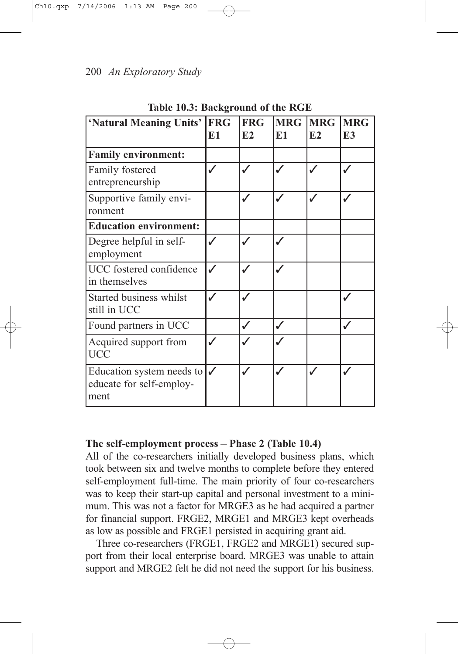| 'Natural Meaning Units'                                       | <b>FRG</b><br>E1 | <b>FRG</b><br>E2 | <b>MRG</b><br>E1 | <b>MRG</b><br>E2 | <b>MRG</b><br>E <sub>3</sub> |
|---------------------------------------------------------------|------------------|------------------|------------------|------------------|------------------------------|
| <b>Family environment:</b>                                    |                  |                  |                  |                  |                              |
| Family fostered<br>entrepreneurship                           |                  |                  |                  |                  |                              |
| Supportive family envi-<br>ronment                            |                  |                  |                  |                  |                              |
| <b>Education environment:</b>                                 |                  |                  |                  |                  |                              |
| Degree helpful in self-<br>employment                         |                  |                  |                  |                  |                              |
| UCC fostered confidence<br>in themselves                      |                  |                  |                  |                  |                              |
| Started business whilst<br>still in UCC                       |                  |                  |                  |                  |                              |
| Found partners in UCC                                         |                  |                  | J                |                  |                              |
| Acquired support from<br><b>UCC</b>                           |                  |                  |                  |                  |                              |
| Education system needs to<br>educate for self-employ-<br>ment |                  |                  |                  |                  |                              |

**Table 10.3: Background of the RGE**

# **The self-employment process – Phase 2 (Table 10.4)**

All of the co-researchers initially developed business plans, which took between six and twelve months to complete before they entered self-employment full-time. The main priority of four co-researchers was to keep their start-up capital and personal investment to a minimum. This was not a factor for MRGE3 as he had acquired a partner for financial support. FRGE2, MRGE1 and MRGE3 kept overheads as low as possible and FRGE1 persisted in acquiring grant aid.

Three co-researchers (FRGE1, FRGE2 and MRGE1) secured support from their local enterprise board. MRGE3 was unable to attain support and MRGE2 felt he did not need the support for his business.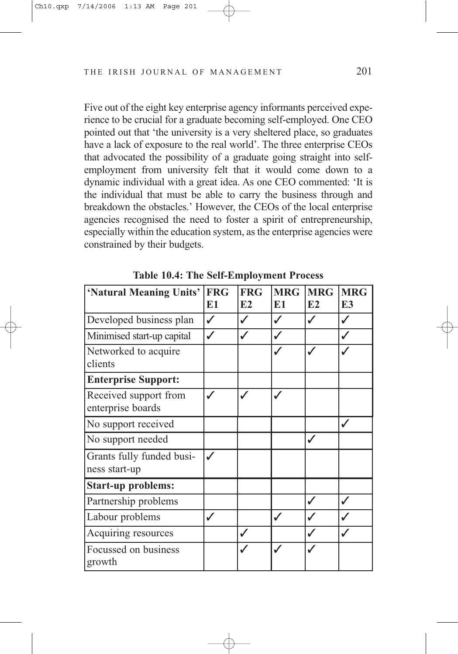Five out of the eight key enterprise agency informants perceived experience to be crucial for a graduate becoming self-employed. One CEO pointed out that 'the university is a very sheltered place, so graduates have a lack of exposure to the real world'. The three enterprise CEOs that advocated the possibility of a graduate going straight into selfemployment from university felt that it would come down to a dynamic individual with a great idea. As one CEO commented: 'It is the individual that must be able to carry the business through and breakdown the obstacles.' However, the CEOs of the local enterprise agencies recognised the need to foster a spirit of entrepreneurship, especially within the education system, as the enterprise agencies were constrained by their budgets.

| 'Natural Meaning Units'                    | <b>FRG</b><br>E1 | <b>FRG</b><br>E2 | <b>MRG</b><br>E <sub>1</sub> | <b>MRG</b><br>E2 | <b>MRG</b><br>E <sub>3</sub> |
|--------------------------------------------|------------------|------------------|------------------------------|------------------|------------------------------|
| Developed business plan                    | J                |                  | J                            |                  |                              |
| Minimised start-up capital                 |                  |                  | ✓                            |                  |                              |
| Networked to acquire<br>clients            |                  |                  |                              |                  |                              |
| <b>Enterprise Support:</b>                 |                  |                  |                              |                  |                              |
| Received support from<br>enterprise boards |                  |                  |                              |                  |                              |
| No support received                        |                  |                  |                              |                  |                              |
| No support needed                          |                  |                  |                              |                  |                              |
| Grants fully funded busi-<br>ness start-up | J                |                  |                              |                  |                              |
| <b>Start-up problems:</b>                  |                  |                  |                              |                  |                              |
| Partnership problems                       |                  |                  |                              |                  |                              |
| Labour problems                            | ✓                |                  |                              |                  |                              |
| Acquiring resources                        |                  |                  |                              |                  |                              |
| Focussed on business<br>growth             |                  |                  |                              |                  |                              |

**Table 10.4: The Self-Employment Process**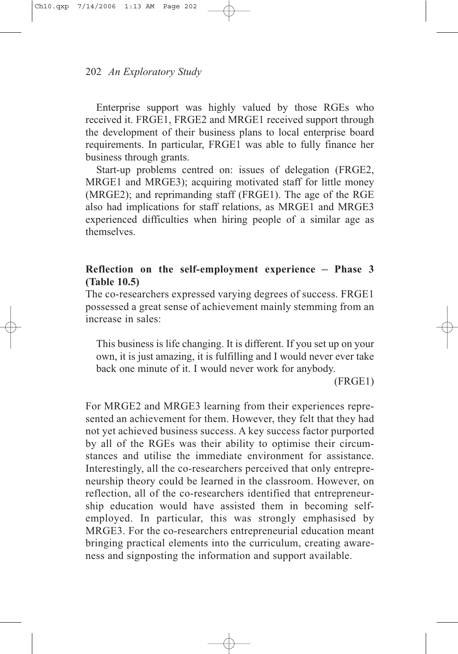Enterprise support was highly valued by those RGEs who received it. FRGE1, FRGE2 and MRGE1 received support through the development of their business plans to local enterprise board requirements. In particular, FRGE1 was able to fully finance her business through grants.

Start-up problems centred on: issues of delegation (FRGE2, MRGE1 and MRGE3); acquiring motivated staff for little money (MRGE2); and reprimanding staff (FRGE1). The age of the RGE also had implications for staff relations, as MRGE1 and MRGE3 experienced difficulties when hiring people of a similar age as themselves.

# **Reflection on the self-employment experience – Phase 3 (Table 10.5)**

The co-researchers expressed varying degrees of success. FRGE1 possessed a great sense of achievement mainly stemming from an increase in sales:

This business is life changing. It is different. If you set up on your own, it is just amazing, it is fulfilling and I would never ever take back one minute of it. I would never work for anybody.

(FRGE1)

For MRGE2 and MRGE3 learning from their experiences represented an achievement for them. However, they felt that they had not yet achieved business success. A key success factor purported by all of the RGEs was their ability to optimise their circumstances and utilise the immediate environment for assistance. Interestingly, all the co-researchers perceived that only entrepreneurship theory could be learned in the classroom. However, on reflection, all of the co-researchers identified that entrepreneurship education would have assisted them in becoming selfemployed. In particular, this was strongly emphasised by MRGE3. For the co-researchers entrepreneurial education meant bringing practical elements into the curriculum, creating awareness and signposting the information and support available.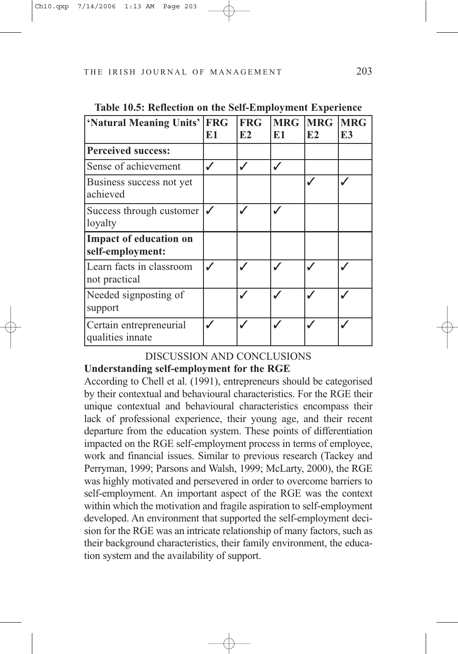| 'Natural Meaning Units'                           | <b>FRG</b> | <b>FRG</b> | <b>MRG</b> | <b>MRG</b> | <b>MRG</b> |
|---------------------------------------------------|------------|------------|------------|------------|------------|
|                                                   | E1         | E2         | E1         | E2         | E3         |
| <b>Perceived success:</b>                         |            |            |            |            |            |
| Sense of achievement                              |            |            | ✓          |            |            |
| Business success not yet<br>achieved              |            |            |            |            |            |
| Success through customer<br>loyalty               |            |            | ✓          |            |            |
| <b>Impact of education on</b><br>self-employment: |            |            |            |            |            |
| Learn facts in classroom<br>not practical         |            |            |            |            |            |
| Needed signposting of<br>support                  |            |            | ✓          |            |            |
| Certain entrepreneurial<br>qualities innate       |            |            |            |            |            |

# DISCUSSION AND CONCLUSIONS

# **Understanding self-employment for the RGE**

According to Chell et al. (1991), entrepreneurs should be categorised by their contextual and behavioural characteristics. For the RGE their unique contextual and behavioural characteristics encompass their lack of professional experience, their young age, and their recent departure from the education system. These points of differentiation impacted on the RGE self-employment process in terms of employee, work and financial issues. Similar to previous research (Tackey and Perryman, 1999; Parsons and Walsh, 1999; McLarty, 2000), the RGE was highly motivated and persevered in order to overcome barriers to self-employment. An important aspect of the RGE was the context within which the motivation and fragile aspiration to self-employment developed. An environment that supported the self-employment decision for the RGE was an intricate relationship of many factors, such as their background characteristics, their family environment, the education system and the availability of support.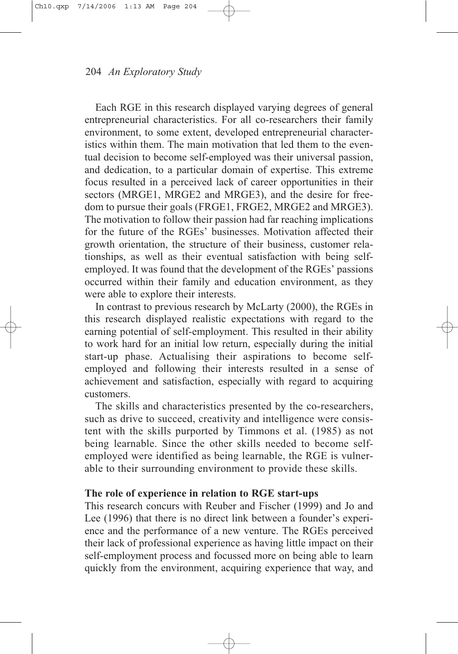Each RGE in this research displayed varying degrees of general entrepreneurial characteristics. For all co-researchers their family environment, to some extent, developed entrepreneurial characteristics within them. The main motivation that led them to the eventual decision to become self-employed was their universal passion, and dedication, to a particular domain of expertise. This extreme focus resulted in a perceived lack of career opportunities in their sectors (MRGE1, MRGE2 and MRGE3), and the desire for freedom to pursue their goals (FRGE1, FRGE2, MRGE2 and MRGE3). The motivation to follow their passion had far reaching implications for the future of the RGEs' businesses. Motivation affected their growth orientation, the structure of their business, customer relationships, as well as their eventual satisfaction with being selfemployed. It was found that the development of the RGEs' passions occurred within their family and education environment, as they were able to explore their interests.

In contrast to previous research by McLarty (2000), the RGEs in this research displayed realistic expectations with regard to the earning potential of self-employment. This resulted in their ability to work hard for an initial low return, especially during the initial start-up phase. Actualising their aspirations to become selfemployed and following their interests resulted in a sense of achievement and satisfaction, especially with regard to acquiring customers.

The skills and characteristics presented by the co-researchers, such as drive to succeed, creativity and intelligence were consistent with the skills purported by Timmons et al. (1985) as not being learnable. Since the other skills needed to become selfemployed were identified as being learnable, the RGE is vulnerable to their surrounding environment to provide these skills.

# **The role of experience in relation to RGE start-ups**

This research concurs with Reuber and Fischer (1999) and Jo and Lee (1996) that there is no direct link between a founder's experience and the performance of a new venture. The RGEs perceived their lack of professional experience as having little impact on their self-employment process and focussed more on being able to learn quickly from the environment, acquiring experience that way, and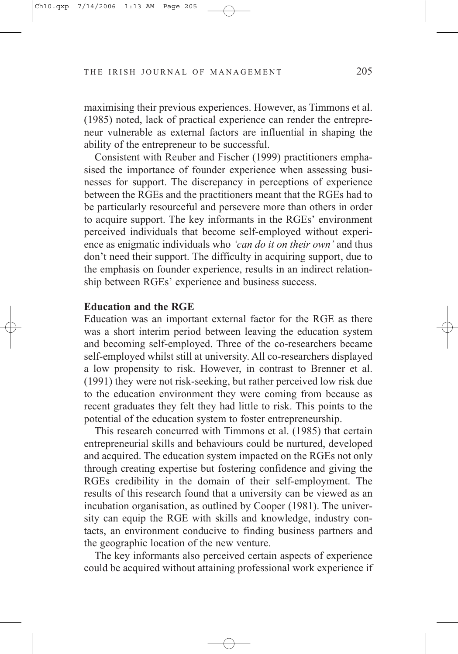maximising their previous experiences. However, as Timmons et al. (1985) noted, lack of practical experience can render the entrepreneur vulnerable as external factors are influential in shaping the ability of the entrepreneur to be successful.

Consistent with Reuber and Fischer (1999) practitioners emphasised the importance of founder experience when assessing businesses for support. The discrepancy in perceptions of experience between the RGEs and the practitioners meant that the RGEs had to be particularly resourceful and persevere more than others in order to acquire support. The key informants in the RGEs' environment perceived individuals that become self-employed without experience as enigmatic individuals who *'can do it on their own'* and thus don't need their support. The difficulty in acquiring support, due to the emphasis on founder experience, results in an indirect relationship between RGEs' experience and business success.

### **Education and the RGE**

Education was an important external factor for the RGE as there was a short interim period between leaving the education system and becoming self-employed. Three of the co-researchers became self-employed whilst still at university. All co-researchers displayed a low propensity to risk. However, in contrast to Brenner et al. (1991) they were not risk-seeking, but rather perceived low risk due to the education environment they were coming from because as recent graduates they felt they had little to risk. This points to the potential of the education system to foster entrepreneurship.

This research concurred with Timmons et al. (1985) that certain entrepreneurial skills and behaviours could be nurtured, developed and acquired. The education system impacted on the RGEs not only through creating expertise but fostering confidence and giving the RGEs credibility in the domain of their self-employment. The results of this research found that a university can be viewed as an incubation organisation, as outlined by Cooper (1981). The university can equip the RGE with skills and knowledge, industry contacts, an environment conducive to finding business partners and the geographic location of the new venture.

The key informants also perceived certain aspects of experience could be acquired without attaining professional work experience if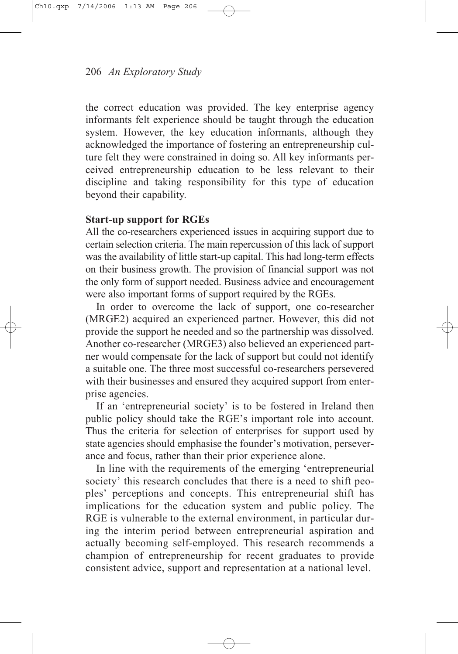the correct education was provided. The key enterprise agency informants felt experience should be taught through the education system. However, the key education informants, although they acknowledged the importance of fostering an entrepreneurship culture felt they were constrained in doing so. All key informants perceived entrepreneurship education to be less relevant to their discipline and taking responsibility for this type of education beyond their capability.

## **Start-up support for RGEs**

All the co-researchers experienced issues in acquiring support due to certain selection criteria. The main repercussion of this lack of support was the availability of little start-up capital. This had long-term effects on their business growth. The provision of financial support was not the only form of support needed. Business advice and encouragement were also important forms of support required by the RGEs.

In order to overcome the lack of support, one co-researcher (MRGE2) acquired an experienced partner. However, this did not provide the support he needed and so the partnership was dissolved. Another co-researcher (MRGE3) also believed an experienced partner would compensate for the lack of support but could not identify a suitable one. The three most successful co-researchers persevered with their businesses and ensured they acquired support from enterprise agencies.

If an 'entrepreneurial society' is to be fostered in Ireland then public policy should take the RGE's important role into account. Thus the criteria for selection of enterprises for support used by state agencies should emphasise the founder's motivation, perseverance and focus, rather than their prior experience alone.

In line with the requirements of the emerging 'entrepreneurial society' this research concludes that there is a need to shift peoples' perceptions and concepts. This entrepreneurial shift has implications for the education system and public policy. The RGE is vulnerable to the external environment, in particular during the interim period between entrepreneurial aspiration and actually becoming self-employed. This research recommends a champion of entrepreneurship for recent graduates to provide consistent advice, support and representation at a national level.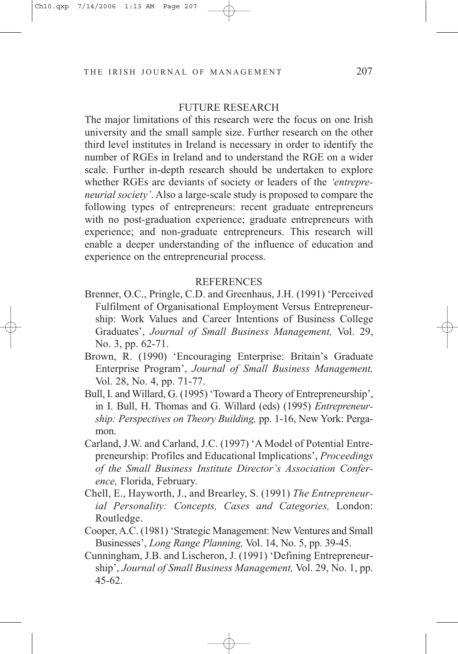#### FUTURE RESEARCH

The major limitations of this research were the focus on one Irish university and the small sample size. Further research on the other third level institutes in Ireland is necessary in order to identify the number of RGEs in Ireland and to understand the RGE on a wider scale. Further in-depth research should be undertaken to explore whether RGEs are deviants of society or leaders of the *'entrepreneurial society'*. Also a large-scale study is proposed to compare the following types of entrepreneurs: recent graduate entrepreneurs with no post-graduation experience; graduate entrepreneurs with experience; and non-graduate entrepreneurs. This research will enable a deeper understanding of the influence of education and experience on the entrepreneurial process.

#### REFERENCES

- Brenner, O.C., Pringle, C.D. and Greenhaus, J.H. (1991) 'Perceived Fulfilment of Organisational Employment Versus Entrepreneurship: Work Values and Career Intentions of Business College Graduates', *Journal of Small Business Management,* Vol. 29, No. 3, pp. 62-71.
- Brown, R. (1990) 'Encouraging Enterprise: Britain's Graduate Enterprise Program', *Journal of Small Business Management,* Vol. 28, No. 4, pp. 71-77.
- Bull, I. and Willard, G. (1995) 'Toward a Theory of Entrepreneurship', in I. Bull, H. Thomas and G. Willard (eds) (1995) *Entrepreneurship: Perspectives on Theory Building,* pp. 1-16, New York: Pergamon.
- Carland, J.W. and Carland, J.C. (1997) 'A Model of Potential Entrepreneurship: Profiles and Educational Implications', *Proceedings of the Small Business Institute Director's Association Conference,* Florida, February.
- Chell, E., Hayworth, J., and Brearley, S. (1991) *The Entrepreneurial Personality: Concepts, Cases and Categories,* London: Routledge.
- Cooper, A.C. (1981) 'Strategic Management: New Ventures and Small Businesses', *Long Range Planning,* Vol. 14, No. 5, pp. 39-45.
- Cunningham, J.B. and Lischeron, J. (1991) 'Defining Entrepreneurship', *Journal of Small Business Management,* Vol. 29, No. 1, pp. 45-62.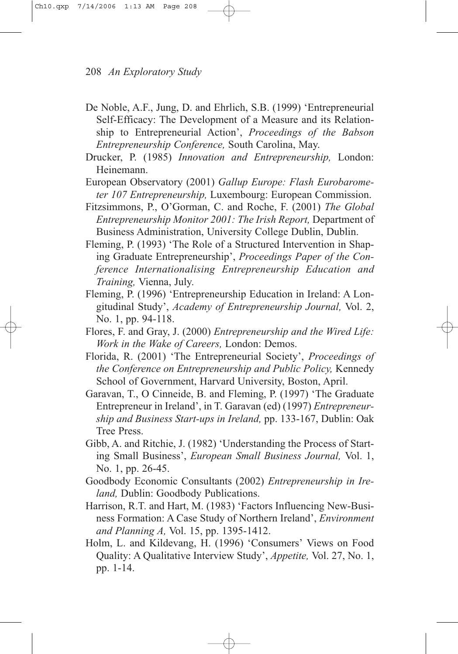- De Noble, A.F., Jung, D. and Ehrlich, S.B. (1999) 'Entrepreneurial Self-Efficacy: The Development of a Measure and its Relationship to Entrepreneurial Action', *Proceedings of the Babson Entrepreneurship Conference,* South Carolina, May.
- Drucker, P. (1985) *Innovation and Entrepreneurship,* London: Heinemann.
- European Observatory (2001) *Gallup Europe: Flash Eurobarometer 107 Entrepreneurship,* Luxembourg: European Commission.
- Fitzsimmons, P., O'Gorman, C. and Roche, F. (2001) *The Global Entrepreneurship Monitor 2001: The Irish Report,* Department of Business Administration, University College Dublin, Dublin.
- Fleming, P. (1993) 'The Role of a Structured Intervention in Shaping Graduate Entrepreneurship', *Proceedings Paper of the Conference Internationalising Entrepreneurship Education and Training,* Vienna, July.
- Fleming, P. (1996) 'Entrepreneurship Education in Ireland: A Longitudinal Study', *Academy of Entrepreneurship Journal,* Vol. 2, No. 1, pp. 94-118.
- Flores, F. and Gray, J. (2000) *Entrepreneurship and the Wired Life: Work in the Wake of Careers,* London: Demos.
- Florida, R. (2001) 'The Entrepreneurial Society', *Proceedings of the Conference on Entrepreneurship and Public Policy,* Kennedy School of Government, Harvard University, Boston, April.
- Garavan, T., O Cinneide, B. and Fleming, P. (1997) 'The Graduate Entrepreneur in Ireland', in T. Garavan (ed) (1997) *Entrepreneurship and Business Start-ups in Ireland,* pp. 133-167, Dublin: Oak Tree Press.
- Gibb, A. and Ritchie, J. (1982) 'Understanding the Process of Starting Small Business', *European Small Business Journal,* Vol. 1, No. 1, pp. 26-45.
- Goodbody Economic Consultants (2002) *Entrepreneurship in Ireland,* Dublin: Goodbody Publications.
- Harrison, R.T. and Hart, M. (1983) 'Factors Influencing New-Business Formation: A Case Study of Northern Ireland', *Environment and Planning A,* Vol. 15, pp. 1395-1412.
- Holm, L. and Kildevang, H. (1996) 'Consumers' Views on Food Quality: A Qualitative Interview Study', *Appetite,* Vol. 27, No. 1, pp. 1-14.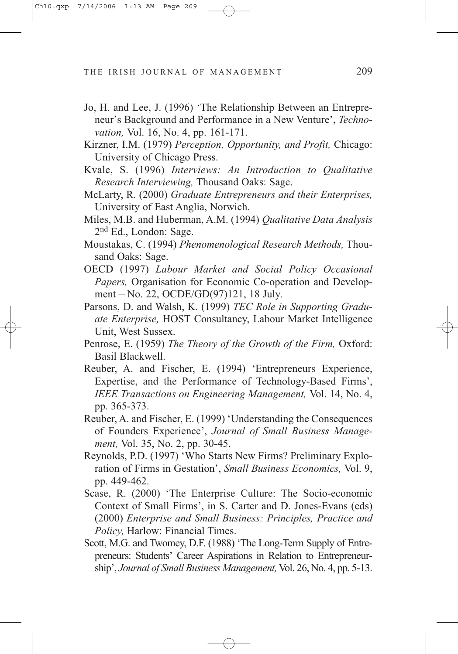- Jo, H. and Lee, J. (1996) 'The Relationship Between an Entrepreneur's Background and Performance in a New Venture', *Technovation,* Vol. 16, No. 4, pp. 161-171.
- Kirzner, I.M. (1979) *Perception, Opportunity, and Profit,* Chicago: University of Chicago Press.
- Kvale, S. (1996) *Interviews: An Introduction to Qualitative Research Interviewing,* Thousand Oaks: Sage.
- McLarty, R. (2000) *Graduate Entrepreneurs and their Enterprises,* University of East Anglia, Norwich.
- Miles, M.B. and Huberman, A.M. (1994) *Qualitative Data Analysis* 2nd Ed., London: Sage.
- Moustakas, C. (1994) *Phenomenological Research Methods,* Thousand Oaks: Sage.
- OECD (1997) *Labour Market and Social Policy Occasional Papers,* Organisation for Economic Co-operation and Development – No. 22, OCDE/GD(97)121, 18 July.
- Parsons, D. and Walsh, K. (1999) *TEC Role in Supporting Graduate Enterprise,* HOST Consultancy, Labour Market Intelligence Unit, West Sussex.
- Penrose, E. (1959) *The Theory of the Growth of the Firm,* Oxford: Basil Blackwell.
- Reuber, A. and Fischer, E. (1994) 'Entrepreneurs Experience, Expertise, and the Performance of Technology-Based Firms', *IEEE Transactions on Engineering Management,* Vol. 14, No. 4, pp. 365-373.
- Reuber, A. and Fischer, E. (1999) 'Understanding the Consequences of Founders Experience', *Journal of Small Business Management,* Vol. 35, No. 2, pp. 30-45.
- Reynolds, P.D. (1997) 'Who Starts New Firms? Preliminary Exploration of Firms in Gestation', *Small Business Economics,* Vol. 9, pp. 449-462.
- Scase, R. (2000) 'The Enterprise Culture: The Socio-economic Context of Small Firms', in S. Carter and D. Jones-Evans (eds) (2000) *Enterprise and Small Business: Principles, Practice and Policy,* Harlow: Financial Times.
- Scott, M.G. and Twomey, D.F. (1988) 'The Long-Term Supply of Entrepreneurs: Students' Career Aspirations in Relation to Entrepreneurship', *Journal of Small Business Management,* Vol. 26, No. 4, pp. 5-13.